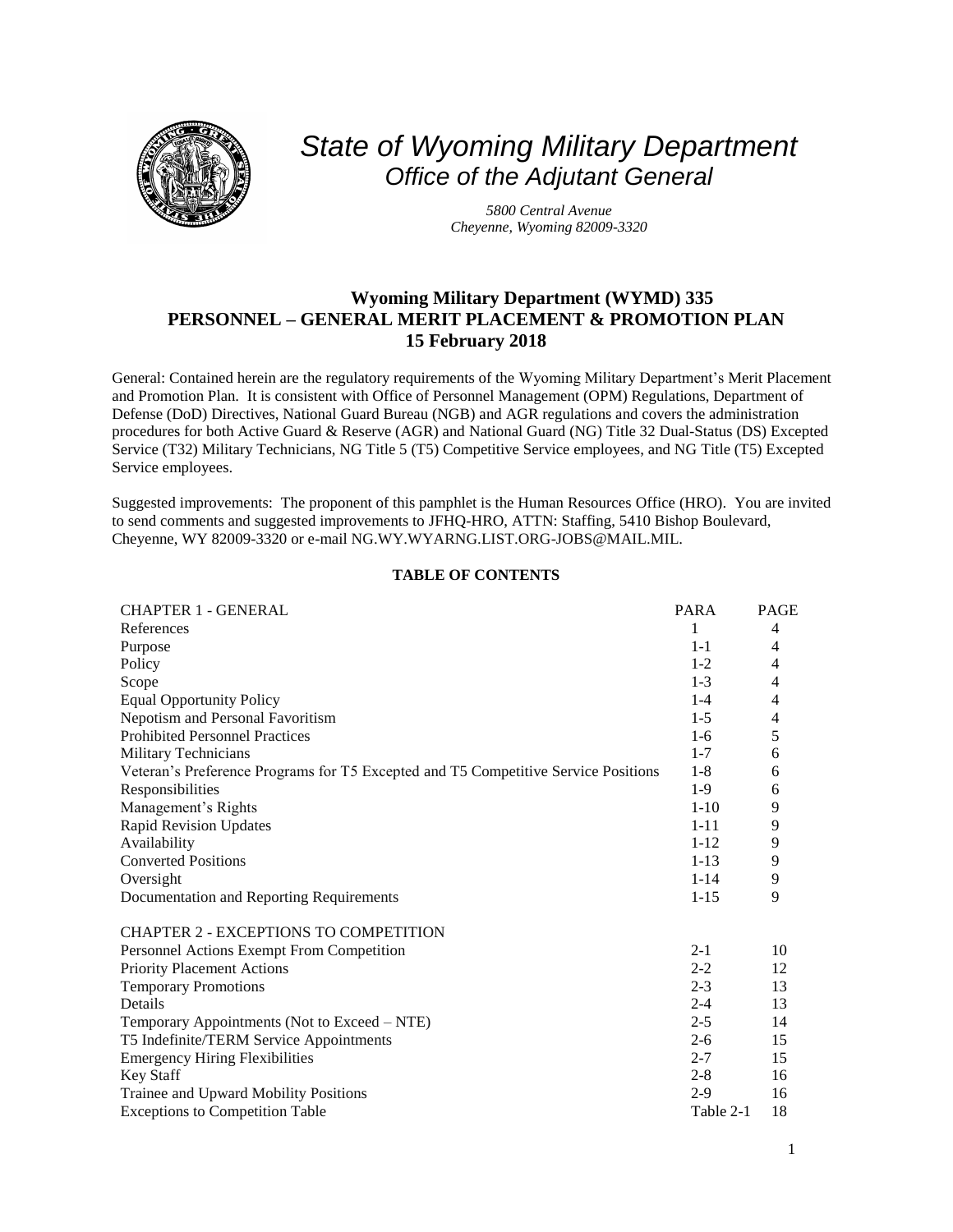

# *State of Wyoming Military Department Office of the Adjutant General*

*5800 Central Avenue Cheyenne, Wyoming 82009-3320*

## **Wyoming Military Department (WYMD) 335 PERSONNEL – GENERAL MERIT PLACEMENT & PROMOTION PLAN 15 February 2018**

General: Contained herein are the regulatory requirements of the Wyoming Military Department's Merit Placement and Promotion Plan. It is consistent with Office of Personnel Management (OPM) Regulations, Department of Defense (DoD) Directives, National Guard Bureau (NGB) and AGR regulations and covers the administration procedures for both Active Guard & Reserve (AGR) and National Guard (NG) Title 32 Dual-Status (DS) Excepted Service (T32) Military Technicians, NG Title 5 (T5) Competitive Service employees, and NG Title (T5) Excepted Service employees.

Suggested improvements: The proponent of this pamphlet is the Human Resources Office (HRO). You are invited to send comments and suggested improvements to JFHQ-HRO, ATTN: Staffing, 5410 Bishop Boulevard, Cheyenne, WY 82009-3320 or e-mail [NG.WY.WYARNG.LIST.ORG-JOBS@MAIL.MIL.](mailto:NG.WY.WYARNG.LIST.ORG-JOBS@MAIL.MIL)

## **TABLE OF CONTENTS**

| <b>CHAPTER 1 - GENERAL</b>                                                         | <b>PARA</b> | <b>PAGE</b>    |
|------------------------------------------------------------------------------------|-------------|----------------|
| References                                                                         | 1           | $\overline{4}$ |
| Purpose                                                                            | $1 - 1$     | 4              |
| Policy                                                                             | $1-2$       | 4              |
| Scope                                                                              | $1 - 3$     | 4              |
| <b>Equal Opportunity Policy</b>                                                    | $1 - 4$     | 4              |
| Nepotism and Personal Favoritism                                                   | $1 - 5$     | 4              |
| <b>Prohibited Personnel Practices</b>                                              | $1-6$       | 5              |
| Military Technicians                                                               | $1 - 7$     | 6              |
| Veteran's Preference Programs for T5 Excepted and T5 Competitive Service Positions | $1 - 8$     | 6              |
| Responsibilities                                                                   | $1-9$       | 6              |
| Management's Rights                                                                | $1 - 10$    | 9              |
| <b>Rapid Revision Updates</b>                                                      | $1 - 11$    | 9              |
| Availability                                                                       | $1 - 12$    | 9              |
| <b>Converted Positions</b>                                                         | $1 - 13$    | 9              |
| Oversight                                                                          | $1 - 14$    | 9              |
| Documentation and Reporting Requirements                                           | $1 - 15$    | 9              |
| CHAPTER 2 - EXCEPTIONS TO COMPETITION                                              |             |                |
| Personnel Actions Exempt From Competition                                          | $2 - 1$     | 10             |
| <b>Priority Placement Actions</b>                                                  | $2 - 2$     | 12             |
| <b>Temporary Promotions</b>                                                        | $2 - 3$     | 13             |
| Details                                                                            | $2 - 4$     | 13             |
| Temporary Appointments (Not to Exceed – NTE)                                       | $2 - 5$     | 14             |
| T5 Indefinite/TERM Service Appointments                                            | $2-6$       | 15             |
| <b>Emergency Hiring Flexibilities</b>                                              | $2 - 7$     | 15             |
| <b>Key Staff</b>                                                                   | $2 - 8$     | 16             |
| Trainee and Upward Mobility Positions                                              | $2 - 9$     | 16             |
| <b>Exceptions to Competition Table</b>                                             | Table 2-1   | 18             |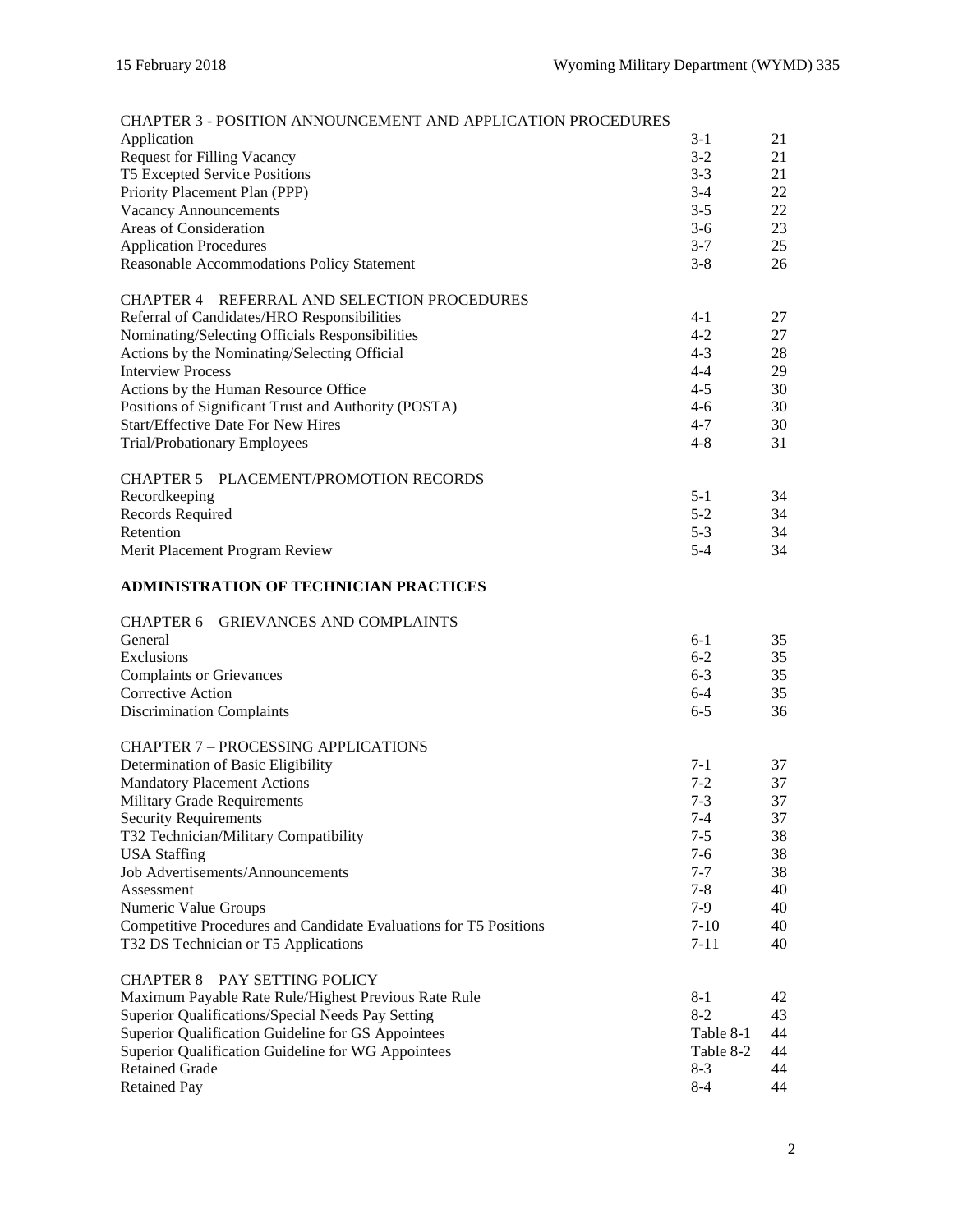| <b>CHAPTER 3 - POSITION ANNOUNCEMENT AND APPLICATION PROCEDURES</b>                                      |                    |          |
|----------------------------------------------------------------------------------------------------------|--------------------|----------|
| Application                                                                                              | $3 - 1$            | 21       |
| <b>Request for Filling Vacancy</b>                                                                       | $3-2$              | 21       |
| T5 Excepted Service Positions                                                                            | $3 - 3$            | 21       |
| Priority Placement Plan (PPP)                                                                            | $3-4$              | 22       |
| <b>Vacancy Announcements</b>                                                                             | $3 - 5$            | 22       |
| Areas of Consideration                                                                                   | $3-6$              | 23       |
| <b>Application Procedures</b>                                                                            | $3 - 7$            | 25       |
| Reasonable Accommodations Policy Statement                                                               | $3 - 8$            | 26       |
| <b>CHAPTER 4 – REFERRAL AND SELECTION PROCEDURES</b>                                                     |                    |          |
| Referral of Candidates/HRO Responsibilities                                                              | $4 - 1$            | 27       |
| Nominating/Selecting Officials Responsibilities                                                          | $4 - 2$            | 27       |
| Actions by the Nominating/Selecting Official                                                             | $4 - 3$            | 28       |
| <b>Interview Process</b>                                                                                 | $4 - 4$            | 29       |
| Actions by the Human Resource Office                                                                     | $4 - 5$            | 30       |
| Positions of Significant Trust and Authority (POSTA)                                                     | $4 - 6$            | 30       |
| <b>Start/Effective Date For New Hires</b>                                                                | $4 - 7$            | 30       |
| Trial/Probationary Employees                                                                             | $4 - 8$            | 31       |
| <b>CHAPTER 5 - PLACEMENT/PROMOTION RECORDS</b>                                                           |                    |          |
| Recordkeeping                                                                                            | $5-1$              | 34       |
| Records Required                                                                                         | $5 - 2$            | 34       |
| Retention                                                                                                | $5 - 3$            | 34       |
| Merit Placement Program Review                                                                           | $5 - 4$            | 34       |
| <b>ADMINISTRATION OF TECHNICIAN PRACTICES</b>                                                            |                    |          |
| <b>CHAPTER 6 - GRIEVANCES AND COMPLAINTS</b>                                                             |                    |          |
| General                                                                                                  | $6 - 1$            | 35       |
| Exclusions                                                                                               | $6 - 2$            | 35       |
| <b>Complaints or Grievances</b>                                                                          | $6 - 3$            | 35       |
| Corrective Action                                                                                        | $6 - 4$            | 35       |
| <b>Discrimination Complaints</b>                                                                         | $6 - 5$            | 36       |
| <b>CHAPTER 7 - PROCESSING APPLICATIONS</b>                                                               |                    |          |
| Determination of Basic Eligibility                                                                       | $7-1$              | 37       |
| <b>Mandatory Placement Actions</b>                                                                       | $7-2$              | 37       |
| <b>Military Grade Requirements</b>                                                                       | $7 - 3$            | 37       |
| <b>Security Requirements</b>                                                                             | $7 - 4$            | 37       |
| T32 Technician/Military Compatibility                                                                    | $7 - 5$            | 38       |
| <b>USA</b> Staffing                                                                                      | 7-6                | 38       |
| Job Advertisements/Announcements                                                                         | $7 - 7$            | 38       |
| Assessment                                                                                               | $7 - 8$            | 40       |
| Numeric Value Groups<br>Competitive Procedures and Candidate Evaluations for T5 Positions                | 7-9<br>$7-10$      | 40<br>40 |
| T32 DS Technician or T5 Applications                                                                     | $7 - 11$           | 40       |
|                                                                                                          |                    |          |
| <b>CHAPTER 8 - PAY SETTING POLICY</b>                                                                    |                    |          |
| Maximum Payable Rate Rule/Highest Previous Rate Rule                                                     | $8 - 1$            | 42       |
| Superior Qualifications/Special Needs Pay Setting                                                        | $8 - 2$            | 43       |
| Superior Qualification Guideline for GS Appointees<br>Superior Qualification Guideline for WG Appointees | Table 8-1          | 44<br>44 |
| <b>Retained Grade</b>                                                                                    | Table 8-2<br>$8-3$ | 44       |
| <b>Retained Pay</b>                                                                                      | $8 - 4$            | 44       |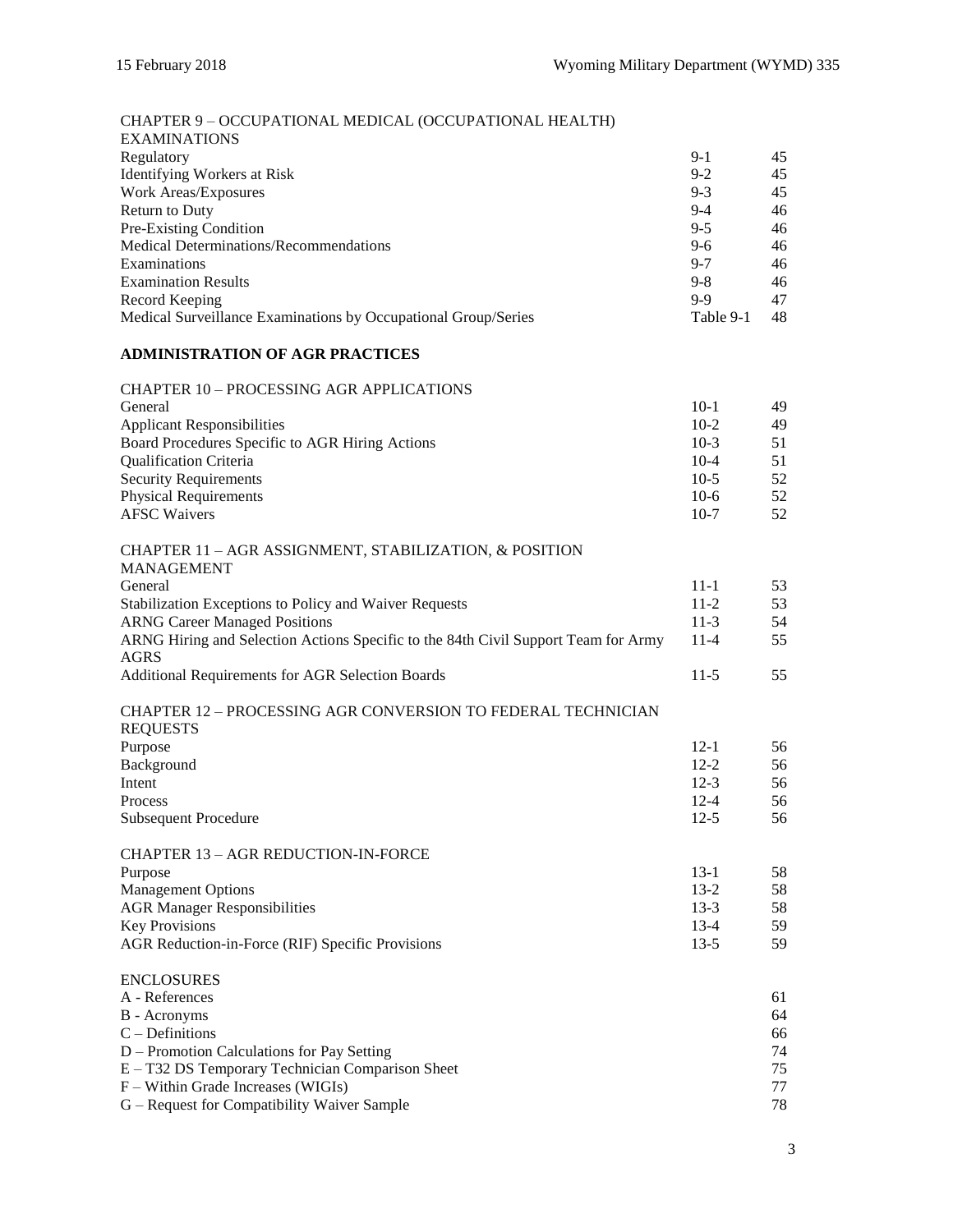| CHAPTER 9 - OCCUPATIONAL MEDICAL (OCCUPATIONAL HEALTH)<br><b>EXAMINATIONS</b>          |           |    |
|----------------------------------------------------------------------------------------|-----------|----|
| Regulatory                                                                             | $9-1$     | 45 |
| <b>Identifying Workers at Risk</b>                                                     | $9 - 2$   | 45 |
| Work Areas/Exposures                                                                   | $9 - 3$   | 45 |
| Return to Duty                                                                         | $9-4$     | 46 |
| Pre-Existing Condition                                                                 | $9 - 5$   | 46 |
| Medical Determinations/Recommendations                                                 | $9 - 6$   | 46 |
| Examinations                                                                           | $9 - 7$   | 46 |
| <b>Examination Results</b>                                                             | $9 - 8$   | 46 |
| Record Keeping                                                                         | $9-9$     | 47 |
| Medical Surveillance Examinations by Occupational Group/Series                         | Table 9-1 | 48 |
| <b>ADMINISTRATION OF AGR PRACTICES</b>                                                 |           |    |
| <b>CHAPTER 10 - PROCESSING AGR APPLICATIONS</b>                                        |           |    |
| General                                                                                | $10-1$    | 49 |
| <b>Applicant Responsibilities</b>                                                      | $10-2$    | 49 |
| Board Procedures Specific to AGR Hiring Actions                                        | $10-3$    | 51 |
| <b>Qualification Criteria</b>                                                          | $10-4$    | 51 |
| <b>Security Requirements</b>                                                           | $10-5$    | 52 |
| <b>Physical Requirements</b>                                                           | $10-6$    | 52 |
| <b>AFSC Waivers</b>                                                                    | $10-7$    | 52 |
| CHAPTER 11 - AGR ASSIGNMENT, STABILIZATION, & POSITION                                 |           |    |
| <b>MANAGEMENT</b>                                                                      |           |    |
| General                                                                                | $11 - 1$  | 53 |
| Stabilization Exceptions to Policy and Waiver Requests                                 | $11-2$    | 53 |
| <b>ARNG Career Managed Positions</b>                                                   | $11-3$    | 54 |
| ARNG Hiring and Selection Actions Specific to the 84th Civil Support Team for Army     | $11-4$    | 55 |
| <b>AGRS</b><br>Additional Requirements for AGR Selection Boards                        | $11-5$    | 55 |
|                                                                                        |           |    |
| <b>CHAPTER 12 - PROCESSING AGR CONVERSION TO FEDERAL TECHNICIAN</b><br><b>REQUESTS</b> |           |    |
| Purpose                                                                                | $12 - 1$  | 56 |
| Background                                                                             | $12 - 2$  | 56 |
| Intent                                                                                 | $12-3$    | 56 |
| Process                                                                                | $12 - 4$  | 56 |
| <b>Subsequent Procedure</b>                                                            | $12 - 5$  | 56 |
| <b>CHAPTER 13 - AGR REDUCTION-IN-FORCE</b>                                             |           |    |
| Purpose                                                                                | $13-1$    | 58 |
| <b>Management Options</b>                                                              | $13-2$    | 58 |
| <b>AGR Manager Responsibilities</b>                                                    | $13-3$    | 58 |
| <b>Key Provisions</b>                                                                  | $13-4$    | 59 |
| AGR Reduction-in-Force (RIF) Specific Provisions                                       | $13-5$    | 59 |
| <b>ENCLOSURES</b>                                                                      |           |    |
| A - References                                                                         |           | 61 |
| <b>B</b> - Acronyms                                                                    |           | 64 |
| $C$ – Definitions                                                                      |           | 66 |
| D – Promotion Calculations for Pay Setting                                             |           | 74 |
| E – T32 DS Temporary Technician Comparison Sheet                                       |           | 75 |
| F – Within Grade Increases (WIGIs)                                                     |           | 77 |
| G - Request for Compatibility Waiver Sample                                            |           | 78 |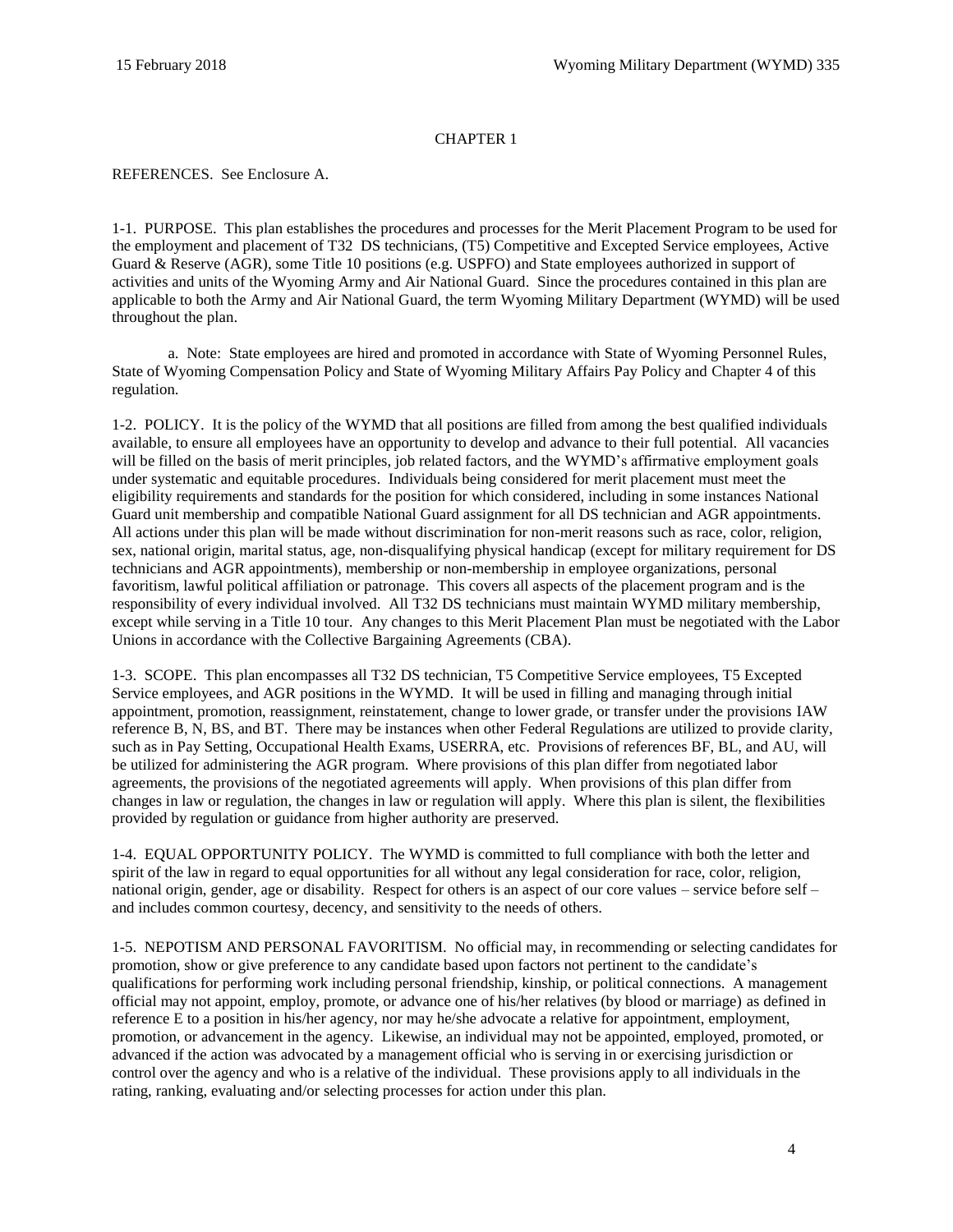## CHAPTER 1

<span id="page-3-1"></span><span id="page-3-0"></span>[REFERENCES. See Enclosure A.](#page-60-0)

<span id="page-3-2"></span>1-1. PURPOSE. This plan establishes the procedures and processes for the Merit Placement Program to be used for the employment and placement of T32 DS technicians, (T5) Competitive and Excepted Service employees, Active Guard & Reserve (AGR), some Title 10 positions (e.g. USPFO) and State employees authorized in support of activities and units of the Wyoming Army and Air National Guard. Since the procedures contained in this plan are applicable to both the Army and Air National Guard, the term Wyoming Military Department (WYMD) will be used throughout the plan.

a. Note: State employees are hired and promoted in accordance with State of Wyoming Personnel Rules, State of Wyoming Compensation Policy and State of Wyoming Military Affairs Pay Policy and Chapter 4 of this regulation.

<span id="page-3-3"></span>1-2. POLICY. It is the policy of the WYMD that all positions are filled from among the best qualified individuals available, to ensure all employees have an opportunity to develop and advance to their full potential. All vacancies will be filled on the basis of merit principles, job related factors, and the WYMD's affirmative employment goals under systematic and equitable procedures. Individuals being considered for merit placement must meet the eligibility requirements and standards for the position for which considered, including in some instances National Guard unit membership and compatible National Guard assignment for all DS technician and AGR appointments. All actions under this plan will be made without discrimination for non-merit reasons such as race, color, religion, sex, national origin, marital status, age, non-disqualifying physical handicap (except for military requirement for DS technicians and AGR appointments), membership or non-membership in employee organizations, personal favoritism, lawful political affiliation or patronage. This covers all aspects of the placement program and is the responsibility of every individual involved. All T32 DS technicians must maintain WYMD military membership, except while serving in a Title 10 tour. Any changes to this Merit Placement Plan must be negotiated with the Labor Unions in accordance with the Collective Bargaining Agreements (CBA).

<span id="page-3-4"></span>1-3. SCOPE. This plan encompasses all T32 DS technician, T5 Competitive Service employees, T5 Excepted Service employees, and AGR positions in the WYMD. It will be used in filling and managing through initial appointment, promotion, reassignment, reinstatement, change to lower grade, or transfer under the provisions IAW referenc[e B,](#page-60-1) [N,](#page-60-2) [BS,](#page-62-0) an[d BT.](#page-62-1) There may be instances when other Federal Regulations are utilized to provide clarity, such as in Pay Setting, Occupational Health Exams, USERRA, etc. Provisions of references [BF,](#page-62-2) [BL,](#page-62-3) and [AU,](#page-61-0) will be utilized for administering the AGR program. Where provisions of this plan differ from negotiated labor agreements, the provisions of the negotiated agreements will apply. When provisions of this plan differ from changes in law or regulation, the changes in law or regulation will apply. Where this plan is silent, the flexibilities provided by regulation or guidance from higher authority are preserved.

<span id="page-3-5"></span>1-4. EQUAL OPPORTUNITY POLICY. The WYMD is committed to full compliance with both the letter and spirit of the law in regard to equal opportunities for all without any legal consideration for race, color, religion, national origin, gender, age or disability. Respect for others is an aspect of our core values – service before self – and includes common courtesy, decency, and sensitivity to the needs of others.

<span id="page-3-6"></span>1-5. NEPOTISM AND PERSONAL FAVORITISM. No official may, in recommending or selecting candidates for promotion, show or give preference to any candidate based upon factors not pertinent to the candidate's qualifications for performing work including personal friendship, kinship, or political connections. A management official may not appoint, employ, promote, or advance one of his/her relatives (by blood or marriage) as defined in referenc[e E](#page-60-3) to a position in his/her agency, nor may he/she advocate a relative for appointment, employment, promotion, or advancement in the agency. Likewise, an individual may not be appointed, employed, promoted, or advanced if the action was advocated by a management official who is serving in or exercising jurisdiction or control over the agency and who is a relative of the individual. These provisions apply to all individuals in the rating, ranking, evaluating and/or selecting processes for action under this plan.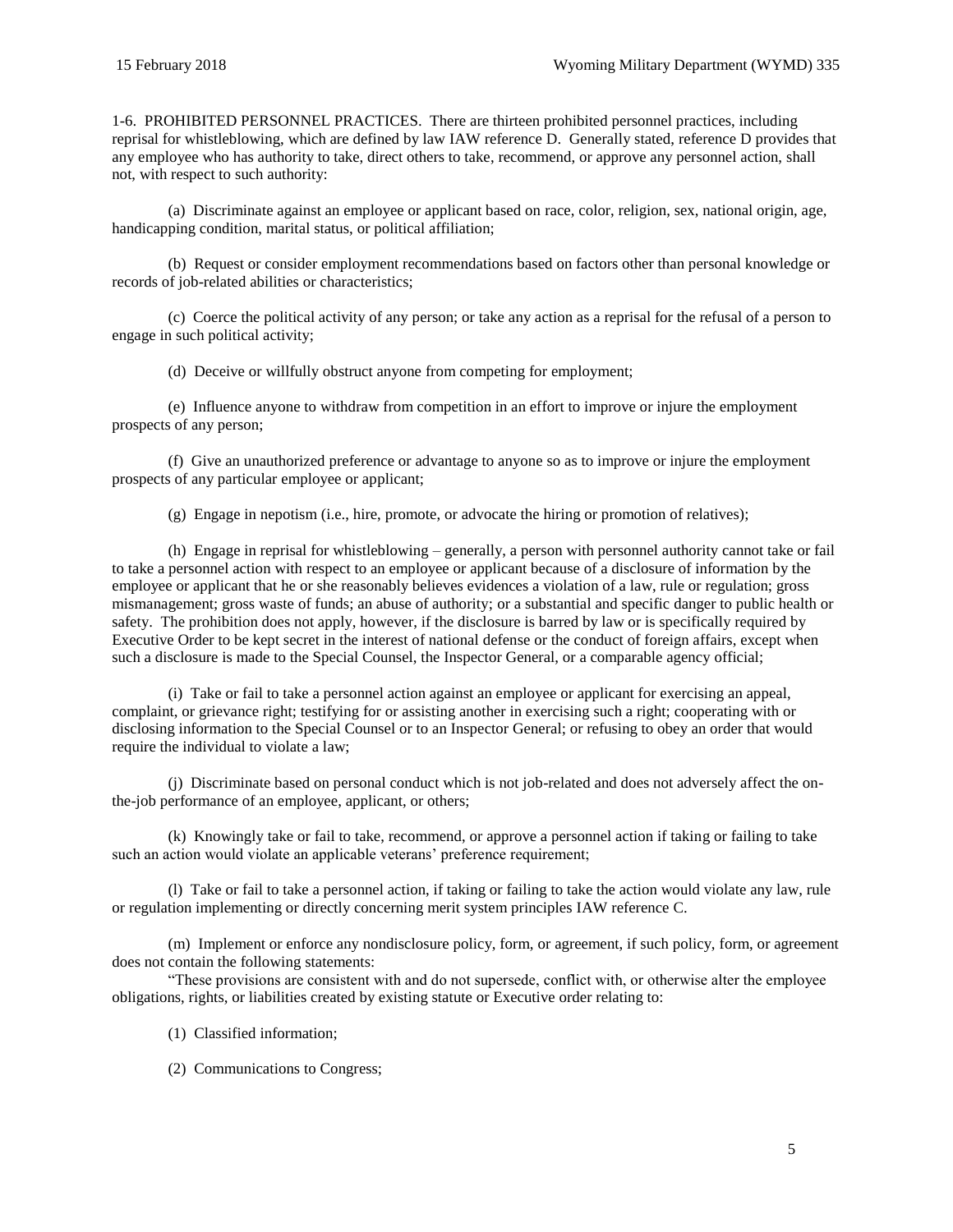<span id="page-4-0"></span>1-6. PROHIBITED PERSONNEL PRACTICES. There are thirteen prohibited personnel practices, including reprisal for whistleblowing, which are defined by law IAW reference [D.](#page-60-4) Generally stated, referenc[e D](#page-60-4) provides that any employee who has authority to take, direct others to take, recommend, or approve any personnel action, shall not, with respect to such authority:

(a) Discriminate against an employee or applicant based on race, color, religion, sex, national origin, age, handicapping condition, marital status, or political affiliation;

(b) Request or consider employment recommendations based on factors other than personal knowledge or records of job-related abilities or characteristics;

(c) Coerce the political activity of any person; or take any action as a reprisal for the refusal of a person to engage in such political activity;

(d) Deceive or willfully obstruct anyone from competing for employment;

(e) Influence anyone to withdraw from competition in an effort to improve or injure the employment prospects of any person;

(f) Give an unauthorized preference or advantage to anyone so as to improve or injure the employment prospects of any particular employee or applicant;

(g) Engage in nepotism (i.e., hire, promote, or advocate the hiring or promotion of relatives);

(h) Engage in reprisal for whistleblowing – generally, a person with personnel authority cannot take or fail to take a personnel action with respect to an employee or applicant because of a disclosure of information by the employee or applicant that he or she reasonably believes evidences a violation of a law, rule or regulation; gross mismanagement; gross waste of funds; an abuse of authority; or a substantial and specific danger to public health or safety. The prohibition does not apply, however, if the disclosure is barred by law or is specifically required by Executive Order to be kept secret in the interest of national defense or the conduct of foreign affairs, except when such a disclosure is made to the Special Counsel, the Inspector General, or a comparable agency official;

(i) Take or fail to take a personnel action against an employee or applicant for exercising an appeal, complaint, or grievance right; testifying for or assisting another in exercising such a right; cooperating with or disclosing information to the Special Counsel or to an Inspector General; or refusing to obey an order that would require the individual to violate a law;

(j) Discriminate based on personal conduct which is not job-related and does not adversely affect the onthe-job performance of an employee, applicant, or others;

(k) Knowingly take or fail to take, recommend, or approve a personnel action if taking or failing to take such an action would violate an applicable veterans' preference requirement;

(l) Take or fail to take a personnel action, if taking or failing to take the action would violate any law, rule or regulation implementing or directly concerning merit system principles IAW reference [C.](#page-60-5)

(m) Implement or enforce any nondisclosure policy, form, or agreement, if such policy, form, or agreement does not contain the following statements:

"These provisions are consistent with and do not supersede, conflict with, or otherwise alter the employee obligations, rights, or liabilities created by existing statute or Executive order relating to:

- (1) Classified information;
- (2) Communications to Congress;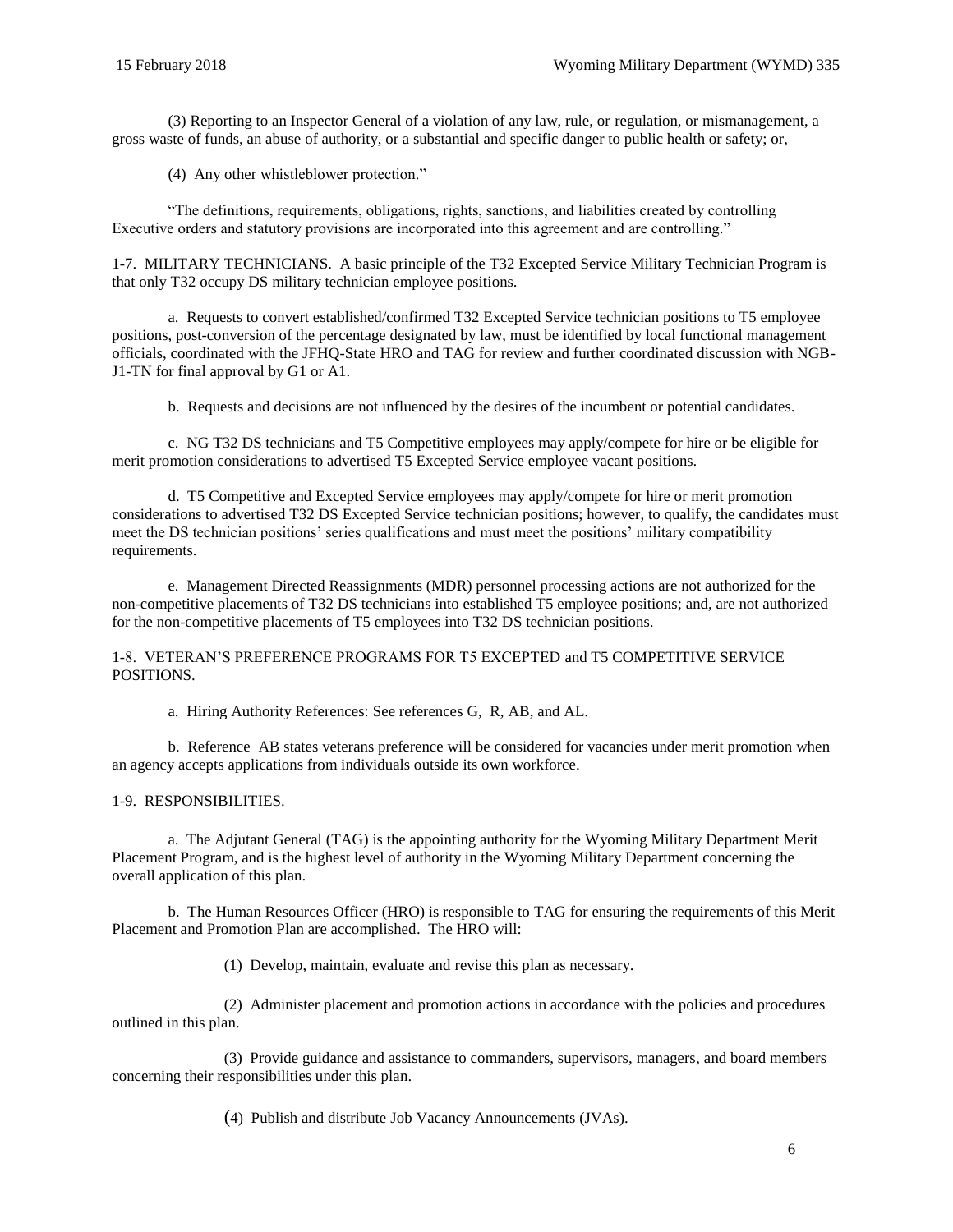(3) Reporting to an Inspector General of a violation of any law, rule, or regulation, or mismanagement, a gross waste of funds, an abuse of authority, or a substantial and specific danger to public health or safety; or,

(4) Any other whistleblower protection."

"The definitions, requirements, obligations, rights, sanctions, and liabilities created by controlling Executive orders and statutory provisions are incorporated into this agreement and are controlling."

<span id="page-5-0"></span>1-7. MILITARY TECHNICIANS. A basic principle of the T32 Excepted Service Military Technician Program is that only T32 occupy DS military technician employee positions.

a. Requests to convert established/confirmed T32 Excepted Service technician positions to T5 employee positions, post-conversion of the percentage designated by law, must be identified by local functional management officials, coordinated with the JFHQ-State HRO and TAG for review and further coordinated discussion with NGB-J1-TN for final approval by G1 or A1.

b. Requests and decisions are not influenced by the desires of the incumbent or potential candidates.

c. NG T32 DS technicians and T5 Competitive employees may apply/compete for hire or be eligible for merit promotion considerations to advertised T5 Excepted Service employee vacant positions.

d. T5 Competitive and Excepted Service employees may apply/compete for hire or merit promotion considerations to advertised T32 DS Excepted Service technician positions; however, to qualify, the candidates must meet the DS technician positions' series qualifications and must meet the positions' military compatibility requirements.

e. Management Directed Reassignments (MDR) personnel processing actions are not authorized for the non-competitive placements of T32 DS technicians into established T5 employee positions; and, are not authorized for the non-competitive placements of T5 employees into T32 DS technician positions.

#### <span id="page-5-1"></span>1-8. VETERAN'S PREFERENCE PROGRAMS FOR T5 EXCEPTED and T5 COMPETITIVE SERVICE POSITIONS.

a. Hiring Authority References: See references [G,](#page-60-6) [R,](#page-60-7) [AB,](#page-61-1) and [AL.](#page-61-2)

b. Reference [AB](#page-61-1) states veterans preference will be considered for vacancies under merit promotion when an agency accepts applications from individuals outside its own workforce.

#### <span id="page-5-2"></span>1-9. RESPONSIBILITIES.

a. The Adjutant General (TAG) is the appointing authority for the Wyoming Military Department Merit Placement Program, and is the highest level of authority in the Wyoming Military Department concerning the overall application of this plan.

b. The Human Resources Officer (HRO) is responsible to TAG for ensuring the requirements of this Merit Placement and Promotion Plan are accomplished. The HRO will:

(1) Develop, maintain, evaluate and revise this plan as necessary.

(2) Administer placement and promotion actions in accordance with the policies and procedures outlined in this plan.

(3) Provide guidance and assistance to commanders, supervisors, managers, and board members concerning their responsibilities under this plan.

(4) Publish and distribute Job Vacancy Announcements (JVAs).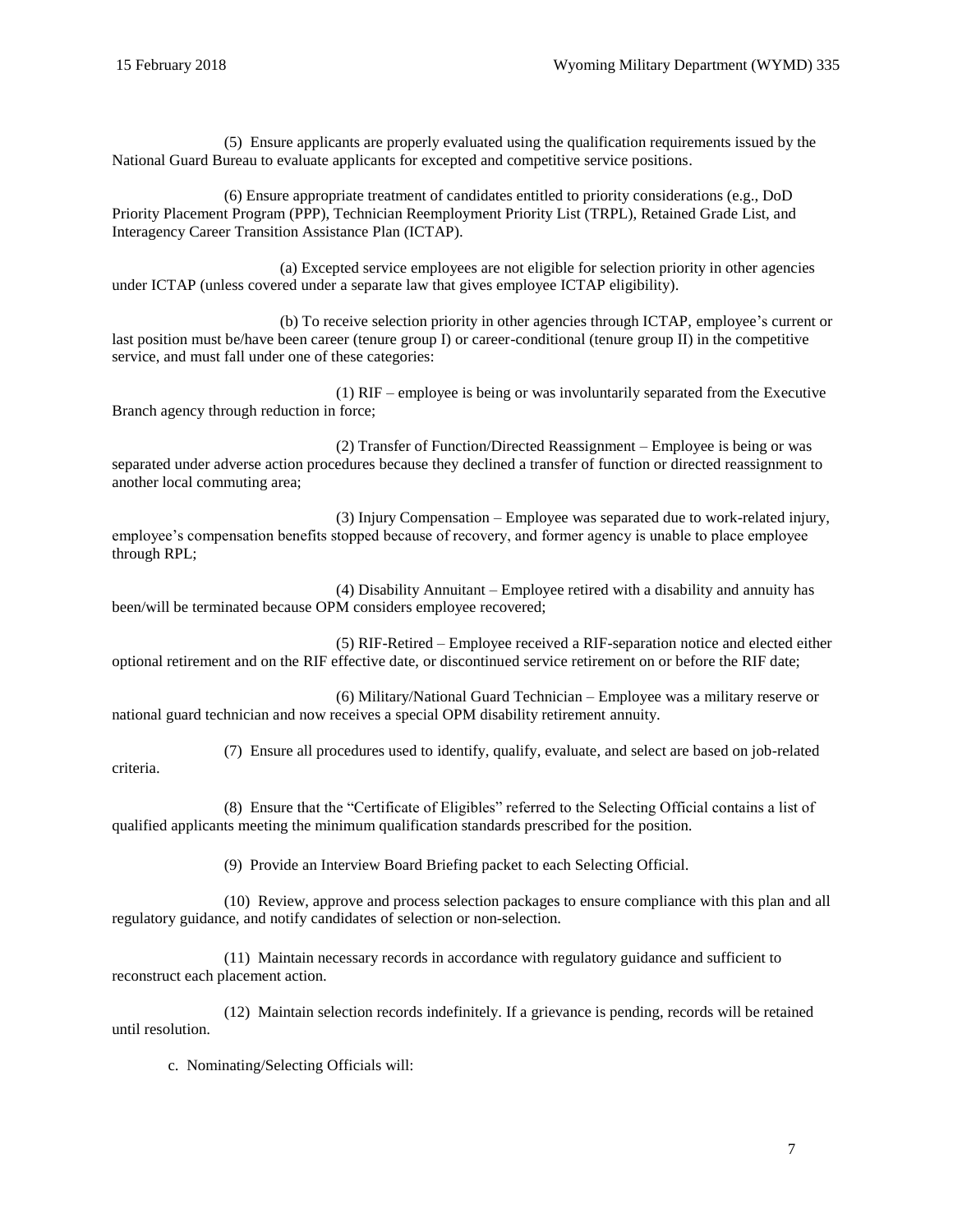criteria.

(5) Ensure applicants are properly evaluated using the qualification requirements issued by the National Guard Bureau to evaluate applicants for excepted and competitive service positions.

(6) Ensure appropriate treatment of candidates entitled to priority considerations (e.g., DoD Priority Placement Program (PPP), Technician Reemployment Priority List (TRPL), Retained Grade List, and Interagency Career Transition Assistance Plan (ICTAP).

(a) Excepted service employees are not eligible for selection priority in other agencies under ICTAP (unless covered under a separate law that gives employee ICTAP eligibility).

(b) To receive selection priority in other agencies through ICTAP, employee's current or last position must be/have been career (tenure group I) or career-conditional (tenure group II) in the competitive service, and must fall under one of these categories:

(1) RIF – employee is being or was involuntarily separated from the Executive Branch agency through reduction in force;

(2) Transfer of Function/Directed Reassignment – Employee is being or was separated under adverse action procedures because they declined a transfer of function or directed reassignment to another local commuting area;

(3) Injury Compensation – Employee was separated due to work-related injury, employee's compensation benefits stopped because of recovery, and former agency is unable to place employee through RPL;

(4) Disability Annuitant – Employee retired with a disability and annuity has been/will be terminated because OPM considers employee recovered;

(5) RIF-Retired – Employee received a RIF-separation notice and elected either optional retirement and on the RIF effective date, or discontinued service retirement on or before the RIF date;

(6) Military/National Guard Technician – Employee was a military reserve or national guard technician and now receives a special OPM disability retirement annuity.

(7) Ensure all procedures used to identify, qualify, evaluate, and select are based on job-related

(8) Ensure that the "Certificate of Eligibles" referred to the Selecting Official contains a list of qualified applicants meeting the minimum qualification standards prescribed for the position.

(9) Provide an Interview Board Briefing packet to each Selecting Official.

(10) Review, approve and process selection packages to ensure compliance with this plan and all regulatory guidance, and notify candidates of selection or non-selection.

(11) Maintain necessary records in accordance with regulatory guidance and sufficient to reconstruct each placement action.

(12) Maintain selection records indefinitely. If a grievance is pending, records will be retained until resolution.

c. Nominating/Selecting Officials will: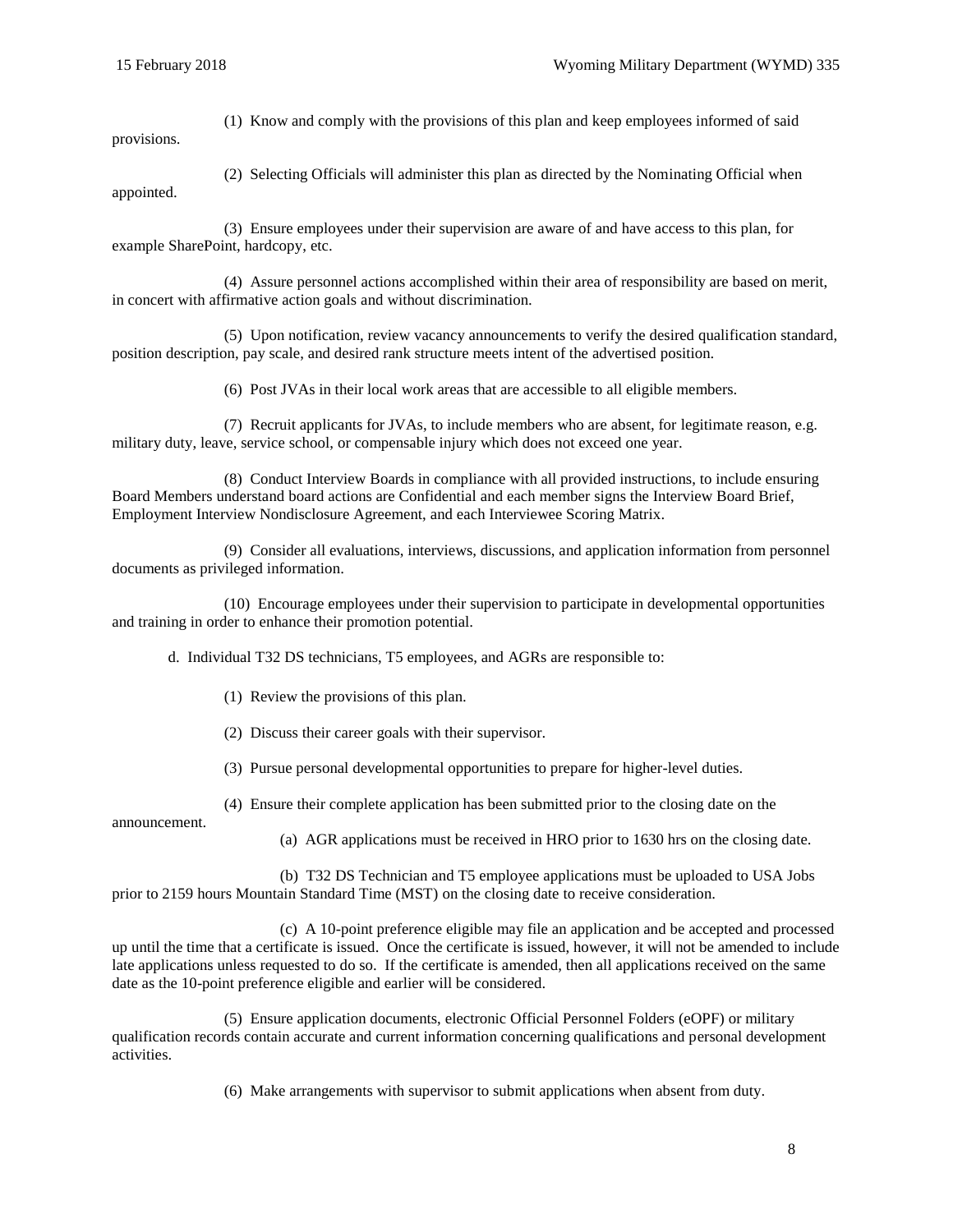(1) Know and comply with the provisions of this plan and keep employees informed of said provisions.

(2) Selecting Officials will administer this plan as directed by the Nominating Official when appointed.

(3) Ensure employees under their supervision are aware of and have access to this plan, for example SharePoint, hardcopy, etc.

(4) Assure personnel actions accomplished within their area of responsibility are based on merit, in concert with affirmative action goals and without discrimination.

(5) Upon notification, review vacancy announcements to verify the desired qualification standard, position description, pay scale, and desired rank structure meets intent of the advertised position.

(6) Post JVAs in their local work areas that are accessible to all eligible members.

(7) Recruit applicants for JVAs, to include members who are absent, for legitimate reason, e.g. military duty, leave, service school, or compensable injury which does not exceed one year.

(8) Conduct Interview Boards in compliance with all provided instructions, to include ensuring Board Members understand board actions are Confidential and each member signs the Interview Board Brief, Employment Interview Nondisclosure Agreement, and each Interviewee Scoring Matrix.

(9) Consider all evaluations, interviews, discussions, and application information from personnel documents as privileged information.

(10) Encourage employees under their supervision to participate in developmental opportunities and training in order to enhance their promotion potential.

d. Individual T32 DS technicians, T5 employees, and AGRs are responsible to:

(1) Review the provisions of this plan.

(2) Discuss their career goals with their supervisor.

(3) Pursue personal developmental opportunities to prepare for higher-level duties.

(4) Ensure their complete application has been submitted prior to the closing date on the

announcement.

(a) AGR applications must be received in HRO prior to 1630 hrs on the closing date.

(b) T32 DS Technician and T5 employee applications must be uploaded to USA Jobs prior to 2159 hours Mountain Standard Time (MST) on the closing date to receive consideration.

(c) A 10-point preference eligible may file an application and be accepted and processed up until the time that a certificate is issued. Once the certificate is issued, however, it will not be amended to include late applications unless requested to do so. If the certificate is amended, then all applications received on the same date as the 10-point preference eligible and earlier will be considered.

(5) Ensure application documents, electronic Official Personnel Folders (eOPF) or military qualification records contain accurate and current information concerning qualifications and personal development activities.

(6) Make arrangements with supervisor to submit applications when absent from duty.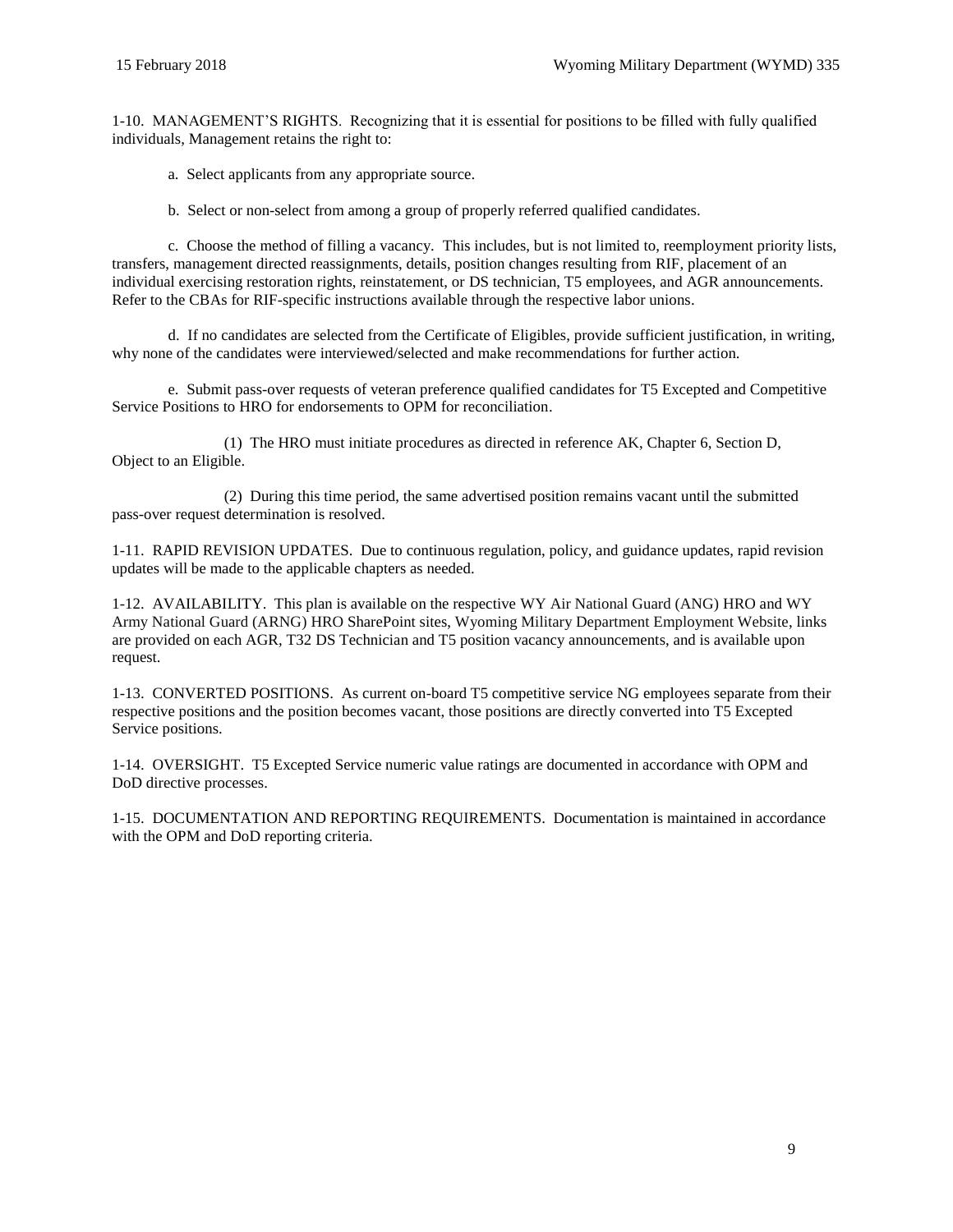<span id="page-8-0"></span>1-10. MANAGEMENT'S RIGHTS. Recognizing that it is essential for positions to be filled with fully qualified individuals, Management retains the right to:

a. Select applicants from any appropriate source.

b. Select or non-select from among a group of properly referred qualified candidates.

c. Choose the method of filling a vacancy. This includes, but is not limited to, reemployment priority lists, transfers, management directed reassignments, details, position changes resulting from RIF, placement of an individual exercising restoration rights, reinstatement, or DS technician, T5 employees, and AGR announcements. Refer to the CBAs for RIF-specific instructions available through the respective labor unions.

d. If no candidates are selected from the Certificate of Eligibles, provide sufficient justification, in writing, why none of the candidates were interviewed/selected and make recommendations for further action.

e. Submit pass-over requests of veteran preference qualified candidates for T5 Excepted and Competitive Service Positions to HRO for endorsements to OPM for reconciliation.

(1) The HRO must initiate procedures as directed in reference [AK,](#page-61-3) Chapter 6, Section D, Object to an Eligible.

(2) During this time period, the same advertised position remains vacant until the submitted pass-over request determination is resolved.

<span id="page-8-1"></span>1-11. RAPID REVISION UPDATES. Due to continuous regulation, policy, and guidance updates, rapid revision updates will be made to the applicable chapters as needed.

<span id="page-8-2"></span>1-12. AVAILABILITY. This plan is available on the respective [WY Air National Guard \(ANG\)](http://1.usa.gov/1JYmlFb) HRO and [WY](https://ngwyko.ng.ds.army.mil/HRO/SitePages/WY%20ARNG%20Manning%20Documents.aspx)  [Army National Guard \(ARNG\)](https://ngwyko.ng.ds.army.mil/HRO/SitePages/WY%20ARNG%20Manning%20Documents.aspx) HRO SharePoint sites, [Wyoming Military Department Employment Website,](http://wyomilitary.wyo.gov/Employment/) links are provided on each AGR, T32 DS Technician and T5 position vacancy announcements, and is available upon request.

<span id="page-8-3"></span>1-13. CONVERTED POSITIONS. As current on-board T5 competitive service NG employees separate from their respective positions and the position becomes vacant, those positions are directly converted into T5 Excepted Service positions.

<span id="page-8-4"></span>1-14. OVERSIGHT. T5 Excepted Service numeric value ratings are documented in accordance with OPM and DoD directive processes.

<span id="page-8-5"></span>1-15. DOCUMENTATION AND REPORTING REQUIREMENTS. Documentation is maintained in accordance with the OPM and DoD reporting criteria.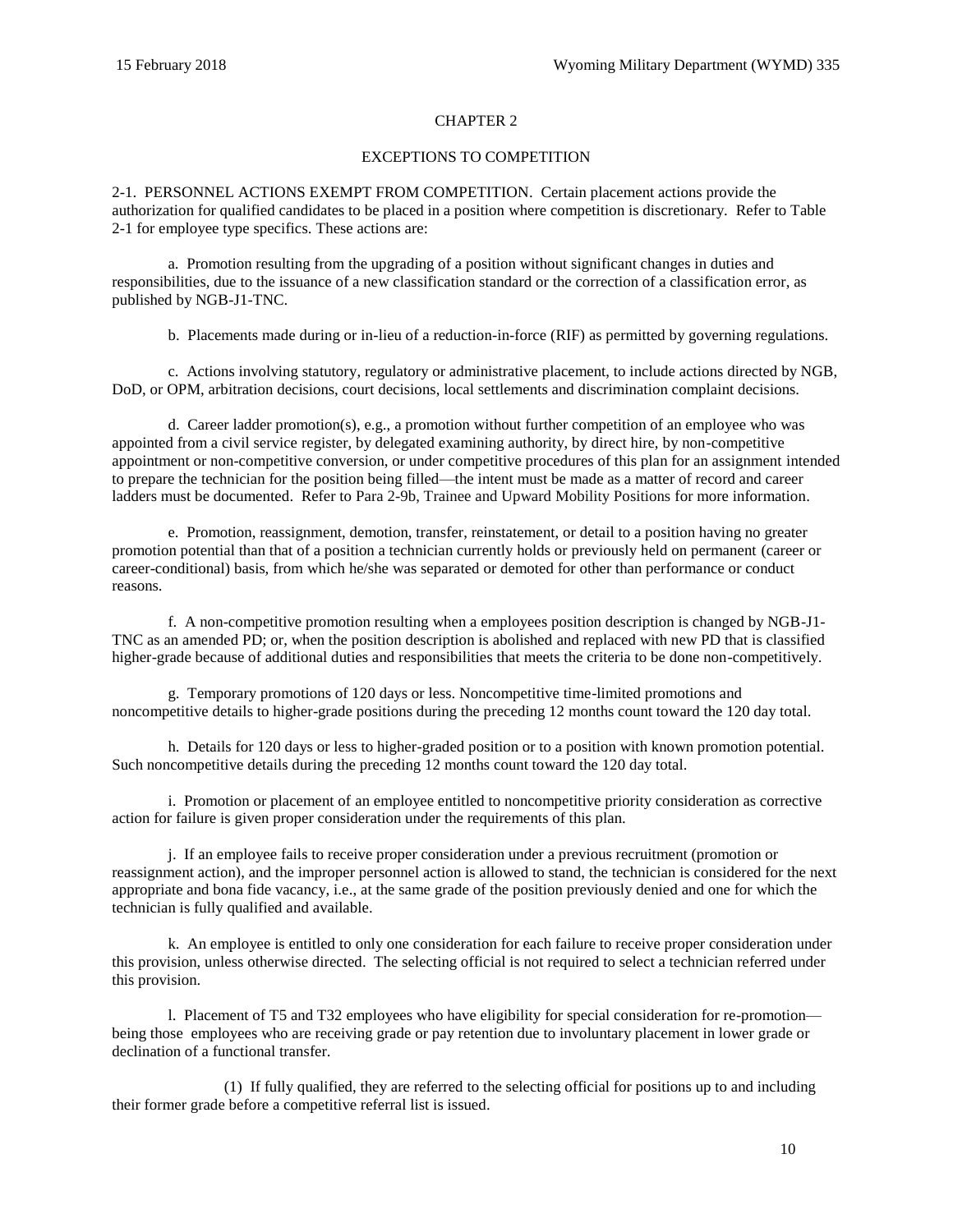## CHAPTER 2

## EXCEPTIONS TO COMPETITION

<span id="page-9-1"></span><span id="page-9-0"></span>2-1. PERSONNEL ACTIONS EXEMPT FROM COMPETITION. Certain placement actions provide the authorization for qualified candidates to be placed in a position where competition is discretionary. Refer to [Table](#page-17-0)  [2-1](#page-17-0) for employee type specifics. These actions are:

a. Promotion resulting from the upgrading of a position without significant changes in duties and responsibilities, due to the issuance of a new classification standard or the correction of a classification error, as published by NGB-J1-TNC.

b. Placements made during or in-lieu of a reduction-in-force (RIF) as permitted by governing regulations.

c. Actions involving statutory, regulatory or administrative placement, to include actions directed by NGB, DoD, or OPM, arbitration decisions, court decisions, local settlements and discrimination complaint decisions.

d. Career ladder promotion(s), e.g., a promotion without further competition of an employee who was appointed from a civil service register, by delegated examining authority, by direct hire, by non-competitive appointment or non-competitive conversion, or under competitive procedures of this plan for an assignment intended to prepare the technician for the position being filled—the intent must be made as a matter of record and career ladders must be documented. Refer t[o Para 2-9b, Trainee and Upward Mobility Positions](#page-15-2) for more information.

e. Promotion, reassignment, demotion, transfer, reinstatement, or detail to a position having no greater promotion potential than that of a position a technician currently holds or previously held on permanent (career or career-conditional) basis, from which he/she was separated or demoted for other than performance or conduct reasons.

f. A non-competitive promotion resulting when a employees position description is changed by NGB-J1- TNC as an amended PD; or, when the position description is abolished and replaced with new PD that is classified higher-grade because of additional duties and responsibilities that meets the criteria to be done non-competitively.

g. Temporary promotions of 120 days or less. Noncompetitive time-limited promotions and noncompetitive details to higher-grade positions during the preceding 12 months count toward the 120 day total.

h. Details for 120 days or less to higher-graded position or to a position with known promotion potential. Such noncompetitive details during the preceding 12 months count toward the 120 day total.

i. Promotion or placement of an employee entitled to noncompetitive priority consideration as corrective action for failure is given proper consideration under the requirements of this plan.

j. If an employee fails to receive proper consideration under a previous recruitment (promotion or reassignment action), and the improper personnel action is allowed to stand, the technician is considered for the next appropriate and bona fide vacancy, i.e., at the same grade of the position previously denied and one for which the technician is fully qualified and available.

k. An employee is entitled to only one consideration for each failure to receive proper consideration under this provision, unless otherwise directed. The selecting official is not required to select a technician referred under this provision.

l. Placement of T5 and T32 employees who have eligibility for special consideration for re-promotion being those employees who are receiving grade or pay retention due to involuntary placement in lower grade or declination of a functional transfer.

(1) If fully qualified, they are referred to the selecting official for positions up to and including their former grade before a competitive referral list is issued.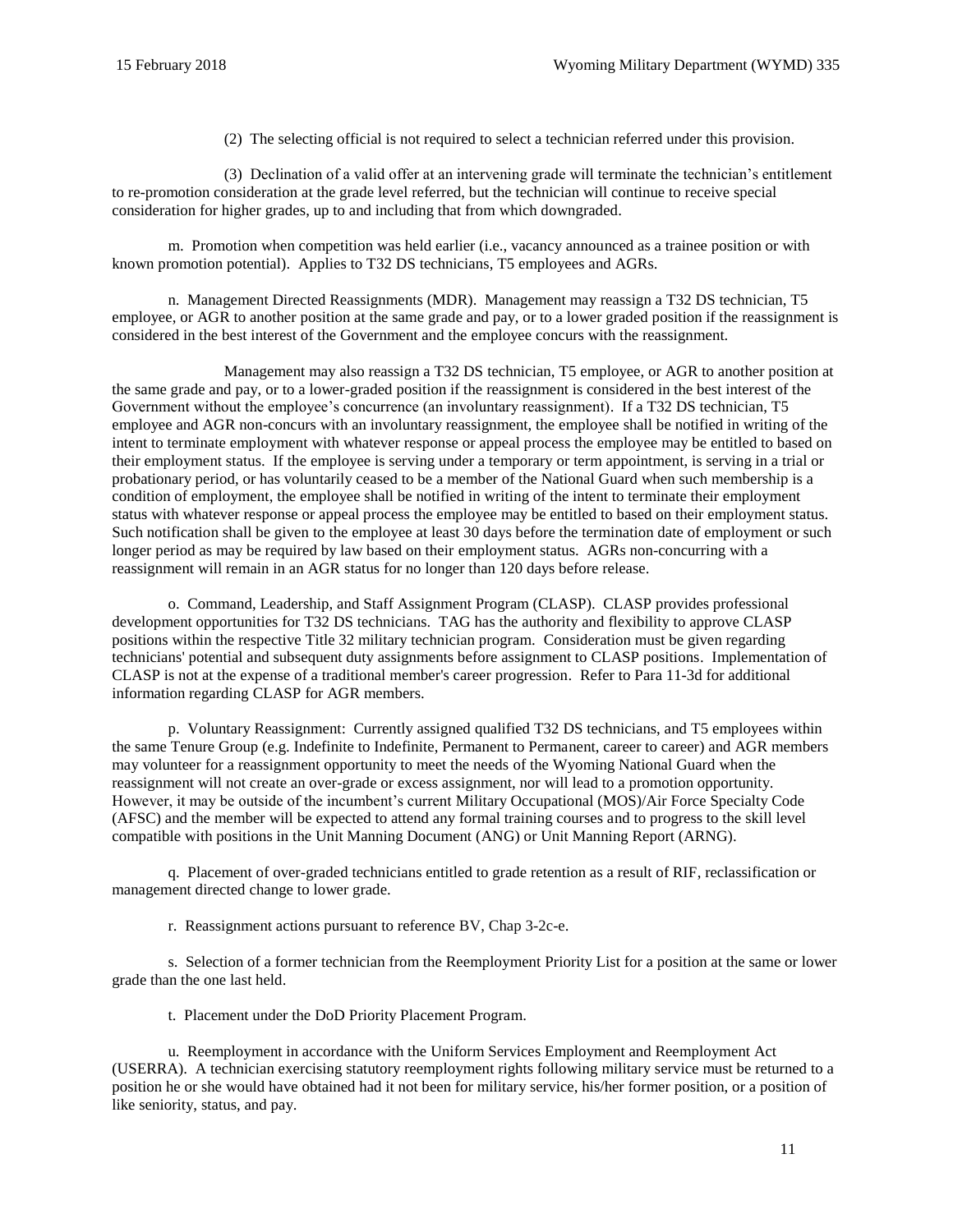(2) The selecting official is not required to select a technician referred under this provision.

(3) Declination of a valid offer at an intervening grade will terminate the technician's entitlement to re-promotion consideration at the grade level referred, but the technician will continue to receive special consideration for higher grades, up to and including that from which downgraded.

m. Promotion when competition was held earlier (i.e., vacancy announced as a trainee position or with known promotion potential). Applies to T32 DS technicians, T5 employees and AGRs.

n. Management Directed Reassignments (MDR). Management may reassign a T32 DS technician, T5 employee, or AGR to another position at the same grade and pay, or to a lower graded position if the reassignment is considered in the best interest of the Government and the employee concurs with the reassignment.

Management may also reassign a T32 DS technician, T5 employee, or AGR to another position at the same grade and pay, or to a lower-graded position if the reassignment is considered in the best interest of the Government without the employee's concurrence (an involuntary reassignment). If a T32 DS technician, T5 employee and AGR non-concurs with an involuntary reassignment, the employee shall be notified in writing of the intent to terminate employment with whatever response or appeal process the employee may be entitled to based on their employment status. If the employee is serving under a temporary or term appointment, is serving in a trial or probationary period, or has voluntarily ceased to be a member of the National Guard when such membership is a condition of employment, the employee shall be notified in writing of the intent to terminate their employment status with whatever response or appeal process the employee may be entitled to based on their employment status. Such notification shall be given to the employee at least 30 days before the termination date of employment or such longer period as may be required by law based on their employment status. AGRs non-concurring with a reassignment will remain in an AGR status for no longer than 120 days before release.

o. Command, Leadership, and Staff Assignment Program (CLASP). CLASP provides professional development opportunities for T32 DS technicians. TAG has the authority and flexibility to approve CLASP positions within the respective Title 32 military technician program. Consideration must be given regarding technicians' potential and subsequent duty assignments before assignment to CLASP positions. Implementation of CLASP is not at the expense of a traditional member's career progression. Refer to Para 11-3d for additional information regarding CLASP for AGR members.

p. Voluntary Reassignment: Currently assigned qualified T32 DS technicians, and T5 employees within the same Tenure Group (e.g. Indefinite to Indefinite, Permanent to Permanent, career to career) and AGR members may volunteer for a reassignment opportunity to meet the needs of the Wyoming National Guard when the reassignment will not create an over-grade or excess assignment, nor will lead to a promotion opportunity. However, it may be outside of the incumbent's current Military Occupational (MOS)/Air Force Specialty Code (AFSC) and the member will be expected to attend any formal training courses and to progress to the skill level compatible with positions in the Unit Manning Document (ANG) or Unit Manning Report (ARNG).

q. Placement of over-graded technicians entitled to grade retention as a result of RIF, reclassification or management directed change to lower grade.

r. Reassignment actions pursuant to reference [BV](#page-62-4)[, Chap](http://www.ngbpdc.ngb.army.mil/pubs/TPR/tpr715.pdf) 3-2c-e.

s. Selection of a former technician from the Reemployment Priority List for a position at the same or lower grade than the one last held.

t. Placement under the [DoD Priority Placement Program.](http://www.cpms.osd.mil/Content/Documents/PPPHandbook.pdf)

u. Reemployment in accordance with the [Uniform Services Employment and Reemployment Act](http://www.dol.gov/compliance/guide/userra.htm)  [\(USERRA\).](http://www.dol.gov/compliance/guide/userra.htm) A technician exercising statutory reemployment rights following military service must be returned to a position he or she would have obtained had it not been for military service, his/her former position, or a position of like seniority, status, and pay.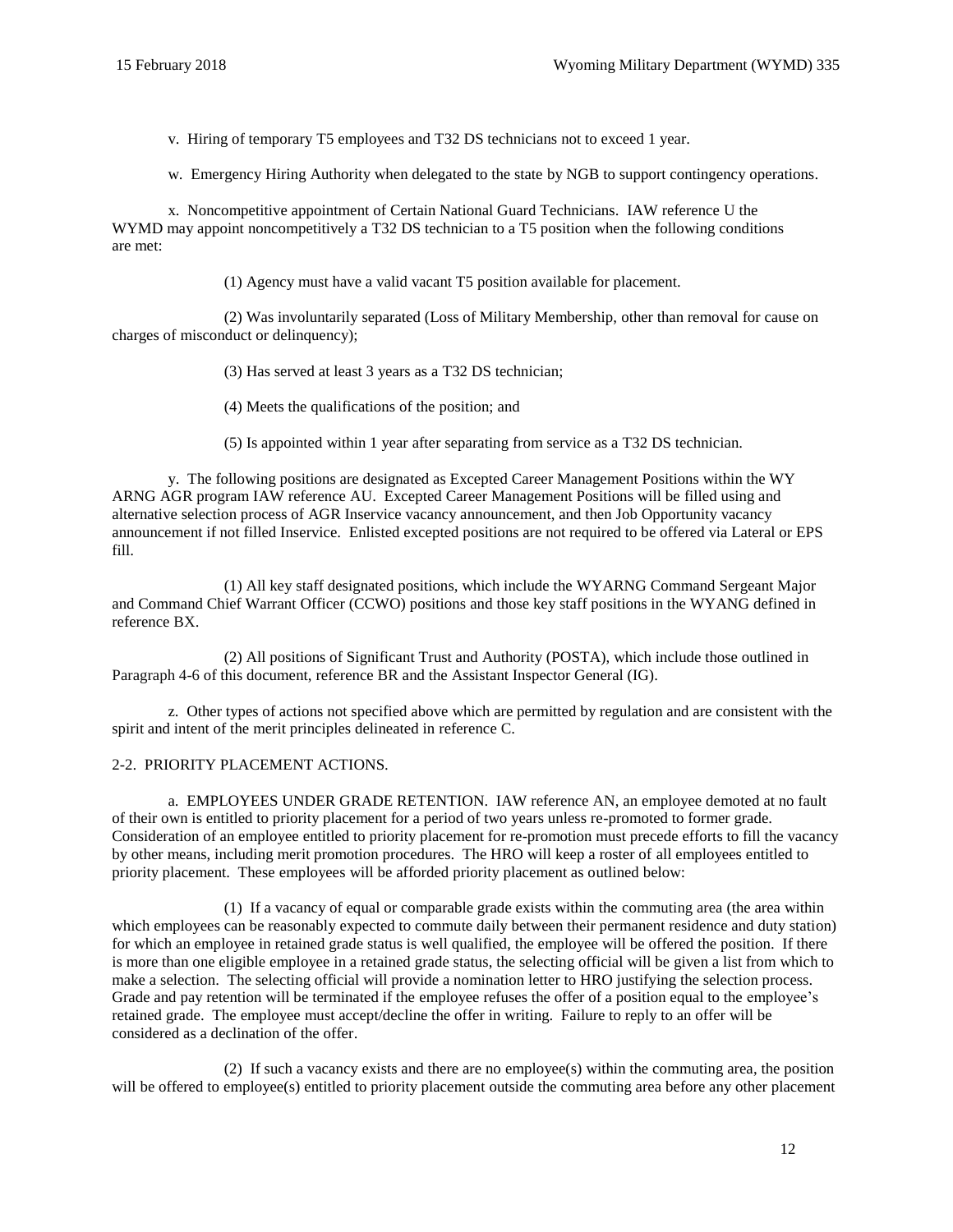v. Hiring of temporary T5 employees and T32 DS technicians not to exceed 1 year.

w. Emergency Hiring Authority when delegated to the state by NGB to support contingency operations.

x. Noncompetitive appointment of Certain National Guard Technicians. IAW reference [U](#page-60-8) the WYMD may appoint noncompetitively a T32 DS technician to a T5 position when the following conditions are met:

(1) Agency must have a valid vacant T5 position available for placement.

(2) Was involuntarily separated (Loss of Military Membership, other than removal for cause on charges of misconduct or delinquency);

(3) Has served at least 3 years as a T32 DS technician;

(4) Meets the qualifications of the position; and

(5) Is appointed within 1 year after separating from service as a T32 DS technician.

y. The following positions are designated as Excepted Career Management Positions within the WY ARNG AGR program IAW reference [AU.](#page-61-0) Excepted Career Management Positions will be filled using and alternative selection process of AGR Inservice vacancy announcement, and then Job Opportunity vacancy announcement if not filled Inservice. Enlisted excepted positions are not required to be offered via Lateral or EPS fill.

(1) All key staff designated positions, which include the WYARNG Command Sergeant Major and Command Chief Warrant Officer (CCWO) positions and those key staff positions in the WYANG defined in referenc[e BX.](#page-62-5)

(2) All positions of Significant Trust and Authority (POSTA), which include those outlined in [Paragraph 4-6](#page-29-1) of this document, reference [BR](#page-62-6) and the Assistant Inspector General (IG).

z. Other types of actions not specified above which are permitted by regulation and are consistent with the spirit and intent of the merit principles delineated in reference [C.](#page-60-5)

## <span id="page-11-0"></span>2-2. PRIORITY PLACEMENT ACTIONS.

a. EMPLOYEES UNDER GRADE RETENTION. IAW reference [AN,](#page-61-4) an employee demoted at no fault of their own is entitled to priority placement for a period of two years unless re-promoted to former grade. Consideration of an employee entitled to priority placement for re-promotion must precede efforts to fill the vacancy by other means, including merit promotion procedures. The HRO will keep a roster of all employees entitled to priority placement. These employees will be afforded priority placement as outlined below:

(1) If a vacancy of equal or comparable grade exists within the commuting area (the area within which employees can be reasonably expected to commute daily between their permanent residence and duty station) for which an employee in retained grade status is well qualified, the employee will be offered the position. If there is more than one eligible employee in a retained grade status, the selecting official will be given a list from which to make a selection. The selecting official will provide a nomination letter to HRO justifying the selection process. Grade and pay retention will be terminated if the employee refuses the offer of a position equal to the employee's retained grade. The employee must accept/decline the offer in writing. Failure to reply to an offer will be considered as a declination of the offer.

(2) If such a vacancy exists and there are no employee(s) within the commuting area, the position will be offered to employee(s) entitled to priority placement outside the commuting area before any other placement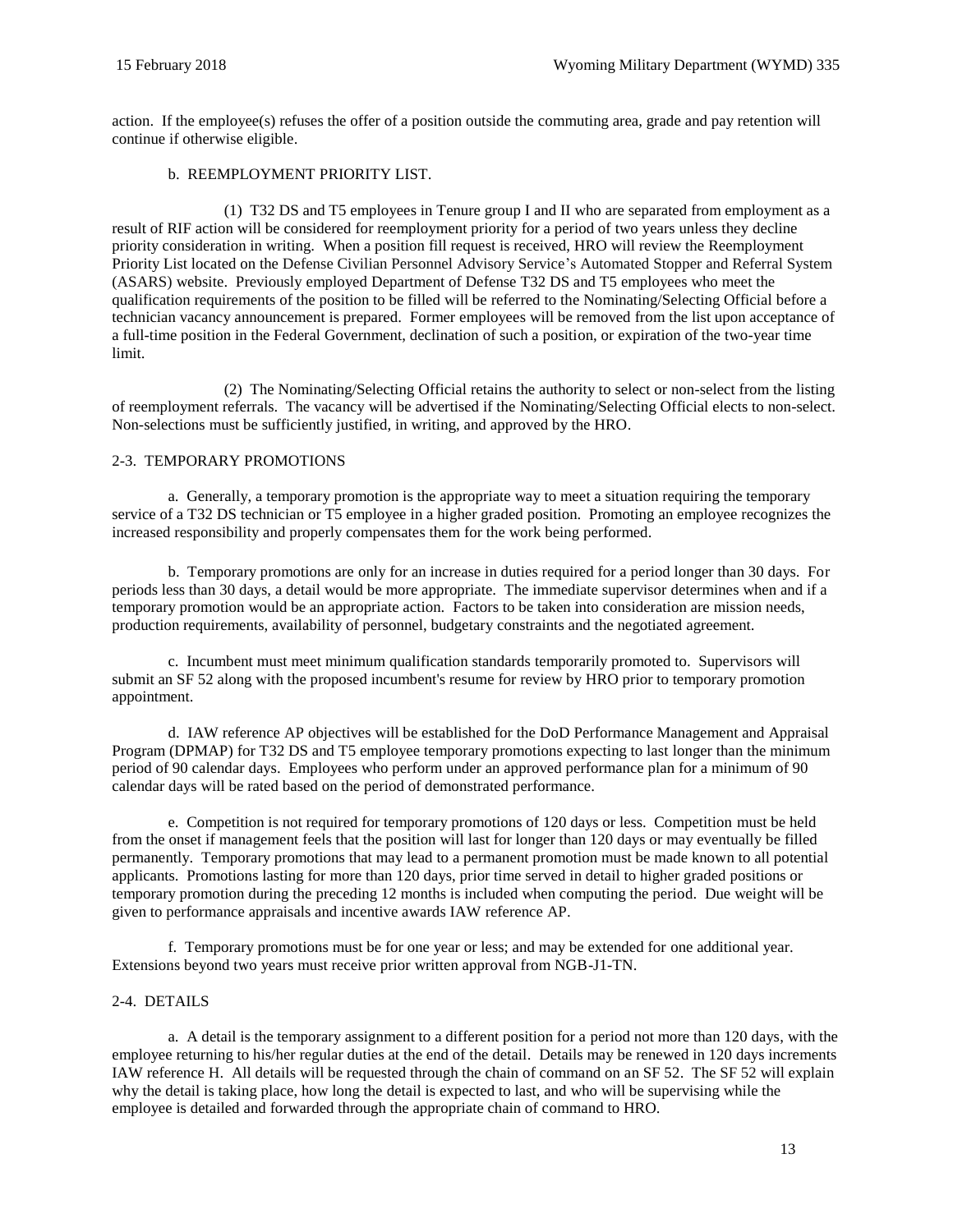action. If the employee(s) refuses the offer of a position outside the commuting area, grade and pay retention will continue if otherwise eligible.

## b. REEMPLOYMENT PRIORITY LIST.

(1) T32 DS and T5 employees in Tenure group I and II who are separated from employment as a result of RIF action will be considered for reemployment priority for a period of two years unless they decline priority consideration in writing. When a position fill request is received, HRO will review the Reemployment Priority List located on the [Defense Civilian Personnel Advisory Service's Automated Stopper and Referral System](https://hrnetapps.cpms.osd.mil/) [\(ASARS\)](https://hrnetapps.cpms.osd.mil/) website. Previously employed Department of Defense T32 DS and T5 employees who meet the qualification requirements of the position to be filled will be referred to the Nominating/Selecting Official before a technician vacancy announcement is prepared. Former employees will be removed from the list upon acceptance of a full-time position in the Federal Government, declination of such a position, or expiration of the two-year time limit.

(2) The Nominating/Selecting Official retains the authority to select or non-select from the listing of reemployment referrals. The vacancy will be advertised if the Nominating/Selecting Official elects to non-select. Non-selections must be sufficiently justified, in writing, and approved by the HRO.

#### <span id="page-12-0"></span>2-3. TEMPORARY PROMOTIONS

a. Generally, a temporary promotion is the appropriate way to meet a situation requiring the temporary service of a T32 DS technician or T5 employee in a higher graded position. Promoting an employee recognizes the increased responsibility and properly compensates them for the work being performed.

b. Temporary promotions are only for an increase in duties required for a period longer than 30 days. For periods less than 30 days, a detail would be more appropriate. The immediate supervisor determines when and if a temporary promotion would be an appropriate action. Factors to be taken into consideration are mission needs, production requirements, availability of personnel, budgetary constraints and the negotiated agreement.

c. Incumbent must meet minimum qualification standards temporarily promoted to. Supervisors will submit an SF 52 along with the proposed incumbent's resume for review by HRO prior to temporary promotion appointment.

d. IAW referenc[e AP](#page-61-5) objectives will be established for the DoD Performance Management and Appraisal Program (DPMAP) for T32 DS and T5 employee temporary promotions expecting to last longer than the minimum period of 90 calendar days. Employees who perform under an approved performance plan for a minimum of 90 calendar days will be rated based on the period of demonstrated performance.

e. Competition is not required for temporary promotions of 120 days or less. Competition must be held from the onset if management feels that the position will last for longer than 120 days or may eventually be filled permanently. Temporary promotions that may lead to a permanent promotion must be made known to all potential applicants. Promotions lasting for more than 120 days, prior time served in detail to higher graded positions or temporary promotion during the preceding 12 months is included when computing the period. Due weight will be given to performance appraisals and incentive awards IAW reference [AP.](#page-61-5)

f. Temporary promotions must be for one year or less; and may be extended for one additional year. Extensions beyond two years must receive prior written approval from NGB-J1-TN.

## <span id="page-12-1"></span>2-4. DETAILS

a. A detail is the temporary assignment to a different position for a period not more than 120 days, with the employee returning to his/her regular duties at the end of the detail. Details may be renewed in 120 days increments IAW reference [H.](#page-60-9) All details will be requested through the chain of command on an SF 52. Th[e SF 52](http://www.opm.gov/forms/pdf_fill/sf52.pdf) will explain why the detail is taking place, how long the detail is expected to last, and who will be supervising while the employee is detailed and forwarded through the appropriate chain of command to HRO.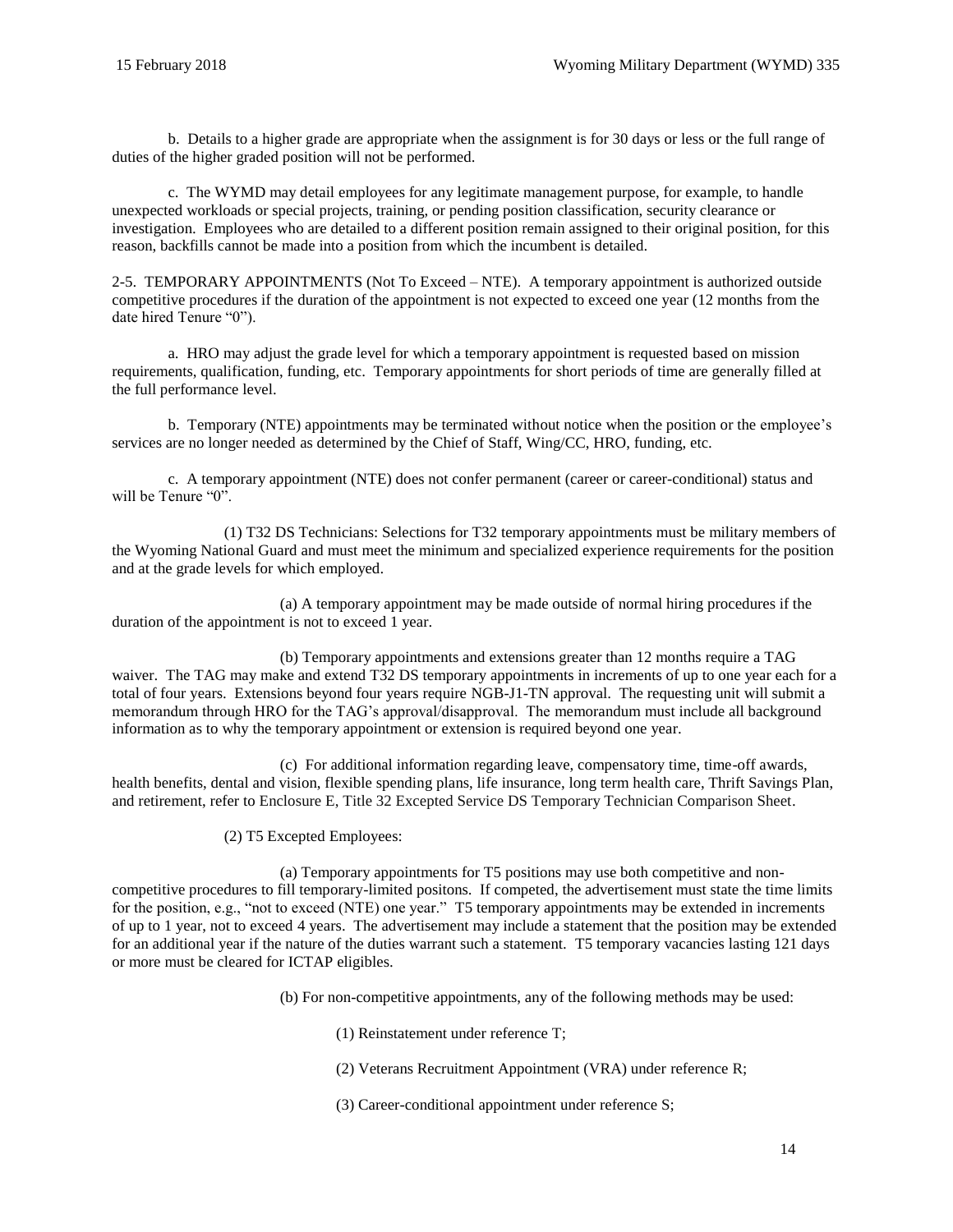b. Details to a higher grade are appropriate when the assignment is for 30 days or less or the full range of duties of the higher graded position will not be performed.

c. The WYMD may detail employees for any legitimate management purpose, for example, to handle unexpected workloads or special projects, training, or pending position classification, security clearance or investigation. Employees who are detailed to a different position remain assigned to their original position, for this reason, backfills cannot be made into a position from which the incumbent is detailed.

<span id="page-13-0"></span>2-5. TEMPORARY APPOINTMENTS (Not To Exceed – NTE). A temporary appointment is authorized outside competitive procedures if the duration of the appointment is not expected to exceed one year (12 months from the date hired Tenure "0").

a. HRO may adjust the grade level for which a temporary appointment is requested based on mission requirements, qualification, funding, etc. Temporary appointments for short periods of time are generally filled at the full performance level.

b. Temporary (NTE) appointments may be terminated without notice when the position or the employee's services are no longer needed as determined by the Chief of Staff, Wing/CC, HRO, funding, etc.

c. A temporary appointment (NTE) does not confer permanent (career or career-conditional) status and will be Tenure "0".

(1) T32 DS Technicians: Selections for T32 temporary appointments must be military members of the Wyoming National Guard and must meet the minimum and specialized experience requirements for the position and at the grade levels for which employed.

(a) A temporary appointment may be made outside of normal hiring procedures if the duration of the appointment is not to exceed 1 year.

(b) Temporary appointments and extensions greater than 12 months require a TAG waiver. The TAG may make and extend T32 DS temporary appointments in increments of up to one year each for a total of four years. Extensions beyond four years require NGB-J1-TN approval. The requesting unit will submit a memorandum through HRO for the TAG's approval/disapproval. The memorandum must include all background information as to why the temporary appointment or extension is required beyond one year.

(c) For additional information regarding leave, compensatory time, time-off awards, health benefits, dental and vision, flexible spending plans, life insurance, long term health care, Thrift Savings Plan, and retirement, refer to Enclosure [E, Title 32 Excepted Service DS Temporary Technician Comparison Sheet.](#page-74-0)

(2) T5 Excepted Employees:

(a) Temporary appointments for T5 positions may use both competitive and noncompetitive procedures to fill temporary-limited positons. If competed, the advertisement must state the time limits for the position, e.g., "not to exceed (NTE) one year." T5 temporary appointments may be extended in increments of up to 1 year, not to exceed 4 years. The advertisement may include a statement that the position may be extended for an additional year if the nature of the duties warrant such a statement. T5 temporary vacancies lasting 121 days or more must be cleared for ICTAP eligibles.

(b) For non-competitive appointments, any of the following methods may be used:

- (1) Reinstatement under reference [T;](#page-60-10)
- (2) Veterans Recruitment Appointment (VRA) under referenc[e R;](#page-60-7)
- (3) Career-conditional appointment under reference [S;](#page-60-11)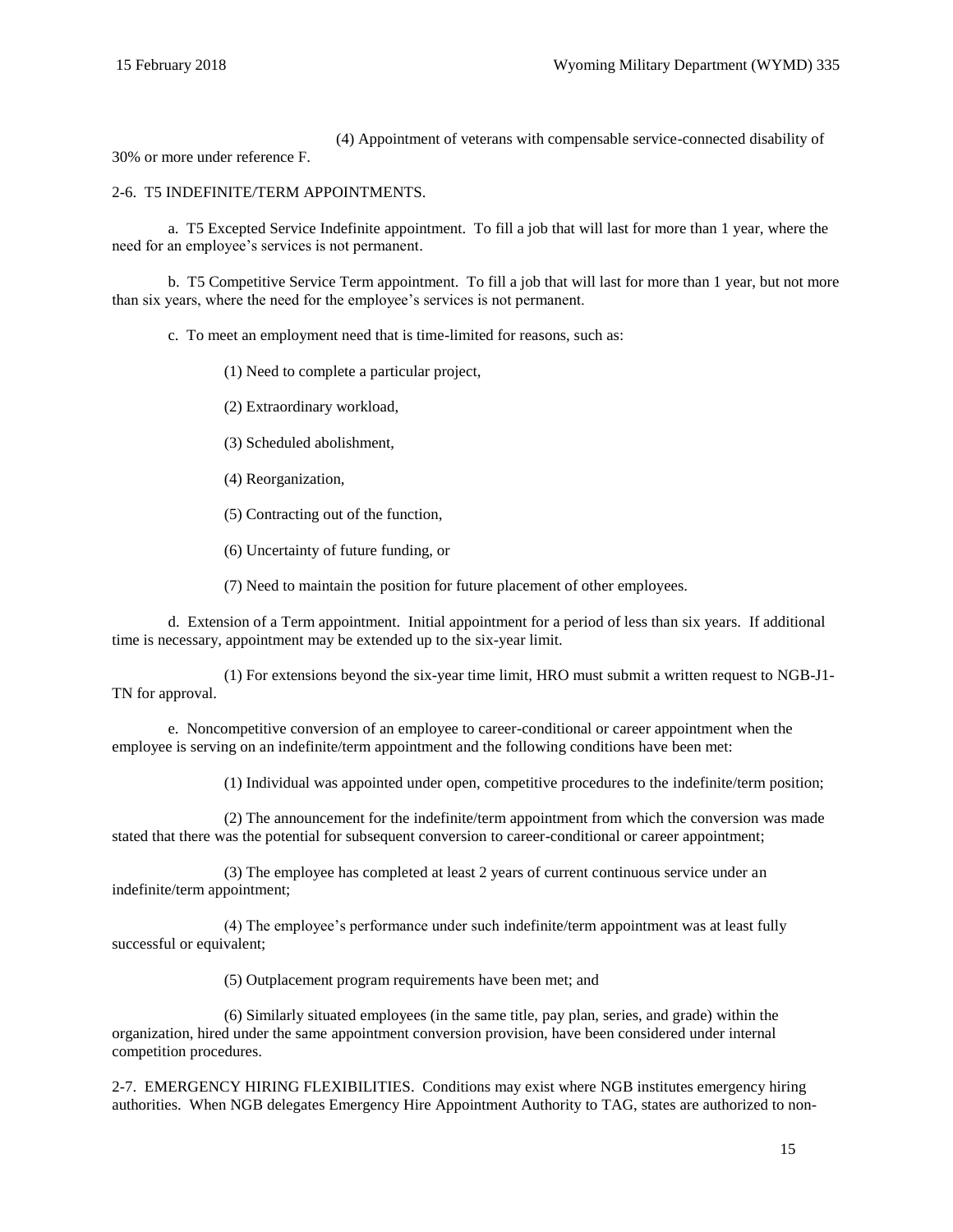(4) Appointment of veterans with compensable service-connected disability of

30% or more under reference [F.](#page-60-12)

#### <span id="page-14-0"></span>2-6. T5 INDEFINITE/TERM APPOINTMENTS.

a. T5 Excepted Service Indefinite appointment. To fill a job that will last for more than 1 year, where the need for an employee's services is not permanent.

b. T5 Competitive Service Term appointment. To fill a job that will last for more than 1 year, but not more than six years, where the need for the employee's services is not permanent.

c. To meet an employment need that is time-limited for reasons, such as:

(1) Need to complete a particular project,

(2) Extraordinary workload,

(3) Scheduled abolishment,

- (4) Reorganization,
- (5) Contracting out of the function,

(6) Uncertainty of future funding, or

(7) Need to maintain the position for future placement of other employees.

d. Extension of a Term appointment. Initial appointment for a period of less than six years. If additional time is necessary, appointment may be extended up to the six-year limit.

(1) For extensions beyond the six-year time limit, HRO must submit a written request to NGB-J1- TN for approval.

e. Noncompetitive conversion of an employee to career-conditional or career appointment when the employee is serving on an indefinite/term appointment and the following conditions have been met:

(1) Individual was appointed under open, competitive procedures to the indefinite/term position;

(2) The announcement for the indefinite/term appointment from which the conversion was made stated that there was the potential for subsequent conversion to career-conditional or career appointment;

(3) The employee has completed at least 2 years of current continuous service under an indefinite/term appointment;

(4) The employee's performance under such indefinite/term appointment was at least fully successful or equivalent;

(5) Outplacement program requirements have been met; and

(6) Similarly situated employees (in the same title, pay plan, series, and grade) within the organization, hired under the same appointment conversion provision, have been considered under internal competition procedures.

<span id="page-14-1"></span>2-7. EMERGENCY HIRING FLEXIBILITIES. Conditions may exist where NGB institutes emergency hiring authorities. When NGB delegates Emergency Hire Appointment Authority to TAG, states are authorized to non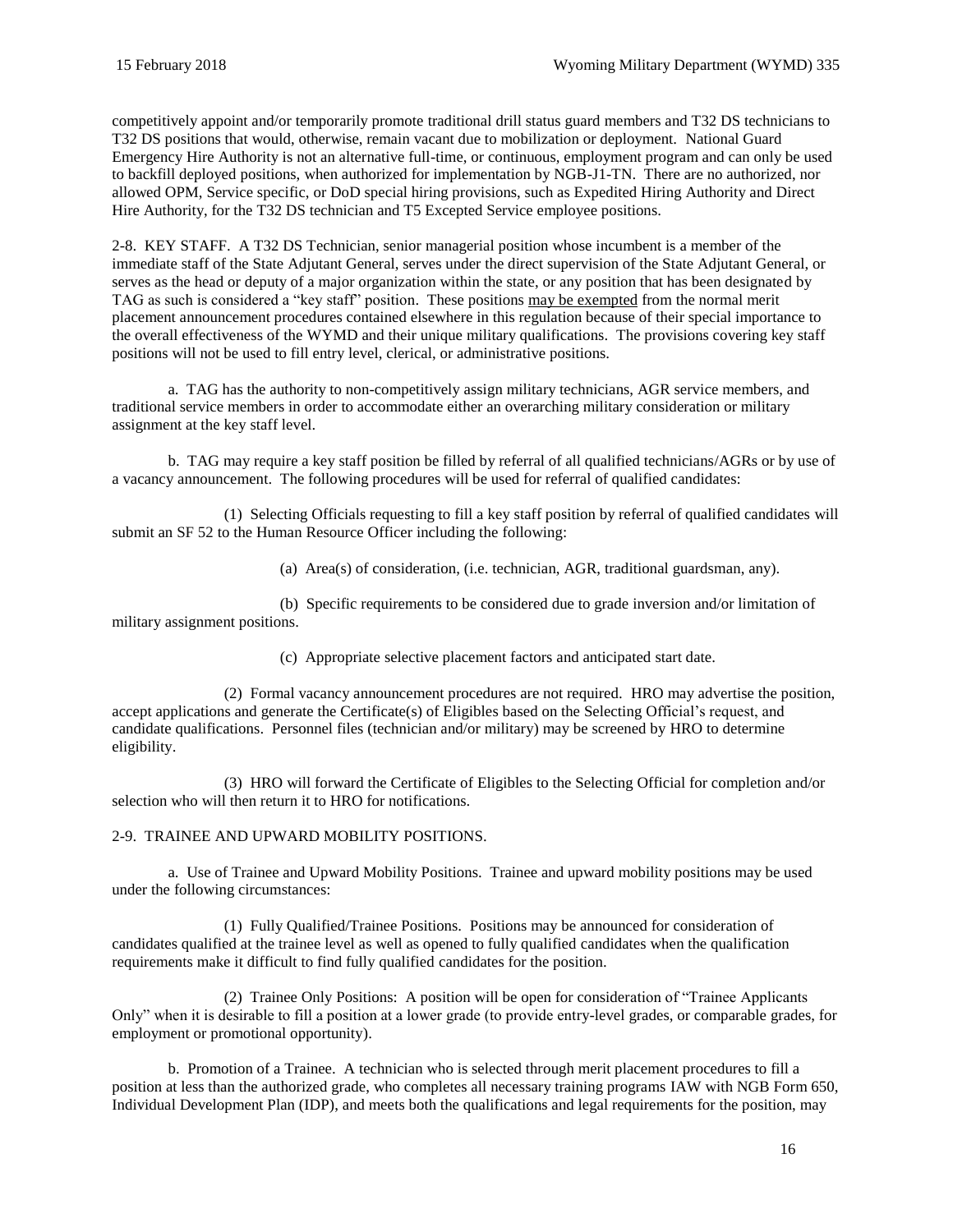competitively appoint and/or temporarily promote traditional drill status guard members and T32 DS technicians to T32 DS positions that would, otherwise, remain vacant due to mobilization or deployment. National Guard Emergency Hire Authority is not an alternative full-time, or continuous, employment program and can only be used to backfill deployed positions, when authorized for implementation by NGB-J1-TN. There are no authorized, nor allowed OPM, Service specific, or DoD special hiring provisions, such as Expedited Hiring Authority and Direct Hire Authority, for the T32 DS technician and T5 Excepted Service employee positions.

<span id="page-15-0"></span>2-8. KEY STAFF. A T32 DS Technician, senior managerial position whose incumbent is a member of the immediate staff of the State Adjutant General, serves under the direct supervision of the State Adjutant General, or serves as the head or deputy of a major organization within the state, or any position that has been designated by TAG as such is considered a "key staff" position. These positions may be exempted from the normal merit placement announcement procedures contained elsewhere in this regulation because of their special importance to the overall effectiveness of the WYMD and their unique military qualifications. The provisions covering key staff positions will not be used to fill entry level, clerical, or administrative positions.

a. TAG has the authority to non-competitively assign military technicians, AGR service members, and traditional service members in order to accommodate either an overarching military consideration or military assignment at the key staff level.

b. TAG may require a key staff position be filled by referral of all qualified technicians/AGRs or by use of a vacancy announcement. The following procedures will be used for referral of qualified candidates:

(1) Selecting Officials requesting to fill a key staff position by referral of qualified candidates will submit an [SF](http://www.opm.gov/forms/pdf_fill/sf52.pdf) 52 to the Human Resource Officer including the following:

(a) Area(s) of consideration, (i.e. technician, AGR, traditional guardsman, any).

(b) Specific requirements to be considered due to grade inversion and/or limitation of military assignment positions.

(c) Appropriate selective placement factors and anticipated start date.

(2) Formal vacancy announcement procedures are not required. HRO may advertise the position, accept applications and generate the Certificate(s) of Eligibles based on the Selecting Official's request, and candidate qualifications. Personnel files (technician and/or military) may be screened by HRO to determine eligibility.

(3) HRO will forward the Certificate of Eligibles to the Selecting Official for completion and/or selection who will then return it to HRO for notifications.

<span id="page-15-1"></span>2-9. TRAINEE AND UPWARD MOBILITY POSITIONS.

a. Use of Trainee and Upward Mobility Positions. Trainee and upward mobility positions may be used under the following circumstances:

(1) Fully Qualified/Trainee Positions. Positions may be announced for consideration of candidates qualified at the trainee level as well as opened to fully qualified candidates when the qualification requirements make it difficult to find fully qualified candidates for the position.

(2) Trainee Only Positions: A position will be open for consideration of "Trainee Applicants Only" when it is desirable to fill a position at a lower grade (to provide entry-level grades, or comparable grades, for employment or promotional opportunity).

<span id="page-15-2"></span>b. Promotion of a Trainee. A technician who is selected through merit placement procedures to fill a position at less than the authorized grade, who completes all necessary training programs IAW with NGB Form 650, Individual Development Plan (IDP), and meets both the qualifications and legal requirements for the position, may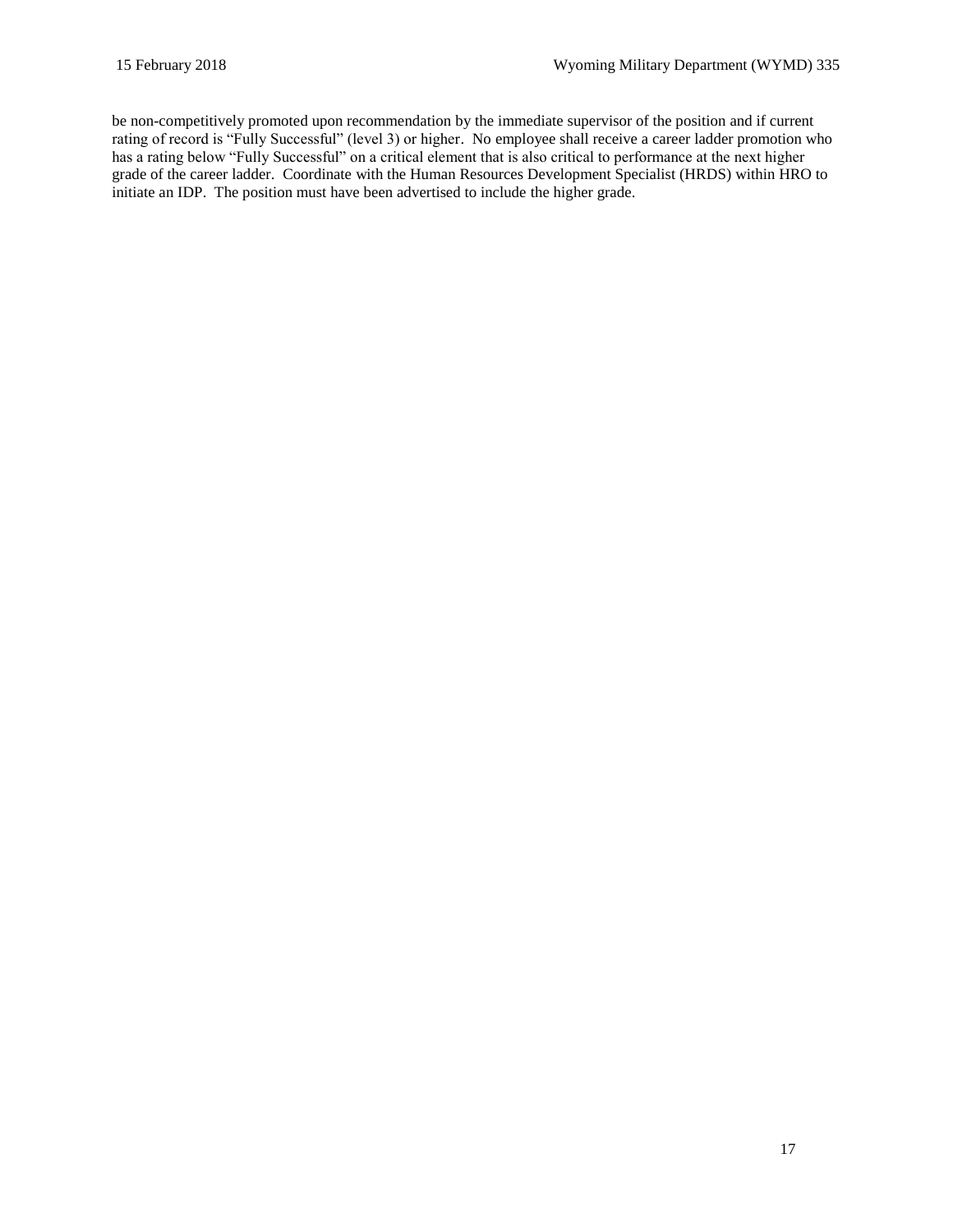be non-competitively promoted upon recommendation by the immediate supervisor of the position and if current rating of record is "Fully Successful" (level 3) or higher. No employee shall receive a career ladder promotion who has a rating below "Fully Successful" on a critical element that is also critical to performance at the next higher grade of the career ladder. Coordinate with the Human Resources Development Specialist (HRDS) within HRO to initiate an IDP. The position must have been advertised to include the higher grade.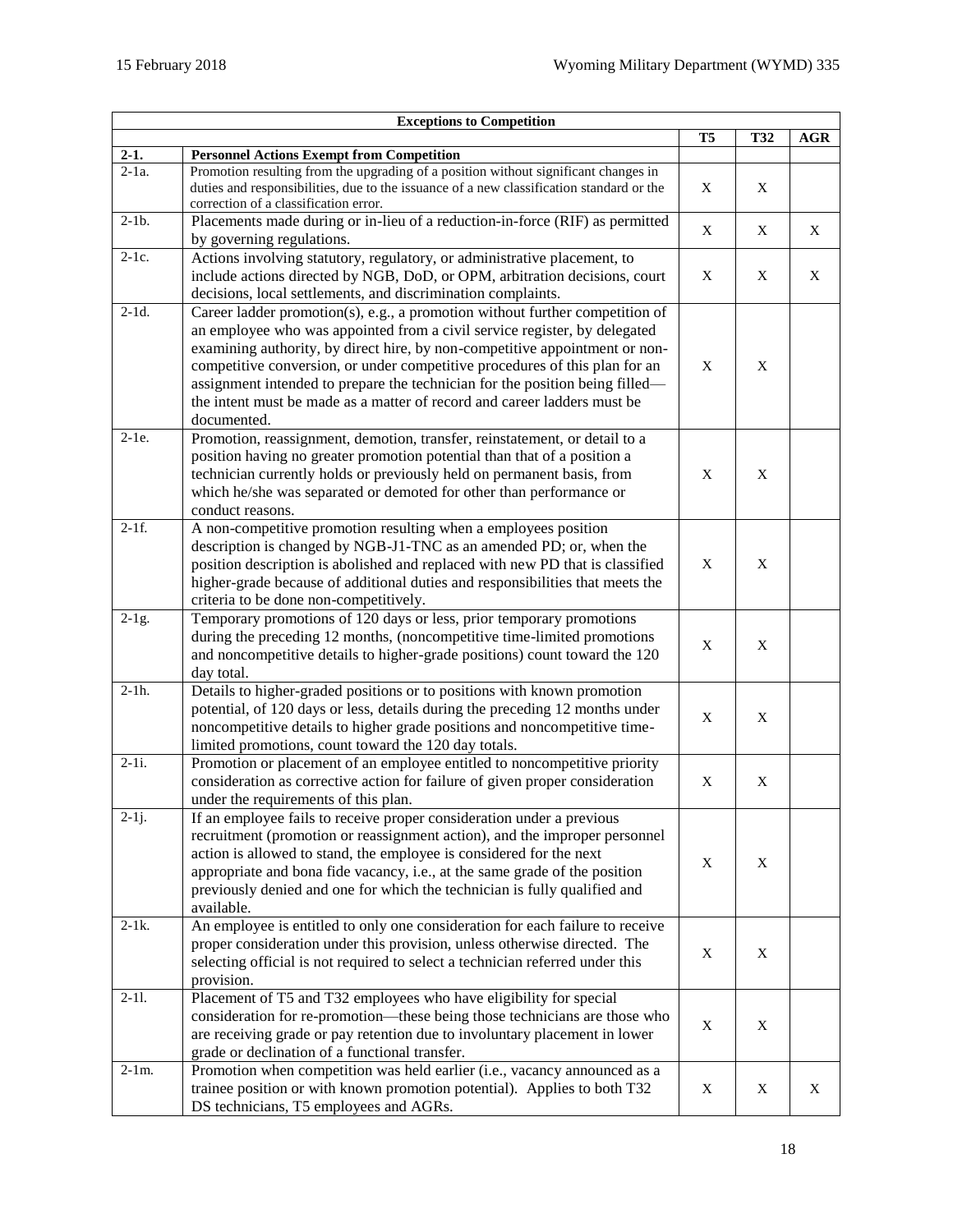<span id="page-17-0"></span>

| <b>Exceptions to Competition</b> |                                                                                          |                |            |            |
|----------------------------------|------------------------------------------------------------------------------------------|----------------|------------|------------|
|                                  |                                                                                          | T <sub>5</sub> | <b>T32</b> | <b>AGR</b> |
| $2-1.$                           | <b>Personnel Actions Exempt from Competition</b>                                         |                |            |            |
| $\overline{2}$ -1a.              | Promotion resulting from the upgrading of a position without significant changes in      |                |            |            |
|                                  | duties and responsibilities, due to the issuance of a new classification standard or the | X              | X          |            |
|                                  | correction of a classification error.                                                    |                |            |            |
| $2-1b$ .                         | Placements made during or in-lieu of a reduction-in-force (RIF) as permitted             |                |            |            |
|                                  | by governing regulations.                                                                | X              | X          | X          |
| $2-1c.$                          | Actions involving statutory, regulatory, or administrative placement, to                 |                |            |            |
|                                  | include actions directed by NGB, DoD, or OPM, arbitration decisions, court               | X              | X          | X          |
|                                  |                                                                                          |                |            |            |
| $2-1d.$                          | decisions, local settlements, and discrimination complaints.                             |                |            |            |
|                                  | Career ladder promotion(s), e.g., a promotion without further competition of             |                |            |            |
|                                  | an employee who was appointed from a civil service register, by delegated                |                |            |            |
|                                  | examining authority, by direct hire, by non-competitive appointment or non-              |                |            |            |
|                                  | competitive conversion, or under competitive procedures of this plan for an              | X              | X          |            |
|                                  | assignment intended to prepare the technician for the position being filled—             |                |            |            |
|                                  | the intent must be made as a matter of record and career ladders must be                 |                |            |            |
|                                  | documented.                                                                              |                |            |            |
| $2-1e.$                          | Promotion, reassignment, demotion, transfer, reinstatement, or detail to a               |                |            |            |
|                                  | position having no greater promotion potential than that of a position a                 |                |            |            |
|                                  | technician currently holds or previously held on permanent basis, from                   | X              | X          |            |
|                                  |                                                                                          |                |            |            |
|                                  | which he/she was separated or demoted for other than performance or                      |                |            |            |
|                                  | conduct reasons.                                                                         |                |            |            |
| $2-1f.$                          | A non-competitive promotion resulting when a employees position                          |                |            |            |
|                                  | description is changed by NGB-J1-TNC as an amended PD; or, when the                      |                |            |            |
|                                  | position description is abolished and replaced with new PD that is classified            | X              | X          |            |
|                                  | higher-grade because of additional duties and responsibilities that meets the            |                |            |            |
|                                  | criteria to be done non-competitively.                                                   |                |            |            |
| $2-1g$ .                         | Temporary promotions of 120 days or less, prior temporary promotions                     |                |            |            |
|                                  | during the preceding 12 months, (noncompetitive time-limited promotions                  |                |            |            |
|                                  | and noncompetitive details to higher-grade positions) count toward the 120               | X              | X          |            |
|                                  | day total.                                                                               |                |            |            |
| $2-1h.$                          | Details to higher-graded positions or to positions with known promotion                  |                |            |            |
|                                  |                                                                                          |                |            |            |
|                                  | potential, of 120 days or less, details during the preceding 12 months under             | X              | X          |            |
|                                  | noncompetitive details to higher grade positions and noncompetitive time-                |                |            |            |
|                                  | limited promotions, count toward the 120 day totals.                                     |                |            |            |
| $2-1i.$                          | Promotion or placement of an employee entitled to noncompetitive priority                |                |            |            |
|                                  | consideration as corrective action for failure of given proper consideration             | X              | X          |            |
|                                  | under the requirements of this plan.                                                     |                |            |            |
| $2-1j$ .                         | If an employee fails to receive proper consideration under a previous                    |                |            |            |
|                                  | recruitment (promotion or reassignment action), and the improper personnel               |                |            |            |
|                                  | action is allowed to stand, the employee is considered for the next                      |                |            |            |
|                                  | appropriate and bona fide vacancy, i.e., at the same grade of the position               | X              | X          |            |
|                                  | previously denied and one for which the technician is fully qualified and                |                |            |            |
|                                  | available.                                                                               |                |            |            |
| $2-1k$ .                         | An employee is entitled to only one consideration for each failure to receive            |                |            |            |
|                                  | proper consideration under this provision, unless otherwise directed. The                |                |            |            |
|                                  |                                                                                          | X              | X          |            |
|                                  | selecting official is not required to select a technician referred under this            |                |            |            |
|                                  | provision.                                                                               |                |            |            |
| $2 - 11.$                        | Placement of T5 and T32 employees who have eligibility for special                       |                |            |            |
|                                  | consideration for re-promotion-these being those technicians are those who               | X              | X          |            |
|                                  | are receiving grade or pay retention due to involuntary placement in lower               |                |            |            |
|                                  | grade or declination of a functional transfer.                                           |                |            |            |
| $2-1m$ .                         | Promotion when competition was held earlier (i.e., vacancy announced as a                |                |            |            |
|                                  | trainee position or with known promotion potential). Applies to both T32                 | X              | X          | X          |
|                                  | DS technicians, T5 employees and AGRs.                                                   |                |            |            |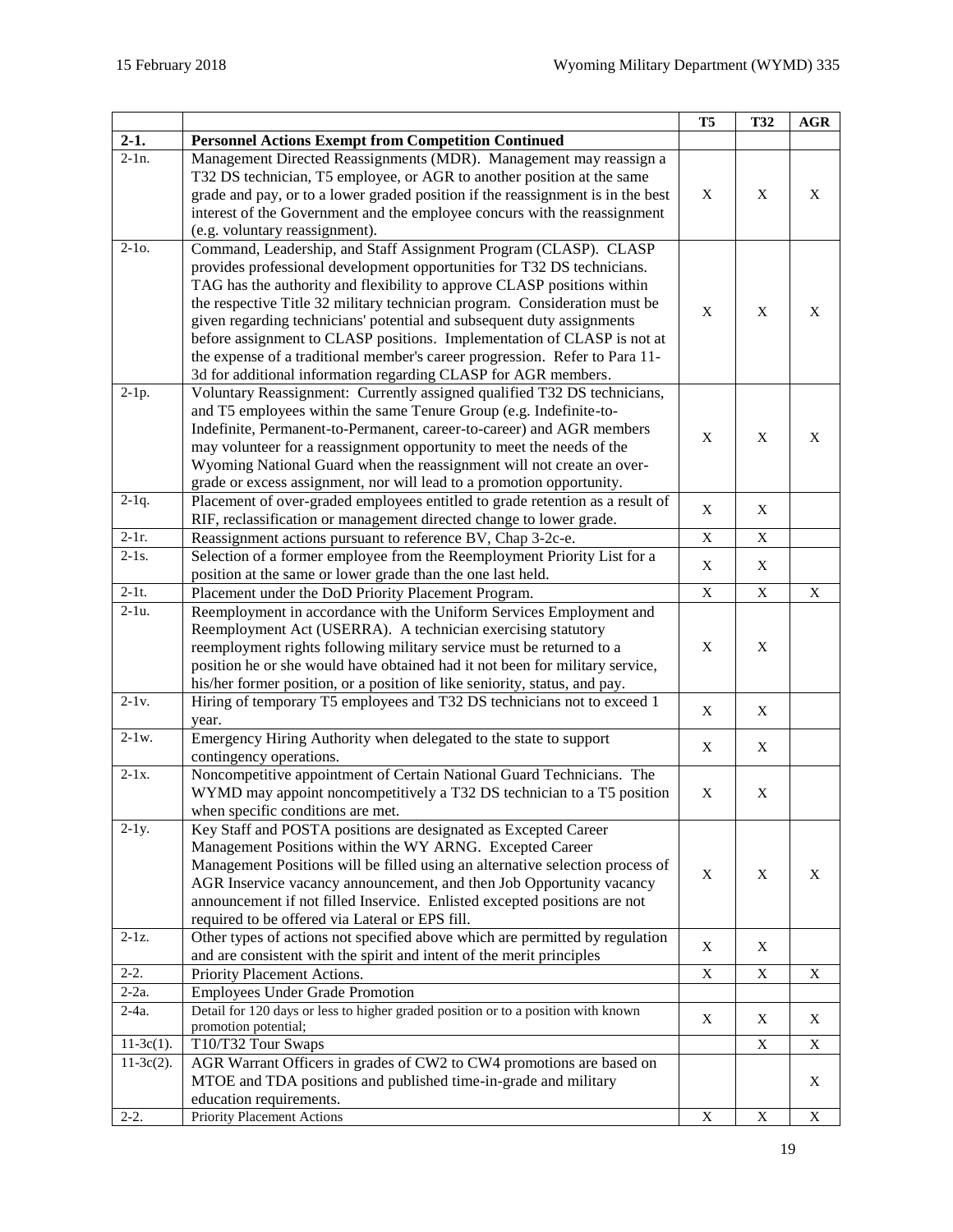|                     |                                                                                                                                                      | <b>T5</b>   | <b>T32</b>  | $\mathbf{AGR}$            |
|---------------------|------------------------------------------------------------------------------------------------------------------------------------------------------|-------------|-------------|---------------------------|
| $2-1.$              | <b>Personnel Actions Exempt from Competition Continued</b>                                                                                           |             |             |                           |
| $\overline{2-1}$ n. | Management Directed Reassignments (MDR). Management may reassign a                                                                                   |             |             |                           |
|                     | T32 DS technician, T5 employee, or AGR to another position at the same                                                                               |             |             |                           |
|                     | grade and pay, or to a lower graded position if the reassignment is in the best                                                                      | X           | X           | X                         |
|                     | interest of the Government and the employee concurs with the reassignment                                                                            |             |             |                           |
|                     | (e.g. voluntary reassignment).                                                                                                                       |             |             |                           |
| $2-10.$             | Command, Leadership, and Staff Assignment Program (CLASP). CLASP                                                                                     |             |             |                           |
|                     | provides professional development opportunities for T32 DS technicians.                                                                              |             |             |                           |
|                     | TAG has the authority and flexibility to approve CLASP positions within                                                                              |             |             |                           |
|                     | the respective Title 32 military technician program. Consideration must be                                                                           | X           | X           | X                         |
|                     | given regarding technicians' potential and subsequent duty assignments                                                                               |             |             |                           |
|                     | before assignment to CLASP positions. Implementation of CLASP is not at                                                                              |             |             |                           |
|                     | the expense of a traditional member's career progression. Refer to Para 11-                                                                          |             |             |                           |
|                     | 3d for additional information regarding CLASP for AGR members.                                                                                       |             |             |                           |
| $2-1p.$             | Voluntary Reassignment: Currently assigned qualified T32 DS technicians,                                                                             |             |             |                           |
|                     | and T5 employees within the same Tenure Group (e.g. Indefinite-to-                                                                                   |             |             |                           |
|                     | Indefinite, Permanent-to-Permanent, career-to-career) and AGR members                                                                                | X           | X           | X                         |
|                     | may volunteer for a reassignment opportunity to meet the needs of the                                                                                |             |             |                           |
|                     | Wyoming National Guard when the reassignment will not create an over-                                                                                |             |             |                           |
|                     | grade or excess assignment, nor will lead to a promotion opportunity.                                                                                |             |             |                           |
| $2-1q$ .            | Placement of over-graded employees entitled to grade retention as a result of                                                                        | X           | X           |                           |
|                     | RIF, reclassification or management directed change to lower grade.                                                                                  |             |             |                           |
| $2-1r.$             | Reassignment actions pursuant to reference BV, Chap 3-2c-e.                                                                                          | X           | X           |                           |
| $2-1s$ .            | Selection of a former employee from the Reemployment Priority List for a                                                                             | X           | X           |                           |
| $2-1t$ .            | position at the same or lower grade than the one last held.                                                                                          |             |             |                           |
| $\overline{2-1}u$ . | Placement under the DoD Priority Placement Program.                                                                                                  | $\mathbf X$ | $\mathbf X$ | $\boldsymbol{\mathrm{X}}$ |
|                     | Reemployment in accordance with the Uniform Services Employment and                                                                                  |             |             |                           |
|                     | Reemployment Act (USERRA). A technician exercising statutory                                                                                         |             |             |                           |
|                     | reemployment rights following military service must be returned to a<br>position he or she would have obtained had it not been for military service, | X           | X           |                           |
|                     | his/her former position, or a position of like seniority, status, and pay.                                                                           |             |             |                           |
| $2-1v.$             | Hiring of temporary T5 employees and T32 DS technicians not to exceed 1                                                                              |             |             |                           |
|                     | year.                                                                                                                                                | X           | X           |                           |
| $2-1w$ .            | Emergency Hiring Authority when delegated to the state to support                                                                                    |             |             |                           |
|                     | contingency operations.                                                                                                                              | X           | X           |                           |
| $2-1x.$             | Noncompetitive appointment of Certain National Guard Technicians. The                                                                                |             |             |                           |
|                     | WYMD may appoint noncompetitively a T32 DS technician to a T5 position                                                                               | X           | X           |                           |
|                     | when specific conditions are met.                                                                                                                    |             |             |                           |
| $2-1y$ .            | Key Staff and POSTA positions are designated as Excepted Career                                                                                      |             |             |                           |
|                     | Management Positions within the WY ARNG. Excepted Career                                                                                             |             |             |                           |
|                     | Management Positions will be filled using an alternative selection process of                                                                        |             |             |                           |
|                     | AGR Inservice vacancy announcement, and then Job Opportunity vacancy                                                                                 | X           | X           | X                         |
|                     | announcement if not filled Inservice. Enlisted excepted positions are not                                                                            |             |             |                           |
|                     | required to be offered via Lateral or EPS fill.                                                                                                      |             |             |                           |
| $2-1z$ .            | Other types of actions not specified above which are permitted by regulation                                                                         |             |             |                           |
|                     | and are consistent with the spirit and intent of the merit principles                                                                                | X           | X           |                           |
| $2-2.$              | Priority Placement Actions.                                                                                                                          | X           | X           | X                         |
| $2-2a$ .            | <b>Employees Under Grade Promotion</b>                                                                                                               |             |             |                           |
| $2-4a$ .            | Detail for 120 days or less to higher graded position or to a position with known                                                                    | X           | X           | X                         |
|                     | promotion potential;                                                                                                                                 |             |             |                           |
| $11-3c(1)$ .        | T10/T32 Tour Swaps                                                                                                                                   |             | X           | $\mathbf X$               |
| $11-3c(2)$ .        | AGR Warrant Officers in grades of CW2 to CW4 promotions are based on                                                                                 |             |             |                           |
|                     | MTOE and TDA positions and published time-in-grade and military                                                                                      |             |             | X                         |
|                     | education requirements.                                                                                                                              |             |             |                           |
| $2-2.$              | Priority Placement Actions                                                                                                                           | $\mathbf X$ | X           | $\overline{X}$            |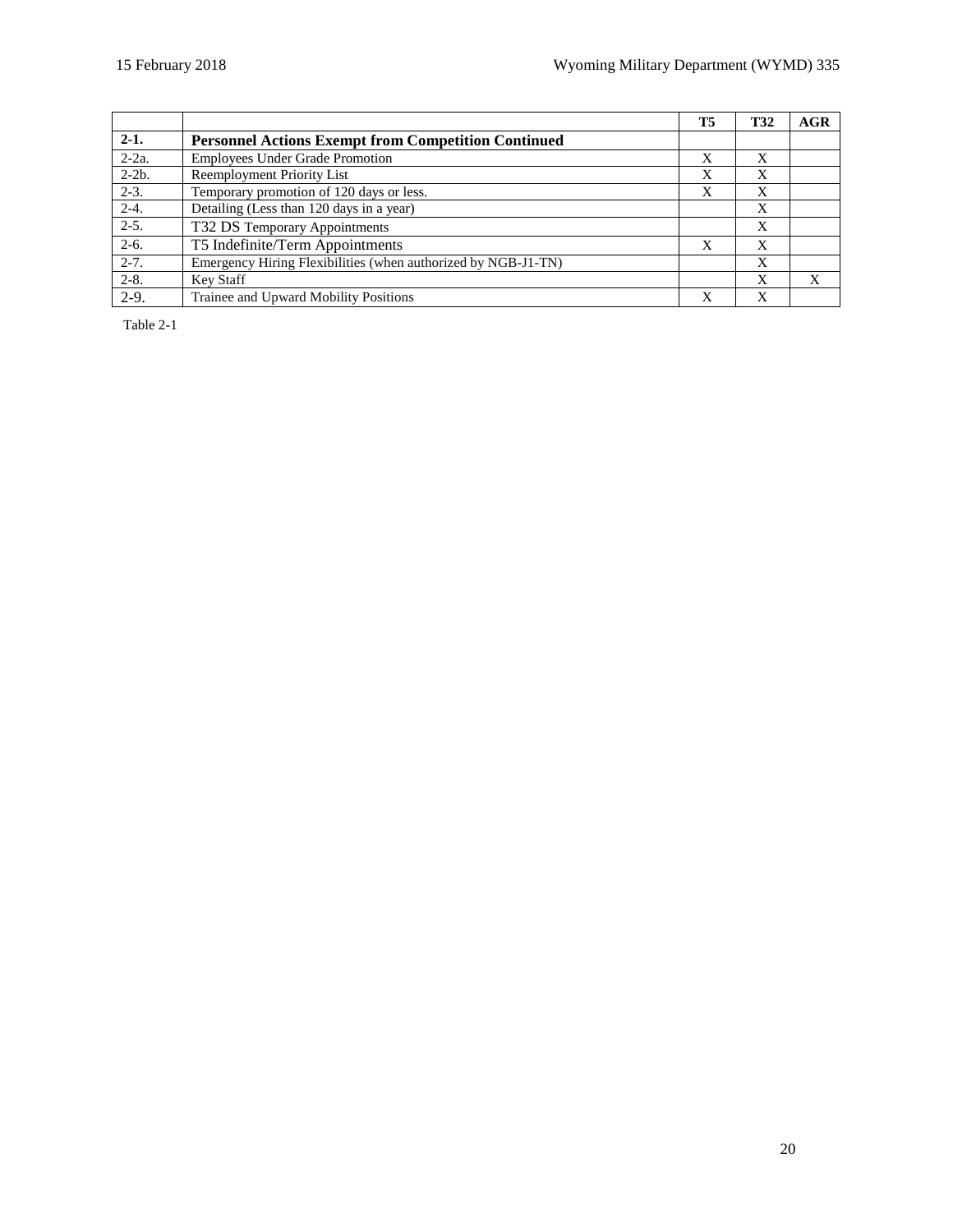|           |                                                               | T5 | <b>T32</b> | AGR          |
|-----------|---------------------------------------------------------------|----|------------|--------------|
| $2-1.$    | <b>Personnel Actions Exempt from Competition Continued</b>    |    |            |              |
| $2-2a$ .  | <b>Employees Under Grade Promotion</b>                        | X  | X          |              |
| $2-2b$ .  | <b>Reemployment Priority List</b>                             | X  | X          |              |
| $2-3.$    | Temporary promotion of 120 days or less.                      | X  | X          |              |
| $2 - 4.$  | Detailing (Less than 120 days in a year)                      |    | X          |              |
| $2-5.$    | T32 DS Temporary Appointments                                 |    | X          |              |
| $2-6.$    | T5 Indefinite/Term Appointments                               | X  | X          |              |
| $2 - 7.$  | Emergency Hiring Flexibilities (when authorized by NGB-J1-TN) |    | X          |              |
| $2 - 8$ . | Key Staff                                                     |    | X          | $\mathbf{X}$ |
| $2-9.$    | Trainee and Upward Mobility Positions                         | X  | X          |              |

Table 2-1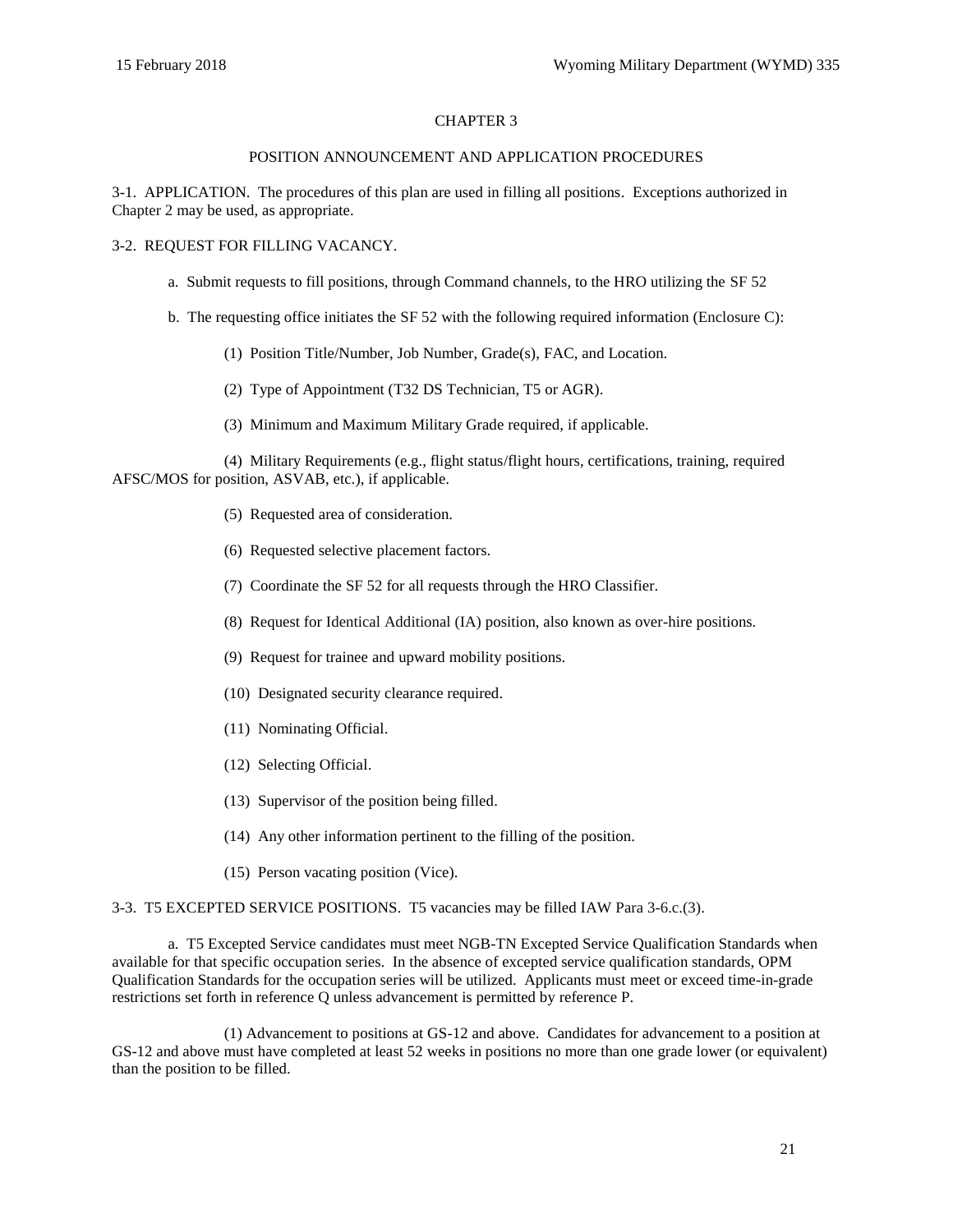## CHAPTER 3

#### POSITION ANNOUNCEMENT AND APPLICATION PROCEDURES

<span id="page-20-1"></span><span id="page-20-0"></span>3-1. APPLICATION. The procedures of this plan are used in filling all positions. Exceptions authorized in Chapter 2 may be used, as appropriate.

#### 3-2. REQUEST FOR FILLING VACANCY.

- a. Submit requests to fill positions, through Command channels, to the HRO utilizing the SF 52
- b. The requesting office initiates the [SF 52](http://www.opm.gov/forms/pdf_fill/sf52.pdf) with the following required information [\(Enclosure](#page-65-0) C):
	- (1) Position Title/Number, Job Number, Grade(s), FAC, and Location.
	- (2) Type of Appointment (T32 DS Technician, T5 or AGR).
	- (3) Minimum and Maximum Military Grade required, if applicable.

(4) Military Requirements (e.g., flight status/flight hours, certifications, training, required AFSC/MOS for position, ASVAB, etc.), if applicable.

- (5) Requested area of consideration.
- (6) Requested selective placement factors.
- (7) Coordinate the SF 52 for all requests through the HRO Classifier.
- (8) Request for Identical Additional (IA) position, also known as over-hire positions.
- (9) Request for trainee and upward mobility positions.
- (10) Designated security clearance required.
- (11) Nominating Official.
- (12) Selecting Official.
- (13) Supervisor of the position being filled.
- (14) Any other information pertinent to the filling of the position.
- (15) Person vacating position (Vice).

#### <span id="page-20-2"></span>3-3. T5 EXCEPTED SERVICE POSITIONS. T5 vacancies may be filled IAW Para [3-6.c.\(3\).](#page-22-1)

a. T5 Excepted Service candidates must meet NGB-TN Excepted Service Qualification Standards when available for that specific occupation series. In the absence of excepted service qualification standards, OPM Qualification Standards for the occupation series will be utilized. Applicants must meet or exceed time-in-grade restrictions set forth in reference [Q](#page-60-13) unless advancement is permitted by reference [P.](#page-60-14)

(1) Advancement to positions at GS-12 and above. Candidates for advancement to a position at GS-12 and above must have completed at least 52 weeks in positions no more than one grade lower (or equivalent) than the position to be filled.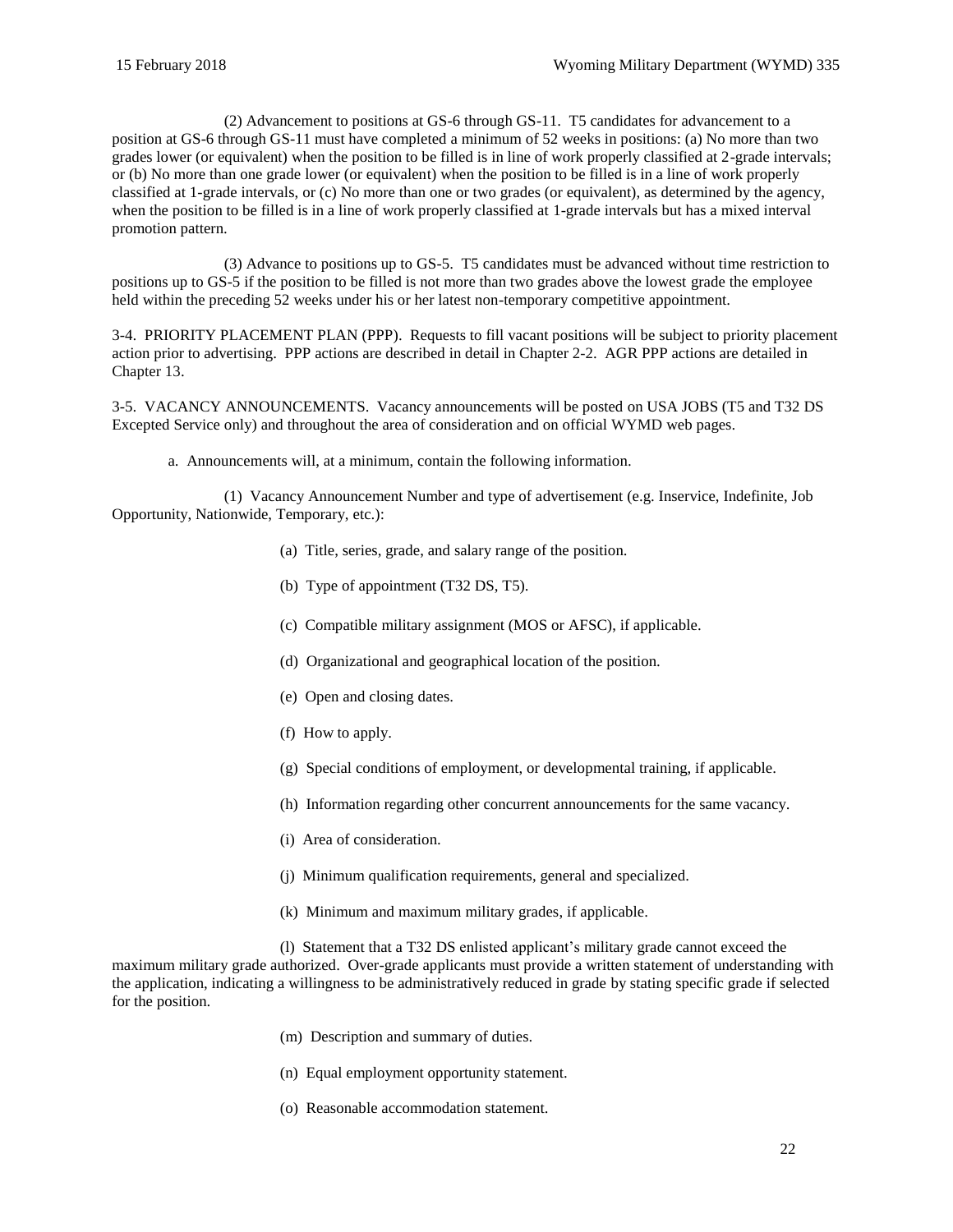(2) Advancement to positions at GS-6 through GS-11. T5 candidates for advancement to a position at GS-6 through GS-11 must have completed a minimum of 52 weeks in positions: (a) No more than two grades lower (or equivalent) when the position to be filled is in line of work properly classified at 2-grade intervals; or (b) No more than one grade lower (or equivalent) when the position to be filled is in a line of work properly classified at 1-grade intervals, or (c) No more than one or two grades (or equivalent), as determined by the agency, when the position to be filled is in a line of work properly classified at 1-grade intervals but has a mixed interval promotion pattern.

(3) Advance to positions up to GS-5. T5 candidates must be advanced without time restriction to positions up to GS-5 if the position to be filled is not more than two grades above the lowest grade the employee held within the preceding 52 weeks under his or her latest non-temporary competitive appointment.

<span id="page-21-0"></span>3-4. PRIORITY PLACEMENT PLAN (PPP). Requests to fill vacant positions will be subject to priority placement action prior to advertising. PPP actions are described in detail in [Chapter](#page-11-0) 2-2. AGR PPP actions are detailed in [Chapter 13.](#page-57-0)

<span id="page-21-1"></span>3-5. VACANCY ANNOUNCEMENTS. Vacancy announcements will be posted o[n USA JOBS](http://www.usajobs.gov/) (T5 and T32 DS Excepted Service only) and throughout the area of consideration and on official [WYMD](https://sites.google.com/a/wyo.gov/wyomingmilitarydepartment/Employment) web pages.

a. Announcements will, at a minimum, contain the following information.

(1) Vacancy Announcement Number and type of advertisement (e.g. Inservice, Indefinite, Job Opportunity, Nationwide, Temporary, etc.):

- (a) Title, series, grade, and salary range of the position.
- (b) Type of appointment (T32 DS, T5).
- (c) Compatible military assignment (MOS or AFSC), if applicable.
- (d) Organizational and geographical location of the position.
- (e) Open and closing dates.
- (f) How to apply.
- (g) Special conditions of employment, or developmental training, if applicable.
- (h) Information regarding other concurrent announcements for the same vacancy.
- (i) Area of consideration.
- (j) Minimum qualification requirements, general and specialized.
- (k) Minimum and maximum military grades, if applicable.

(l) Statement that a T32 DS enlisted applicant's military grade cannot exceed the maximum military grade authorized. Over-grade applicants must provide a written statement of understanding with the application, indicating a willingness to be administratively reduced in grade by stating specific grade if selected for the position.

- (m) Description and summary of duties.
- (n) Equal employment opportunity statement.
- (o) Reasonable accommodation statement.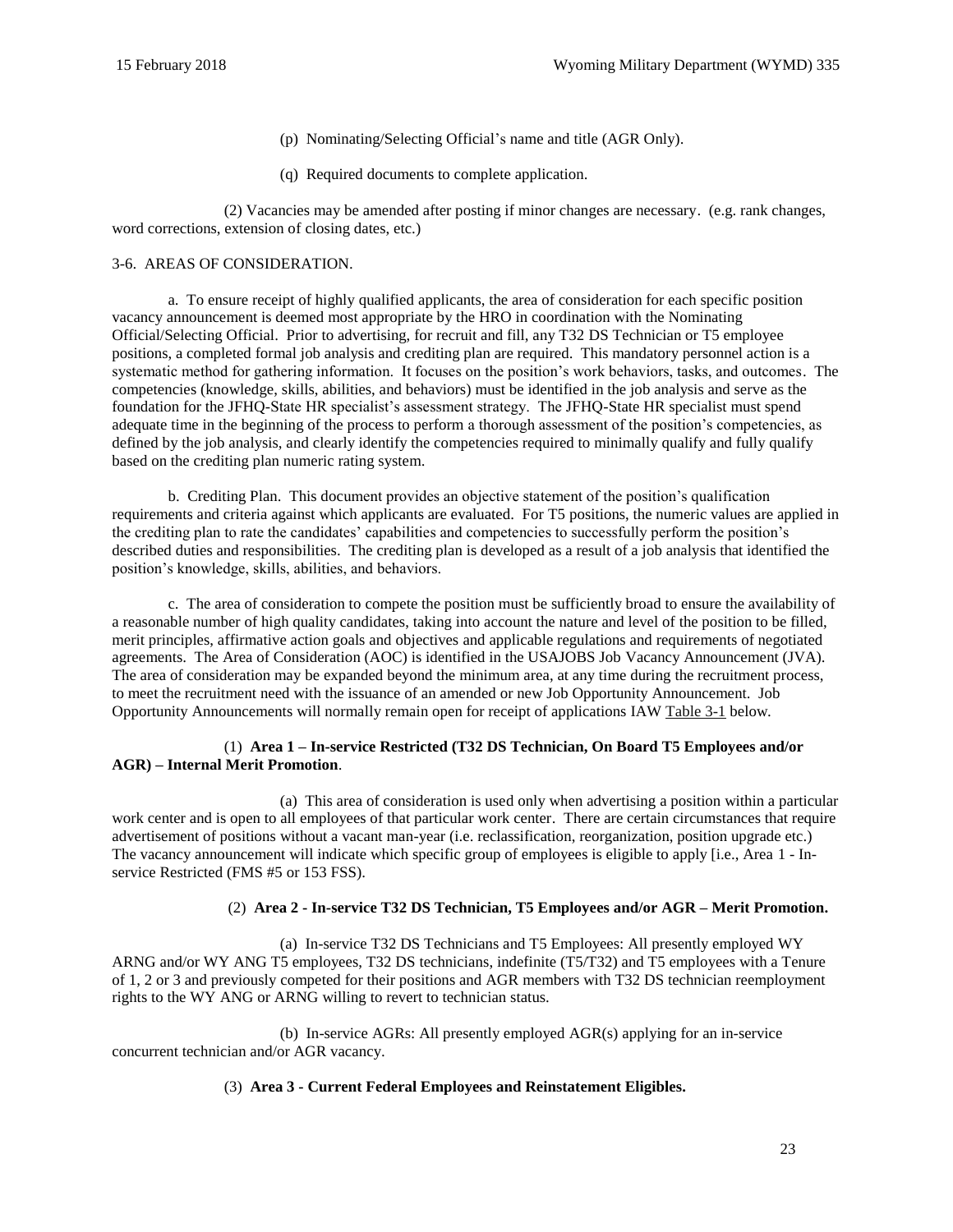- (p) Nominating/Selecting Official's name and title (AGR Only).
- (q) Required documents to complete application.

(2) Vacancies may be amended after posting if minor changes are necessary. (e.g. rank changes, word corrections, extension of closing dates, etc.)

## <span id="page-22-0"></span>3-6. AREAS OF CONSIDERATION.

a. To ensure receipt of highly qualified applicants, the area of consideration for each specific position vacancy announcement is deemed most appropriate by the HRO in coordination with the Nominating Official/Selecting Official. Prior to advertising, for recruit and fill, any T32 DS Technician or T5 employee positions, a completed formal job analysis and crediting plan are required. This mandatory personnel action is a systematic method for gathering information. It focuses on the position's work behaviors, tasks, and outcomes. The competencies (knowledge, skills, abilities, and behaviors) must be identified in the job analysis and serve as the foundation for the JFHQ-State HR specialist's assessment strategy. The JFHQ-State HR specialist must spend adequate time in the beginning of the process to perform a thorough assessment of the position's competencies, as defined by the job analysis, and clearly identify the competencies required to minimally qualify and fully qualify based on the crediting plan numeric rating system.

b. Crediting Plan. This document provides an objective statement of the position's qualification requirements and criteria against which applicants are evaluated. For T5 positions, the numeric values are applied in the crediting plan to rate the candidates' capabilities and competencies to successfully perform the position's described duties and responsibilities. The crediting plan is developed as a result of a job analysis that identified the position's knowledge, skills, abilities, and behaviors.

c. The area of consideration to compete the position must be sufficiently broad to ensure the availability of a reasonable number of high quality candidates, taking into account the nature and level of the position to be filled, merit principles, affirmative action goals and objectives and applicable regulations and requirements of negotiated agreements. The Area of Consideration (AOC) is identified in the USAJOBS Job Vacancy Announcement (JVA). The area of consideration may be expanded beyond the minimum area, at any time during the recruitment process, to meet the recruitment need with the issuance of an amended or new Job Opportunity Announcement. Job Opportunity Announcements will normally remain open for receipt of applications IA[W Table 3-1](#page-24-1) below.

#### (1) **Area 1 – In-service Restricted (T32 DS Technician, On Board T5 Employees and/or AGR) – Internal Merit Promotion**.

(a) This area of consideration is used only when advertising a position within a particular work center and is open to all employees of that particular work center. There are certain circumstances that require advertisement of positions without a vacant man-year (i.e. reclassification, reorganization, position upgrade etc.) The vacancy announcement will indicate which specific group of employees is eligible to apply [i.e., Area 1 - Inservice Restricted (FMS #5 or 153 FSS).

## (2) **Area 2 - In-service T32 DS Technician, T5 Employees and/or AGR – Merit Promotion.**

(a) In-service T32 DS Technicians and T5 Employees: All presently employed WY ARNG and/or WY ANG T5 employees, T32 DS technicians, indefinite (T5/T32) and T5 employees with a Tenure of 1, 2 or 3 and previously competed for their positions and AGR members with T32 DS technician reemployment rights to the WY ANG or ARNG willing to revert to technician status.

(b) In-service AGRs: All presently employed AGR(s) applying for an in-service concurrent technician and/or AGR vacancy.

## <span id="page-22-1"></span>(3) **Area 3 - Current Federal Employees and Reinstatement Eligibles.**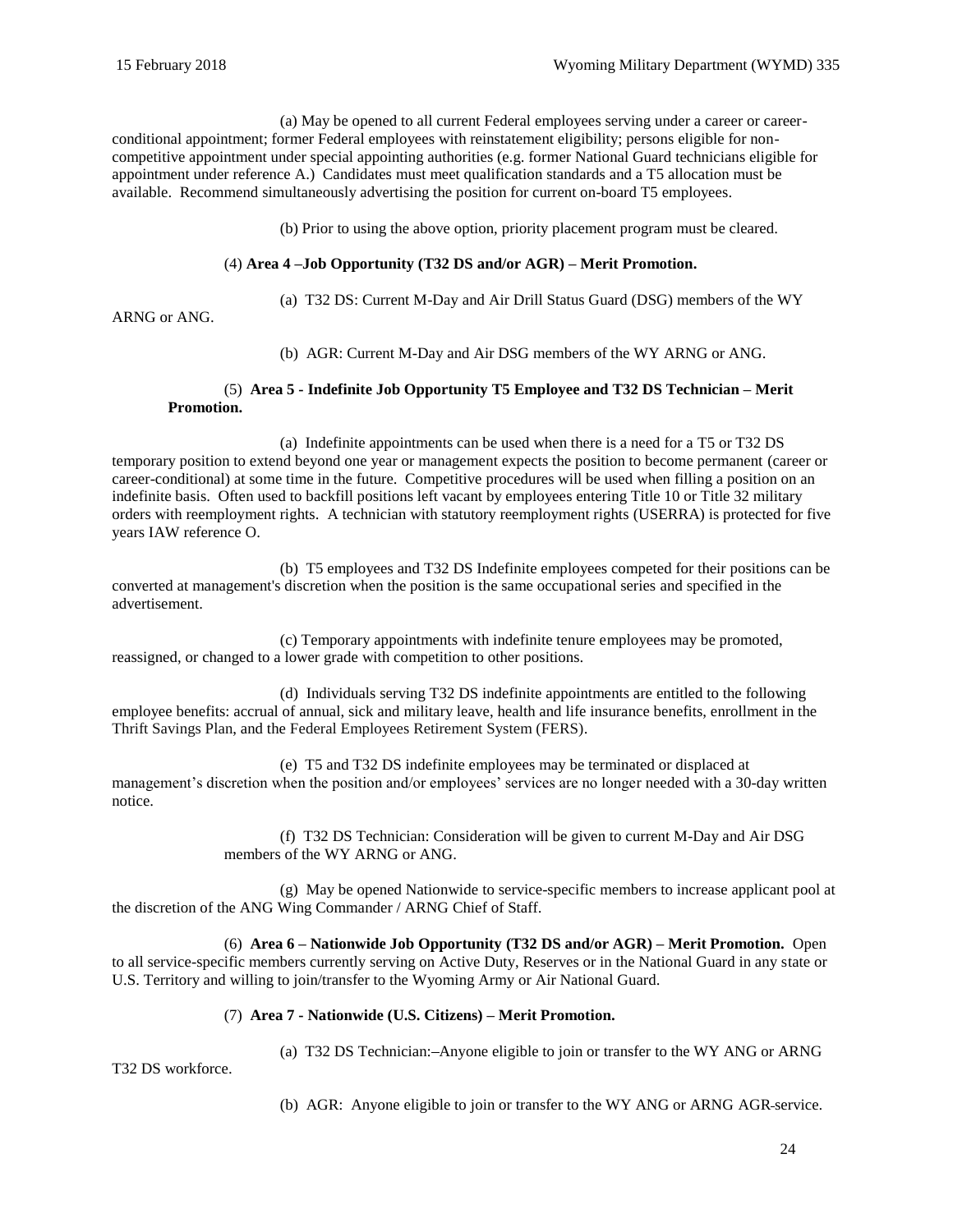(a) May be opened to all current Federal employees serving under a career or careerconditional appointment; former Federal employees with reinstatement eligibility; persons eligible for noncompetitive appointment under special appointing authorities (e.g. former National Guard technicians eligible for appointment under reference [A.](#page-60-15)) Candidates must meet qualification standards and a T5 allocation must be available. Recommend simultaneously advertising the position for current on-board T5 employees.

(b) Prior to using the above option, priority placement program must be cleared.

## (4) **Area 4 –Job Opportunity (T32 DS and/or AGR) – Merit Promotion.**

(a) T32 DS: Current M-Day and Air Drill Status Guard (DSG) members of the WY

ARNG or ANG.

(b) AGR: Current M-Day and Air DSG members of the WY ARNG or ANG.

## (5) **Area 5 - Indefinite Job Opportunity T5 Employee and T32 DS Technician – Merit Promotion.**

(a) Indefinite appointments can be used when there is a need for a T5 or T32 DS temporary position to extend beyond one year or management expects the position to become permanent (career or career-conditional) at some time in the future. Competitive procedures will be used when filling a position on an indefinite basis. Often used to backfill positions left vacant by employees entering Title 10 or Title 32 military orders with reemployment rights. A technician with statutory reemployment rights (USERRA) is protected for five years IAW reference [O.](#page-60-16)

(b) T5 employees and T32 DS Indefinite employees competed for their positions can be converted at management's discretion when the position is the same occupational series and specified in the advertisement.

(c) Temporary appointments with indefinite tenure employees may be promoted, reassigned, or changed to a lower grade with competition to other positions.

(d) Individuals serving T32 DS indefinite appointments are entitled to the following employee benefits: accrual of annual, sick and military leave, health and life insurance benefits, enrollment in the [Thrift Savings Plan,](https://www.tsp.gov/index.shtml) and the [Federal Employees Retirement System \(FERS\).](http://www.opm.gov/retirement-services/fers-information/) 

(e) T5 and T32 DS indefinite employees may be terminated or displaced at management's discretion when the position and/or employees' services are no longer needed with a 30-day written notice.

> (f) T32 DS Technician: Consideration will be given to current M-Day and Air DSG members of the WY ARNG or ANG.

(g) May be opened Nationwide to service-specific members to increase applicant pool at the discretion of the ANG Wing Commander / ARNG Chief of Staff.

(6) **Area 6 – Nationwide Job Opportunity (T32 DS and/or AGR) – Merit Promotion.** Open to all service-specific members currently serving on Active Duty, Reserves or in the National Guard in any state or U.S. Territory and willing to join/transfer to the Wyoming Army or Air National Guard.

## (7) **Area 7 - Nationwide (U.S. Citizens) – Merit Promotion.**

(a) T32 DS Technician: Anyone eligible to join or transfer to the WY ANG or ARNG

T32 DS workforce.

(b) AGR: Anyone eligible to join or transfer to the WY ANG or ARNG AGR service.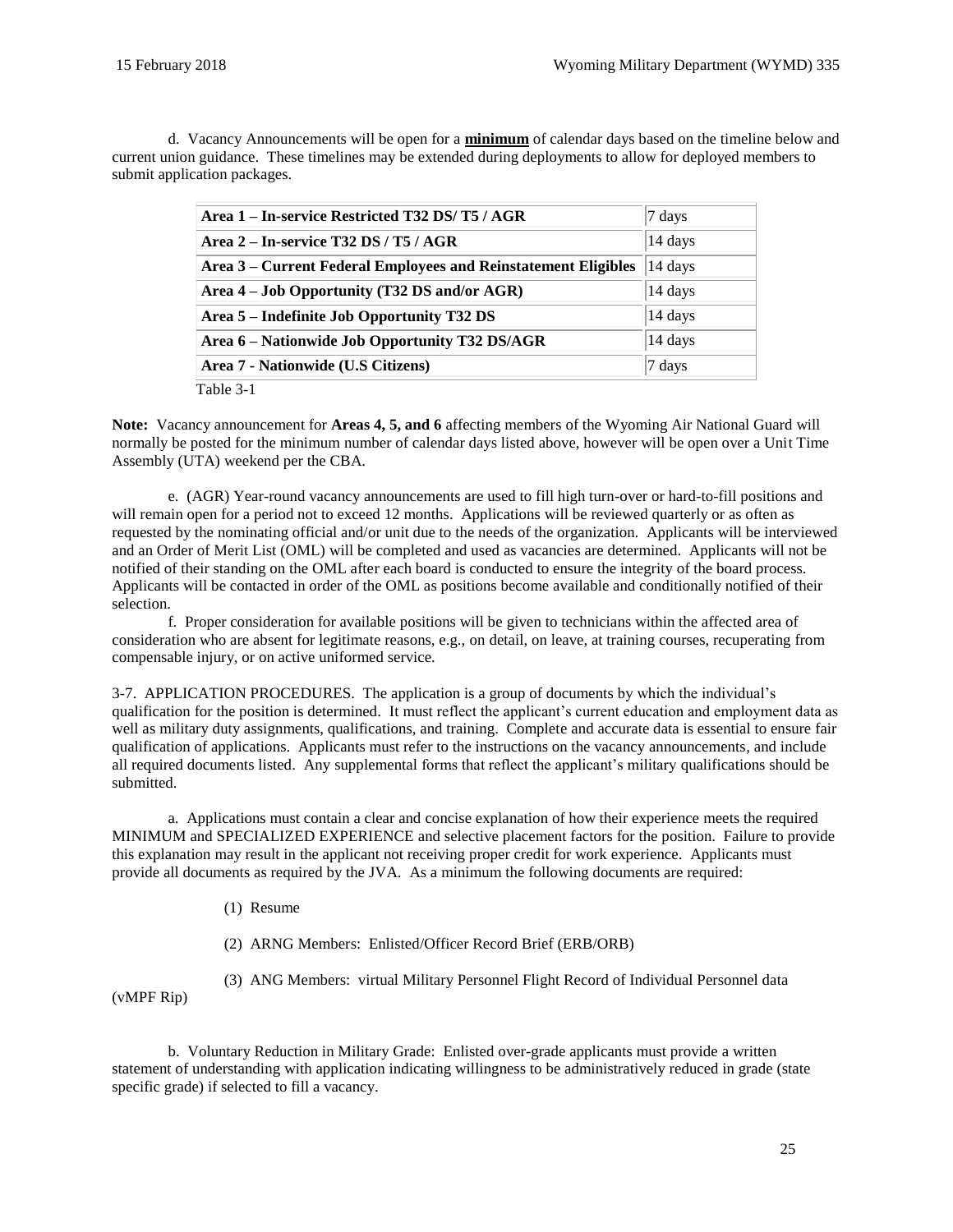d. Vacancy Announcements will be open for a **minimum** of calendar days based on the timeline below and current union guidance. These timelines may be extended during deployments to allow for deployed members to submit application packages.

<span id="page-24-1"></span>

| Area 1 – In-service Restricted T32 DS/T5 / AGR                 | 7 days           |
|----------------------------------------------------------------|------------------|
| Area $2$ – In-service T32 DS / T5 / AGR                        | 14 days          |
| Area 3 – Current Federal Employees and Reinstatement Eligibles | 14 days          |
| Area 4 – Job Opportunity (T32 DS and/or AGR)                   | 14 days          |
| Area 5 – Indefinite Job Opportunity T32 DS                     | 14 days          |
| Area 6 - Nationwide Job Opportunity T32 DS/AGR                 | 14 days          |
| Area 7 - Nationwide (U.S Citizens)                             | $7 \text{ days}$ |
| Table 3-1                                                      |                  |

**Note:** Vacancy announcement for **Areas 4, 5, and 6** affecting members of the Wyoming Air National Guard will normally be posted for the minimum number of calendar days listed above, however will be open over a Unit Time Assembly (UTA) weekend per the CBA.

e. (AGR) Year-round vacancy announcements are used to fill high turn-over or hard-to-fill positions and will remain open for a period not to exceed 12 months. Applications will be reviewed quarterly or as often as requested by the nominating official and/or unit due to the needs of the organization. Applicants will be interviewed and an Order of Merit List (OML) will be completed and used as vacancies are determined. Applicants will not be notified of their standing on the OML after each board is conducted to ensure the integrity of the board process. Applicants will be contacted in order of the OML as positions become available and conditionally notified of their selection.

f. Proper consideration for available positions will be given to technicians within the affected area of consideration who are absent for legitimate reasons, e.g., on detail, on leave, at training courses, recuperating from compensable injury, or on active uniformed service.

<span id="page-24-0"></span>3-7. APPLICATION PROCEDURES. The application is a group of documents by which the individual's qualification for the position is determined. It must reflect the applicant's current education and employment data as well as military duty assignments, qualifications, and training. Complete and accurate data is essential to ensure fair qualification of applications. Applicants must refer to the instructions on the vacancy announcements, and include all required documents listed. Any supplemental forms that reflect the applicant's military qualifications should be submitted.

a. Applications must contain a clear and concise explanation of how their experience meets the required MINIMUM and SPECIALIZED EXPERIENCE and selective placement factors for the position. Failure to provide this explanation may result in the applicant not receiving proper credit for work experience. Applicants must provide all documents as required by the JVA. As a minimum the following documents are required:

(1) Resume

(2) ARNG Members: Enlisted/Officer Record Brief (ERB/ORB)

(3) ANG Members: virtual Military Personnel Flight Record of Individual Personnel data

(vMPF Rip)

b. Voluntary Reduction in Military Grade: Enlisted over-grade applicants must provide a written statement of understanding with application indicating willingness to be administratively reduced in grade (state specific grade) if selected to fill a vacancy.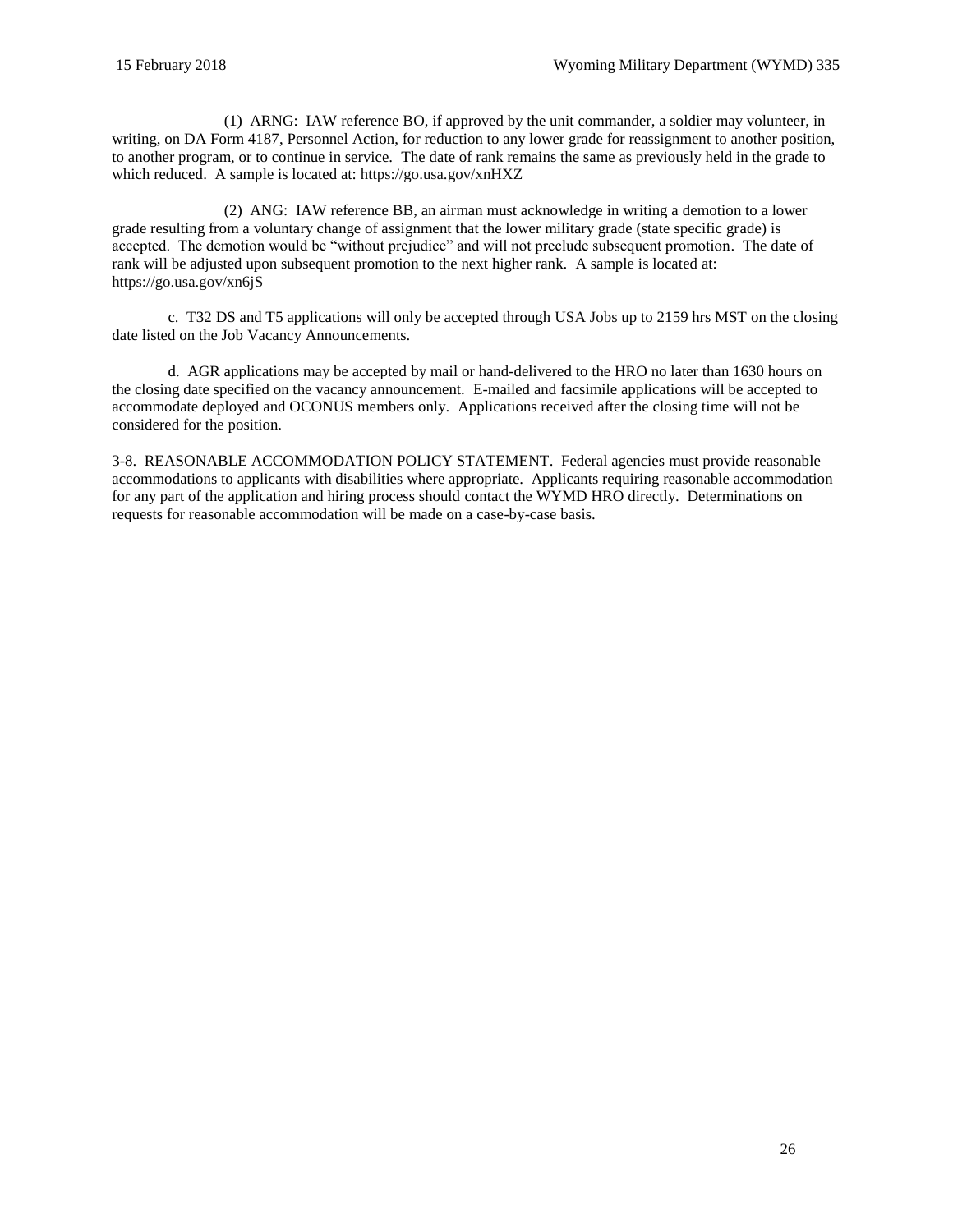(1) ARNG: IAW reference [BO,](#page-62-7) if approved by the unit commander, a soldier may volunteer, in writing, on [DA Form 4187, Personnel Action,](http://www.apd.army.mil/pub/eforms/pdf/A4187.pdf) for reduction to any lower grade for reassignment to another position, to another program, or to continue in service. The date of rank remains the same as previously held in the grade to which reduced. A sample is located at[: https://go.usa.gov/xnHXZ](https://go.usa.gov/xnHXZ)

(2) ANG: IAW reference [BB,](#page-62-8) an airman must acknowledge in writing a demotion to a lower grade resulting from a voluntary change of assignment that the lower military grade (state specific grade) is accepted. The demotion would be "without prejudice" and will not preclude subsequent promotion. The date of rank will be adjusted upon subsequent promotion to the next higher rank. A sample is located at: <https://go.usa.gov/xn6jS>

c. T32 DS and T5 applications will only be accepted through [USA Jobs](http://www.usajobs.gov/) up to 2159 hrs MST on the closing date listed on the Job Vacancy Announcements.

d. AGR applications may be accepted by mail or hand-delivered to the HRO no later than 1630 hours on the closing date specified on the vacancy announcement. E-mailed and facsimile applications will be accepted to accommodate deployed and OCONUS members only. Applications received after the closing time will not be considered for the position.

<span id="page-25-0"></span>3-8. REASONABLE ACCOMMODATION POLICY STATEMENT. Federal agencies must provide reasonable accommodations to applicants with disabilities where appropriate. Applicants requiring reasonable accommodation for any part of the application and hiring process should contact the WYMD HRO directly. Determinations on requests for reasonable accommodation will be made on a case-by-case basis.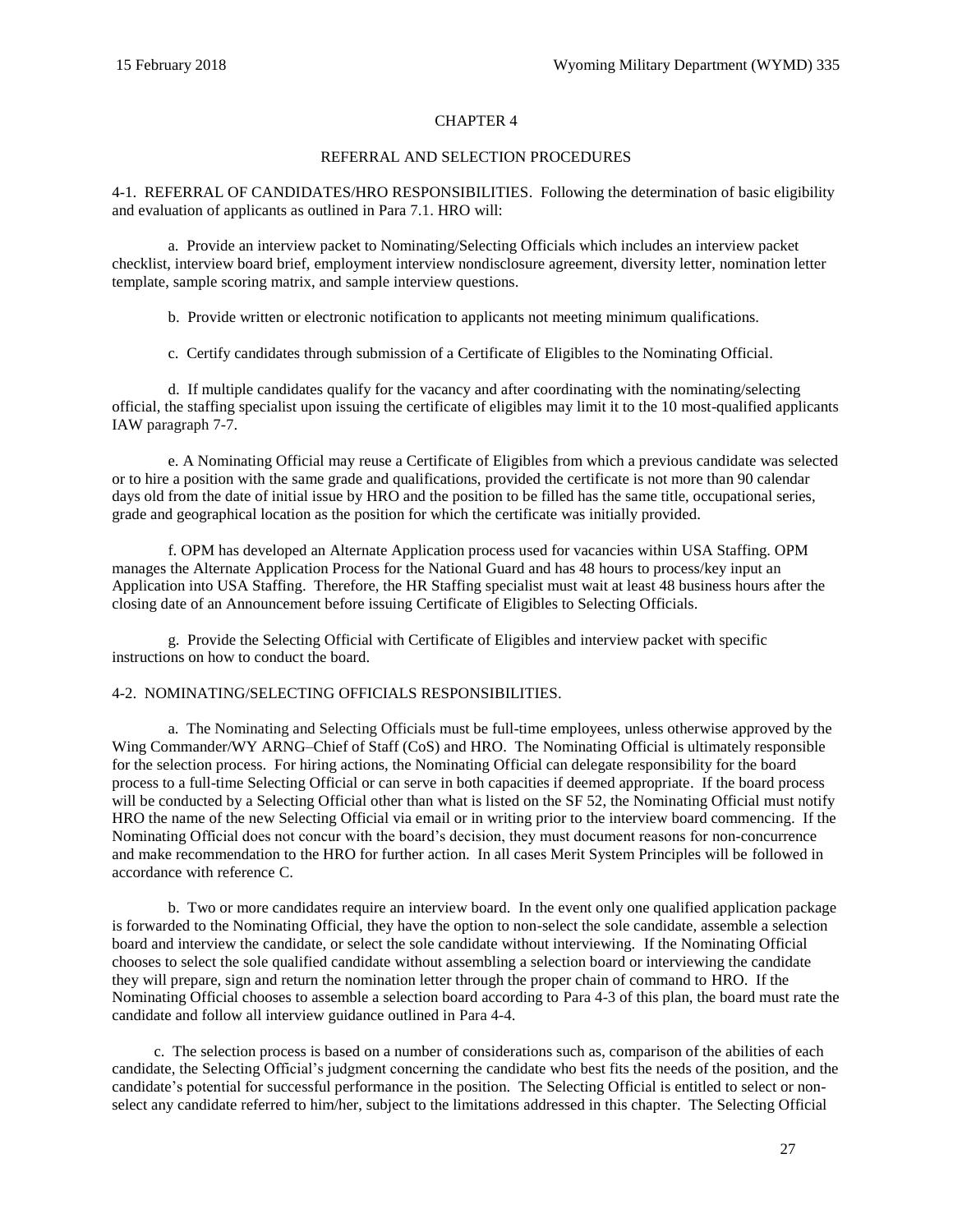## CHAPTER 4

#### REFERRAL AND SELECTION PROCEDURES

<span id="page-26-1"></span><span id="page-26-0"></span>4-1. REFERRAL OF CANDIDATES/HRO RESPONSIBILITIES. Following the determination of basic eligibility and evaluation of applicants as outlined in [Para](#page-36-1) 7.1. HRO will:

a. Provide an interview packet to Nominating/Selecting Officials which includes an interview packet checklist, interview board brief, employment interview nondisclosure agreement, diversity letter, nomination letter template, sample scoring matrix, and sample interview questions.

b. Provide written or electronic notification to applicants not meeting minimum qualifications.

c. Certify candidates through submission of a Certificate of Eligibles to the Nominating Official.

d. If multiple candidates qualify for the vacancy and after coordinating with the nominating/selecting official, the staffing specialist upon issuing the certificate of eligibles may limit it to the 10 most-qualified applicants IAW [paragraph 7-7.](#page-37-2)

e. A Nominating Official may reuse a Certificate of Eligibles from which a previous candidate was selected or to hire a position with the same grade and qualifications, provided the certificate is not more than 90 calendar days old from the date of initial issue by HRO and the position to be filled has the same title, occupational series, grade and geographical location as the position for which the certificate was initially provided.

f. OPM has developed an Alternate Application process used for vacancies within USA Staffing. OPM manages the Alternate Application Process for the National Guard and has 48 hours to process/key input an Application into USA Staffing. Therefore, the HR Staffing specialist must wait at least 48 business hours after the closing date of an Announcement before issuing Certificate of Eligibles to Selecting Officials.

g. Provide the Selecting Official with Certificate of Eligibles and interview packet with specific instructions on how to conduct the board.

#### <span id="page-26-2"></span>4-2. NOMINATING/SELECTING OFFICIALS RESPONSIBILITIES.

a. The Nominating and Selecting Officials must be full-time employees, unless otherwise approved by the Wing Commander/WY ARNG–Chief of Staff (CoS) and HRO. The Nominating Official is ultimately responsible for the selection process. For hiring actions, the Nominating Official can delegate responsibility for the board process to a full-time Selecting Official or can serve in both capacities if deemed appropriate. If the board process will be conducted by a Selecting Official other than what is listed on the SF 52, the Nominating Official must notify HRO the name of the new Selecting Official via email or in writing prior to the interview board commencing. If the Nominating Official does not concur with the board's decision, they must document reasons for non-concurrence and make recommendation to the HRO for further action. In all cases Merit System Principles will be followed in accordance with reference [C.](#page-60-5)

b. Two or more candidates require an interview board. In the event only one qualified application package is forwarded to the Nominating Official, they have the option to non-select the sole candidate, assemble a selection board and interview the candidate, or select the sole candidate without interviewing. If the Nominating Official chooses to select the sole qualified candidate without assembling a selection board or interviewing the candidate they will prepare, sign and return the nomination letter through the proper chain of command to HRO. If the Nominating Official chooses to assemble a selection board according to [Para](#page-27-0) 4-3 of this plan, the board must rate the candidate and follow all interview guidance outlined in [Para 4-4.](#page-28-0)

c. The selection process is based on a number of considerations such as, comparison of the abilities of each candidate, the Selecting Official's judgment concerning the candidate who best fits the needs of the position, and the candidate's potential for successful performance in the position. The Selecting Official is entitled to select or nonselect any candidate referred to him/her, subject to the limitations addressed in this chapter. The Selecting Official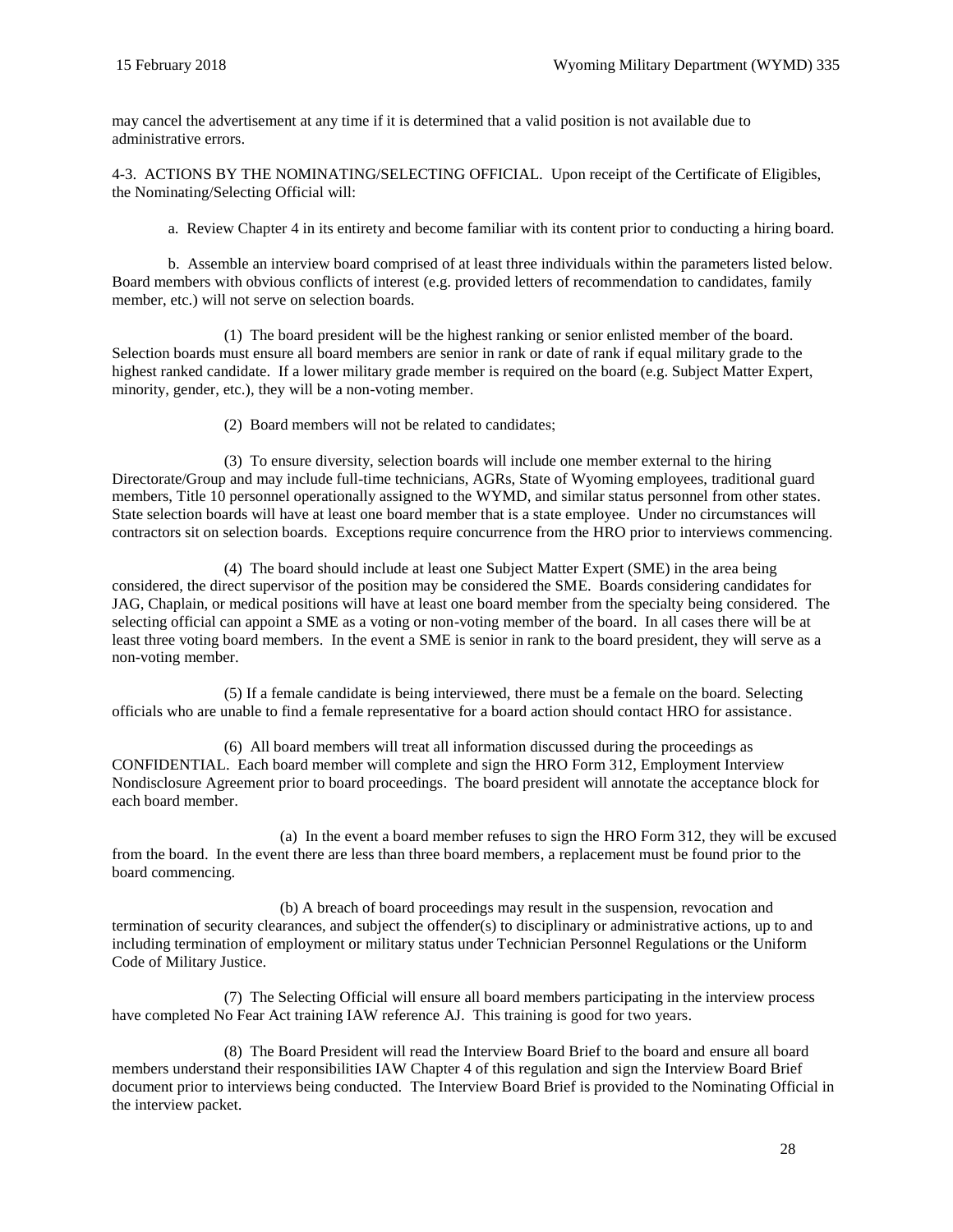may cancel the advertisement at any time if it is determined that a valid position is not available due to administrative errors.

<span id="page-27-0"></span>4-3. ACTIONS BY THE NOMINATING/SELECTING OFFICIAL. Upon receipt of the Certificate of Eligibles, the Nominating/Selecting Official will:

a. Review Chapter 4 in its entirety and become familiar with its content prior to conducting a hiring board.

b. Assemble an interview board comprised of at least three individuals within the parameters listed below. Board members with obvious conflicts of interest (e.g. provided letters of recommendation to candidates, family member, etc.) will not serve on selection boards.

(1) The board president will be the highest ranking or senior enlisted member of the board. Selection boards must ensure all board members are senior in rank or date of rank if equal military grade to the highest ranked candidate. If a lower military grade member is required on the board (e.g. Subject Matter Expert, minority, gender, etc.), they will be a non-voting member.

(2) Board members will not be related to candidates;

(3) To ensure diversity, selection boards will include one member external to the hiring Directorate/Group and may include full-time technicians, AGRs, State of Wyoming employees, traditional guard members, Title 10 personnel operationally assigned to the WYMD, and similar status personnel from other states. State selection boards will have at least one board member that is a state employee. Under no circumstances will contractors sit on selection boards. Exceptions require concurrence from the HRO prior to interviews commencing.

(4) The board should include at least one Subject Matter Expert (SME) in the area being considered, the direct supervisor of the position may be considered the SME. Boards considering candidates for JAG, Chaplain, or medical positions will have at least one board member from the specialty being considered. The selecting official can appoint a SME as a voting or non-voting member of the board. In all cases there will be at least three voting board members. In the event a SME is senior in rank to the board president, they will serve as a non-voting member.

(5) If a female candidate is being interviewed, there must be a female on the board. Selecting officials who are unable to find a female representative for a board action should contact HRO for assistance.

<span id="page-27-1"></span>(6) All board members will treat all information discussed during the proceedings as CONFIDENTIAL. Each board member will complete and sign the HRO Form 312, Employment Interview Nondisclosure Agreement prior to board proceedings. The board president will annotate the acceptance block for each board member.

(a) In the event a board member refuses to sign the HRO Form 312, they will be excused from the board. In the event there are less than three board members, a replacement must be found prior to the board commencing.

(b) A breach of board proceedings may result in the suspension, revocation and termination of security clearances, and subject the offender(s) to disciplinary or administrative actions, up to and including termination of employment or military status under Technician Personnel Regulations or the Uniform Code of Military Justice.

(7) The Selecting Official will ensure all board members participating in the interview process have completed No Fear Act training IAW reference [AJ.](#page-61-6) [This training is good for two years.](http://www.eeoc.gov/eeoc/statistics/nofear/qanda.cfm)

(8) The Board President will read the Interview Board Brief to the board and ensure all board members understand their responsibilities IAW Chapter 4 of this regulation and sign the Interview Board Brief document prior to interviews being conducted. The Interview Board Brief is provided to the Nominating Official in the interview packet.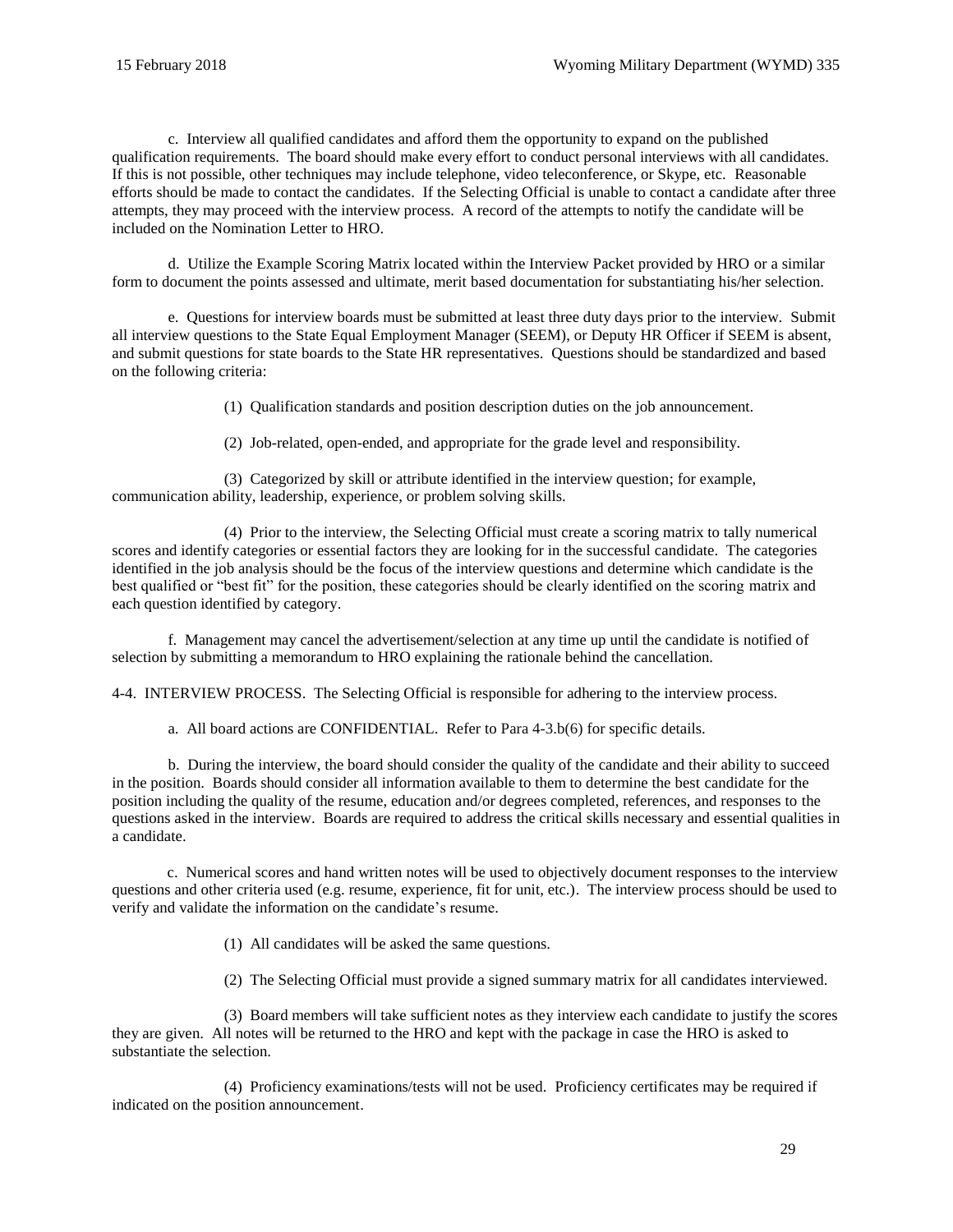c. Interview all qualified candidates and afford them the opportunity to expand on the published qualification requirements. The board should make every effort to conduct personal interviews with all candidates. If this is not possible, other techniques may include telephone, video teleconference, or Skype, etc. Reasonable efforts should be made to contact the candidates. If the Selecting Official is unable to contact a candidate after three attempts, they may proceed with the interview process. A record of the attempts to notify the candidate will be included on the Nomination Letter to HRO.

d. Utilize the Example Scoring Matrix located within the Interview Packet provided by HRO or a similar form to document the points assessed and ultimate, merit based documentation for substantiating his/her selection.

e. Questions for interview boards must be submitted at least three duty days prior to the interview. Submit all interview questions to the State Equal Employment Manager (SEEM), or Deputy HR Officer if SEEM is absent, and submit questions for state boards to the State HR representatives. Questions should be standardized and based on the following criteria:

(1) Qualification standards and position description duties on the job announcement.

(2) Job-related, open-ended, and appropriate for the grade level and responsibility.

(3) Categorized by skill or attribute identified in the interview question; for example, communication ability, leadership, experience, or problem solving skills.

(4) Prior to the interview, the Selecting Official must create a scoring matrix to tally numerical scores and identify categories or essential factors they are looking for in the successful candidate. The categories identified in the job analysis should be the focus of the interview questions and determine which candidate is the best qualified or "best fit" for the position, these categories should be clearly identified on the scoring matrix and each question identified by category.

f. Management may cancel the advertisement/selection at any time up until the candidate is notified of selection by submitting a memorandum to HRO explaining the rationale behind the cancellation.

<span id="page-28-0"></span>4-4. INTERVIEW PROCESS. The Selecting Official is responsible for adhering to the interview process.

a. All board actions are CONFIDENTIAL. Refer to [Para 4-3.b\(6\)](#page-27-1) for specific details.

b. During the interview, the board should consider the quality of the candidate and their ability to succeed in the position. Boards should consider all information available to them to determine the best candidate for the position including the quality of the resume, education and/or degrees completed, references, and responses to the questions asked in the interview. Boards are required to address the critical skills necessary and essential qualities in a candidate.

 c. Numerical scores and hand written notes will be used to objectively document responses to the interview questions and other criteria used (e.g. resume, experience, fit for unit, etc.). The interview process should be used to verify and validate the information on the candidate's resume.

(1) All candidates will be asked the same questions.

(2) The Selecting Official must provide a signed summary matrix for all candidates interviewed.

(3) Board members will take sufficient notes as they interview each candidate to justify the scores they are given. All notes will be returned to the HRO and kept with the package in case the HRO is asked to substantiate the selection.

(4) Proficiency examinations/tests will not be used. Proficiency certificates may be required if indicated on the position announcement.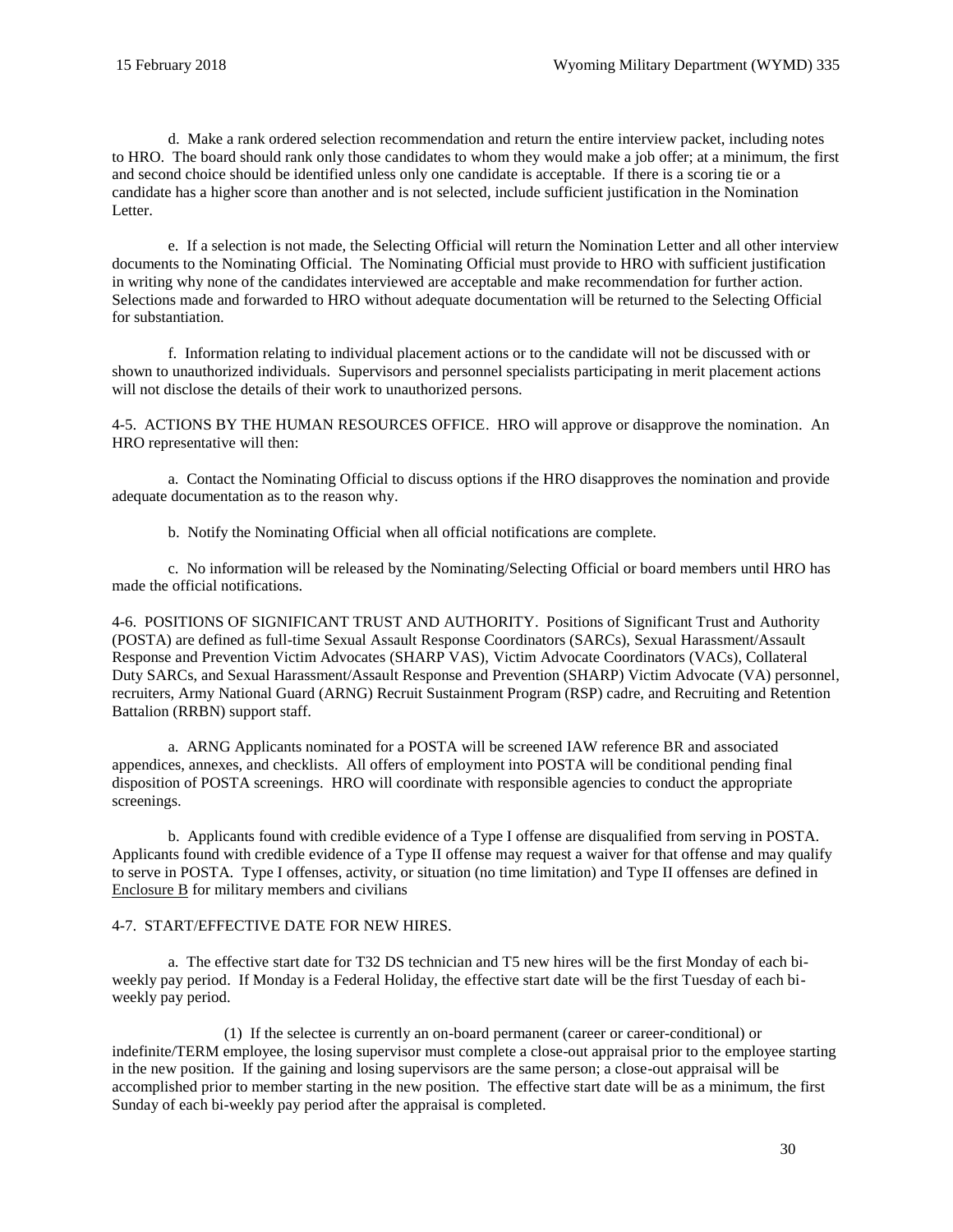d. Make a rank ordered selection recommendation and return the entire interview packet, including notes to HRO. The board should rank only those candidates to whom they would make a job offer; at a minimum, the first and second choice should be identified unless only one candidate is acceptable. If there is a scoring tie or a candidate has a higher score than another and is not selected, include sufficient justification in the Nomination Letter.

e. If a selection is not made, the Selecting Official will return the Nomination Letter and all other interview documents to the Nominating Official. The Nominating Official must provide to HRO with sufficient justification in writing why none of the candidates interviewed are acceptable and make recommendation for further action. Selections made and forwarded to HRO without adequate documentation will be returned to the Selecting Official for substantiation.

f. Information relating to individual placement actions or to the candidate will not be discussed with or shown to unauthorized individuals. Supervisors and personnel specialists participating in merit placement actions will not disclose the details of their work to unauthorized persons.

<span id="page-29-0"></span>4-5. ACTIONS BY THE HUMAN RESOURCES OFFICE. HRO will approve or disapprove the nomination. An HRO representative will then:

a. Contact the Nominating Official to discuss options if the HRO disapproves the nomination and provide adequate documentation as to the reason why.

b. Notify the Nominating Official when all official notifications are complete.

c. No information will be released by the Nominating/Selecting Official or board members until HRO has made the official notifications.

<span id="page-29-1"></span>4-6. POSITIONS OF SIGNIFICANT TRUST AND AUTHORITY. Positions of Significant Trust and Authority (POSTA) are defined as full-time Sexual Assault Response Coordinators (SARCs), Sexual Harassment/Assault Response and Prevention Victim Advocates (SHARP VAS), Victim Advocate Coordinators (VACs), Collateral Duty SARCs, and Sexual Harassment/Assault Response and Prevention (SHARP) Victim Advocate (VA) personnel, recruiters, Army National Guard (ARNG) Recruit Sustainment Program (RSP) cadre, and Recruiting and Retention Battalion (RRBN) support staff.

a. ARNG Applicants nominated for a POSTA will be screened IAW reference [BR](#page-62-6) and associated appendices, annexes, and checklists. All offers of employment into POSTA will be conditional pending final disposition of POSTA screenings. HRO will coordinate with responsible agencies to conduct the appropriate screenings.

b. Applicants found with credible evidence of a Type I offense are disqualified from serving in POSTA. Applicants found with credible evidence of a Type II offense may request a waiver for that offense and may qualify to serve in POSTA. Type I offenses, activity, or situation (no time limitation) and Type II offenses are defined in [Enclosure](#page-63-0) B for military members and civilians

## <span id="page-29-2"></span>4-7. START/EFFECTIVE DATE FOR NEW HIRES.

a. The effective start date for T32 DS technician and T5 new hires will be the first Monday of each biweekly pay period. If Monday is a Federal Holiday, the effective start date will be the first Tuesday of each biweekly pay period.

(1) If the selectee is currently an on-board permanent (career or career-conditional) or indefinite/TERM employee, the losing supervisor must complete a close-out appraisal prior to the employee starting in the new position. If the gaining and losing supervisors are the same person; a close-out appraisal will be accomplished prior to member starting in the new position. The effective start date will be as a minimum, the first Sunday of each bi-weekly pay period after the appraisal is completed.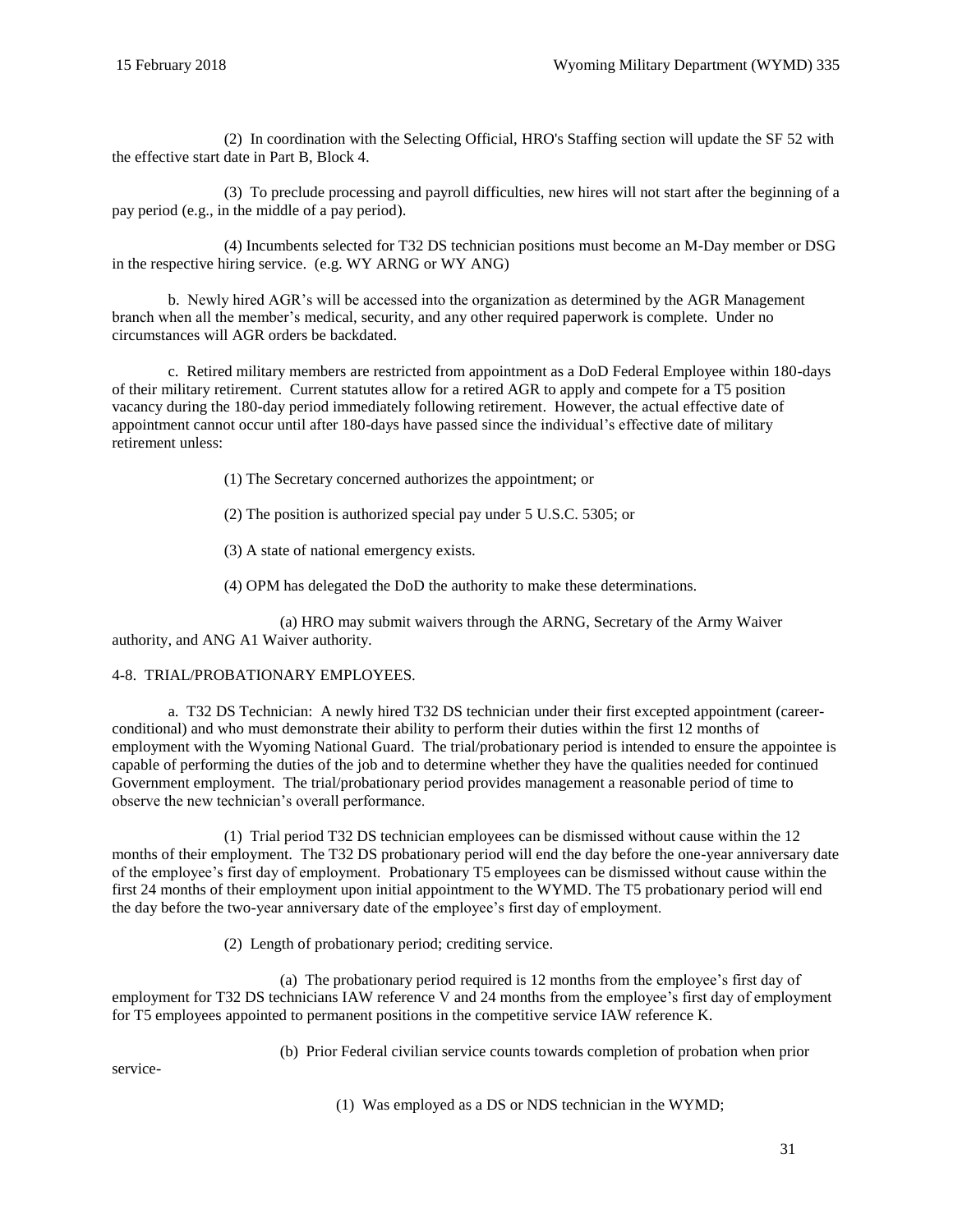(2) In coordination with the Selecting Official, HRO's Staffing section will update the [SF 52](http://www.opm.gov/forms/pdf_fill/sf52.pdf) with the effective start date in Part B, Block 4.

(3) To preclude processing and payroll difficulties, new hires will not start after the beginning of a pay period (e.g., in the middle of a pay period).

(4) Incumbents selected for T32 DS technician positions must become an M-Day member or DSG in the respective hiring service. (e.g. WY ARNG or WY ANG)

b. Newly hired AGR's will be accessed into the organization as determined by the AGR Management branch when all the member's medical, security, and any other required paperwork is complete. Under no circumstances will AGR orders be backdated.

c. Retired military members are restricted from appointment as a DoD Federal Employee within 180-days of their military retirement. Current statutes allow for a retired AGR to apply and compete for a T5 position vacancy during the 180-day period immediately following retirement. However, the actual effective date of appointment cannot occur until after 180-days have passed since the individual's effective date of military retirement unless:

(1) The Secretary concerned authorizes the appointment; or

(2) The position is authorized special pay under [5 U.S.C. 5305;](https://www.gpo.gov/fdsys/pkg/USCODE-2016-title5/html/USCODE-2016-title5-partIII-subpartD-chap53-subchapI-sec5305.htm) or

(3) A state of national emergency exists.

(4) OPM has delegated the DoD the authority to make these determinations.

(a) HRO may submit waivers through the ARNG, Secretary of the Army Waiver authority, and ANG A1 Waiver authority.

#### <span id="page-30-0"></span>4-8. TRIAL/PROBATIONARY EMPLOYEES.

a. T32 DS Technician: A newly hired T32 DS technician under their first excepted appointment (careerconditional) and who must demonstrate their ability to perform their duties within the first 12 months of employment with the Wyoming National Guard. The trial/probationary period is intended to ensure the appointee is capable of performing the duties of the job and to determine whether they have the qualities needed for continued Government employment. The trial/probationary period provides management a reasonable period of time to observe the new technician's overall performance.

(1) Trial period T32 DS technician employees can be dismissed without cause within the 12 months of their employment. The T32 DS probationary period will end the day before the one-year anniversary date of the employee's first day of employment. Probationary T5 employees can be dismissed without cause within the first 24 months of their employment upon initial appointment to the WYMD. The T5 probationary period will end the day before the two-year anniversary date of the employee's first day of employment.

(2) Length of probationary period; crediting service.

(a) The probationary period required is 12 months from the employee's first day of employment for T32 DS technicians IAW reference [V](#page-60-17) and 24 months from the employee's first day of employment for T5 employees appointed to permanent positions in the competitive service [IAW reference K.](#page-60-18) 

(b) Prior Federal civilian service counts towards completion of probation when prior

service-

(1) Was employed as a DS or NDS technician in the WYMD;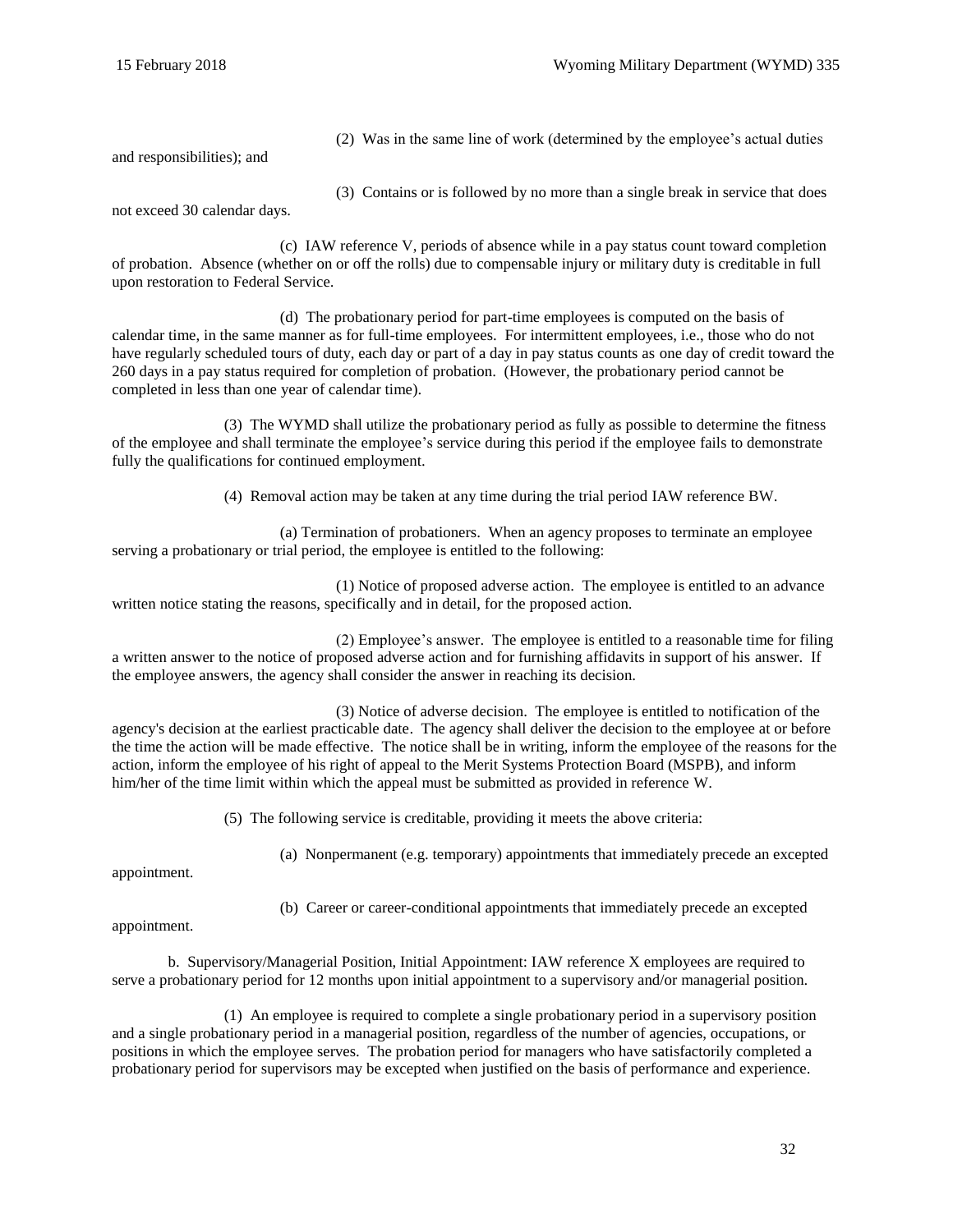and responsibilities); and

(2) Was in the same line of work (determined by the employee's actual duties

(3) Contains or is followed by no more than a single break in service that does

not exceed 30 calendar days.

(c) IAW reference [V,](#page-60-17) periods of absence while in a pay status count toward completion of probation. Absence (whether on or off the rolls) due to compensable injury or military duty is creditable in full upon restoration to Federal Service.

(d) The probationary period for part-time employees is computed on the basis of calendar time, in the same manner as for full-time employees. For intermittent employees, i.e., those who do not have regularly scheduled tours of duty, each day or part of a day in pay status counts as one day of credit toward the 260 days in a pay status required for completion of probation. (However, the probationary period cannot be completed in less than one year of calendar time).

(3) The WYMD shall utilize the probationary period as fully as possible to determine the fitness of the employee and shall terminate the employee's service during this period if the employee fails to demonstrate fully the qualifications for continued employment.

(4) Removal action may be taken at any time during the trial period IAW reference [BW.](#page-62-9)

(a) Termination of probationers. When an agency proposes to terminate an employee serving a probationary or trial period, the employee is entitled to the following:

(1) Notice of proposed adverse action. The employee is entitled to an advance written notice stating the reasons, specifically and in detail, for the proposed action.

(2) Employee's answer. The employee is entitled to a reasonable time for filing a written answer to the notice of proposed adverse action and for furnishing affidavits in support of his answer. If the employee answers, the agency shall consider the answer in reaching its decision.

(3) Notice of adverse decision. The employee is entitled to notification of the agency's decision at the earliest practicable date. The agency shall deliver the decision to the employee at or before the time the action will be made effective. The notice shall be in writing, inform the employee of the reasons for the action, inform the employee of his right of appeal to the Merit Systems Protection Board (MSPB), and inform him/her of the time limit within which the appeal must be submitted as provided in reference [W.](#page-61-7)

(5) The following service is creditable, providing it meets the above criteria:

(a) Nonpermanent (e.g. temporary) appointments that immediately precede an excepted

appointment.

(b) Career or career-conditional appointments that immediately precede an excepted

appointment.

b. Supervisory/Managerial Position, Initial Appointment: IAW reference [X](#page-61-8) employees are required to serve a probationary period for 12 months upon initial appointment to a supervisory and/or managerial position.

(1) An employee is required to complete a single probationary period in a supervisory position and a single probationary period in a managerial position, regardless of the number of agencies, occupations, or positions in which the employee serves. The probation period for managers who have satisfactorily completed a probationary period for supervisors may be excepted when justified on the basis of performance and experience.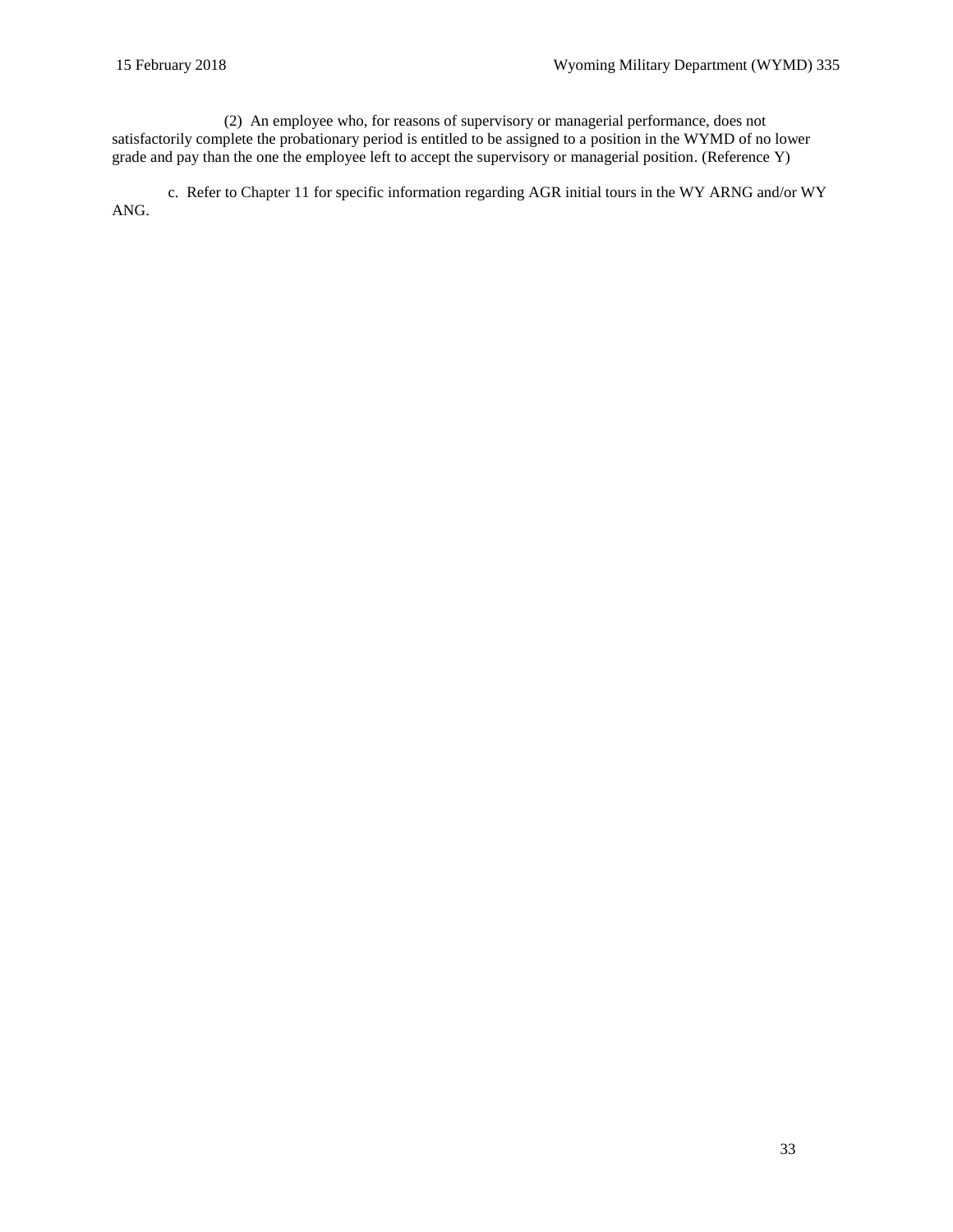(2) An employee who, for reasons of supervisory or managerial performance, does not satisfactorily complete the probationary period is entitled to be assigned to a position in the WYMD of no lower grade and pay than the one the employee left to accept the supervisory or managerial position. [\(Reference Y\)](#page-61-9)

c. Refer to [Chapter 11](#page-52-0) for specific information regarding AGR initial tours in the WY ARNG and/or WY ANG.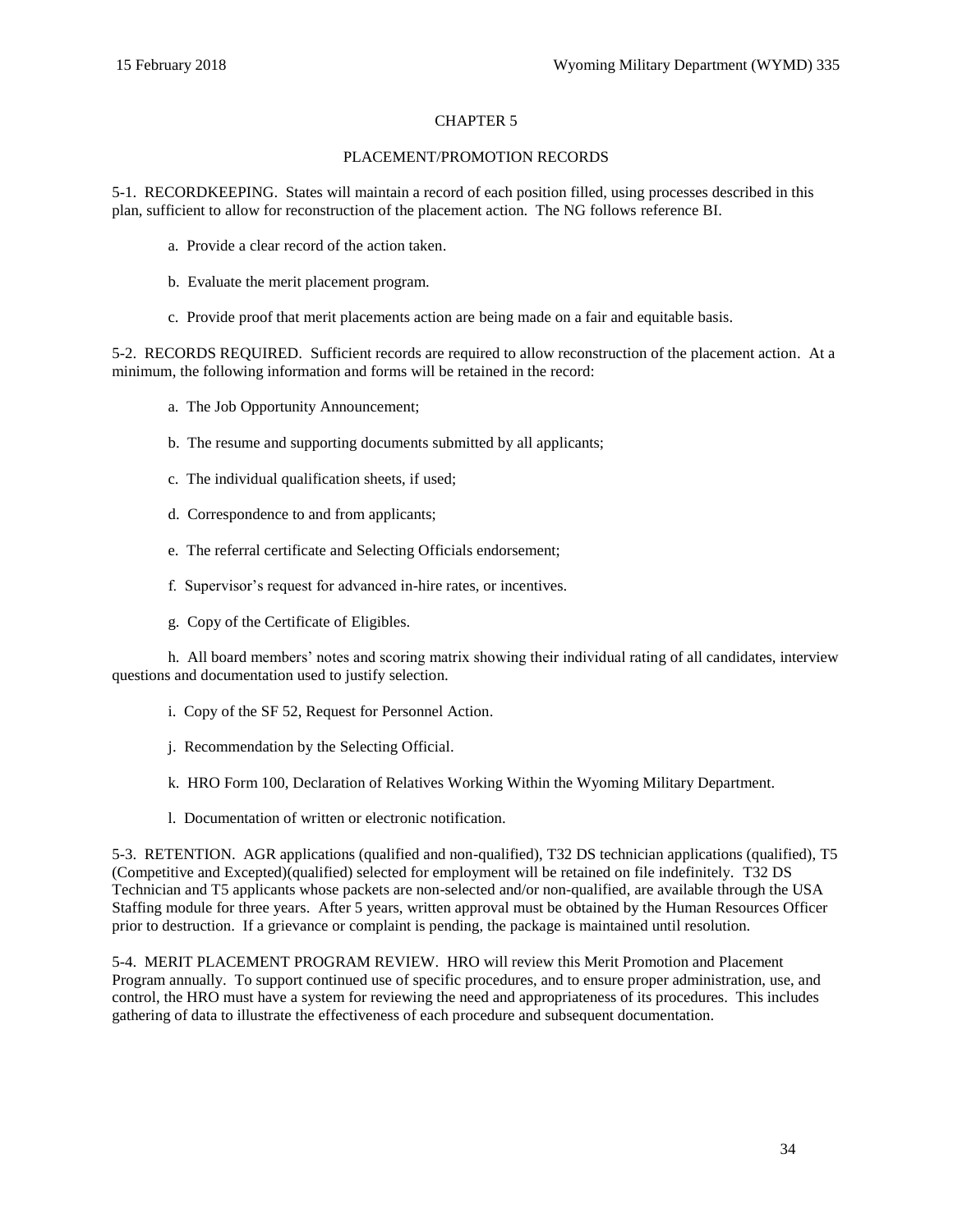## CHAPTER 5

#### PLACEMENT/PROMOTION RECORDS

<span id="page-33-1"></span><span id="page-33-0"></span>5-1. RECORDKEEPING. States will maintain a record of each position filled, using processes described in this plan, sufficient to allow for reconstruction of the placement action. The NG follows referenc[e BI.](#page-62-10)

- a. Provide a clear record of the action taken.
- b. Evaluate the merit placement program.
- c. Provide proof that merit placements action are being made on a fair and equitable basis.

<span id="page-33-2"></span>5-2. RECORDS REQUIRED. Sufficient records are required to allow reconstruction of the placement action. At a minimum, the following information and forms will be retained in the record:

- a. The Job Opportunity Announcement;
- b. The resume and supporting documents submitted by all applicants;
- c. The individual qualification sheets, if used;
- d. Correspondence to and from applicants;
- e. The referral certificate and Selecting Officials endorsement;
- f. Supervisor's request for advanced in-hire rates, or incentives.
- g. Copy of the Certificate of Eligibles.

h. All board members' notes and scoring matrix showing their individual rating of all candidates, interview questions and documentation used to justify selection.

- i. Copy of the [SF 52, Request for Personnel Action.](http://www.opm.gov/forms/pdf_fill/sf52.pdf)
- j. Recommendation by the Selecting Official.
- k. HRO Form 100, Declaration of Relatives Working Within the Wyoming Military Department.
- l. Documentation of written or electronic notification.

<span id="page-33-3"></span>5-3. RETENTION. AGR applications (qualified and non-qualified), T32 DS technician applications (qualified), T5 (Competitive and Excepted)(qualified) selected for employment will be retained on file indefinitely. T32 DS Technician and T5 applicants whose packets are non-selected and/or non-qualified, are available through the USA Staffing module for three years. After 5 years, written approval must be obtained by the Human Resources Officer prior to destruction. If a grievance or complaint is pending, the package is maintained until resolution.

<span id="page-33-4"></span>5-4. MERIT PLACEMENT PROGRAM REVIEW. HRO will review this Merit Promotion and Placement Program annually. To support continued use of specific procedures, and to ensure proper administration, use, and control, the HRO must have a system for reviewing the need and appropriateness of its procedures. This includes gathering of data to illustrate the effectiveness of each procedure and subsequent documentation.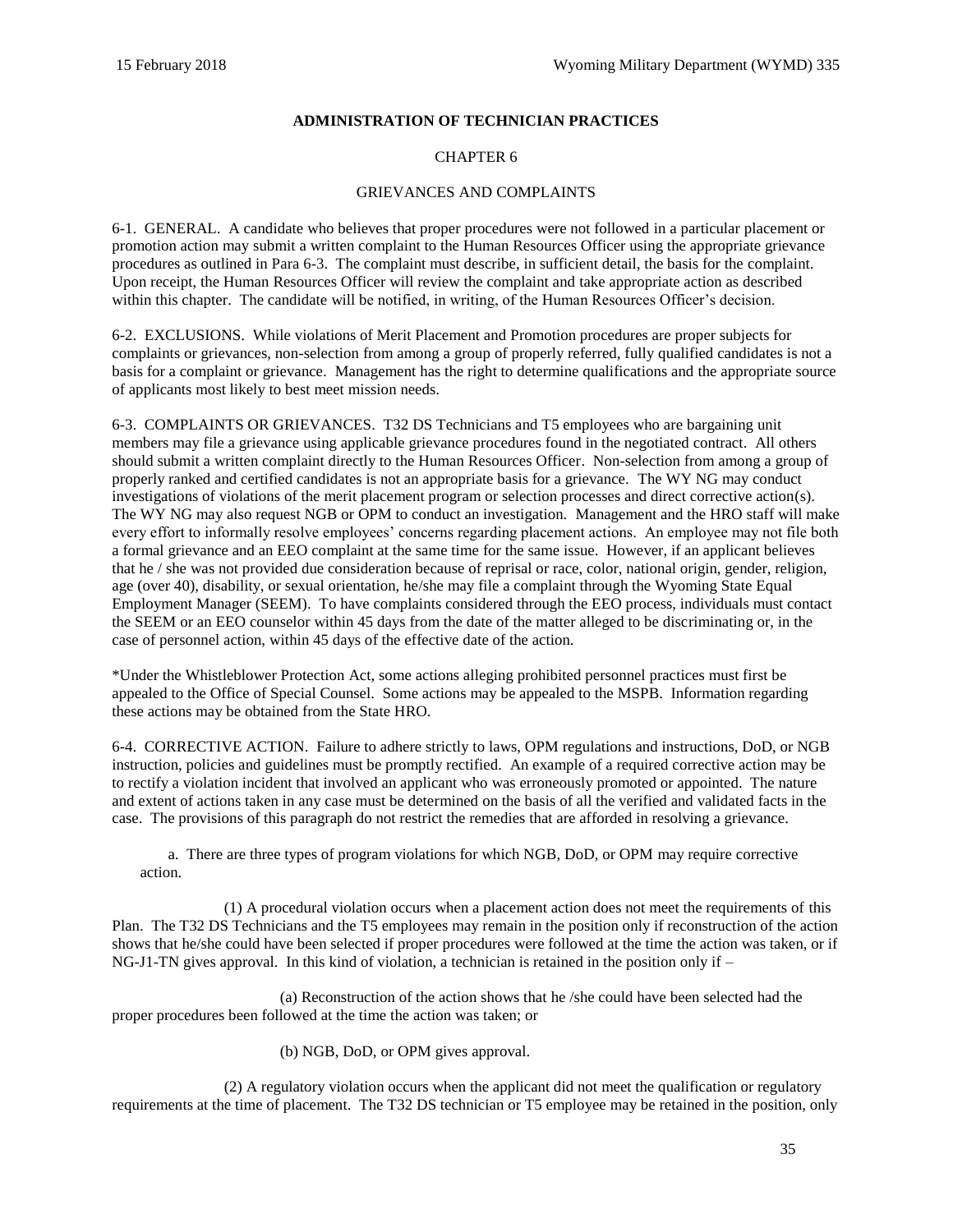## **ADMINISTRATION OF TECHNICIAN PRACTICES**

## CHAPTER 6

## GRIEVANCES AND COMPLAINTS

<span id="page-34-1"></span><span id="page-34-0"></span>6-1. GENERAL. A candidate who believes that proper procedures were not followed in a particular placement or promotion action may submit a written complaint to the Human Resources Officer using the appropriate grievance procedures as outlined in Para 6-3. The complaint must describe, in sufficient detail, the basis for the complaint. Upon receipt, the Human Resources Officer will review the complaint and take appropriate action as described within this chapter. The candidate will be notified, in writing, of the Human Resources Officer's decision.

<span id="page-34-2"></span>6-2. EXCLUSIONS. While violations of Merit Placement and Promotion procedures are proper subjects for complaints or grievances, non-selection from among a group of properly referred, fully qualified candidates is not a basis for a complaint or grievance. Management has the right to determine qualifications and the appropriate source of applicants most likely to best meet mission needs.

<span id="page-34-3"></span>6-3. COMPLAINTS OR GRIEVANCES. T32 DS Technicians and T5 employees who are bargaining unit members may file a grievance using applicable grievance procedures found in the negotiated contract. All others should submit a written complaint directly to the Human Resources Officer. Non-selection from among a group of properly ranked and certified candidates is not an appropriate basis for a grievance. The WY NG may conduct investigations of violations of the merit placement program or selection processes and direct corrective action(s). The WY NG may also request NGB or OPM to conduct an investigation. Management and the HRO staff will make every effort to informally resolve employees' concerns regarding placement actions. An employee may not file both a formal grievance and an EEO complaint at the same time for the same issue. However, if an applicant believes that he / she was not provided due consideration because of reprisal or race, color, national origin, gender, religion, age (over 40), disability, or sexual orientation, he/she may file a complaint through the Wyoming State Equal Employment Manager (SEEM). To have complaints considered through the EEO process, individuals must contact the SEEM or an EEO counselor within 45 days from the date of the matter alleged to be discriminating or, in the case of personnel action, within 45 days of the effective date of the action.

\*Under the Whistleblower Protection Act, some actions alleging prohibited personnel practices must first be appealed to the Office of Special Counsel. Some actions may be appealed to the MSPB. Information regarding these actions may be obtained from the State HRO.

<span id="page-34-4"></span>6-4. CORRECTIVE ACTION. Failure to adhere strictly to laws, OPM regulations and instructions, DoD, or NGB instruction, policies and guidelines must be promptly rectified. An example of a required corrective action may be to rectify a violation incident that involved an applicant who was erroneously promoted or appointed. The nature and extent of actions taken in any case must be determined on the basis of all the verified and validated facts in the case. The provisions of this paragraph do not restrict the remedies that are afforded in resolving a grievance.

a. There are three types of program violations for which NGB, DoD, or OPM may require corrective action.

(1) A procedural violation occurs when a placement action does not meet the requirements of this Plan. The T32 DS Technicians and the T5 employees may remain in the position only if reconstruction of the action shows that he/she could have been selected if proper procedures were followed at the time the action was taken, or if NG-J1-TN gives approval. In this kind of violation, a technician is retained in the position only if  $-$ 

(a) Reconstruction of the action shows that he /she could have been selected had the proper procedures been followed at the time the action was taken; or

(b) NGB, DoD, or OPM gives approval.

(2) A regulatory violation occurs when the applicant did not meet the qualification or regulatory requirements at the time of placement. The T32 DS technician or T5 employee may be retained in the position, only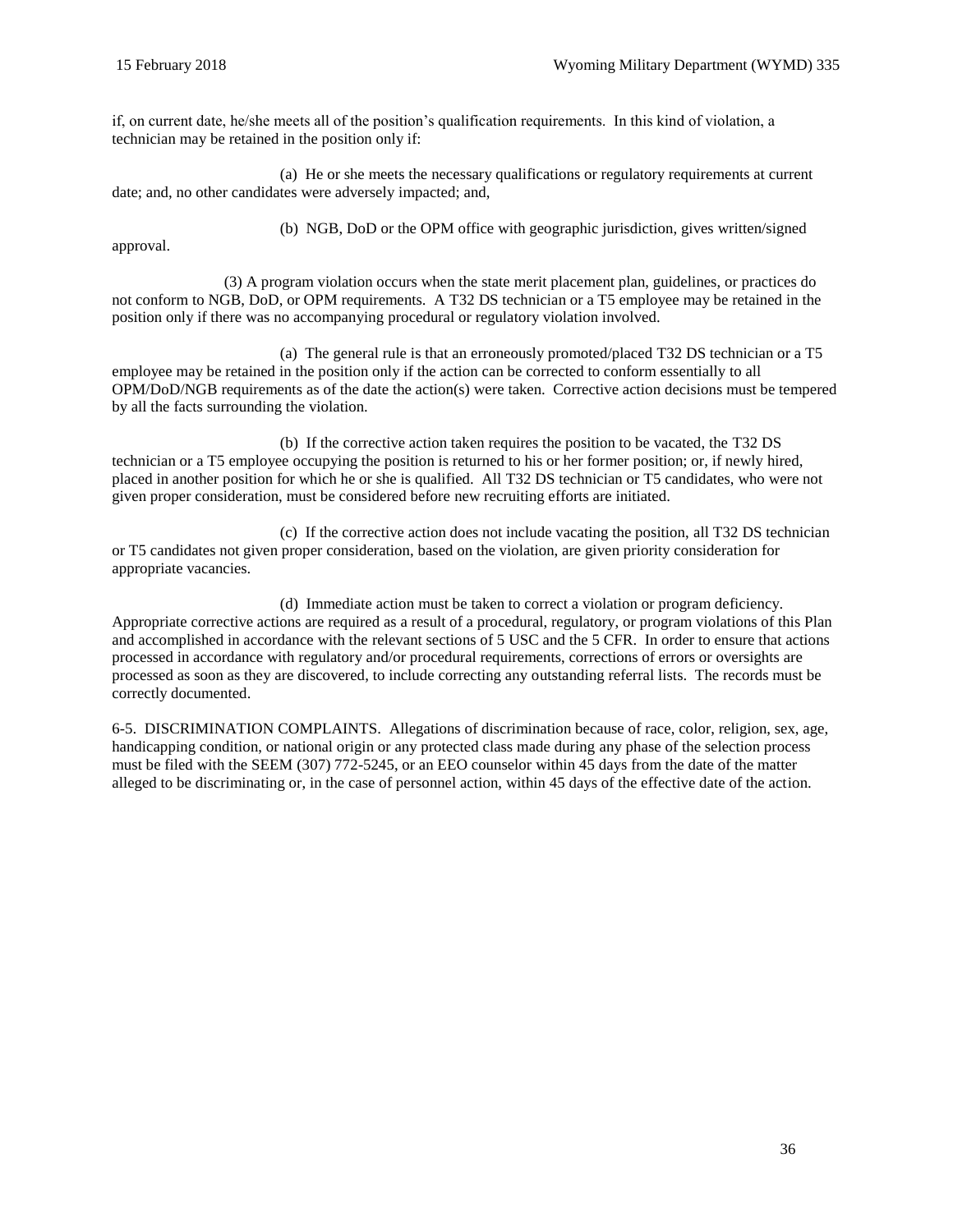if, on current date, he/she meets all of the position's qualification requirements. In this kind of violation, a technician may be retained in the position only if:

(a) He or she meets the necessary qualifications or regulatory requirements at current date; and, no other candidates were adversely impacted; and,

(b) NGB, DoD or the OPM office with geographic jurisdiction, gives written/signed

approval.

(3) A program violation occurs when the state merit placement plan, guidelines, or practices do not conform to NGB, DoD, or OPM requirements. A T32 DS technician or a T5 employee may be retained in the position only if there was no accompanying procedural or regulatory violation involved.

(a) The general rule is that an erroneously promoted/placed T32 DS technician or a T5 employee may be retained in the position only if the action can be corrected to conform essentially to all OPM/DoD/NGB requirements as of the date the action(s) were taken. Corrective action decisions must be tempered by all the facts surrounding the violation.

(b) If the corrective action taken requires the position to be vacated, the T32 DS technician or a T5 employee occupying the position is returned to his or her former position; or, if newly hired, placed in another position for which he or she is qualified. All T32 DS technician or T5 candidates, who were not given proper consideration, must be considered before new recruiting efforts are initiated.

(c) If the corrective action does not include vacating the position, all T32 DS technician or T5 candidates not given proper consideration, based on the violation, are given priority consideration for appropriate vacancies.

(d) Immediate action must be taken to correct a violation or program deficiency. Appropriate corrective actions are required as a result of a procedural, regulatory, or program violations of this Plan and accomplished in accordance with the relevant sections of 5 USC and the 5 CFR. In order to ensure that actions processed in accordance with regulatory and/or procedural requirements, corrections of errors or oversights are processed as soon as they are discovered, to include correcting any outstanding referral lists. The records must be correctly documented.

<span id="page-35-0"></span>6-5. DISCRIMINATION COMPLAINTS. Allegations of discrimination because of race, color, religion, sex, age, handicapping condition, or national origin or any protected class made during any phase of the selection process must be filed with the SEEM (307) 772-5245, or an EEO counselor within 45 days from the date of the matter alleged to be discriminating or, in the case of personnel action, within 45 days of the effective date of the action.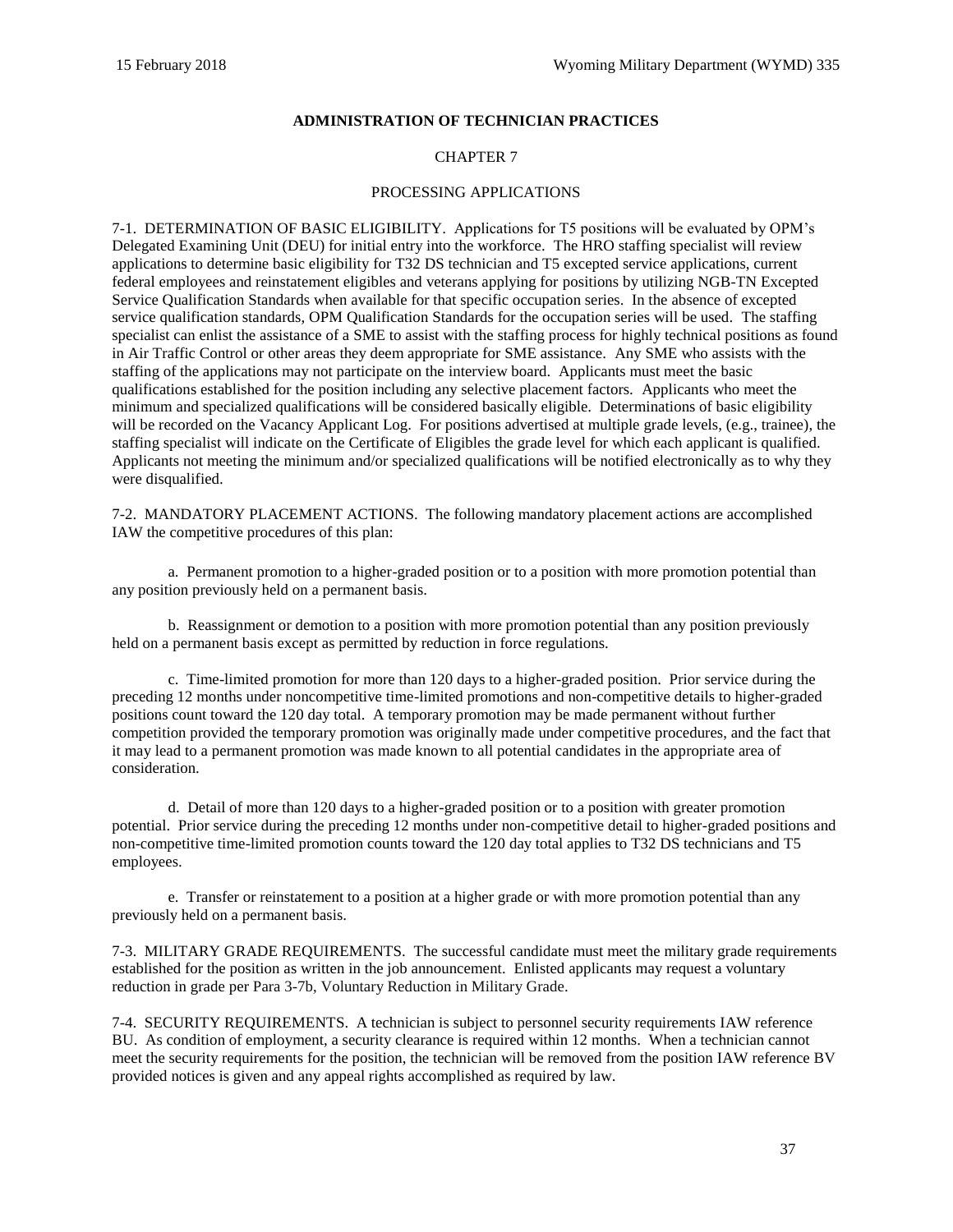## **ADMINISTRATION OF TECHNICIAN PRACTICES**

## CHAPTER 7

#### PROCESSING APPLICATIONS

7-1. DETERMINATION OF BASIC ELIGIBILITY. Applications for T5 positions will be evaluated by OPM's Delegated Examining Unit (DEU) for initial entry into the workforce. The HRO staffing specialist will review applications to determine basic eligibility for T32 DS technician and T5 excepted service applications, current federal employees and reinstatement eligibles and veterans applying for positions by utilizing NGB-TN Excepted Service Qualification Standards when available for that specific occupation series. In the absence of excepted service qualification standards, OPM Qualification Standards for the occupation series will be used. The staffing specialist can enlist the assistance of a SME to assist with the staffing process for highly technical positions as found in Air Traffic Control or other areas they deem appropriate for SME assistance. Any SME who assists with the staffing of the applications may not participate on the interview board. Applicants must meet the basic qualifications established for the position including any selective placement factors. Applicants who meet the minimum and specialized qualifications will be considered basically eligible. Determinations of basic eligibility will be recorded on the Vacancy Applicant Log. For positions advertised at multiple grade levels, (e.g., trainee), the staffing specialist will indicate on the Certificate of Eligibles the grade level for which each applicant is qualified. Applicants not meeting the minimum and/or specialized qualifications will be notified electronically as to why they were disqualified.

7-2. MANDATORY PLACEMENT ACTIONS. The following mandatory placement actions are accomplished IAW the competitive procedures of this plan:

a. Permanent promotion to a higher-graded position or to a position with more promotion potential than any position previously held on a permanent basis.

b. Reassignment or demotion to a position with more promotion potential than any position previously held on a permanent basis except as permitted by reduction in force regulations.

c. Time-limited promotion for more than 120 days to a higher-graded position. Prior service during the preceding 12 months under noncompetitive time-limited promotions and non-competitive details to higher-graded positions count toward the 120 day total. A temporary promotion may be made permanent without further competition provided the temporary promotion was originally made under competitive procedures, and the fact that it may lead to a permanent promotion was made known to all potential candidates in the appropriate area of consideration.

d. Detail of more than 120 days to a higher-graded position or to a position with greater promotion potential. Prior service during the preceding 12 months under non-competitive detail to higher-graded positions and non-competitive time-limited promotion counts toward the 120 day total applies to T32 DS technicians and T5 employees.

e. Transfer or reinstatement to a position at a higher grade or with more promotion potential than any previously held on a permanent basis.

7-3. MILITARY GRADE REQUIREMENTS. The successful candidate must meet the military grade requirements established for the position as written in the job announcement. Enlisted applicants may request a voluntary reduction in grade per Para 3-7b, Voluntary Reduction in Military Grade.

7-4. SECURITY REQUIREMENTS. A technician is subject to personnel security requirements IAW reference [BU.](#page-62-0) As condition of employment, a security clearance is required within 12 months. When a technician cannot meet the security requirements for the position, the technician will be removed from the position IAW reference [BV](#page-62-1) provided notices is given and any appeal rights accomplished as required by law.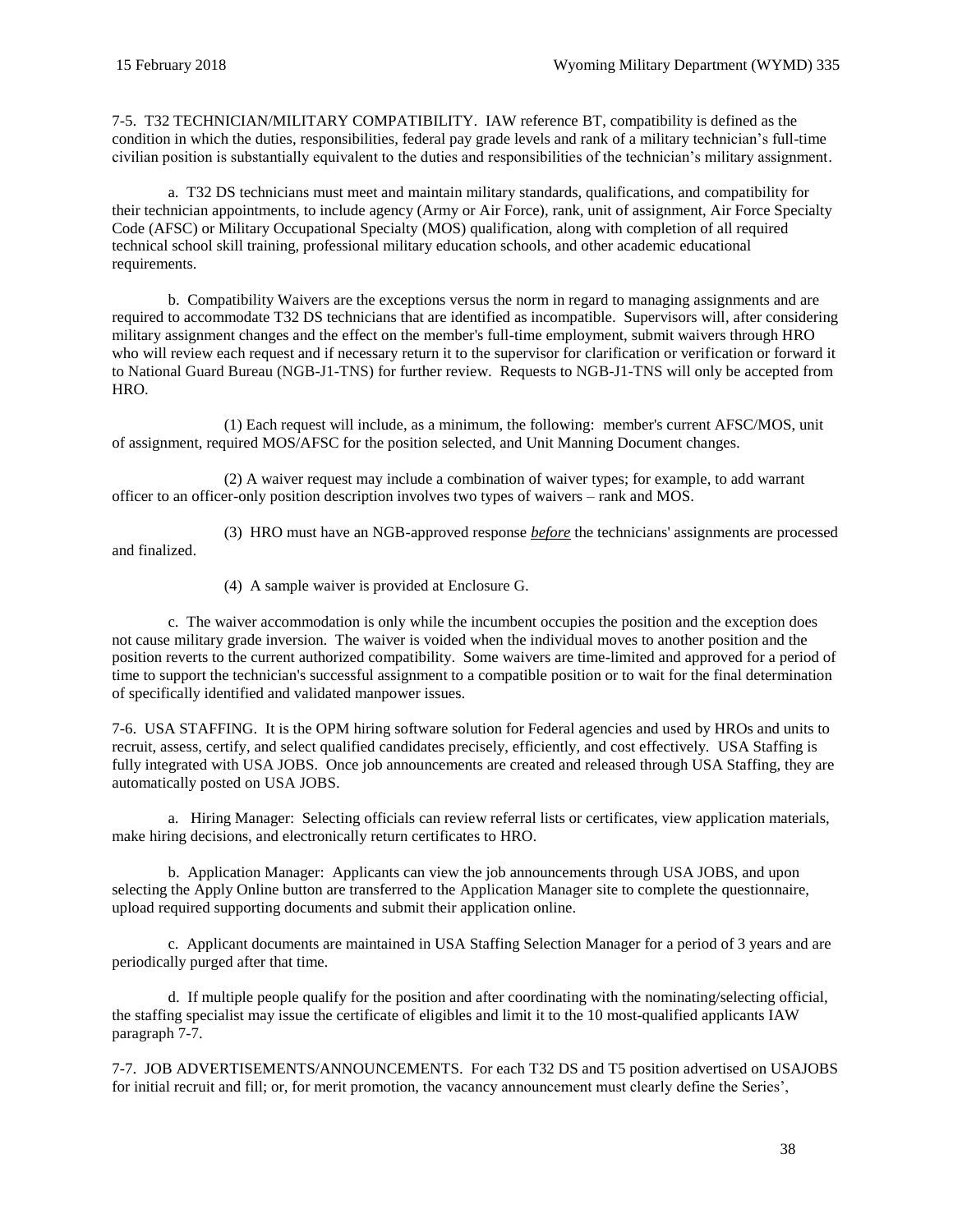7-5. T32 TECHNICIAN/MILITARY COMPATIBILITY. IAW reference [BT,](#page-62-2) compatibility is defined as the condition in which the duties, responsibilities, federal pay grade levels and rank of a military technician's full-time civilian position is substantially equivalent to the duties and responsibilities of the technician's military assignment.

a. T32 DS technicians must meet and maintain military standards, qualifications, and compatibility for their technician appointments, to include agency (Army or Air Force), rank, unit of assignment, Air Force Specialty Code (AFSC) or Military Occupational Specialty (MOS) qualification, along with completion of all required technical school skill training, professional military education schools, and other academic educational requirements.

b. Compatibility Waivers are the exceptions versus the norm in regard to managing assignments and are required to accommodate T32 DS technicians that are identified as incompatible. Supervisors will, after considering military assignment changes and the effect on the member's full-time employment, submit waivers through HRO who will review each request and if necessary return it to the supervisor for clarification or verification or forward it to [National Guard Bureau](mailto:ng.ncr.arng.mbx.ngb-tn-inbox@mail.mil) (NGB-J1-TNS) for further review. Requests to [NGB-J1-TNS](mailto:ng.ncr.arng.mbx.ngb-tn-inbox@mail.mil) will only be accepted from HRO.

(1) Each request will include, as a minimum, the following: member's current AFSC/MOS, unit of assignment, required MOS/AFSC for the position selected, and Unit Manning Document changes.

(2) A waiver request may include a combination of waiver types; for example, to add warrant officer to an officer-only position description involves two types of waivers – rank and MOS.

(3) HRO must have an NGB-approved response *before* the technicians' assignments are processed and finalized.

(4) A sample waiver is provided at [Enclosure](#page-77-0) G.

c. The waiver accommodation is only while the incumbent occupies the position and the exception does not cause military grade inversion. The waiver is voided when the individual moves to another position and the position reverts to the current authorized compatibility. Some waivers are time-limited and approved for a period of time to support the technician's successful assignment to a compatible position or to wait for the final determination of specifically identified and validated manpower issues.

7-6. USA STAFFING. It is the OPM hiring software solution for Federal agencies and used by HROs and units to recruit, assess, certify, and select qualified candidates precisely, efficiently, and cost effectively. USA Staffing is fully integrated with [USA JOBS.](https://www.usajobs.gov/) Once job announcements are created and released through USA Staffing, they are automatically posted on [USA JOBS.](https://www.usajobs.gov/)

a. [Hiring Manager:](https://selectionmanager.usastaffing.gov/) Selecting officials can review referral lists or certificates, view application materials, make hiring decisions, and electronically return certificates to HRO.

b. Application Manager: Applicants can view the job announcements through [USA JOBS,](https://www.usajobs.gov/) and upon selecting the Apply Online button are transferred to the [Application Manager](https://applicationmanager.gov/) site to complete the questionnaire, upload required supporting documents and submit their application online.

c. Applicant documents are maintained in USA Staffing Selection Manager for a period of 3 years and are periodically purged after that time.

d. If multiple people qualify for the position and after coordinating with the nominating/selecting official, the staffing specialist may issue the certificate of eligibles and limit it to the 10 most-qualified applicants IAW [paragraph 7-7.](#page-37-0)

<span id="page-37-0"></span>7-7. JOB ADVERTISEMENTS/ANNOUNCEMENTS. For each T32 DS and T5 position advertised on USAJOBS for initial recruit and fill; or, for merit promotion, the vacancy announcement must clearly define the Series',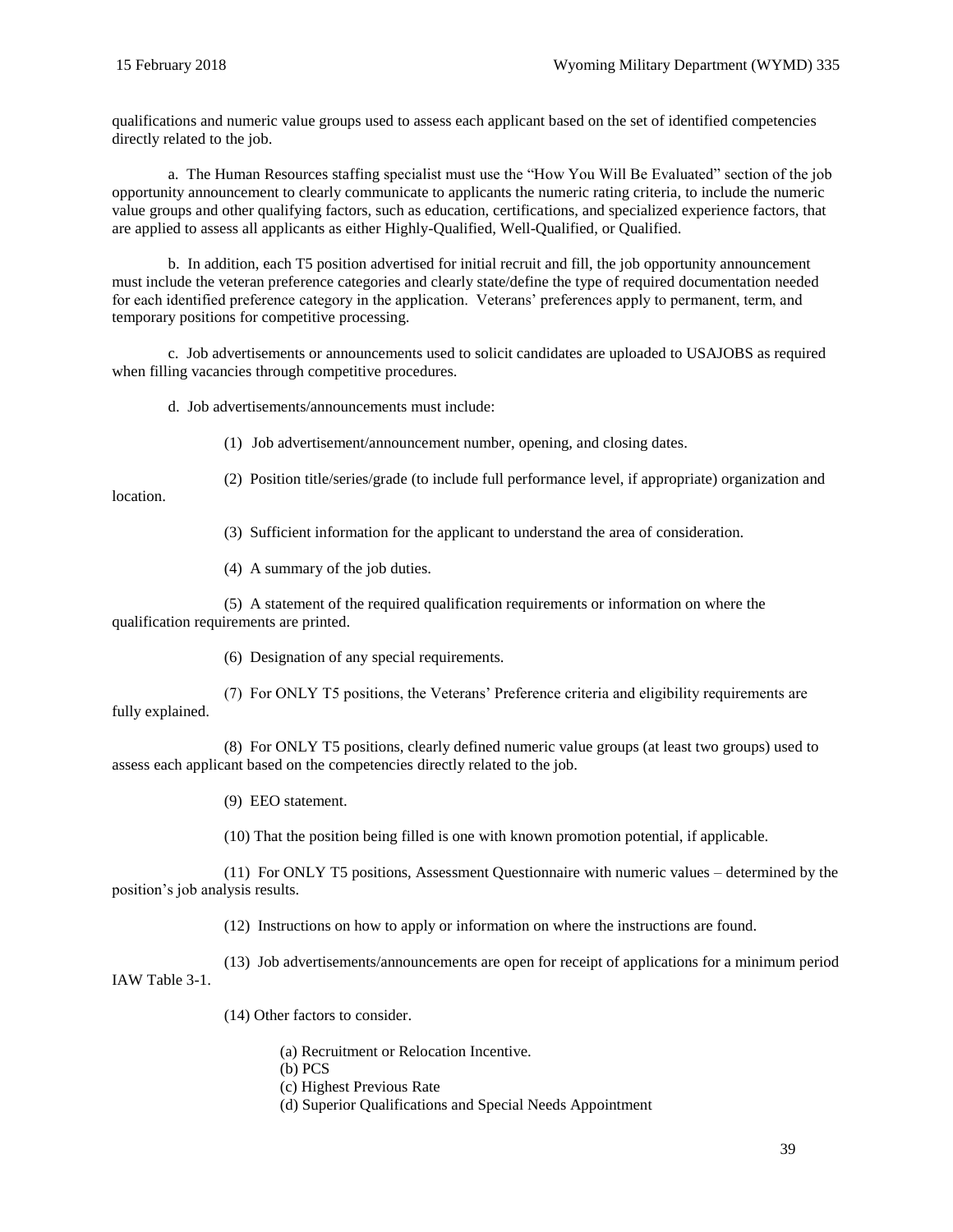qualifications and numeric value groups used to assess each applicant based on the set of identified competencies directly related to the job.

a. The Human Resources staffing specialist must use the "How You Will Be Evaluated" section of the job opportunity announcement to clearly communicate to applicants the numeric rating criteria, to include the numeric value groups and other qualifying factors, such as education, certifications, and specialized experience factors, that are applied to assess all applicants as either Highly-Qualified, Well-Qualified, or Qualified.

b. In addition, each T5 position advertised for initial recruit and fill, the job opportunity announcement must include the veteran preference categories and clearly state/define the type of required documentation needed for each identified preference category in the application. Veterans' preferences apply to permanent, term, and temporary positions for competitive processing.

c. Job advertisements or announcements used to solicit candidates are uploaded to USAJOBS as required when filling vacancies through competitive procedures.

d. Job advertisements/announcements must include:

(1) Job advertisement/announcement number, opening, and closing dates.

location.

(2) Position title/series/grade (to include full performance level, if appropriate) organization and

(3) Sufficient information for the applicant to understand the area of consideration.

(4) A summary of the job duties.

(5) A statement of the required qualification requirements or information on where the qualification requirements are printed.

(6) Designation of any special requirements.

(7) For ONLY T5 positions, the Veterans' Preference criteria and eligibility requirements are fully explained.

(8) For ONLY T5 positions, clearly defined numeric value groups (at least two groups) used to assess each applicant based on the competencies directly related to the job.

(9) EEO statement.

(10) That the position being filled is one with known promotion potential, if applicable.

(11) For ONLY T5 positions, Assessment Questionnaire with numeric values – determined by the position's job analysis results.

(12) Instructions on how to apply or information on where the instructions are found.

(13) Job advertisements/announcements are open for receipt of applications for a minimum period IAW Table 3-1.

(14) Other factors to consider.

- (a) Recruitment or Relocation Incentive.
- (b) PCS
- (c) Highest Previous Rate
- (d) Superior Qualifications and Special Needs Appointment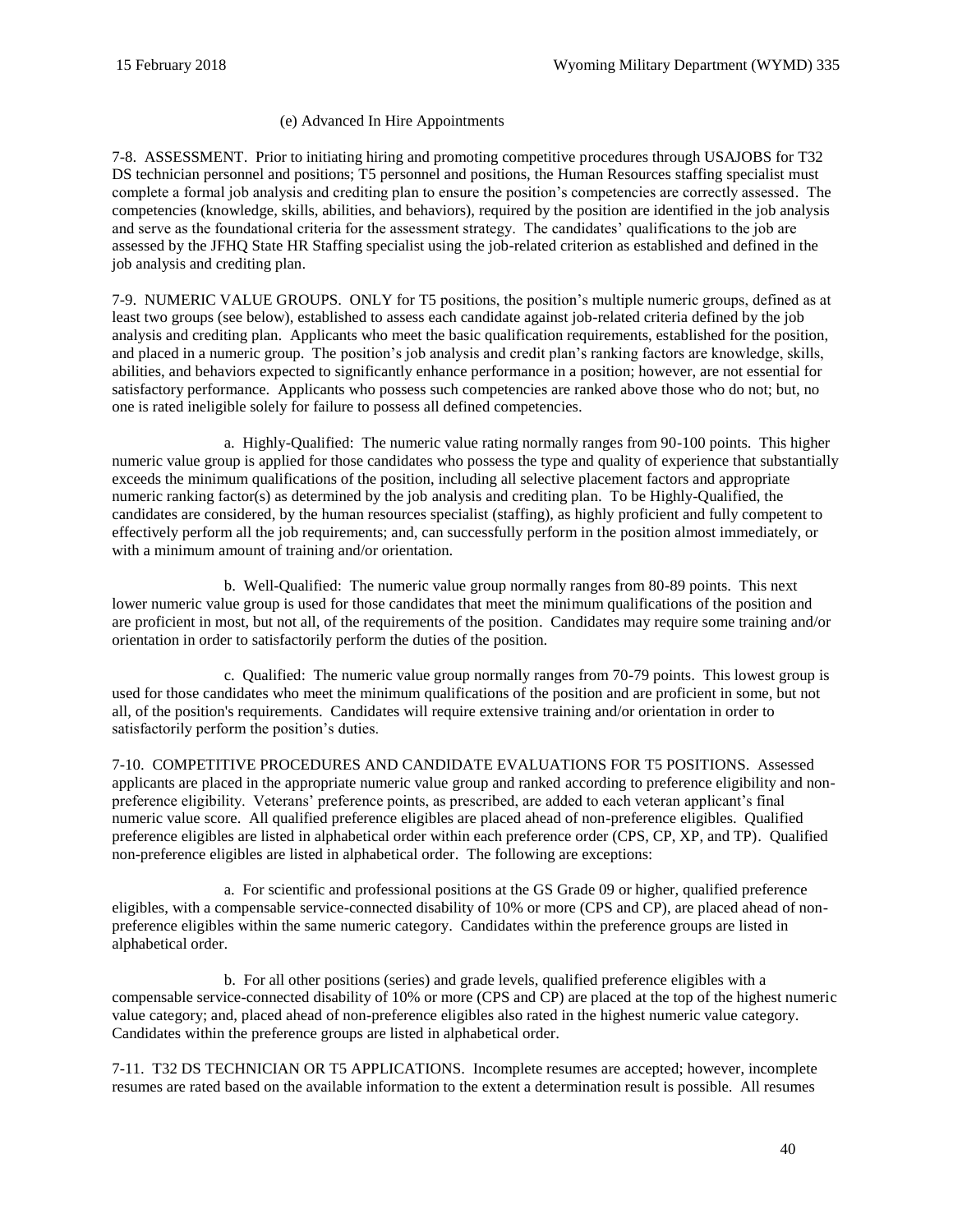## (e) Advanced In Hire Appointments

7-8. ASSESSMENT. Prior to initiating hiring and promoting competitive procedures through USAJOBS for T32 DS technician personnel and positions; T5 personnel and positions, the Human Resources staffing specialist must complete a formal job analysis and crediting plan to ensure the position's competencies are correctly assessed. The competencies (knowledge, skills, abilities, and behaviors), required by the position are identified in the job analysis and serve as the foundational criteria for the assessment strategy. The candidates' qualifications to the job are assessed by the JFHQ State HR Staffing specialist using the job-related criterion as established and defined in the job analysis and crediting plan.

7-9. NUMERIC VALUE GROUPS. ONLY for T5 positions, the position's multiple numeric groups, defined as at least two groups (see below), established to assess each candidate against job-related criteria defined by the job analysis and crediting plan. Applicants who meet the basic qualification requirements, established for the position, and placed in a numeric group. The position's job analysis and credit plan's ranking factors are knowledge, skills, abilities, and behaviors expected to significantly enhance performance in a position; however, are not essential for satisfactory performance. Applicants who possess such competencies are ranked above those who do not; but, no one is rated ineligible solely for failure to possess all defined competencies.

a. Highly-Qualified: The numeric value rating normally ranges from 90-100 points. This higher numeric value group is applied for those candidates who possess the type and quality of experience that substantially exceeds the minimum qualifications of the position, including all selective placement factors and appropriate numeric ranking factor(s) as determined by the job analysis and crediting plan. To be Highly-Qualified, the candidates are considered, by the human resources specialist (staffing), as highly proficient and fully competent to effectively perform all the job requirements; and, can successfully perform in the position almost immediately, or with a minimum amount of training and/or orientation.

b. Well-Qualified: The numeric value group normally ranges from 80-89 points. This next lower numeric value group is used for those candidates that meet the minimum qualifications of the position and are proficient in most, but not all, of the requirements of the position. Candidates may require some training and/or orientation in order to satisfactorily perform the duties of the position.

c. Qualified: The numeric value group normally ranges from 70-79 points. This lowest group is used for those candidates who meet the minimum qualifications of the position and are proficient in some, but not all, of the position's requirements. Candidates will require extensive training and/or orientation in order to satisfactorily perform the position's duties.

7-10. COMPETITIVE PROCEDURES AND CANDIDATE EVALUATIONS FOR T5 POSITIONS. Assessed applicants are placed in the appropriate numeric value group and ranked according to preference eligibility and nonpreference eligibility. Veterans' preference points, as prescribed, are added to each veteran applicant's final numeric value score. All qualified preference eligibles are placed ahead of non-preference eligibles. Qualified preference eligibles are listed in alphabetical order within each preference order (CPS, CP, XP, and TP). Qualified non-preference eligibles are listed in alphabetical order. The following are exceptions:

a. For scientific and professional positions at the GS Grade 09 or higher, qualified preference eligibles, with a compensable service-connected disability of 10% or more (CPS and CP), are placed ahead of nonpreference eligibles within the same numeric category. Candidates within the preference groups are listed in alphabetical order.

b. For all other positions (series) and grade levels, qualified preference eligibles with a compensable service-connected disability of 10% or more (CPS and CP) are placed at the top of the highest numeric value category; and, placed ahead of non-preference eligibles also rated in the highest numeric value category. Candidates within the preference groups are listed in alphabetical order.

7-11. T32 DS TECHNICIAN OR T5 APPLICATIONS. Incomplete resumes are accepted; however, incomplete resumes are rated based on the available information to the extent a determination result is possible. All resumes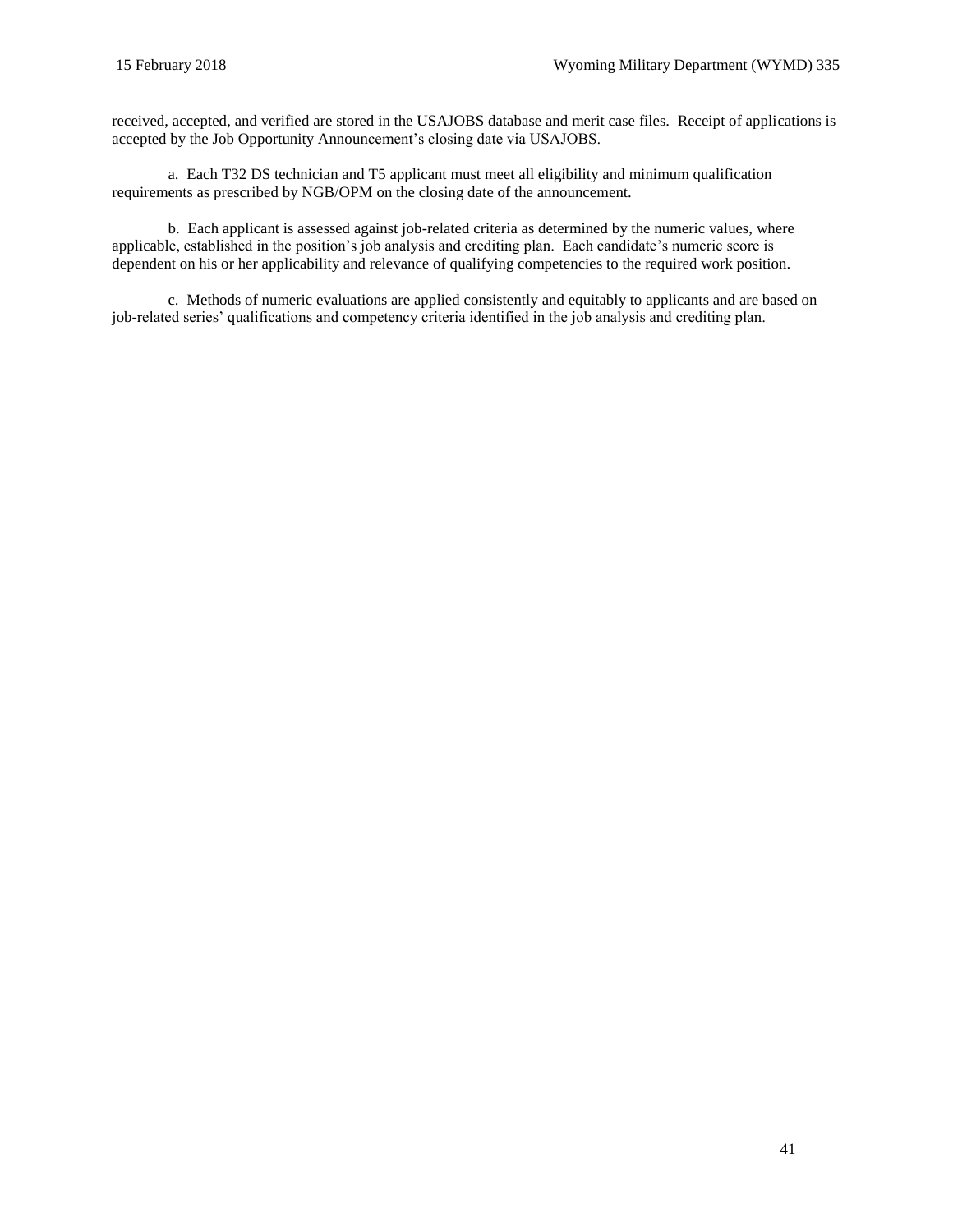received, accepted, and verified are stored in the USAJOBS database and merit case files. Receipt of applications is accepted by the Job Opportunity Announcement's closing date via USAJOBS.

a. Each T32 DS technician and T5 applicant must meet all eligibility and minimum qualification requirements as prescribed by NGB/OPM on the closing date of the announcement.

b. Each applicant is assessed against job-related criteria as determined by the numeric values, where applicable, established in the position's job analysis and crediting plan. Each candidate's numeric score is dependent on his or her applicability and relevance of qualifying competencies to the required work position.

c. Methods of numeric evaluations are applied consistently and equitably to applicants and are based on job-related series' qualifications and competency criteria identified in the job analysis and crediting plan.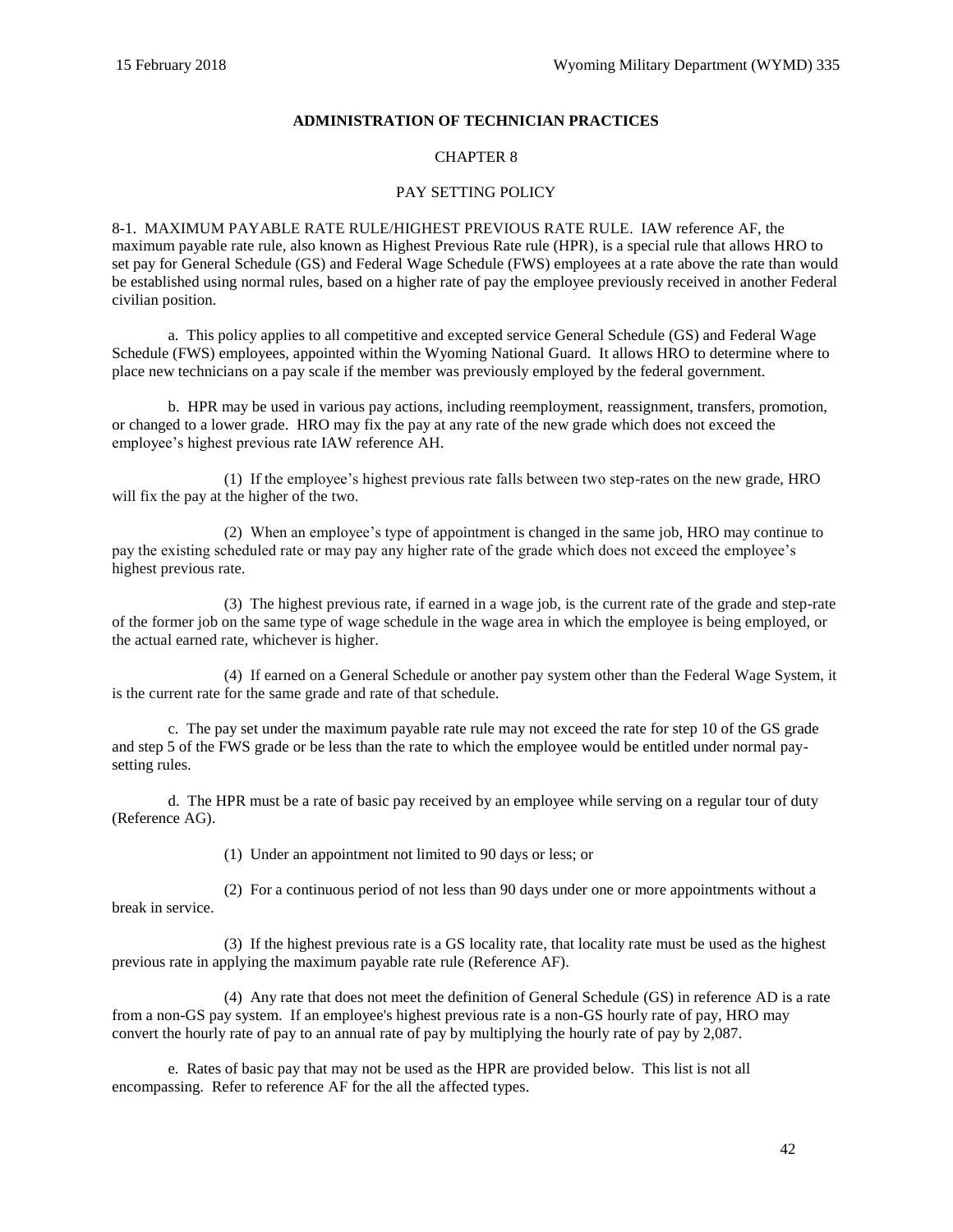## **ADMINISTRATION OF TECHNICIAN PRACTICES**

## CHAPTER 8

## PAY SETTING POLICY

8-1. [MAXIMUM PAYABLE RATE RULE/HIGHEST PREVIOUS RATE RULE.](http://www.opm.gov/policy-data-oversight/pay-leave/pay-administration/fact-sheets/maximum-payable-rate-rule/) IAW reference [AF,](#page-61-0) the maximum payable rate rule, also known as Highest Previous Rate rule (HPR), is a special rule that allows HRO to set pay for General Schedule (GS) and Federal Wage Schedule (FWS) employees at a rate above the rate than would be established using normal rules, based on a higher rate of pay the employee previously received in another Federal civilian position.

a. This policy applies to all competitive and excepted service General Schedule (GS) and Federal Wage Schedule (FWS) employees, appointed within the Wyoming National Guard. It allows HRO to determine where to place new technicians on a pay scale if the member was previously employed by the federal government.

b. HPR may be used in various pay actions, including reemployment, reassignment, transfers, promotion, or changed to a lower grade. HRO may fix the pay at any rate of the new grade which does not exceed the employee's highest previous rate IAW reference [AH.](#page-61-1)

(1) If the employee's highest previous rate falls between two step-rates on the new grade, HRO will fix the pay at the higher of the two.

(2) When an employee's type of appointment is changed in the same job, HRO may continue to pay the existing scheduled rate or may pay any higher rate of the grade which does not exceed the employee's highest previous rate.

(3) The highest previous rate, if earned in a wage job, is the current rate of the grade and step-rate of the former job on the same type of wage schedule in the wage area in which the employee is being employed, or the actual earned rate, whichever is higher.

(4) If earned on a General Schedule or another pay system other than the Federal Wage System, it is the current rate for the same grade and rate of that schedule.

c. The pay set under the maximum payable rate rule may not exceed the rate for step 10 of the GS grade and step 5 of the FWS grade or be less than the rate to which the employee would be entitled under normal paysetting rules.

d. The HPR must be a rate of basic pay received by an employee while serving on a regular tour of duty (Reference [AG\)](#page-61-2).

(1) Under an appointment not limited to 90 days or less; or

(2) For a continuous period of not less than 90 days under one or more appointments without a break in service.

(3) If the highest previous rate is a GS locality rate, that locality rate must be used as the highest previous rate in applying the maximum payable rate rule (Reference [AF\)](#page-61-0).

(4) Any rate that does not meet the definition of General Schedule (GS) in reference [AD](#page-61-3) is a rate from a non-GS pay system. If an employee's highest previous rate is a non-GS hourly rate of pay, HRO may convert the hourly rate of pay to an annual rate of pay by multiplying the hourly rate of pay by 2,087.

e. Rates of basic pay that may not be used as the HPR are provided below. This list is not all encompassing. Refer to reference [AF](#page-61-0) for the all the affected types.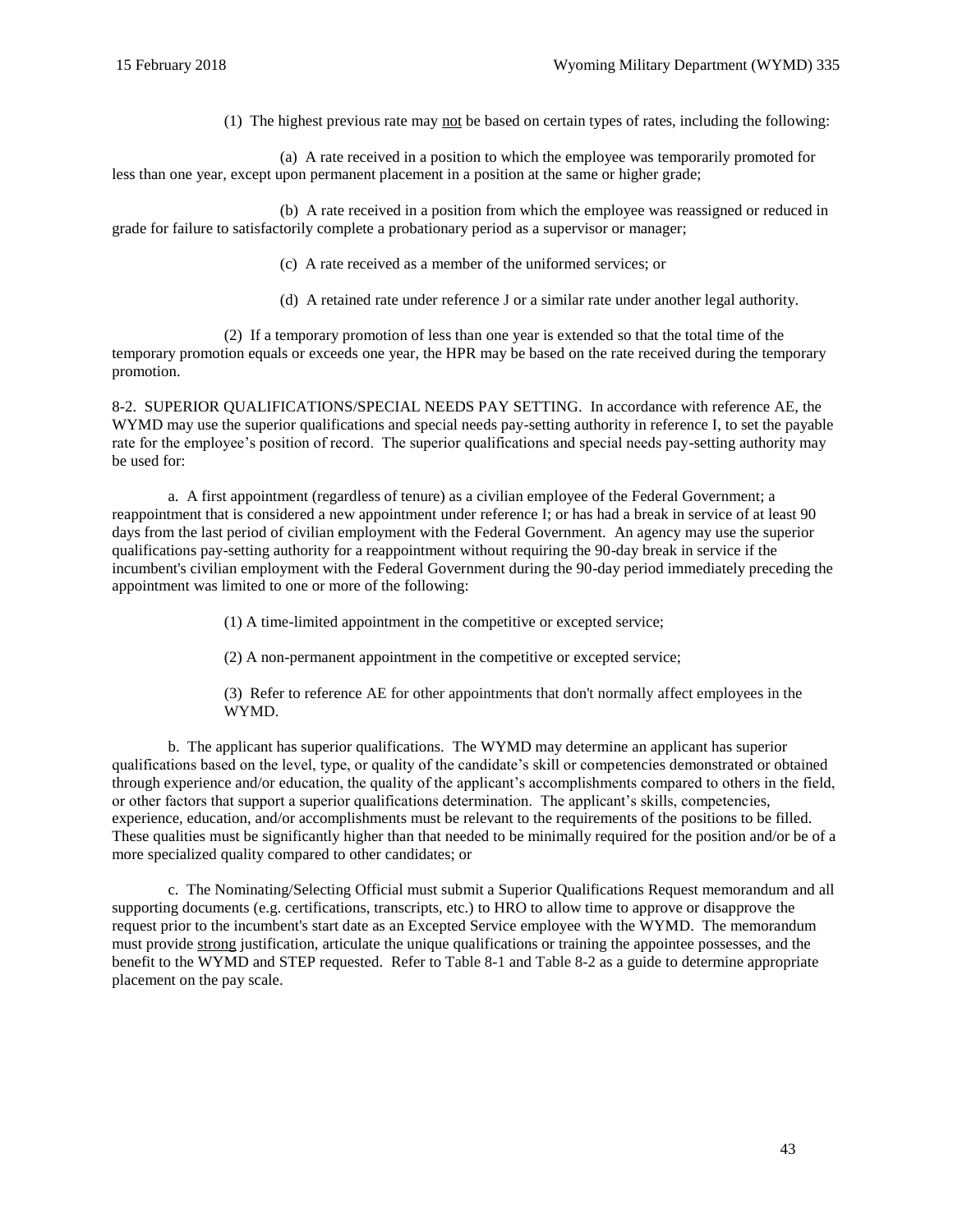(1) The highest previous rate may not be based on certain types of rates, including the following:

(a) A rate received in a position to which the employee was temporarily promoted for less than one year, except upon permanent placement in a position at the same or higher grade;

(b) A rate received in a position from which the employee was reassigned or reduced in grade for failure to satisfactorily complete a probationary period as a supervisor or manager;

(c) A rate received as a member of the uniformed services; or

(d) A retained rate under reference [J](#page-60-0) or a similar rate under another legal authority.

(2) If a temporary promotion of less than one year is extended so that the total time of the temporary promotion equals or exceeds one year, the HPR may be based on the rate received during the temporary promotion.

8-2. SUPERIOR QUALIFICATIONS/SPECIAL NEEDS PAY SETTING. In accordance with reference [AE,](#page-61-4) the WYMD may use the superior qualifications and special needs pay-setting authority in referenc[e I,](#page-60-1) to set the payable rate for the employee's position of record. The superior qualifications and special needs pay-setting authority may be used for:

a. A first appointment (regardless of tenure) as a civilian employee of the Federal Government; a reappointment that is considered a new appointment under reference [I;](#page-60-1) or has had a break in service of at least 90 days from the last period of civilian employment with the Federal Government. An agency may use the superior qualifications pay-setting authority for a reappointment without requiring the 90-day break in service if the incumbent's civilian employment with the Federal Government during the 90-day period immediately preceding the appointment was limited to one or more of the following:

(1) A time-limited appointment in the competitive or excepted service;

(2) A non-permanent appointment in the competitive or excepted service;

(3) Refer to reference [AE](#page-61-4) for other appointments that don't normally affect employees in the WYMD.

b. The applicant has superior qualifications. The WYMD may determine an applicant has superior qualifications based on the level, type, or quality of the candidate's skill or competencies demonstrated or obtained through experience and/or education, the quality of the applicant's accomplishments compared to others in the field, or other factors that support a superior qualifications determination. The applicant's skills, competencies, experience, education, and/or accomplishments must be relevant to the requirements of the positions to be filled. These qualities must be significantly higher than that needed to be minimally required for the position and/or be of a more specialized quality compared to other candidates; or

c. The Nominating/Selecting Official must submit a Superior Qualifications Request memorandum and all supporting documents (e.g. certifications, transcripts, etc.) to HRO to allow time to approve or disapprove the request prior to the incumbent's start date as an Excepted Service employee with the WYMD. The memorandum must provide strong justification, articulate the unique qualifications or training the appointee possesses, and the benefit to the WYMD and STEP requested. Refer to [Table 8-1](#page-43-0) and [Table 8-2](#page-43-1) as a guide to determine appropriate placement on the pay scale.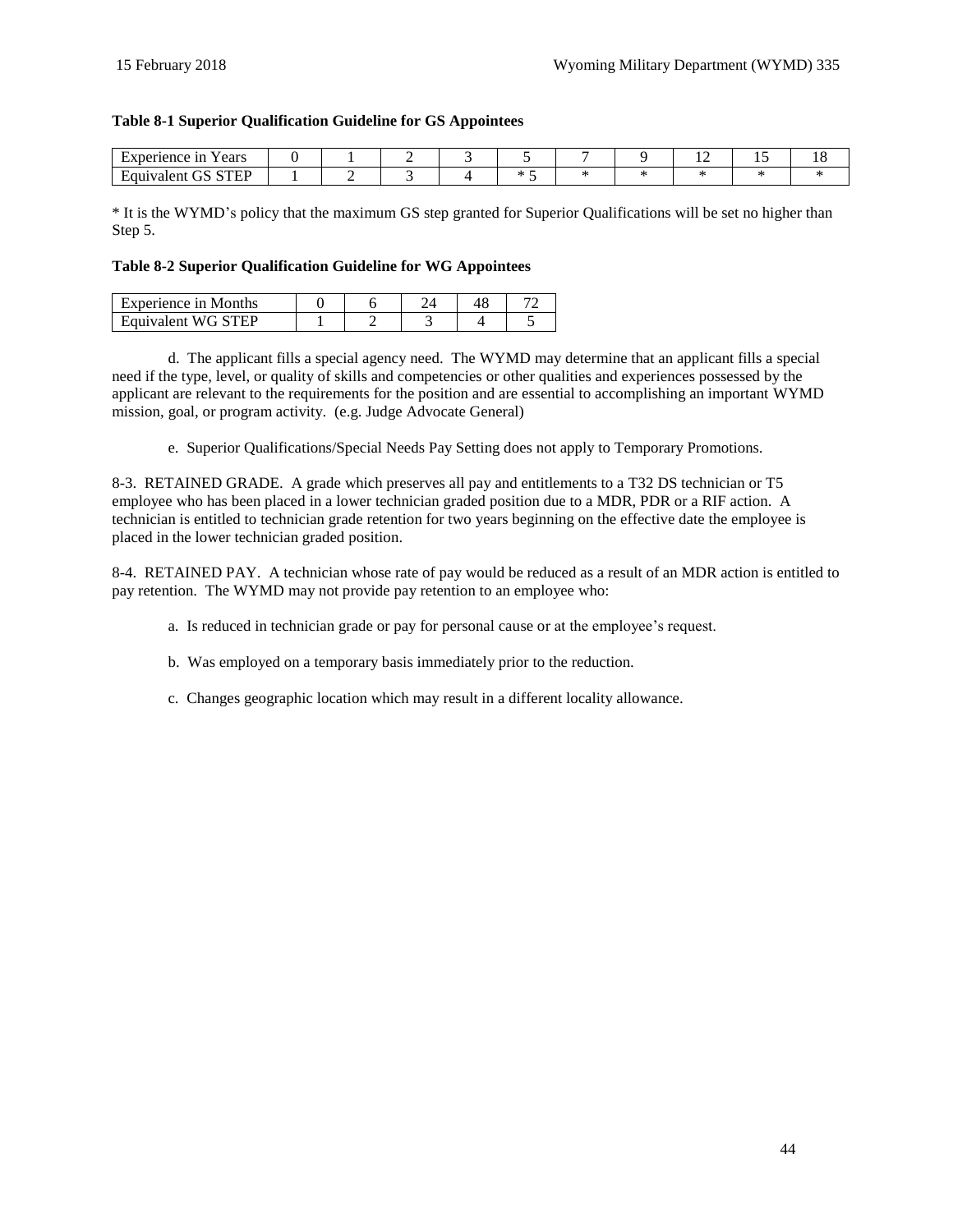## <span id="page-43-0"></span>**Table 8-1 Superior Qualification Guideline for GS Appointees**

| $ -$<br>Experience in<br>′ears                |  |  |  | . . | . . | . v |
|-----------------------------------------------|--|--|--|-----|-----|-----|
| <b>CTED</b><br>$\sim$ $\sim$<br>alent<br>т. э |  |  |  |     |     |     |

\* It is the WYMD's policy that the maximum GS step granted for Superior Qualifications will be set no higher than Step 5.

#### <span id="page-43-1"></span>**Table 8-2 Superior Qualification Guideline for WG Appointees**

| Experience in Months |  |  |  |
|----------------------|--|--|--|
| Equivalent WG STEP   |  |  |  |

d. The applicant fills a special agency need. The WYMD may determine that an applicant fills a special need if the type, level, or quality of skills and competencies or other qualities and experiences possessed by the applicant are relevant to the requirements for the position and are essential to accomplishing an important WYMD mission, goal, or program activity. (e.g. Judge Advocate General)

e. Superior Qualifications/Special Needs Pay Setting does not apply to Temporary Promotions.

8-3. RETAINED GRADE. A grade which preserves all pay and entitlements to a T32 DS technician or T5 employee who has been placed in a lower technician graded position due to a MDR, PDR or a RIF action. A technician is entitled to technician grade retention for two years beginning on the effective date the employee is placed in the lower technician graded position.

8-4. RETAINED PAY. A technician whose rate of pay would be reduced as a result of an MDR action is entitled to pay retention. The WYMD may not provide pay retention to an employee who:

- a. Is reduced in technician grade or pay for personal cause or at the employee's request.
- b. Was employed on a temporary basis immediately prior to the reduction.
- c. Changes geographic location which may result in a different locality allowance.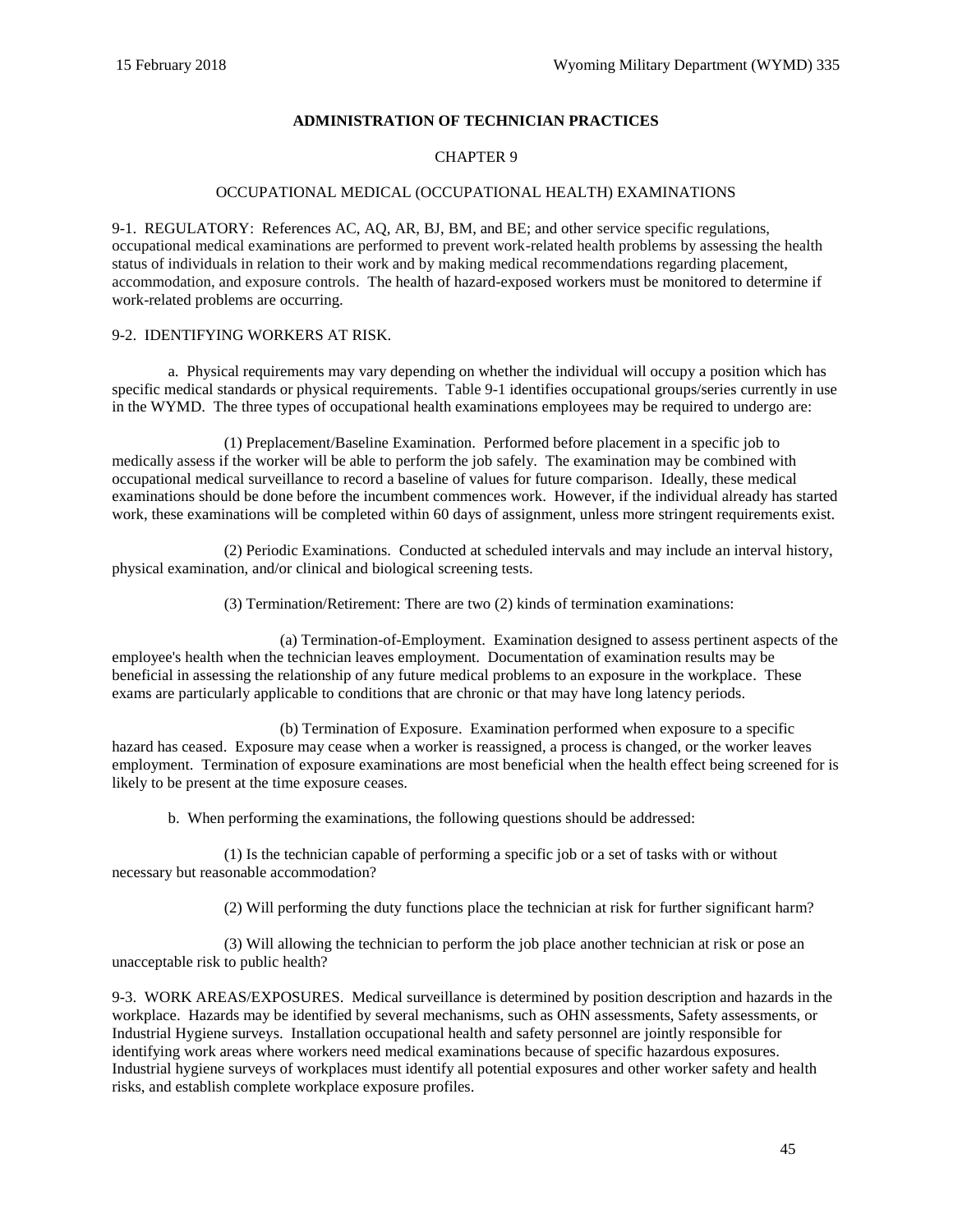## **ADMINISTRATION OF TECHNICIAN PRACTICES**

## CHAPTER 9

#### OCCUPATIONAL MEDICAL (OCCUPATIONAL HEALTH) EXAMINATIONS

9-1. REGULATORY: References [AC,](#page-61-5) [AQ,](#page-61-6) [AR,](#page-61-7) [BJ,](#page-62-3) [BM,](#page-62-4) an[d BE;](#page-62-5) and other service specific regulations, occupational medical examinations are performed to prevent work-related health problems by assessing the health status of individuals in relation to their work and by making medical recommendations regarding placement, accommodation, and exposure controls. The health of hazard-exposed workers must be monitored to determine if work-related problems are occurring.

#### 9-2. IDENTIFYING WORKERS AT RISK.

a. Physical requirements may vary depending on whether the individual will occupy a position which has specific medical standards or physical requirements. [Table 9-1](#page-47-0) identifies occupational groups/series currently in use in the WYMD. The three types of occupational health examinations employees may be required to undergo are:

(1) Preplacement/Baseline Examination. Performed before placement in a specific job to medically assess if the worker will be able to perform the job safely. The examination may be combined with occupational medical surveillance to record a baseline of values for future comparison. Ideally, these medical examinations should be done before the incumbent commences work. However, if the individual already has started work, these examinations will be completed within 60 days of assignment, unless more stringent requirements exist.

(2) Periodic Examinations. Conducted at scheduled intervals and may include an interval history, physical examination, and/or clinical and biological screening tests.

(3) Termination/Retirement: There are two (2) kinds of termination examinations:

(a) Termination-of-Employment. Examination designed to assess pertinent aspects of the employee's health when the technician leaves employment. Documentation of examination results may be beneficial in assessing the relationship of any future medical problems to an exposure in the workplace. These exams are particularly applicable to conditions that are chronic or that may have long latency periods.

(b) Termination of Exposure. Examination performed when exposure to a specific hazard has ceased. Exposure may cease when a worker is reassigned, a process is changed, or the worker leaves employment. Termination of exposure examinations are most beneficial when the health effect being screened for is likely to be present at the time exposure ceases.

b. When performing the examinations, the following questions should be addressed:

(1) Is the technician capable of performing a specific job or a set of tasks with or without necessary but reasonable accommodation?

(2) Will performing the duty functions place the technician at risk for further significant harm?

(3) Will allowing the technician to perform the job place another technician at risk or pose an unacceptable risk to public health?

9-3. WORK AREAS/EXPOSURES. Medical surveillance is determined by position description and hazards in the workplace. Hazards may be identified by several mechanisms, such as OHN assessments, Safety assessments, or Industrial Hygiene surveys. Installation occupational health and safety personnel are jointly responsible for identifying work areas where workers need medical examinations because of specific hazardous exposures. Industrial hygiene surveys of workplaces must identify all potential exposures and other worker safety and health risks, and establish complete workplace exposure profiles.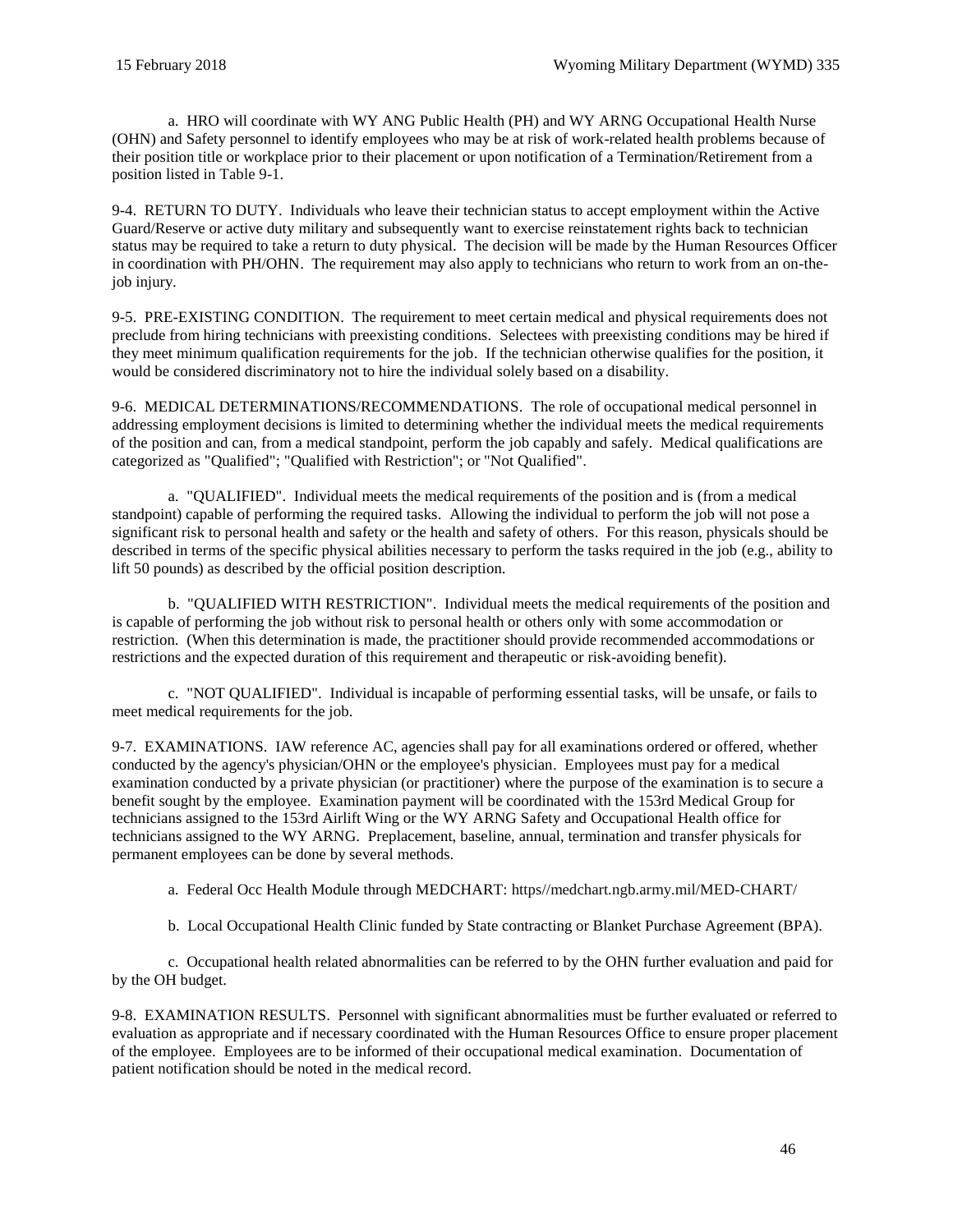a. HRO will coordinate with WY ANG Public Health (PH) and WY ARNG Occupational Health Nurse (OHN) and Safety personnel to identify employees who may be at risk of work-related health problems because of their position title or workplace prior to their placement or upon notification of a Termination/Retirement from a position listed in Table 9-1.

9-4. RETURN TO DUTY. Individuals who leave their technician status to accept employment within the Active Guard/Reserve or active duty military and subsequently want to exercise reinstatement rights back to technician status may be required to take a return to duty physical. The decision will be made by the Human Resources Officer in coordination with PH/OHN. The requirement may also apply to technicians who return to work from an on-thejob injury.

9-5. PRE-EXISTING CONDITION. The requirement to meet certain medical and physical requirements does not preclude from hiring technicians with preexisting conditions. Selectees with preexisting conditions may be hired if they meet minimum qualification requirements for the job. If the technician otherwise qualifies for the position, it would be considered discriminatory not to hire the individual solely based on a disability.

9-6. MEDICAL DETERMINATIONS/RECOMMENDATIONS. The role of occupational medical personnel in addressing employment decisions is limited to determining whether the individual meets the medical requirements of the position and can, from a medical standpoint, perform the job capably and safely. Medical qualifications are categorized as "Qualified"; "Qualified with Restriction"; or "Not Qualified".

a. "QUALIFIED". Individual meets the medical requirements of the position and is (from a medical standpoint) capable of performing the required tasks. Allowing the individual to perform the job will not pose a significant risk to personal health and safety or the health and safety of others. For this reason, physicals should be described in terms of the specific physical abilities necessary to perform the tasks required in the job (e.g., ability to lift 50 pounds) as described by the official position description.

b. "QUALIFIED WITH RESTRICTION". Individual meets the medical requirements of the position and is capable of performing the job without risk to personal health or others only with some accommodation or restriction. (When this determination is made, the practitioner should provide recommended accommodations or restrictions and the expected duration of this requirement and therapeutic or risk-avoiding benefit).

c. "NOT QUALIFIED". Individual is incapable of performing essential tasks, will be unsafe, or fails to meet medical requirements for the job.

9-7. EXAMINATIONS. IAW reference [AC,](#page-61-5) agencies shall pay for all examinations ordered or offered, whether conducted by the agency's physician/OHN or the employee's physician. Employees must pay for a medical examination conducted by a private physician (or practitioner) where the purpose of the examination is to secure a benefit sought by the employee. Examination payment will be coordinated with the 153rd Medical Group for technicians assigned to the 153rd Airlift Wing or the WY ARNG Safety and Occupational Health office for technicians assigned to the WY ARNG. Preplacement, baseline, annual, termination and transfer physicals for permanent employees can be done by several methods.

a. Federal Occ Health Module through MEDCHART: [https//medchart.ngb.army.mil/MED-CHART/](file:///C:/Users/william.e.pacheco/AppData/Roaming/Microsoft/Word/https/medchart.ngb.army.mil/MED-CHART/)

b. Local Occupational Health Clinic funded by State contracting or Blanket Purchase Agreement (BPA).

c. Occupational health related abnormalities can be referred to by the OHN further evaluation and paid for by the OH budget.

9-8. EXAMINATION RESULTS. Personnel with significant abnormalities must be further evaluated or referred to evaluation as appropriate and if necessary coordinated with the Human Resources Office to ensure proper placement of the employee. Employees are to be informed of their occupational medical examination. Documentation of patient notification should be noted in the medical record.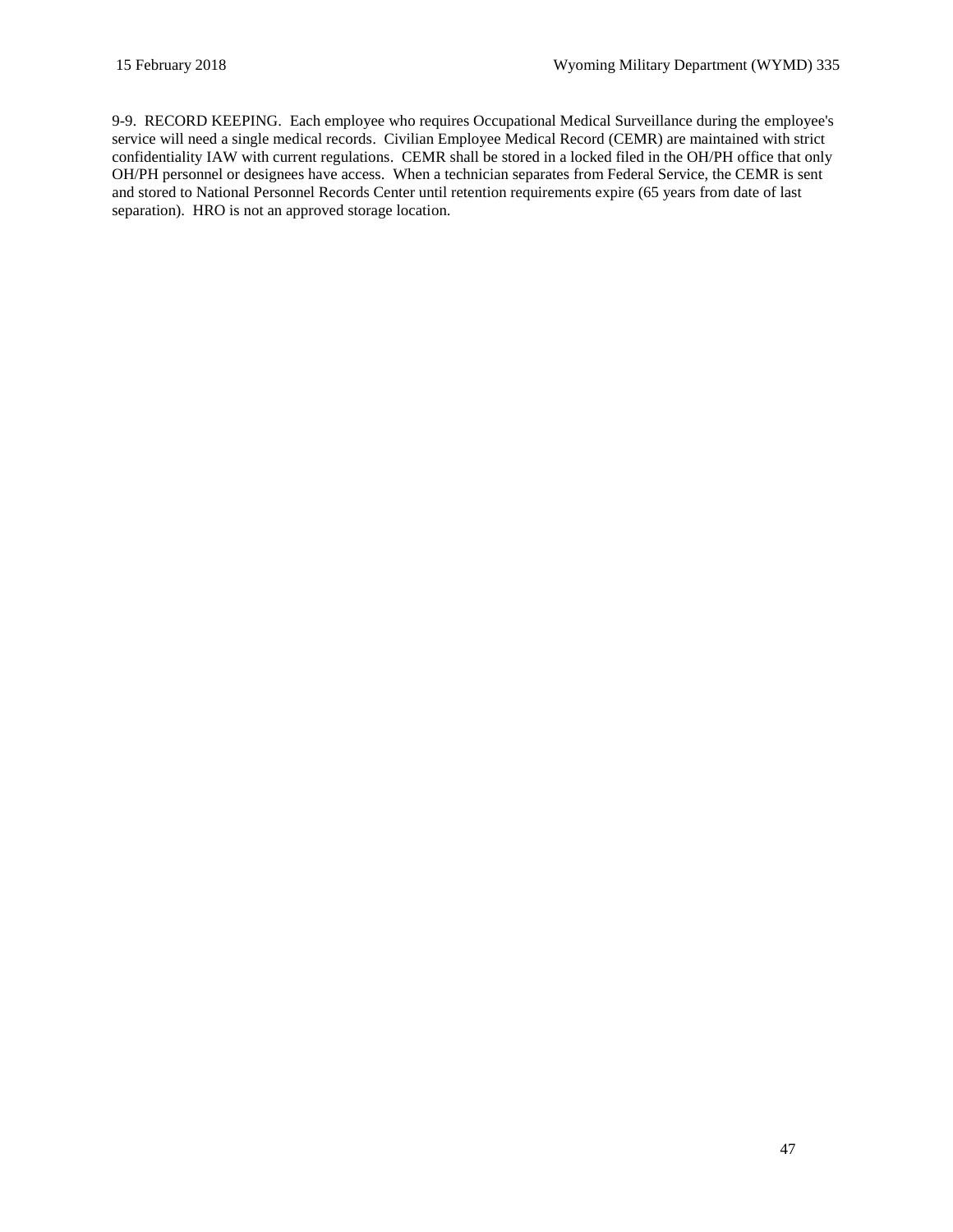9-9. RECORD KEEPING. Each employee who requires Occupational Medical Surveillance during the employee's service will need a single medical records. Civilian Employee Medical Record (CEMR) are maintained with strict confidentiality IAW with current regulations. CEMR shall be stored in a locked filed in the OH/PH office that only OH/PH personnel or designees have access. When a technician separates from Federal Service, the CEMR is sent and stored to National Personnel Records Center until retention requirements expire (65 years from date of last separation). HRO is not an approved storage location.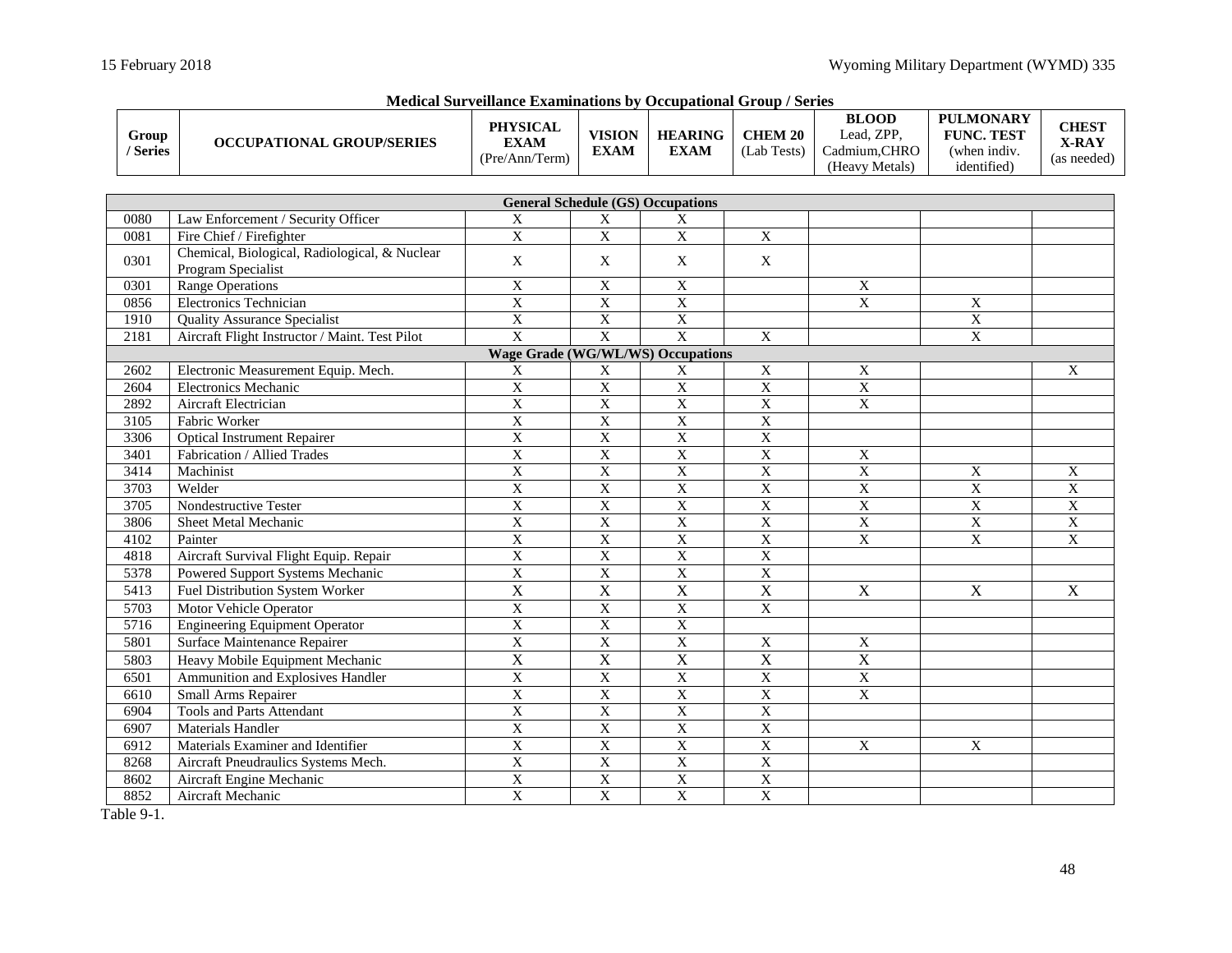| Group<br>/ Series                        | <b>OCCUPATIONAL GROUP/SERIES</b>                                    | <b>PHYSICAL</b><br><b>EXAM</b><br>(Pre/Ann/Term) | <b>VISION</b><br><b>EXAM</b> | <b>HEARING</b><br><b>EXAM</b>            | <b>CHEM 20</b><br>(Lab Tests) | <b>BLOOD</b><br>Lead, ZPP,<br>Cadmium, CHRO<br>(Heavy Metals) | <b>PULMONARY</b><br><b>FUNC. TEST</b><br>(when indiv.<br>identified) | <b>CHEST</b><br>X-RAY<br>(as needed) |
|------------------------------------------|---------------------------------------------------------------------|--------------------------------------------------|------------------------------|------------------------------------------|-------------------------------|---------------------------------------------------------------|----------------------------------------------------------------------|--------------------------------------|
|                                          |                                                                     |                                                  |                              |                                          |                               |                                                               |                                                                      |                                      |
|                                          |                                                                     |                                                  |                              | <b>General Schedule (GS) Occupations</b> |                               |                                                               |                                                                      |                                      |
| 0080                                     | Law Enforcement / Security Officer                                  | $\mathbf X$                                      | $\mathbf X$                  | $\mathbf X$                              |                               |                                                               |                                                                      |                                      |
| 0081                                     | Fire Chief / Firefighter                                            | $\overline{X}$                                   | $\overline{X}$               | $\overline{X}$                           | $\overline{X}$                |                                                               |                                                                      |                                      |
| 0301                                     | Chemical, Biological, Radiological, & Nuclear<br>Program Specialist | X                                                | X                            | X                                        | X                             |                                                               |                                                                      |                                      |
| 0301                                     | <b>Range Operations</b>                                             | $\mathbf X$                                      | $\overline{X}$               | X                                        |                               | X                                                             |                                                                      |                                      |
| 0856                                     | <b>Electronics Technician</b>                                       | $\mathbf X$                                      | $\overline{X}$               | X                                        |                               | $\mathbf X$                                                   | X                                                                    |                                      |
| 1910                                     | <b>Quality Assurance Specialist</b>                                 | $\overline{X}$                                   | $\overline{X}$               | $\overline{X}$                           |                               |                                                               | $\overline{X}$                                                       |                                      |
| 2181                                     | Aircraft Flight Instructor / Maint. Test Pilot                      | $\overline{\mathrm{X}}$                          | $\overline{X}$               | $\mathbf{X}$                             | $\mathbf X$                   |                                                               | $\mathbf X$                                                          |                                      |
| <b>Wage Grade (WG/WL/WS) Occupations</b> |                                                                     |                                                  |                              |                                          |                               |                                                               |                                                                      |                                      |
| 2602                                     | Electronic Measurement Equip. Mech.                                 | X                                                | X                            | X                                        | $\mathbf X$                   | $\mathbf X$                                                   |                                                                      | X                                    |
| 2604                                     | <b>Electronics Mechanic</b>                                         | $\mathbf X$                                      | $\overline{X}$               | $\mathbf X$                              | $\overline{X}$                | $\mathbf X$                                                   |                                                                      |                                      |
| 2892                                     | Aircraft Electrician                                                | $\overline{X}$                                   | $\overline{X}$               | $\overline{X}$                           | $\overline{X}$                | $\overline{X}$                                                |                                                                      |                                      |
| 3105                                     | Fabric Worker                                                       | $\overline{X}$                                   | $\mathbf X$                  | $\mathbf X$                              | $\mathbf X$                   |                                                               |                                                                      |                                      |
| 3306                                     | <b>Optical Instrument Repairer</b>                                  | $\overline{X}$                                   | $\overline{X}$               | $\overline{X}$                           | $\overline{\mathbf{X}}$       |                                                               |                                                                      |                                      |
| 3401                                     | Fabrication / Allied Trades                                         | $\overline{X}$                                   | $\overline{\mathbf{X}}$      | $\mathbf X$                              | $\overline{X}$                | $\mathbf X$                                                   |                                                                      |                                      |
| 3414                                     | Machinist                                                           | $\overline{X}$                                   | $\overline{X}$               | $\overline{X}$                           | $\overline{\text{X}}$         | $\overline{\text{X}}$                                         | $\boldsymbol{\mathrm{X}}$                                            | X                                    |
| 3703                                     | Welder                                                              | $\overline{X}$                                   | $\overline{\mathbf{X}}$      | $\mathbf X$                              | $\overline{X}$                | $\overline{X}$                                                | $\overline{X}$                                                       | $\overline{\mathbf{X}}$              |
| 3705                                     | Nondestructive Tester                                               | $\overline{X}$                                   | $\overline{X}$               | $\mathbf X$                              | $\overline{\text{X}}$         | $\overline{X}$                                                | $\overline{X}$                                                       | $\boldsymbol{\mathrm{X}}$            |
| 3806                                     | Sheet Metal Mechanic                                                | $\overline{X}$                                   | $\overline{X}$               | $\overline{X}$                           | $\overline{X}$                | $\overline{X}$                                                | $\overline{X}$                                                       | $\overline{X}$                       |
| 4102                                     | Painter                                                             | $\overline{X}$                                   | $\overline{X}$               | $\overline{X}$                           | $\overline{X}$                | $\overline{\text{X}}$                                         | $\mathbf X$                                                          | $\mathbf{X}$                         |
| 4818                                     | Aircraft Survival Flight Equip. Repair                              | $\overline{X}$                                   | $\overline{X}$               | $\overline{X}$                           | $\overline{\text{X}}$         |                                                               |                                                                      |                                      |
| 5378                                     | Powered Support Systems Mechanic                                    | $\overline{X}$                                   | $\overline{X}$               | $\overline{X}$                           | $\overline{X}$                |                                                               |                                                                      |                                      |
| 5413                                     | Fuel Distribution System Worker                                     | $\overline{\text{X}}$                            | $\overline{X}$               | $\overline{X}$                           | $\overline{\text{X}}$         | $\mathbf X$                                                   | $\overline{\mathrm{X}}$                                              | X                                    |
| 5703                                     | Motor Vehicle Operator                                              | $\overline{X}$                                   | $\overline{X}$               | $\overline{X}$                           | $\overline{\mathrm{X}}$       |                                                               |                                                                      |                                      |
| 5716                                     | <b>Engineering Equipment Operator</b>                               | $\overline{X}$                                   | $\overline{X}$               | $\overline{\mathbf{X}}$                  |                               |                                                               |                                                                      |                                      |
| 5801                                     | Surface Maintenance Repairer                                        | $\overline{X}$                                   | $\overline{X}$               | $\overline{X}$                           | $\overline{\mathrm{X}}$       | X                                                             |                                                                      |                                      |
| 5803                                     | Heavy Mobile Equipment Mechanic                                     | $\mathbf X$                                      | $\overline{X}$               | $\mathbf X$                              | X                             | $\overline{X}$                                                |                                                                      |                                      |
| 6501                                     | Ammunition and Explosives Handler                                   | $\overline{X}$                                   | $\overline{\mathbf{X}}$      | $\overline{X}$                           | $\overline{\mathrm{X}}$       | $\mathbf X$                                                   |                                                                      |                                      |
| 6610                                     | Small Arms Repairer                                                 | $\overline{\mathbf{X}}$                          | $\overline{\mathbf{X}}$      | $\mathbf X$                              | $\overline{\mathrm{X}}$       | $\boldsymbol{\mathrm{X}}$                                     |                                                                      |                                      |
| 6904                                     | <b>Tools and Parts Attendant</b>                                    | $\overline{X}$                                   | $\overline{X}$               | $\overline{X}$                           | $\overline{\text{X}}$         |                                                               |                                                                      |                                      |
| 6907                                     | <b>Materials Handler</b>                                            | $\overline{X}$                                   | $\overline{X}$               | $\overline{X}$                           | $\overline{\text{X}}$         |                                                               |                                                                      |                                      |
| 6912                                     | Materials Examiner and Identifier                                   | $\overline{X}$                                   | $\mathbf X$                  | $\mathbf X$                              | $\boldsymbol{\mathrm{X}}$     | X                                                             | X                                                                    |                                      |

<span id="page-47-0"></span>For the Materials Examiner and Identifier Materials Examiner and Identifier Materials Examiner and Identifier Materials of Necken Materials Systems Mech. National Control Materials Systems Mech. National Materials Systems

8268 Aircraft Pneudraulics Systems Mech. X X X X 8602 Aircraft Engine Mechanic X X X X

**Medical Surveillance Examinations by Occupational Group / Series**

Table 9-1.

Aircraft Mechanic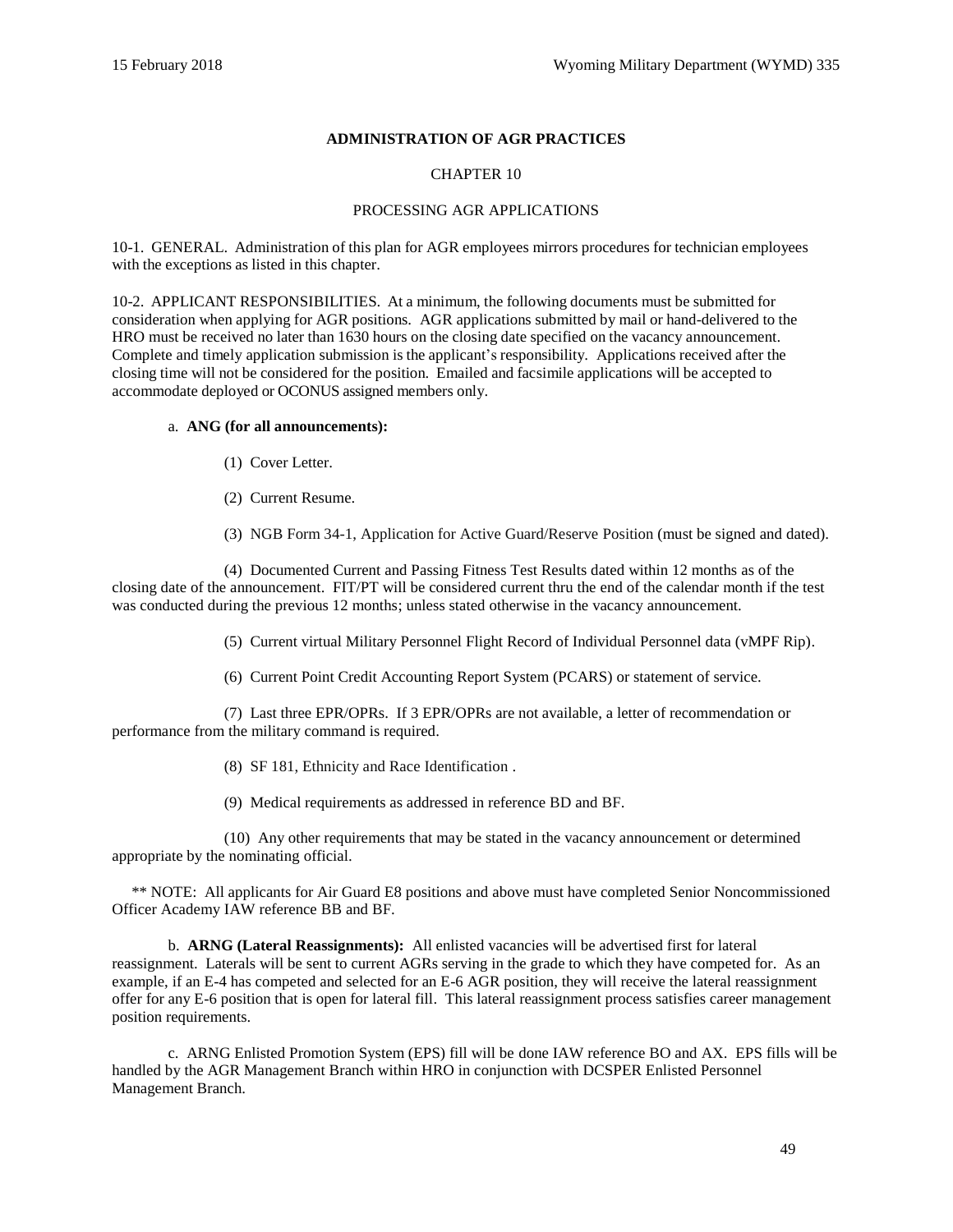## **ADMINISTRATION OF AGR PRACTICES**

## CHAPTER 10

## PROCESSING AGR APPLICATIONS

10-1. GENERAL. Administration of this plan for AGR employees mirrors procedures for technician employees with the exceptions as listed in this chapter.

10-2. APPLICANT RESPONSIBILITIES. At a minimum, the following documents must be submitted for consideration when applying for AGR positions. AGR applications submitted by mail or hand-delivered to the HRO must be received no later than 1630 hours on the closing date specified on the vacancy announcement. Complete and timely application submission is the applicant's responsibility. Applications received after the closing time will not be considered for the position. Emailed and facsimile applications will be accepted to accommodate deployed or OCONUS assigned members only.

#### a. **ANG (for all announcements):**

- (1) Cover Letter.
- (2) Current Resume.

(3) [NGB Form 34-1, Application for Active Guard/Reserve](http://www.ngbpdc.ngb.army.mil/forms/ngbf34_1.htm) Position (must be signed and dated).

 (4) Documented Current and Passing Fitness Test Results dated within 12 months as of the closing date of the announcement. FIT/PT will be considered current thru the end of the calendar month if the test was conducted during the previous 12 months; unless stated otherwise in the vacancy announcement.

(5) Current virtual Military Personnel Flight Record of Individual Personnel data (vMPF Rip).

(6) Current Point Credit Accounting Report System (PCARS) or statement of service.

 (7) Last three EPR/OPRs. If 3 EPR/OPRs are not available, a letter of recommendation or performance from the military command is required.

(8) [SF 181, Ethnicity and Race Identification .](http://www.opm.gov/forms/pdf_fill/sf181.pdf)

(9) Medical requirements as addressed in reference [BD](#page-62-6) an[d BF.](#page-62-7)

 (10) Any other requirements that may be stated in the vacancy announcement or determined appropriate by the nominating official.

 \*\* NOTE: All applicants for Air Guard E8 positions and above must have completed Senior Noncommissioned Officer Academy IAW reference [BB](#page-62-8) and [BF.](#page-62-7) 

b. **ARNG (Lateral Reassignments):** All enlisted vacancies will be advertised first for lateral reassignment. Laterals will be sent to current AGRs serving in the grade to which they have competed for. As an example, if an E-4 has competed and selected for an E-6 AGR position, they will receive the lateral reassignment offer for any E-6 position that is open for lateral fill. This lateral reassignment process satisfies career management position requirements.

 c. ARNG Enlisted Promotion System (EPS) fill will be done IAW reference [BO](#page-62-9) an[d AX.](#page-61-8) EPS fills will be handled by the AGR Management Branch within HRO in conjunction with DCSPER Enlisted Personnel Management Branch.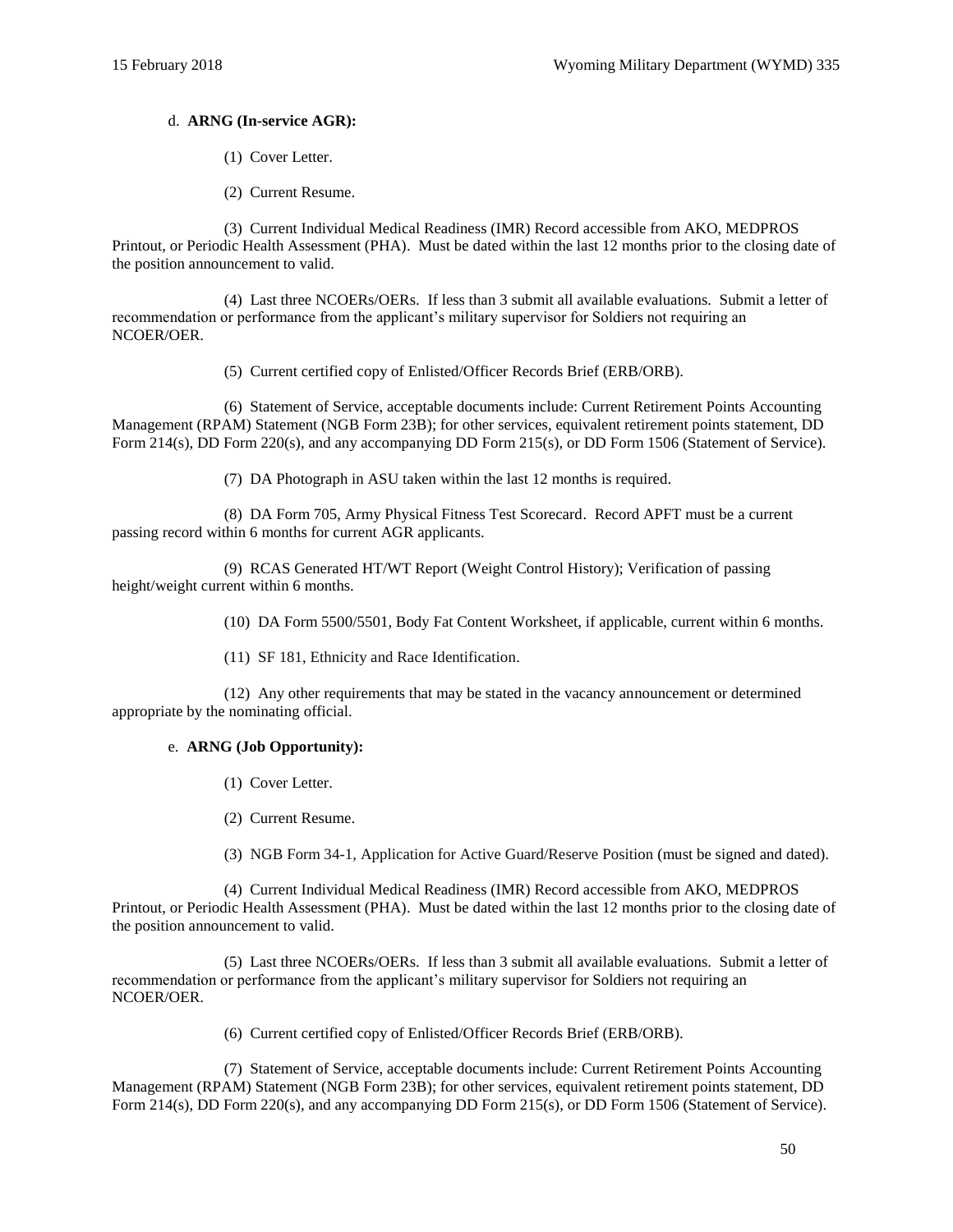## d. **ARNG (In-service AGR):**

- (1) Cover Letter.
- (2) Current Resume.

(3) Current Individual Medical Readiness (IMR) Record accessible from AKO, MEDPROS Printout, or Periodic Health Assessment (PHA). Must be dated within the last 12 months prior to the closing date of the position announcement to valid.

(4) Last three NCOERs/OERs. If less than 3 submit all available evaluations. Submit a letter of recommendation or performance from the applicant's military supervisor for Soldiers not requiring an NCOER/OER.

(5) Current certified copy of Enlisted/Officer Records Brief (ERB/ORB).

(6) Statement of Service, acceptable documents include: Current Retirement Points Accounting Management (RPAM) Statement (NGB Form 23B); for other services, equivalent retirement points statement, DD Form 214(s), DD Form 220(s), and any accompanying DD Form 215(s), or DD Form 1506 (Statement of Service).

(7) DA Photograph in ASU taken within the last 12 months is required.

(8) DA Form 705, Army Physical Fitness Test Scorecard. Record APFT must be a current passing record within 6 months for current AGR applicants.

 (9) RCAS Generated HT/WT Report (Weight Control History); Verification of passing height/weight current within 6 months.

- (10) DA Form 5500/5501, Body Fat Content Worksheet, if applicable, current within 6 months.
- (11) [SF 181, Ethnicity and Race Identification.](http://www.opm.gov/forms/pdf_fill/sf181.pdf)

 (12) Any other requirements that may be stated in the vacancy announcement or determined appropriate by the nominating official.

## e. **ARNG (Job Opportunity):**

- (1) Cover Letter.
- (2) Current Resume.
- (3) [NGB Form 34-1, Application for Active Guard/Reserve Position](http://www.ngbpdc.ngb.army.mil/forms/ngbf34_1.htm) (must be signed and dated).

(4) Current Individual Medical Readiness (IMR) Record accessible from AKO, MEDPROS Printout, or Periodic Health Assessment (PHA). Must be dated within the last 12 months prior to the closing date of the position announcement to valid.

(5) Last three NCOERs/OERs. If less than 3 submit all available evaluations. Submit a letter of recommendation or performance from the applicant's military supervisor for Soldiers not requiring an NCOER/OER.

(6) Current certified copy of Enlisted/Officer Records Brief (ERB/ORB).

(7) Statement of Service, acceptable documents include: Current Retirement Points Accounting Management (RPAM) Statement (NGB Form 23B); for other services, equivalent retirement points statement, DD Form 214(s), DD Form 220(s), and any accompanying DD Form 215(s), or DD Form 1506 (Statement of Service).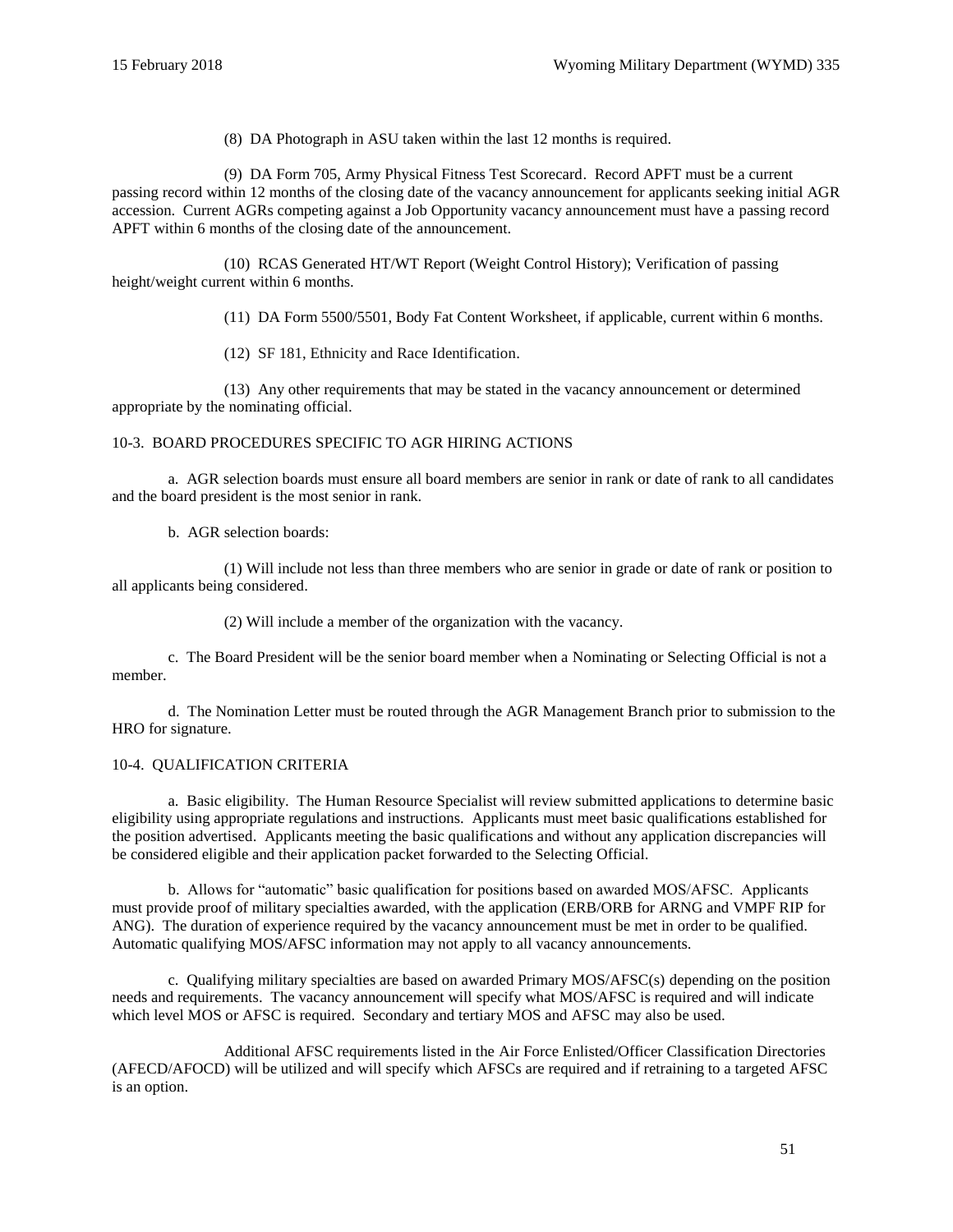(8) DA Photograph in ASU taken within the last 12 months is required.

(9) DA Form 705, Army Physical Fitness Test Scorecard. Record APFT must be a current passing record within 12 months of the closing date of the vacancy announcement for applicants seeking initial AGR accession. Current AGRs competing against a Job Opportunity vacancy announcement must have a passing record APFT within 6 months of the closing date of the announcement.

 (10) RCAS Generated HT/WT Report (Weight Control History); Verification of passing height/weight current within 6 months.

(11) DA Form 5500/5501, Body Fat Content Worksheet, if applicable, current within 6 months.

(12) [SF 181, Ethnicity and Race Identification.](http://www.opm.gov/forms/pdf_fill/sf181.pdf)

 (13) Any other requirements that may be stated in the vacancy announcement or determined appropriate by the nominating official.

#### 10-3. BOARD PROCEDURES SPECIFIC TO AGR HIRING ACTIONS

 a. AGR selection boards must ensure all board members are senior in rank or date of rank to all candidates and the board president is the most senior in rank.

b. AGR selection boards:

(1) Will include not less than three members who are senior in grade or date of rank or position to all applicants being considered.

(2) Will include a member of the organization with the vacancy.

c. The Board President will be the senior board member when a Nominating or Selecting Official is not a member.

 d. The Nomination Letter must be routed through the AGR Management Branch prior to submission to the HRO for signature.

#### 10-4. QUALIFICATION CRITERIA

 a. Basic eligibility. The Human Resource Specialist will review submitted applications to determine basic eligibility using appropriate regulations and instructions. Applicants must meet basic qualifications established for the position advertised. Applicants meeting the basic qualifications and without any application discrepancies will be considered eligible and their application packet forwarded to the Selecting Official.

 b. Allows for "automatic" basic qualification for positions based on awarded MOS/AFSC. Applicants must provide proof of military specialties awarded, with the application (ERB/ORB for ARNG and VMPF RIP for ANG). The duration of experience required by the vacancy announcement must be met in order to be qualified. Automatic qualifying MOS/AFSC information may not apply to all vacancy announcements.

 c. Qualifying military specialties are based on awarded Primary MOS/AFSC(s) depending on the position needs and requirements. The vacancy announcement will specify what MOS/AFSC is required and will indicate which level MOS or AFSC is required. Secondary and tertiary MOS and AFSC may also be used.

Additional AFSC requirements listed in the Air Force Enlisted/Officer Classification Directories (AFECD/AFOCD) will be utilized and will specify which AFSCs are required and if retraining to a targeted AFSC is an option.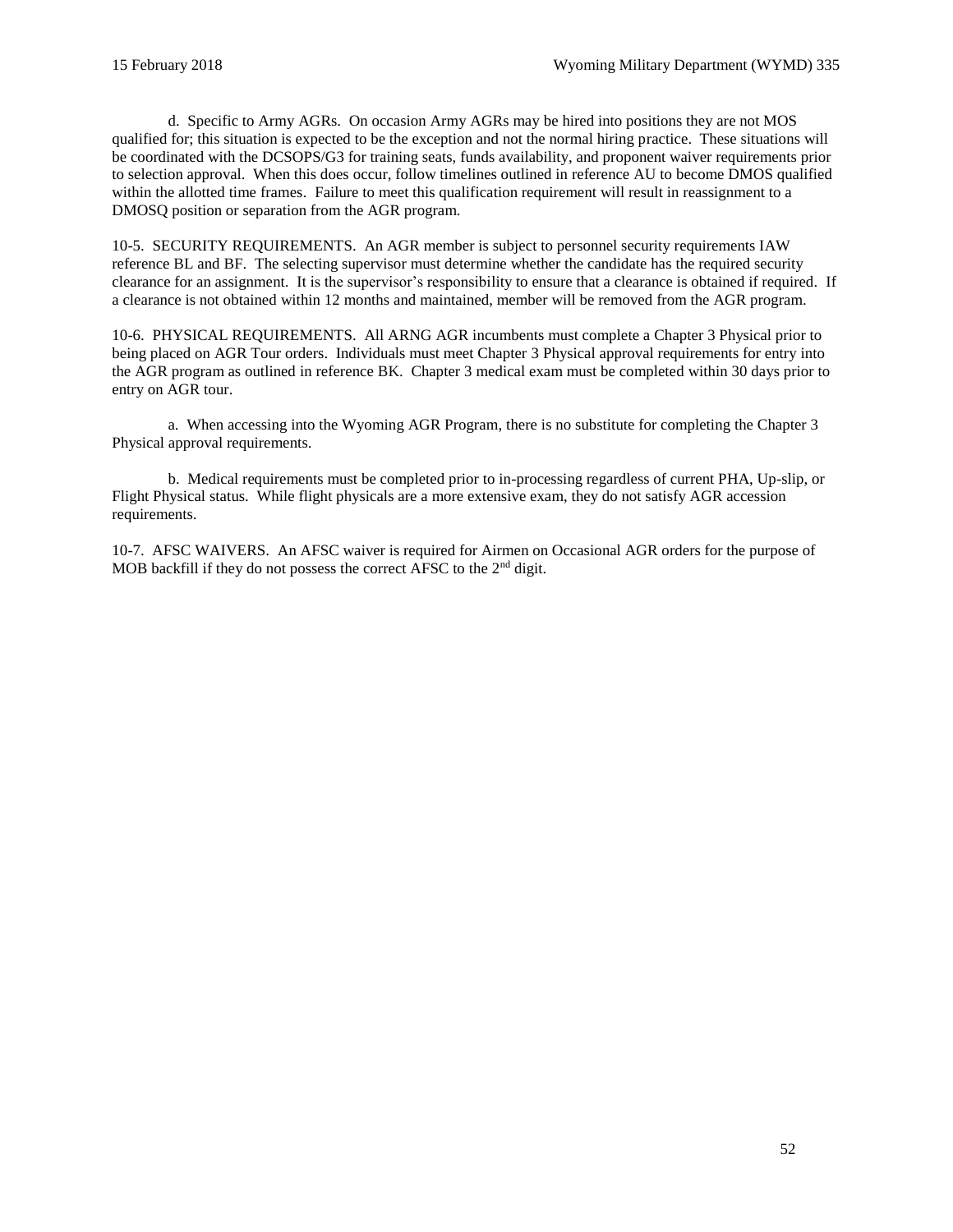d. Specific to Army AGRs. On occasion Army AGRs may be hired into positions they are not MOS qualified for; this situation is expected to be the exception and not the normal hiring practice. These situations will be coordinated with the DCSOPS/G3 for training seats, funds availability, and proponent waiver requirements prior to selection approval. When this does occur, follow timelines outlined in reference [AU](#page-61-9) to become DMOS qualified within the allotted time frames. Failure to meet this qualification requirement will result in reassignment to a DMOSQ position or separation from the AGR program.

10-5. SECURITY REQUIREMENTS. An AGR member is subject to personnel security requirements IAW referenc[e BL](#page-62-10) and [BF.](#page-62-7) The selecting supervisor must determine whether the candidate has the required security clearance for an assignment. It is the supervisor's responsibility to ensure that a clearance is obtained if required. If a clearance is not obtained within 12 months and maintained, member will be removed from the AGR program.

10-6. PHYSICAL REQUIREMENTS. All ARNG AGR incumbents must complete a Chapter 3 Physical prior to being placed on AGR Tour orders. Individuals must meet Chapter 3 Physical approval requirements for entry into the AGR program as outlined in reference [BK.](#page-62-11) Chapter 3 medical exam must be completed within 30 days prior to entry on AGR tour.

a. When accessing into the Wyoming AGR Program, there is no substitute for completing the Chapter 3 Physical approval requirements.

b. Medical requirements must be completed prior to in-processing regardless of current PHA, Up-slip, or Flight Physical status. While flight physicals are a more extensive exam, they do not satisfy AGR accession requirements.

10-7. AFSC WAIVERS. An AFSC waiver is required for Airmen on Occasional AGR orders for the purpose of MOB backfill if they do not possess the correct AFSC to the  $2<sup>nd</sup>$  digit.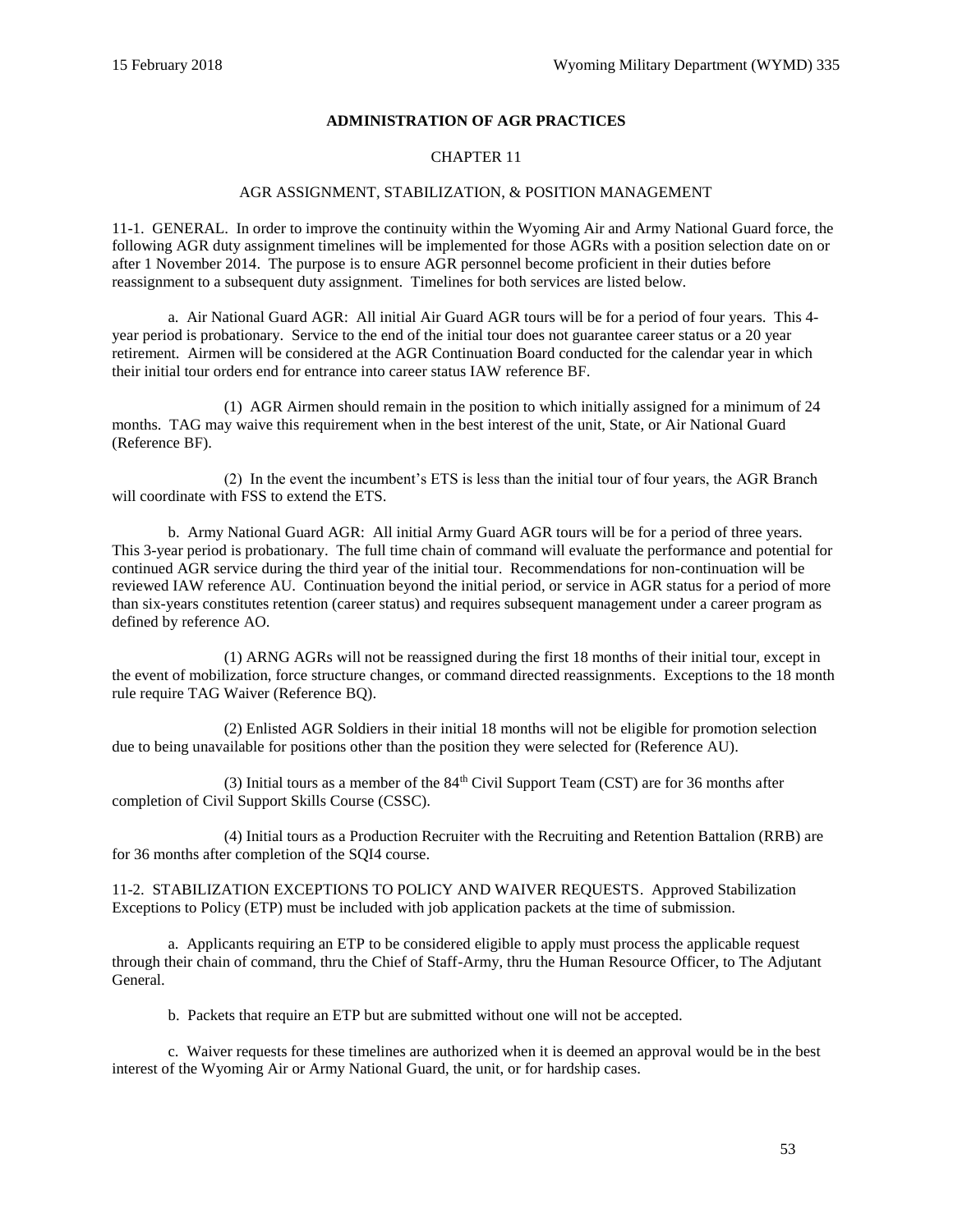## **ADMINISTRATION OF AGR PRACTICES**

## CHAPTER 11

#### AGR ASSIGNMENT, STABILIZATION, & POSITION MANAGEMENT

<span id="page-52-0"></span>11-1. GENERAL. In order to improve the continuity within the Wyoming Air and Army National Guard force, the following AGR duty assignment timelines will be implemented for those AGRs with a position selection date on or after 1 November 2014. The purpose is to ensure AGR personnel become proficient in their duties before reassignment to a subsequent duty assignment. Timelines for both services are listed below.

a. Air National Guard AGR: All initial Air Guard AGR tours will be for a period of four years. This 4 year period is probationary. Service to the end of the initial tour does not guarantee career status or a 20 year retirement. Airmen will be considered at the AGR Continuation Board conducted for the calendar year in which their initial tour orders end for entrance into career status IAW referenc[e BF.](#page-62-7)

(1) AGR Airmen should remain in the position to which initially assigned for a minimum of 24 months. TAG may waive this requirement when in the best interest of the unit, State, or Air National Guard (Reference [BF\)](#page-62-7).

(2) In the event the incumbent's ETS is less than the initial tour of four years, the AGR Branch will coordinate with FSS to extend the ETS.

b. Army National Guard AGR: All initial Army Guard AGR tours will be for a period of three years. This 3-year period is probationary. The full time chain of command will evaluate the performance and potential for continued AGR service during the third year of the initial tour. Recommendations for non-continuation will be reviewed IAW reference [AU.](#page-61-9) Continuation beyond the initial period, or service in AGR status for a period of more than six-years constitutes retention (career status) and requires subsequent management under a career program as defined by referenc[e AO.](#page-61-10)

(1) ARNG AGRs will not be reassigned during the first 18 months of their initial tour, except in the event of mobilization, force structure changes, or command directed reassignments. Exceptions to the 18 month rule require TAG Waiver (Reference [BQ\)](#page-62-12).

(2) Enlisted AGR Soldiers in their initial 18 months will not be eligible for promotion selection due to being unavailable for positions other than the position they were selected for (Reference [AU\)](#page-61-9).

(3) Initial tours as a member of the  $84<sup>th</sup>$  Civil Support Team (CST) are for 36 months after completion of Civil Support Skills Course (CSSC).

(4) Initial tours as a Production Recruiter with the Recruiting and Retention Battalion (RRB) are for 36 months after completion of the SQI4 course.

11-2. STABILIZATION EXCEPTIONS TO POLICY AND WAIVER REQUESTS. Approved Stabilization Exceptions to Policy (ETP) must be included with job application packets at the time of submission.

a. Applicants requiring an ETP to be considered eligible to apply must process the applicable request through their chain of command, thru the Chief of Staff-Army, thru the Human Resource Officer, to The Adjutant General.

b. Packets that require an ETP but are submitted without one will not be accepted.

c. Waiver requests for these timelines are authorized when it is deemed an approval would be in the best interest of the Wyoming Air or Army National Guard, the unit, or for hardship cases.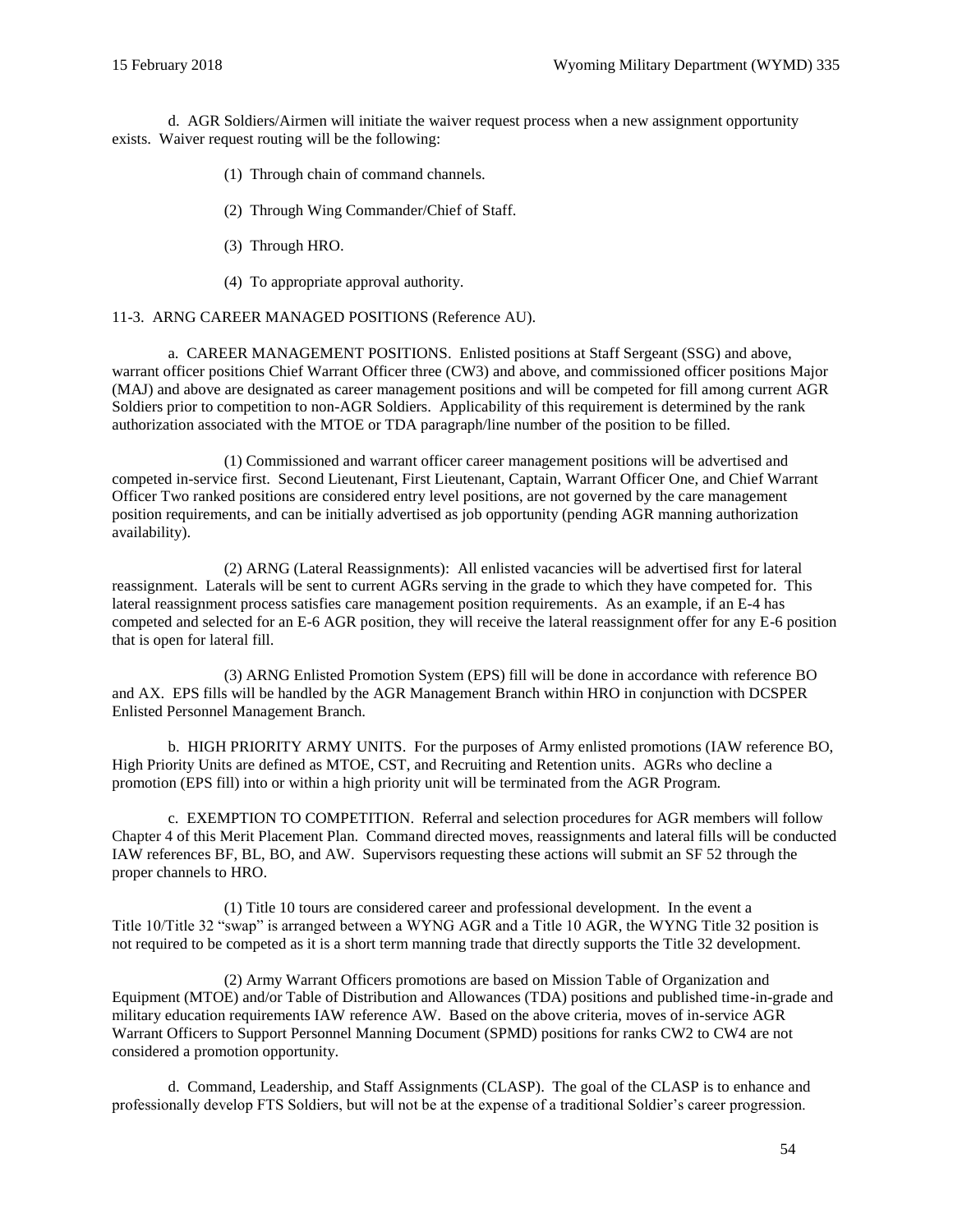d. AGR Soldiers/Airmen will initiate the waiver request process when a new assignment opportunity exists. Waiver request routing will be the following:

- (1) Through chain of command channels.
- (2) Through Wing Commander/Chief of Staff.
- (3) Through HRO.
- (4) To appropriate approval authority.

#### 11-3. ARNG CAREER MANAGED POSITIONS (Reference [AU\)](#page-61-9).

a. CAREER MANAGEMENT POSITIONS. Enlisted positions at Staff Sergeant (SSG) and above, warrant officer positions Chief Warrant Officer three (CW3) and above, and commissioned officer positions Major (MAJ) and above are designated as career management positions and will be competed for fill among current AGR Soldiers prior to competition to non-AGR Soldiers. Applicability of this requirement is determined by the rank authorization associated with the MTOE or TDA paragraph/line number of the position to be filled.

(1) Commissioned and warrant officer career management positions will be advertised and competed in-service first. Second Lieutenant, First Lieutenant, Captain, Warrant Officer One, and Chief Warrant Officer Two ranked positions are considered entry level positions, are not governed by the care management position requirements, and can be initially advertised as job opportunity (pending AGR manning authorization availability).

(2) ARNG (Lateral Reassignments): All enlisted vacancies will be advertised first for lateral reassignment. Laterals will be sent to current AGRs serving in the grade to which they have competed for. This lateral reassignment process satisfies care management position requirements. As an example, if an E-4 has competed and selected for an E-6 AGR position, they will receive the lateral reassignment offer for any E-6 position that is open for lateral fill.

(3) ARNG Enlisted Promotion System (EPS) fill will be done in accordance with reference [BO](#page-62-9) and [AX.](#page-61-8) EPS fills will be handled by the AGR Management Branch within HRO in conjunction with DCSPER Enlisted Personnel Management Branch.

b. HIGH PRIORITY ARMY UNITS. For the purposes of Army enlisted promotions (IAW reference [BO,](#page-62-9) High Priority Units are defined as MTOE, CST, and Recruiting and Retention units. AGRs who decline a promotion (EPS fill) into or within a high priority unit will be terminated from the AGR Program.

c. EXEMPTION TO COMPETITION. Referral and selection procedures for AGR members will follow Chapter 4 of this Merit Placement Plan. Command directed moves, reassignments and lateral fills will be conducted IAW references [BF,](#page-62-7) [BL,](#page-62-10) [BO,](#page-62-9) and [AW.](#page-61-11) Supervisors requesting these actions will submit an [SF 52 t](http://www.opm.gov/forms/pdf_fill/sf52.pdf)hrough the proper channels to HRO.

(1) Title 10 tours are considered career and professional development. In the event a Title 10/Title 32 "swap" is arranged between a WYNG AGR and a Title 10 AGR, the WYNG Title 32 position is not required to be competed as it is a short term manning trade that directly supports the Title 32 development.

(2) Army Warrant Officers promotions are based on Mission Table of Organization and Equipment (MTOE) and/or Table of Distribution and Allowances (TDA) positions and published time-in-grade and military education requirements IAW reference [AW.](#page-61-11) Based on the above criteria, moves of in-service AGR Warrant Officers to Support Personnel Manning Document (SPMD) positions for ranks CW2 to CW4 are not considered a promotion opportunity.

d. Command, Leadership, and Staff Assignments (CLASP). The goal of the CLASP is to enhance and professionally develop FTS Soldiers, but will not be at the expense of a traditional Soldier's career progression.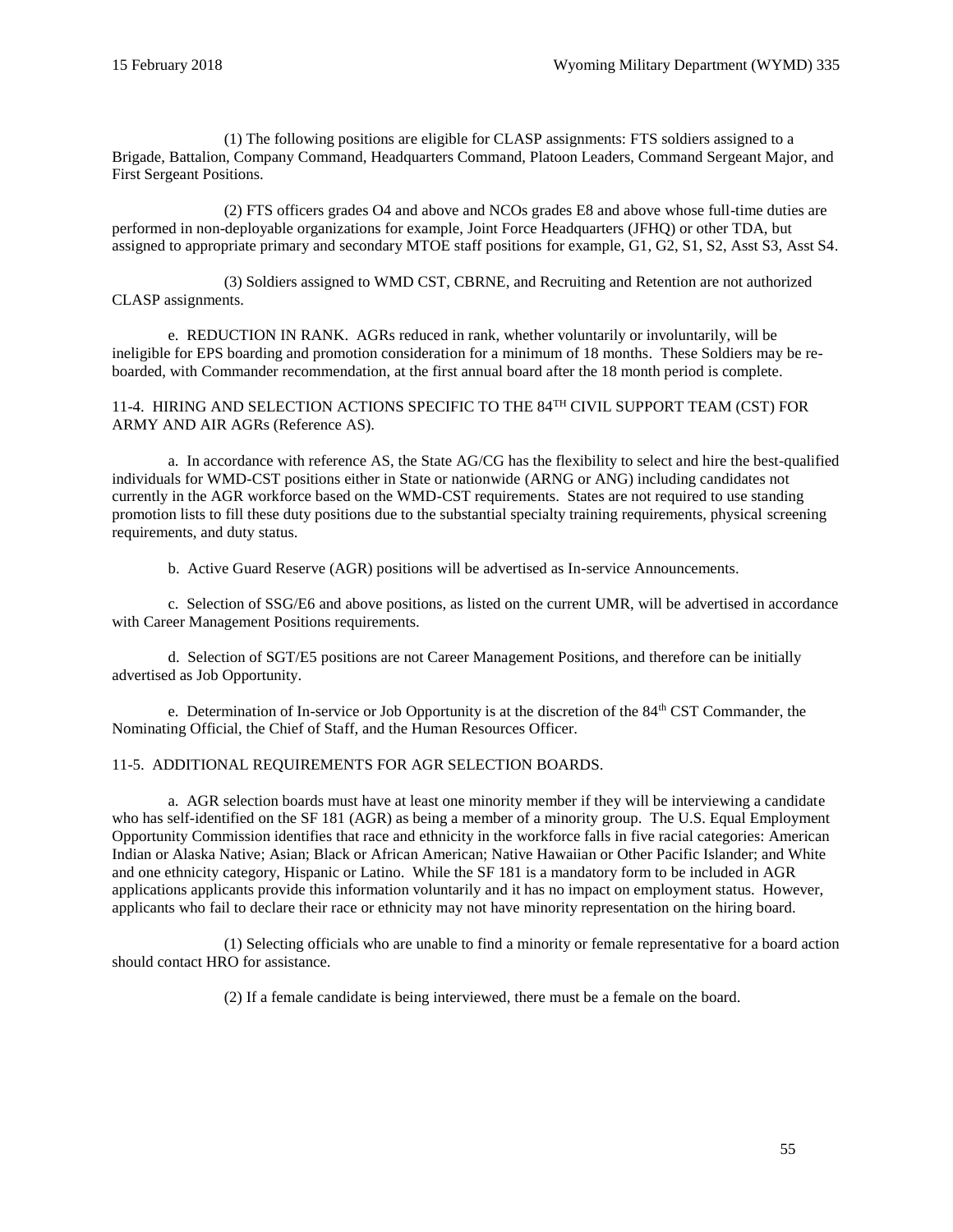(1) The following positions are eligible for CLASP assignments: FTS soldiers assigned to a Brigade, Battalion, Company Command, Headquarters Command, Platoon Leaders, Command Sergeant Major, and First Sergeant Positions.

(2) FTS officers grades O4 and above and NCOs grades E8 and above whose full-time duties are performed in non-deployable organizations for example, Joint Force Headquarters (JFHQ) or other TDA, but assigned to appropriate primary and secondary MTOE staff positions for example, G1, G2, S1, S2, Asst S3, Asst S4.

(3) Soldiers assigned to WMD CST, CBRNE, and Recruiting and Retention are not authorized CLASP assignments.

e. REDUCTION IN RANK. AGRs reduced in rank, whether voluntarily or involuntarily, will be ineligible for EPS boarding and promotion consideration for a minimum of 18 months. These Soldiers may be reboarded, with Commander recommendation, at the first annual board after the 18 month period is complete.

11-4. HIRING AND SELECTION ACTIONS SPECIFIC TO THE 84<sup>TH</sup> CIVIL SUPPORT TEAM (CST) FOR ARMY AND AIR AGRs (Reference [AS\)](#page-61-12).

a. In accordance with reference [AS,](#page-61-12) the State AG/CG has the flexibility to select and hire the best-qualified individuals for WMD-CST positions either in State or nationwide (ARNG or ANG) including candidates not currently in the AGR workforce based on the WMD-CST requirements. States are not required to use standing promotion lists to fill these duty positions due to the substantial specialty training requirements, physical screening requirements, and duty status.

b. Active Guard Reserve (AGR) positions will be advertised as In-service Announcements.

c. Selection of SSG/E6 and above positions, as listed on the current UMR, will be advertised in accordance with Career Management Positions requirements.

d. Selection of SGT/E5 positions are not Career Management Positions, and therefore can be initially advertised as Job Opportunity.

e. Determination of In-service or Job Opportunity is at the discretion of the  $84<sup>th</sup>$  CST Commander, the Nominating Official, the Chief of Staff, and the Human Resources Officer.

## 11-5. ADDITIONAL REQUIREMENTS FOR AGR SELECTION BOARDS.

a. AGR selection boards must have at least one minority member if they will be interviewing a candidate who has self-identified on the SF 181 (AGR) as being a member of a minority group. The U.S. Equal Employment Opportunity Commission identifies that race and ethnicity in the workforce falls in five racial categories: American Indian or Alaska Native; Asian; Black or African American; Native Hawaiian or Other Pacific Islander; and White and one ethnicity category, Hispanic or Latino. While the SF 181 is a mandatory form to be included in AGR applications applicants provide this information voluntarily and it has no impact on employment status. However, applicants who fail to declare their race or ethnicity may not have minority representation on the hiring board.

(1) Selecting officials who are unable to find a minority or female representative for a board action should contact HRO for assistance.

(2) If a female candidate is being interviewed, there must be a female on the board.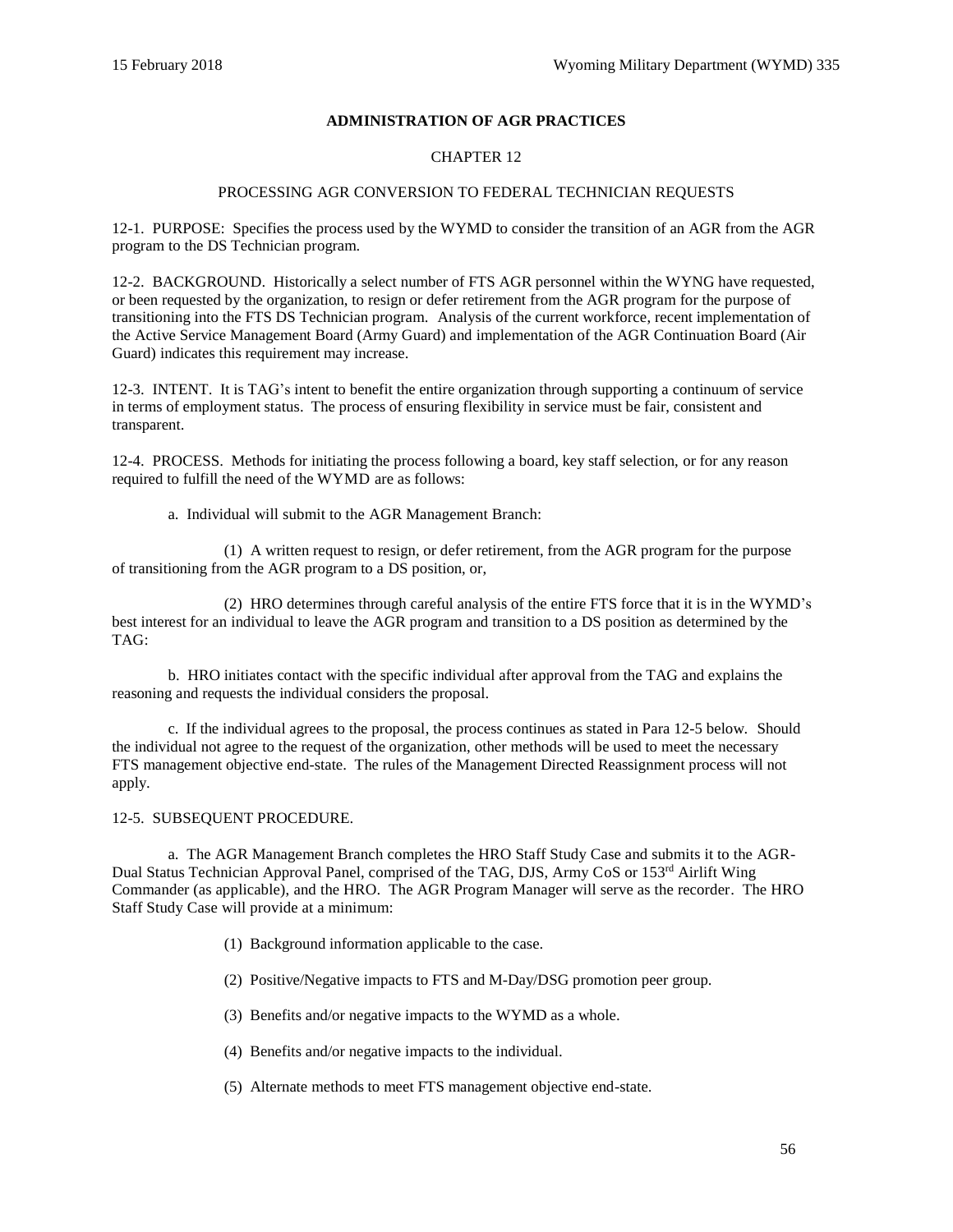## **ADMINISTRATION OF AGR PRACTICES**

## CHAPTER 12

## PROCESSING AGR CONVERSION TO FEDERAL TECHNICIAN REQUESTS

12-1. PURPOSE: Specifies the process used by the WYMD to consider the transition of an AGR from the AGR program to the DS Technician program.

12-2. BACKGROUND. Historically a select number of FTS AGR personnel within the WYNG have requested, or been requested by the organization, to resign or defer retirement from the AGR program for the purpose of transitioning into the FTS DS Technician program. Analysis of the current workforce, recent implementation of the Active Service Management Board (Army Guard) and implementation of the AGR Continuation Board (Air Guard) indicates this requirement may increase.

12-3. INTENT. It is TAG's intent to benefit the entire organization through supporting a continuum of service in terms of employment status. The process of ensuring flexibility in service must be fair, consistent and transparent.

12-4. PROCESS. Methods for initiating the process following a board, key staff selection, or for any reason required to fulfill the need of the WYMD are as follows:

a. Individual will submit to the AGR Management Branch:

 (1) A written request to resign, or defer retirement, from the AGR program for the purpose of transitioning from the AGR program to a DS position, or,

 (2) HRO determines through careful analysis of the entire FTS force that it is in the WYMD's best interest for an individual to leave the AGR program and transition to a DS position as determined by the TAG:

 b. HRO initiates contact with the specific individual after approval from the TAG and explains the reasoning and requests the individual considers the proposal.

 c. If the individual agrees to the proposal, the process continues as stated in Para 12-5 below. Should the individual not agree to the request of the organization, other methods will be used to meet the necessary FTS management objective end-state. The rules of the Management Directed Reassignment process will not apply.

#### 12-5. SUBSEQUENT PROCEDURE.

 a. The AGR Management Branch completes the HRO Staff Study Case and submits it to the AGR-Dual Status Technician Approval Panel, comprised of the TAG, DJS, Army CoS or 153rd Airlift Wing Commander (as applicable), and the HRO. The AGR Program Manager will serve as the recorder. The HRO Staff Study Case will provide at a minimum:

- (1) Background information applicable to the case.
- (2) Positive/Negative impacts to FTS and M-Day/DSG promotion peer group.
- (3) Benefits and/or negative impacts to the WYMD as a whole.
- (4) Benefits and/or negative impacts to the individual.
- (5) Alternate methods to meet FTS management objective end-state.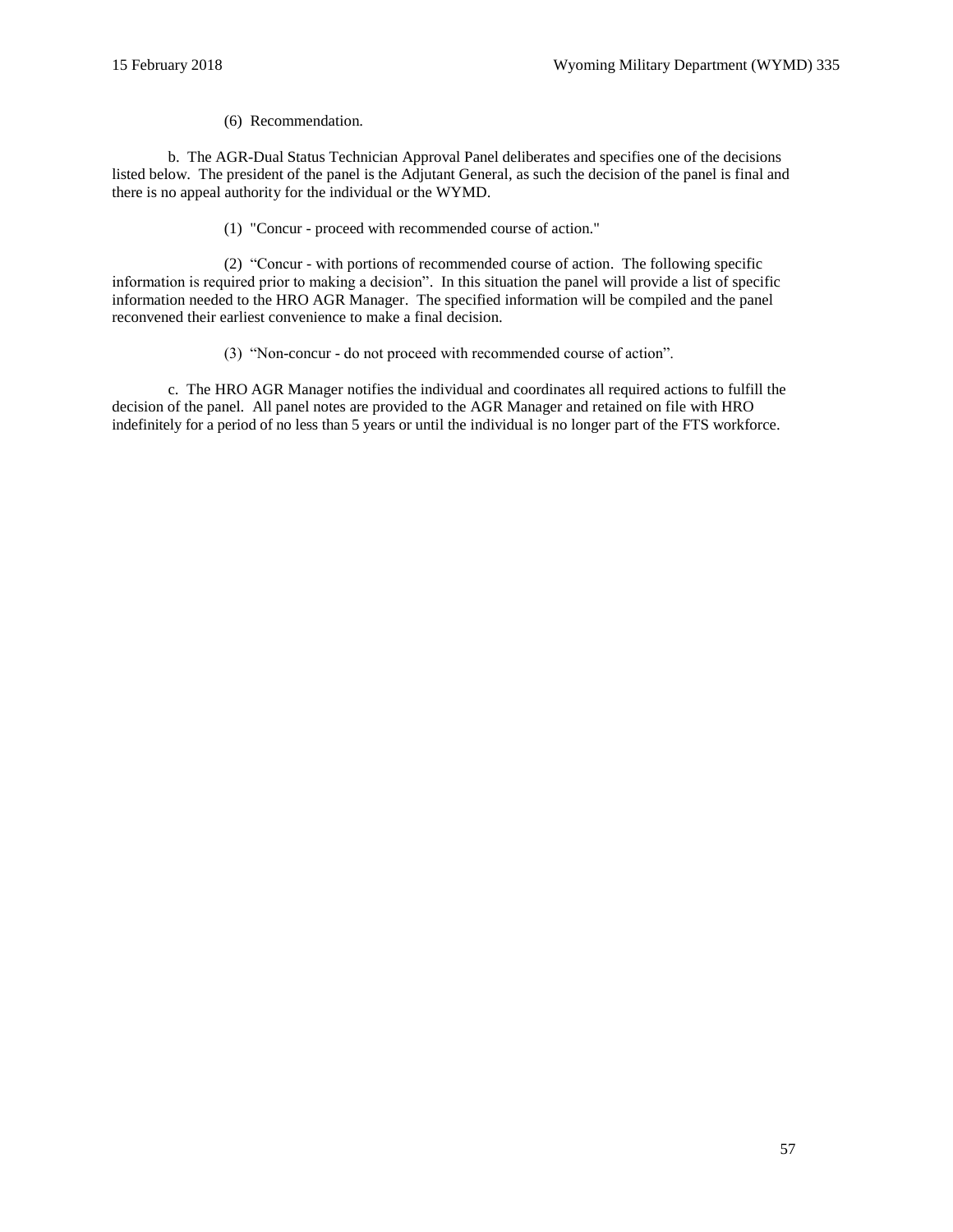(6) Recommendation.

 b. The AGR-Dual Status Technician Approval Panel deliberates and specifies one of the decisions listed below. The president of the panel is the Adjutant General, as such the decision of the panel is final and there is no appeal authority for the individual or the WYMD.

(1) "Concur - proceed with recommended course of action."

 (2) "Concur - with portions of recommended course of action. The following specific information is required prior to making a decision". In this situation the panel will provide a list of specific information needed to the HRO AGR Manager. The specified information will be compiled and the panel reconvened their earliest convenience to make a final decision.

(3) "Non-concur - do not proceed with recommended course of action".

 c. The HRO AGR Manager notifies the individual and coordinates all required actions to fulfill the decision of the panel. All panel notes are provided to the AGR Manager and retained on file with HRO indefinitely for a period of no less than 5 years or until the individual is no longer part of the FTS workforce.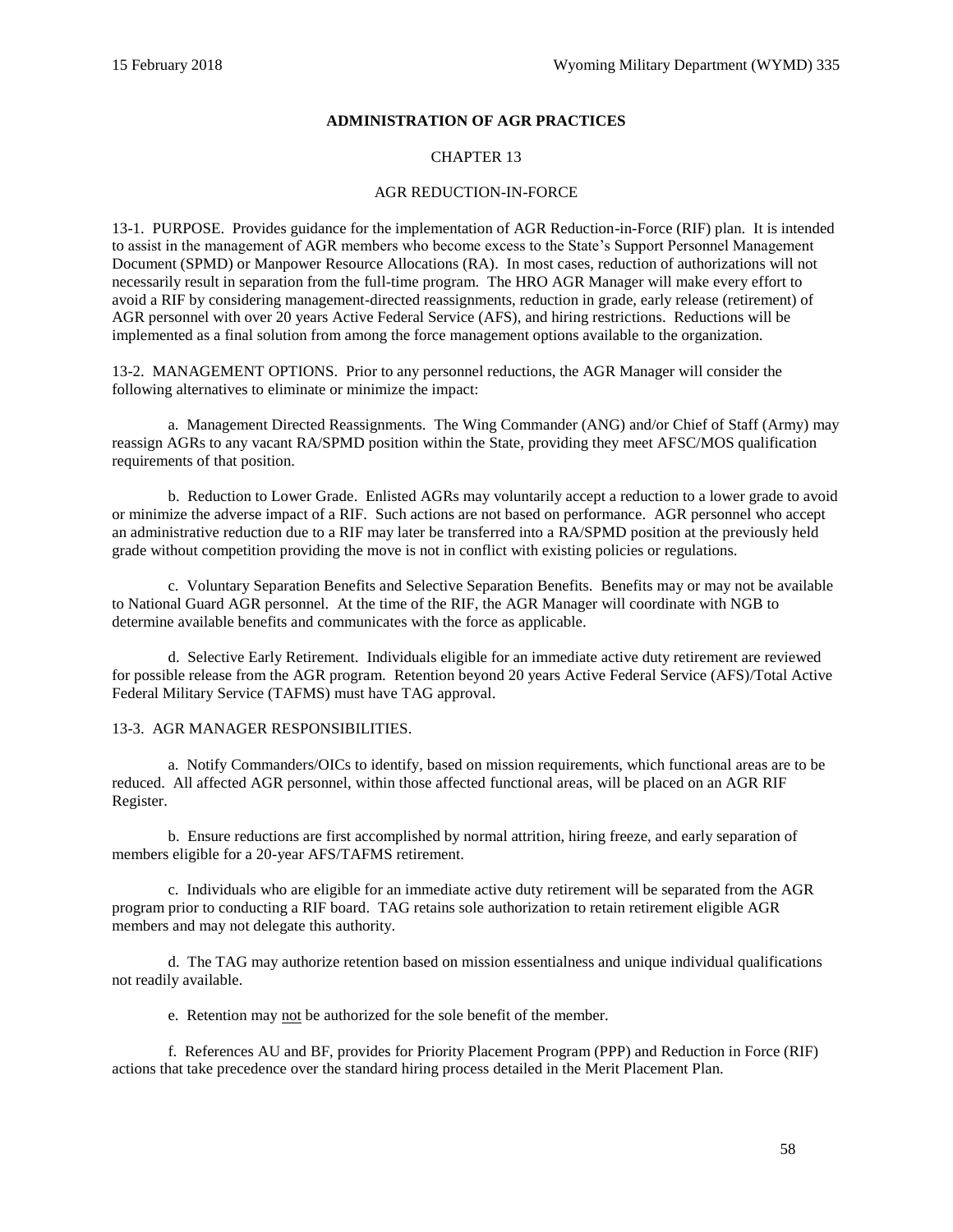## **ADMINISTRATION OF AGR PRACTICES**

## CHAPTER 13

#### AGR REDUCTION-IN-FORCE

13-1. PURPOSE. Provides guidance for the implementation of AGR Reduction-in-Force (RIF) plan. It is intended to assist in the management of AGR members who become excess to the State's Support Personnel Management Document (SPMD) or Manpower Resource Allocations (RA). In most cases, reduction of authorizations will not necessarily result in separation from the full-time program. The HRO AGR Manager will make every effort to avoid a RIF by considering management-directed reassignments, reduction in grade, early release (retirement) of AGR personnel with over 20 years Active Federal Service (AFS), and hiring restrictions. Reductions will be implemented as a final solution from among the force management options available to the organization.

13-2. MANAGEMENT OPTIONS. Prior to any personnel reductions, the AGR Manager will consider the following alternatives to eliminate or minimize the impact:

a. Management Directed Reassignments. The Wing Commander (ANG) and/or Chief of Staff (Army) may reassign AGRs to any vacant RA/SPMD position within the State, providing they meet AFSC/MOS qualification requirements of that position.

b. Reduction to Lower Grade. Enlisted AGRs may voluntarily accept a reduction to a lower grade to avoid or minimize the adverse impact of a RIF. Such actions are not based on performance. AGR personnel who accept an administrative reduction due to a RIF may later be transferred into a RA/SPMD position at the previously held grade without competition providing the move is not in conflict with existing policies or regulations.

c. Voluntary Separation Benefits and Selective Separation Benefits. Benefits may or may not be available to National Guard AGR personnel. At the time of the RIF, the AGR Manager will coordinate with NGB to determine available benefits and communicates with the force as applicable.

d. Selective Early Retirement. Individuals eligible for an immediate active duty retirement are reviewed for possible release from the AGR program. Retention beyond 20 years Active Federal Service (AFS)/Total Active Federal Military Service (TAFMS) must have TAG approval.

#### 13-3. AGR MANAGER RESPONSIBILITIES.

a. Notify Commanders/OICs to identify, based on mission requirements, which functional areas are to be reduced. All affected AGR personnel, within those affected functional areas, will be placed on an AGR RIF Register.

b. Ensure reductions are first accomplished by normal attrition, hiring freeze, and early separation of members eligible for a 20-year AFS/TAFMS retirement.

c. Individuals who are eligible for an immediate active duty retirement will be separated from the AGR program prior to conducting a RIF board. TAG retains sole authorization to retain retirement eligible AGR members and may not delegate this authority.

d. The TAG may authorize retention based on mission essentialness and unique individual qualifications not readily available.

e. Retention may not be authorized for the sole benefit of the member.

f. Reference[s AU](#page-61-9) an[d BF,](#page-62-7) provides for Priority Placement Program (PPP) and Reduction in Force (RIF) actions that take precedence over the standard hiring process detailed in the Merit Placement Plan.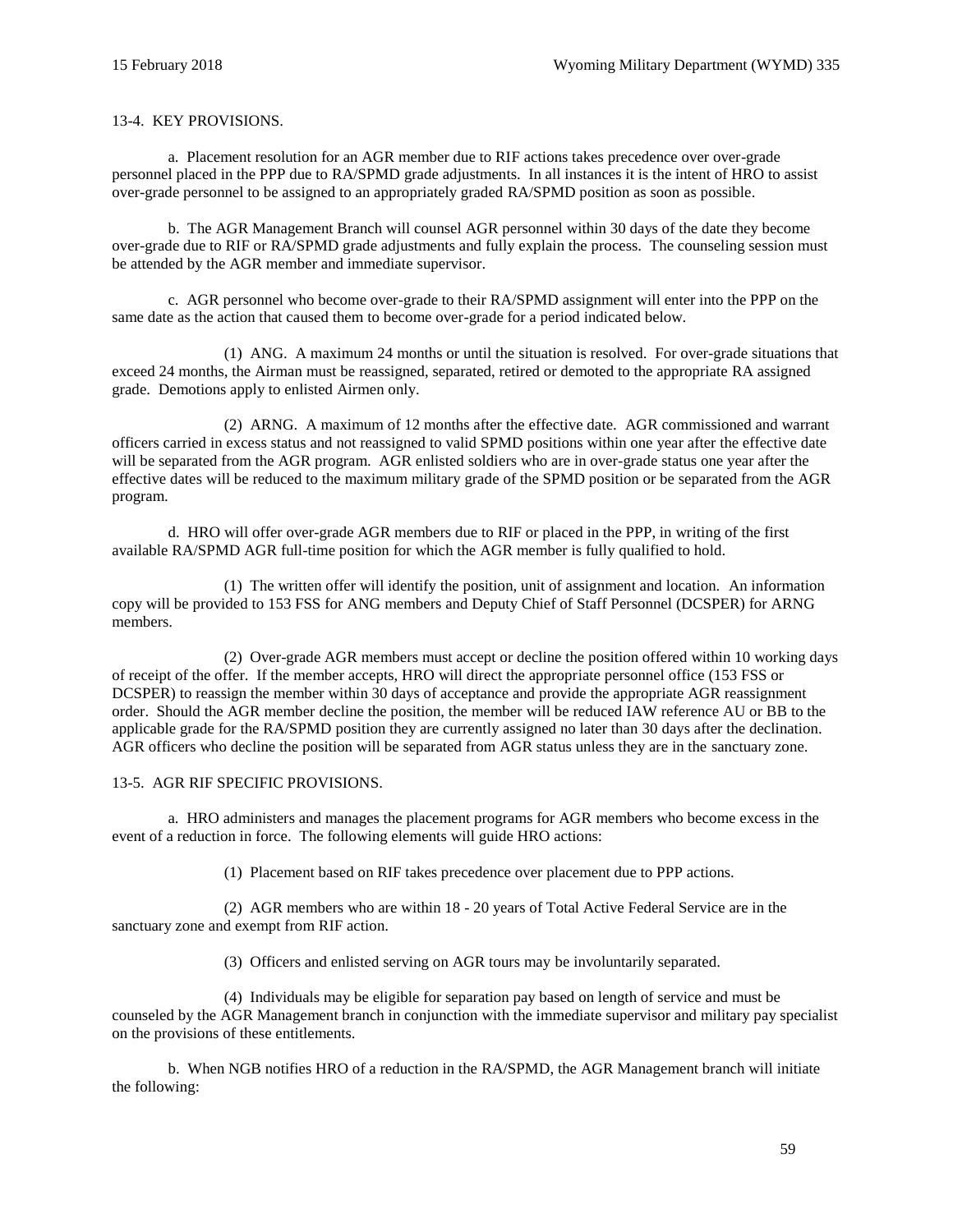#### 13-4. KEY PROVISIONS.

a. Placement resolution for an AGR member due to RIF actions takes precedence over over-grade personnel placed in the PPP due to RA/SPMD grade adjustments. In all instances it is the intent of HRO to assist over-grade personnel to be assigned to an appropriately graded RA/SPMD position as soon as possible.

b. The AGR Management Branch will counsel AGR personnel within 30 days of the date they become over-grade due to RIF or RA/SPMD grade adjustments and fully explain the process. The counseling session must be attended by the AGR member and immediate supervisor.

c. AGR personnel who become over-grade to their RA/SPMD assignment will enter into the PPP on the same date as the action that caused them to become over-grade for a period indicated below.

(1) ANG. A maximum 24 months or until the situation is resolved. For over-grade situations that exceed 24 months, the Airman must be reassigned, separated, retired or demoted to the appropriate RA assigned grade. Demotions apply to enlisted Airmen only.

(2) ARNG. A maximum of 12 months after the effective date. AGR commissioned and warrant officers carried in excess status and not reassigned to valid SPMD positions within one year after the effective date will be separated from the AGR program. AGR enlisted soldiers who are in over-grade status one year after the effective dates will be reduced to the maximum military grade of the SPMD position or be separated from the AGR program.

d. HRO will offer over-grade AGR members due to RIF or placed in the PPP, in writing of the first available RA/SPMD AGR full-time position for which the AGR member is fully qualified to hold.

(1) The written offer will identify the position, unit of assignment and location. An information copy will be provided to 153 FSS for ANG members and Deputy Chief of Staff Personnel (DCSPER) for ARNG members.

(2) Over-grade AGR members must accept or decline the position offered within 10 working days of receipt of the offer. If the member accepts, HRO will direct the appropriate personnel office (153 FSS or DCSPER) to reassign the member within 30 days of acceptance and provide the appropriate AGR reassignment order. Should the AGR member decline the position, the member will be reduced IAW referenc[e AU](#page-61-9) o[r BB](#page-62-8) to the applicable grade for the RA/SPMD position they are currently assigned no later than 30 days after the declination. AGR officers who decline the position will be separated from AGR status unless they are in the sanctuary zone.

#### 13-5. AGR RIF SPECIFIC PROVISIONS.

a. HRO administers and manages the placement programs for AGR members who become excess in the event of a reduction in force. The following elements will guide HRO actions:

(1) Placement based on RIF takes precedence over placement due to PPP actions.

(2) AGR members who are within 18 - 20 years of Total Active Federal Service are in the sanctuary zone and exempt from RIF action.

(3) Officers and enlisted serving on AGR tours may be involuntarily separated.

(4) Individuals may be eligible for separation pay based on length of service and must be counseled by the AGR Management branch in conjunction with the immediate supervisor and military pay specialist on the provisions of these entitlements.

b. When NGB notifies HRO of a reduction in the RA/SPMD, the AGR Management branch will initiate the following: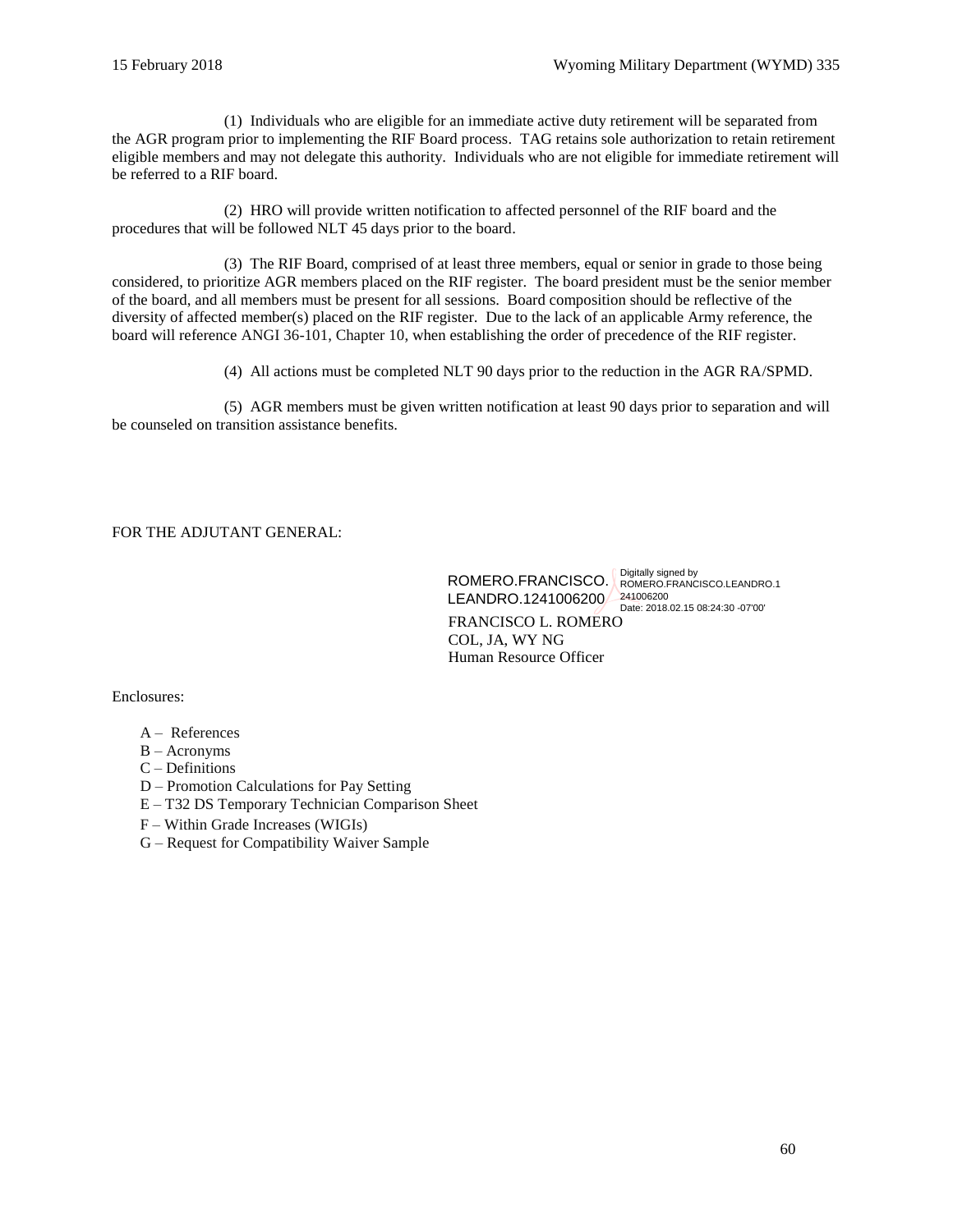(1) Individuals who are eligible for an immediate active duty retirement will be separated from the AGR program prior to implementing the RIF Board process. TAG retains sole authorization to retain retirement eligible members and may not delegate this authority. Individuals who are not eligible for immediate retirement will be referred to a RIF board.

(2) HRO will provide written notification to affected personnel of the RIF board and the procedures that will be followed NLT 45 days prior to the board.

(3) The RIF Board, comprised of at least three members, equal or senior in grade to those being considered, to prioritize AGR members placed on the RIF register. The board president must be the senior member of the board, and all members must be present for all sessions. Board composition should be reflective of the diversity of affected member(s) placed on the RIF register. Due to the lack of an applicable Army reference, the board will reference [ANGI 36-101, Chapter 10,](http://static.e-publishing.af.mil/production/1/ang/publication/angi36-101/angi36-101.pdf) when establishing the order of precedence of the RIF register.

(4) All actions must be completed NLT 90 days prior to the reduction in the AGR RA/SPMD.

(5) AGR members must be given written notification at least 90 days prior to separation and will be counseled on transition assistance benefits.

## FOR THE ADJUTANT GENERAL:

FRANCISCO L. ROMERO COL, JA, WY NG Human Resource Officer ROMERO.FRANCISCO. ROMERO.FRANCISCO.LEANDRO.1 LEANDRO.1241006200 Date: 2018.02.15 08:24:30 -07'00'

Enclosures:

- A References
- $B -$ Acronyms
- C Definitions
- D Promotion Calculations for Pay Setting
- E T32 DS Temporary Technician Comparison Sheet
- F Within Grade Increases (WIGIs)
- G Request for Compatibility Waiver Sample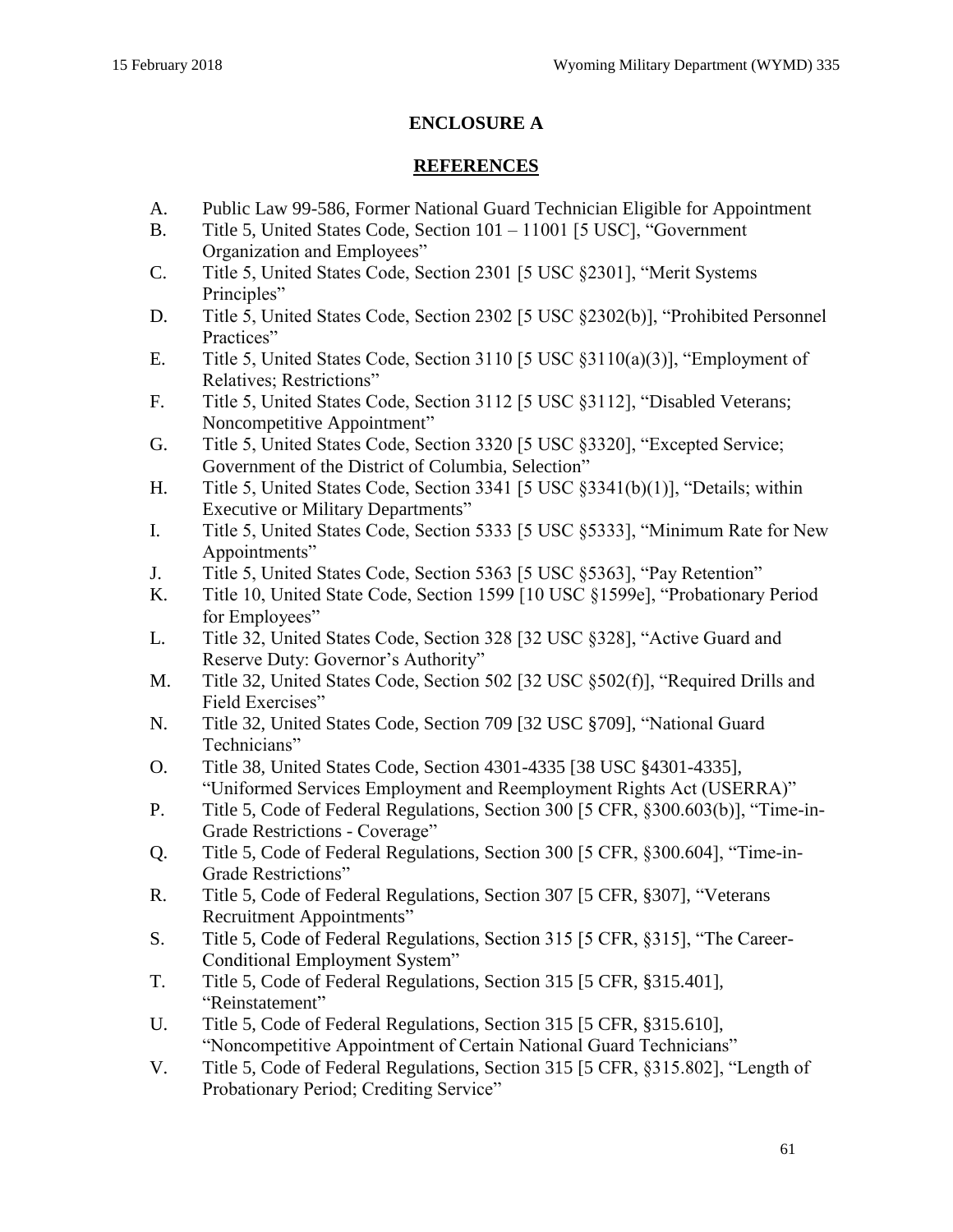# **ENCLOSURE A**

## **REFERENCES**

- A. [Public Law 99-586, Former National Guard Technician Eligible for Appointment](http://uscode.house.gov/statutes/pl/99/586.pdf)
- B. [Title 5, United States Code, Section 101 –](https://www.gpo.gov/fdsys/pkg/USCODE-2016-title5/html/USCODE-2016-title5.htm) 11001 [5 USC], "Government [Organization and Employees"](https://www.gpo.gov/fdsys/pkg/USCODE-2016-title5/html/USCODE-2016-title5.htm)
- C. [Title 5, United States Code, Section 2301 \[5 USC §2301\], "Merit Systems](https://www.gpo.gov/fdsys/pkg/USCODE-2016-title5/html/USCODE-2016-title5-partIII-subpartA-chap23-sec2301.htm)  [Principles"](https://www.gpo.gov/fdsys/pkg/USCODE-2016-title5/html/USCODE-2016-title5-partIII-subpartA-chap23-sec2301.htm)
- D. [Title 5, United States Code, Section 2302 \[5 USC §2302\(b\)\], "Prohibited Personnel](https://www.gpo.gov/fdsys/pkg/USCODE-2016-title5/html/USCODE-2016-title5-partIII-subpartA-chap23-sec2302.htm)  [Practices"](https://www.gpo.gov/fdsys/pkg/USCODE-2016-title5/html/USCODE-2016-title5-partIII-subpartA-chap23-sec2302.htm)
- E. [Title 5, United States Code, Section 3110 \[5 USC §3110\(a\)\(3\)\], "Employment of](https://www.gpo.gov/fdsys/pkg/USCODE-2016-title5/html/USCODE-2016-title5-partIII-subpartB-chap31-subchapI-sec3110.htm)  [Relatives; Restrictions"](https://www.gpo.gov/fdsys/pkg/USCODE-2016-title5/html/USCODE-2016-title5-partIII-subpartB-chap31-subchapI-sec3110.htm)
- F. [Title 5, United States Code, Section 3112 \[5 USC §3112\], "Disabled Veterans;](https://www.gpo.gov/fdsys/pkg/USCODE-2016-title5/html/USCODE-2016-title5-partIII-subpartB-chap31-subchapI-sec3112.htm)  [Noncompetitive Appointment"](https://www.gpo.gov/fdsys/pkg/USCODE-2016-title5/html/USCODE-2016-title5-partIII-subpartB-chap31-subchapI-sec3112.htm)
- G. [Title 5, United States Code, Section 3320 \[5 USC §3320\], "Excepted Service;](https://www.gpo.gov/fdsys/pkg/USCODE-2016-title5/html/USCODE-2016-title5-partIII-subpartB-chap33-subchapI-sec3320.htm)  [Government of the District of Columbia, Selection"](https://www.gpo.gov/fdsys/pkg/USCODE-2016-title5/html/USCODE-2016-title5-partIII-subpartB-chap33-subchapI-sec3320.htm)
- H. [Title 5, United States Code, Section 3341 \[5 USC §3341\(b\)\(1\)\], "Details; within](https://www.gpo.gov/fdsys/pkg/USCODE-2016-title5/html/USCODE-2016-title5-partIII-subpartB-chap33-subchapIII-sec3341.htm)  [Executive or Military Departments"](https://www.gpo.gov/fdsys/pkg/USCODE-2016-title5/html/USCODE-2016-title5-partIII-subpartB-chap33-subchapIII-sec3341.htm)
- <span id="page-60-1"></span>I. [Title 5, United States Code, Section 5333 \[5 USC §5333\], "Minimum Rate for New](https://www.gpo.gov/fdsys/pkg/USCODE-2016-title5/html/USCODE-2016-title5-partIII-subpartD-chap53-subchapIII-sec5333.htm)  [Appointments"](https://www.gpo.gov/fdsys/pkg/USCODE-2016-title5/html/USCODE-2016-title5-partIII-subpartD-chap53-subchapIII-sec5333.htm)
- <span id="page-60-0"></span>J. [Title 5, United States Code, Section 5363 \[5 USC §5363\], "Pay Retention"](https://www.gpo.gov/fdsys/pkg/USCODE-2016-title5/html/USCODE-2016-title5-partIII-subpartD-chap53-subchapVI-sec5363.htm)
- K. [Title 10, United State Code, Section 1599 \[10 USC §1599e\], "Probationary Period](https://www.gpo.gov/fdsys/pkg/USCODE-2016-title10/html/USCODE-2016-title10-subtitleA-partII-chap81-sec1599e.htm)  [for Employees"](https://www.gpo.gov/fdsys/pkg/USCODE-2016-title10/html/USCODE-2016-title10-subtitleA-partII-chap81-sec1599e.htm)
- L. [Title 32, United States Code, Section 328 \[32 USC §328\], "Active Guard and](https://www.gpo.gov/fdsys/pkg/USCODE-2016-title32/html/USCODE-2016-title32-chap3-sec328.htm)  [Reserve Duty: Governor's Authority"](https://www.gpo.gov/fdsys/pkg/USCODE-2016-title32/html/USCODE-2016-title32-chap3-sec328.htm)
- M. [Title 32, United States Code, Section 502 \[32 USC §502\(f\)\], "Required Drills and](https://www.gpo.gov/fdsys/pkg/USCODE-2016-title32/html/USCODE-2016-title32-chap5-sec502.htm)  [Field Exercises"](https://www.gpo.gov/fdsys/pkg/USCODE-2016-title32/html/USCODE-2016-title32-chap5-sec502.htm)
- N. [Title 32, United States Code, Section 709 \[32 USC §709\],](https://www.gpo.gov/fdsys/pkg/USCODE-2016-title32/html/USCODE-2016-title32-chap7-sec709.htm) "National Guard [Technicians"](https://www.gpo.gov/fdsys/pkg/USCODE-2016-title32/html/USCODE-2016-title32-chap7-sec709.htm)
- O. [Title 38, United States Code, Section 4301-4335 \[38 USC §4301-4335\],](https://www.gpo.gov/fdsys/pkg/USCODE-2016-title38/html/USCODE-2016-title38-partIII-chap43.htm)  ["Uniformed Services Employment and Reemployment Rights Act \(USERRA\)"](https://www.gpo.gov/fdsys/pkg/USCODE-2016-title38/html/USCODE-2016-title38-partIII-chap43.htm)
- P. [Title 5, Code of Federal Regulations, Section 300 \[5 CFR, §300.603\(b\)\], "Time-in-](https://www.ecfr.gov/cgi-bin/text-idx?SID=5131bdc69bff0a2eb0a01a8b3de875ef&mc=true&node=se5.1.300_1603&rgn=div8)[Grade Restrictions -](https://www.ecfr.gov/cgi-bin/text-idx?SID=5131bdc69bff0a2eb0a01a8b3de875ef&mc=true&node=se5.1.300_1603&rgn=div8) Coverage"
- Q. [Title 5, Code of Federal Regulations, Section 300 \[5 CFR, §300.604\], "Time-in-](https://www.ecfr.gov/cgi-bin/text-idx?SID=5131bdc69bff0a2eb0a01a8b3de875ef&mc=true&node=se5.1.300_1604&rgn=div8)[Grade Restrictions"](https://www.ecfr.gov/cgi-bin/text-idx?SID=5131bdc69bff0a2eb0a01a8b3de875ef&mc=true&node=se5.1.300_1604&rgn=div8)
- R. [Title 5, Code of Federal Regulations, Section 307 \[5 CFR, §307\], "Veterans](https://www.ecfr.gov/cgi-bin/text-idx?SID=5dcb3d9c618d672f7381fed3d5989667&mc=true&node=pt5.1.307&rgn=div5)  [Recruitment Appointments"](https://www.ecfr.gov/cgi-bin/text-idx?SID=5dcb3d9c618d672f7381fed3d5989667&mc=true&node=pt5.1.307&rgn=div5)
- S. Title 5, Code of Federal Regulations, Section 315 [5 CFR, §315], "The Career-Conditional Employment System"
- T. [Title 5, Code of Federal Regulations, Section 315 \[5 CFR, §315.401\],](https://www.ecfr.gov/cgi-bin/text-idx?SID=5dcb3d9c618d672f7381fed3d5989667&mc=true&node=sp5.1.315.d&rgn=div6)  ["Reinstatement"](https://www.ecfr.gov/cgi-bin/text-idx?SID=5dcb3d9c618d672f7381fed3d5989667&mc=true&node=sp5.1.315.d&rgn=div6)
- U. [Title 5, Code of Federal Regulations, Section 315 \[5 CFR, §315.610\],](https://www.ecfr.gov/cgi-bin/text-idx?SID=9493e8dbb88a63373a15ca507e1902fc&mc=true&node=se5.1.315_1610&rgn=div8)  ["Noncompetitive Appointment of Certain National Guard Technicians"](https://www.ecfr.gov/cgi-bin/text-idx?SID=9493e8dbb88a63373a15ca507e1902fc&mc=true&node=se5.1.315_1610&rgn=div8)
- V. [Title 5, Code of Federal Regulations, Section 315 \[5 CFR, §315.802\], "Length of](https://www.ecfr.gov/cgi-bin/text-idx?SID=1a77e0d253589ae1303ffdbbfc743f87&mc=true&node=pt5.1.315&rgn=div5#se5.1.315_1802)  [Probationary Period; Crediting Service"](https://www.ecfr.gov/cgi-bin/text-idx?SID=1a77e0d253589ae1303ffdbbfc743f87&mc=true&node=pt5.1.315&rgn=div5#se5.1.315_1802)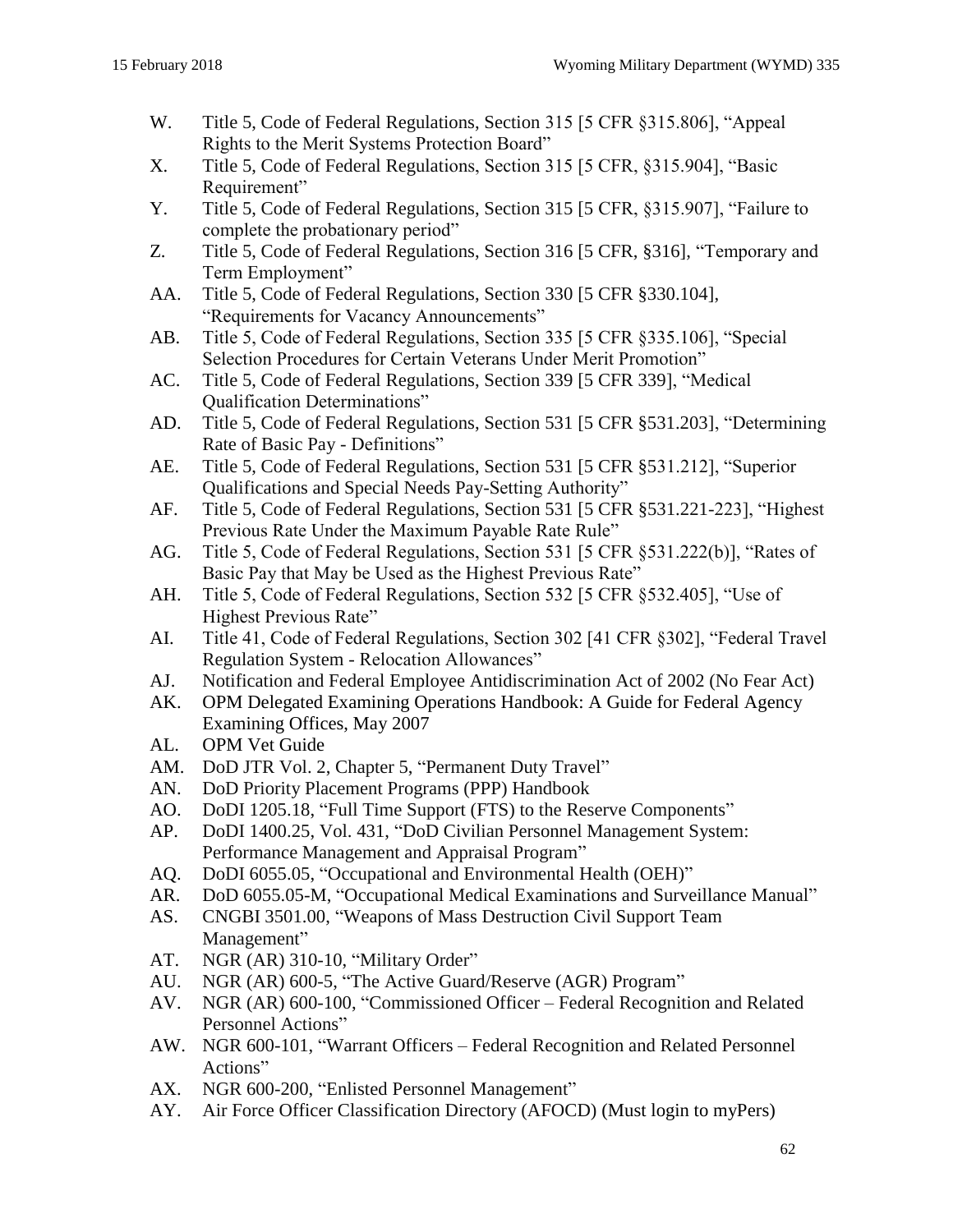- W. [Title 5, Code of Federal Regulations, Section](https://www.ecfr.gov/cgi-bin/text-idx?SID=1a77e0d253589ae1303ffdbbfc743f87&mc=true&node=pt5.1.315&rgn=div5#se5.1.315_1805) 315 [5 CFR §315.806], "Appeal [Rights to the Merit Systems Protection Board"](https://www.ecfr.gov/cgi-bin/text-idx?SID=1a77e0d253589ae1303ffdbbfc743f87&mc=true&node=pt5.1.315&rgn=div5#se5.1.315_1805)
- X. [Title 5, Code of Federal Regulations, Section 315 \[5 CFR, §315.904\], "Basic](https://www.ecfr.gov/cgi-bin/text-idx?SID=0f9597a6373695a95ac01e497d9ebf98&mc=true&node=pt5.1.315&rgn=div5#se5.1.315_1904)  [Requirement"](https://www.ecfr.gov/cgi-bin/text-idx?SID=0f9597a6373695a95ac01e497d9ebf98&mc=true&node=pt5.1.315&rgn=div5#se5.1.315_1904)
- Y. [Title 5, Code of Federal Regulations, Section 315 \[5](https://www.ecfr.gov/cgi-bin/text-idx?SID=0f9597a6373695a95ac01e497d9ebf98&mc=true&node=pt5.1.315&rgn=div5#se5.1.315_1907) CFR, §315.907], "Failure to [complete the probationary period"](https://www.ecfr.gov/cgi-bin/text-idx?SID=0f9597a6373695a95ac01e497d9ebf98&mc=true&node=pt5.1.315&rgn=div5#se5.1.315_1907)
- Z. [Title 5, Code of Federal Regulations, Section 316 \[5 CFR, §316\], "Temporary and](https://www.ecfr.gov/cgi-bin/text-idx?SID=68e7bec2d473689b546ac6cc55ee7687&mc=true&node=pt5.1.316&rgn=div5)  [Term Employment"](https://www.ecfr.gov/cgi-bin/text-idx?SID=68e7bec2d473689b546ac6cc55ee7687&mc=true&node=pt5.1.316&rgn=div5)
- AA. [Title 5, Code of Federal Regulations, Section 330 \[5 CFR §330.104\],](https://www.ecfr.gov/cgi-bin/text-idx?SID=5fb9bceab81467f46d3abd851f880e19&mc=true&node=pt5.1.330&rgn=div5#se5.1.330_1104)  ["Requirements for Vacancy Announcements"](https://www.ecfr.gov/cgi-bin/text-idx?SID=5fb9bceab81467f46d3abd851f880e19&mc=true&node=pt5.1.330&rgn=div5#se5.1.330_1104)
- AB. [Title 5, Code of Federal Regulations, Section 335 \[5 CFR §335.106\], "Special](https://www.ecfr.gov/cgi-bin/text-idx?SID=857c11d0cb9f06efd412d63fe6360707&mc=true&node=pt5.1.335&rgn=div5#se5.1.335_1106)  [Selection Procedures for Certain Veterans Under Merit Promotion"](https://www.ecfr.gov/cgi-bin/text-idx?SID=857c11d0cb9f06efd412d63fe6360707&mc=true&node=pt5.1.335&rgn=div5#se5.1.335_1106)
- <span id="page-61-5"></span>AC. [Title 5, Code of Federal Regulations, Section 339 \[5 CFR 339\], "Medical](https://www.ecfr.gov/cgi-bin/text-idx?SID=7e80e2ccf8297c01a8e47b3a800535ed&mc=true&node=pt5.1.339&rgn=div5)  [Qualification Determinations"](https://www.ecfr.gov/cgi-bin/text-idx?SID=7e80e2ccf8297c01a8e47b3a800535ed&mc=true&node=pt5.1.339&rgn=div5)
- <span id="page-61-3"></span>AD. [Title 5, Code of Federal Regulations, Section 531 \[5 CFR §531.203\], "Determining](https://www.ecfr.gov/cgi-bin/text-idx?SID=2ee048dd7735ed68a87293314a869513&mc=true&node=pt5.1.531&rgn=div5#se5.1.531_1203)  [Rate of Basic Pay -](https://www.ecfr.gov/cgi-bin/text-idx?SID=2ee048dd7735ed68a87293314a869513&mc=true&node=pt5.1.531&rgn=div5#se5.1.531_1203) Definitions"
- <span id="page-61-4"></span>AE. [Title 5, Code of Federal Regulations, Section 531 \[5 CFR §531.212\], "Superior](https://www.ecfr.gov/cgi-bin/text-idx?SID=2ee048dd7735ed68a87293314a869513&mc=true&node=pt5.1.531&rgn=div5#se5.1.531_1212)  [Qualifications and Special Needs Pay-Setting Authority"](https://www.ecfr.gov/cgi-bin/text-idx?SID=2ee048dd7735ed68a87293314a869513&mc=true&node=pt5.1.531&rgn=div5#se5.1.531_1212)
- <span id="page-61-0"></span>AF. [Title 5, Code of Federal Regulations, Section 531 \[5 CFR §531.221-223\], "Highest](http://www.ecfr.gov/cgi-bin/text-idx?SID=2ee048dd7735ed68a87293314a869513&mc=true&node=pt5.1.531&rgn=div5#sg5.1.531_1217.sg2)  [Previous Rate Under the Maximum Payable Rate Rule"](http://www.ecfr.gov/cgi-bin/text-idx?SID=2ee048dd7735ed68a87293314a869513&mc=true&node=pt5.1.531&rgn=div5#sg5.1.531_1217.sg2)
- <span id="page-61-2"></span>AG. [Title 5, Code of Federal Regulations, Section 531 \[5 CFR §531.222\(b\)\], "Rates of](https://www.ecfr.gov/cgi-bin/retrieveECFR?gp=&SID=3600704f0c5b6acfaf0e2b59934e1400&n=5y1.0.1.2.66&r=PART&ty=HTML%20-%205:1.0.1.2.66.2.28.15#se5.1.531_1222)  [Basic Pay that May be Used as the Highest Previous Rate"](https://www.ecfr.gov/cgi-bin/retrieveECFR?gp=&SID=3600704f0c5b6acfaf0e2b59934e1400&n=5y1.0.1.2.66&r=PART&ty=HTML%20-%205:1.0.1.2.66.2.28.15#se5.1.531_1222)
- <span id="page-61-1"></span>AH. [Title 5, Code of Federal Regulations, Section 532 \[5 CFR §532.405\], "Use of](https://www.ecfr.gov/cgi-bin/text-idx?SID=ae081815b6e9f6a9d68fd2bd9e8e9c98&mc=true&node=pt5.1.532&rgn=div5#se5.1.532_1405)  [Highest Previous Rate"](https://www.ecfr.gov/cgi-bin/text-idx?SID=ae081815b6e9f6a9d68fd2bd9e8e9c98&mc=true&node=pt5.1.532&rgn=div5#se5.1.532_1405)
- AI. [Title 41, Code of Federal Regulations, Section 302 \[41 CFR §302\], "Federal Travel](https://www.ecfr.gov/cgi-bin/text-idx?SID=f74e232317eb9640220aeeb3828daf49&mc=true&tpl=/ecfrbrowse/Title41/41chapter302.tpl)  Regulation System - [Relocation Allowances"](https://www.ecfr.gov/cgi-bin/text-idx?SID=f74e232317eb9640220aeeb3828daf49&mc=true&tpl=/ecfrbrowse/Title41/41chapter302.tpl)
- AJ. [Notification and Federal Employee Antidiscrimination Act of 2002 \(No Fear Act\)](http://www.eeoc.gov/eeoc/statistics/nofear/qanda.cfm)
- AK. [OPM Delegated Examining Operations Handbook: A Guide for Federal Agency](https://www.opm.gov/policy-data-oversight/hiring-information/competitive-hiring/deo_handbook.pdf)  [Examining Offices, May 2007](https://www.opm.gov/policy-data-oversight/hiring-information/competitive-hiring/deo_handbook.pdf)
- AL. [OPM Vet Guide](https://www.opm.gov/policy-data-oversight/veterans-services/vet-guide-for-hr-professionals/)
- AM. [DoD JTR Vol. 2, Chapter 5, "Permanent Duty Travel"](http://www.defensetravel.dod.mil/Docs/perdiem/JTR.pdf)
- AN. [DoD Priority Placement Programs \(PPP\) Handbook](https://www.cpms.osd.mil/Content/Documents/PPPHandbook.pdf)
- <span id="page-61-10"></span>AO. [DoDI 1205.18, "Full Time Support \(FTS\) to the Reserve Components"](http://www.esd.whs.mil/Portals/54/Documents/DD/issuances/dodi/120518p.pdf)
- AP. [DoDI 1400.25, Vol. 431, "DoD Civilian Personnel Management System:](http://www.esd.whs.mil/Portals/54/Documents/DD/issuances/140025/140025v431_dodi_2016.pdf?ver=2017-07-13-124635-753)  [Performance Management and Appraisal Program"](http://www.esd.whs.mil/Portals/54/Documents/DD/issuances/140025/140025v431_dodi_2016.pdf?ver=2017-07-13-124635-753)
- <span id="page-61-6"></span>AQ. [DoDI 6055.05, "Occupational and Environmental Health \(OEH\)"](http://www.esd.whs.mil/Portals/54/Documents/DD/issuances/dodi/605505p.pdf?ver=2017-11-21-114053-293)
- <span id="page-61-7"></span>AR. [DoD 6055.05-M, "Occupational Medical Examinations and Surveillance Manual"](http://www.esd.whs.mil/Portals/54/Documents/DD/issuances/dodm/605505mp.pdf?ver=2017-08-14-111314-123)
- <span id="page-61-12"></span>AS. [CNGBI 3501.00, "Weapons of Mass Destruction Civil Support Team](http://www.ngbpdc.ngb.army.mil/pubs/CNGBI/CNGBI3501_00_20140708.pdf)  [Management"](http://www.ngbpdc.ngb.army.mil/pubs/CNGBI/CNGBI3501_00_20140708.pdf)
- AT. [NGR \(AR\) 310-10, "Military Order"](http://www.ngbpdc.ngb.army.mil/pubs/310/ngrar310_10.pdf)
- <span id="page-61-9"></span>AU. [NGR \(AR\) 600-5, "The Active Guard/Reserve \(AGR\) Program"](http://www.ngbpdc.ngb.army.mil/pubs/600/ngr600_5_21Sept2015.pdf)
- AV. [NGR \(AR\) 600-100, "Commissioned Officer –](http://www.ngbpdc.ngb.army.mil/pubs/600/ngr600_100.pdf) Federal Recognition and Related [Personnel Actions"](http://www.ngbpdc.ngb.army.mil/pubs/600/ngr600_100.pdf)
- <span id="page-61-11"></span>AW. NGR 600-101, "Warrant Officers – [Federal Recognition and Related Personnel](http://www.ngbpdc.ngb.army.mil/pubs/600/ngr_600_101.pdf)  [Actions"](http://www.ngbpdc.ngb.army.mil/pubs/600/ngr_600_101.pdf)
- <span id="page-61-8"></span>AX. [NGR 600-200, "Enlisted Personnel Management"](http://www.ngbpdc.ngb.army.mil/pubs/600/ngr600_200.pdf)
- AY. [Air Force Officer Classification Directory \(AFOCD\)](https://gum-crm.csd.disa.mil/app/answers/detail/a_id/7759) (Must login to myPers)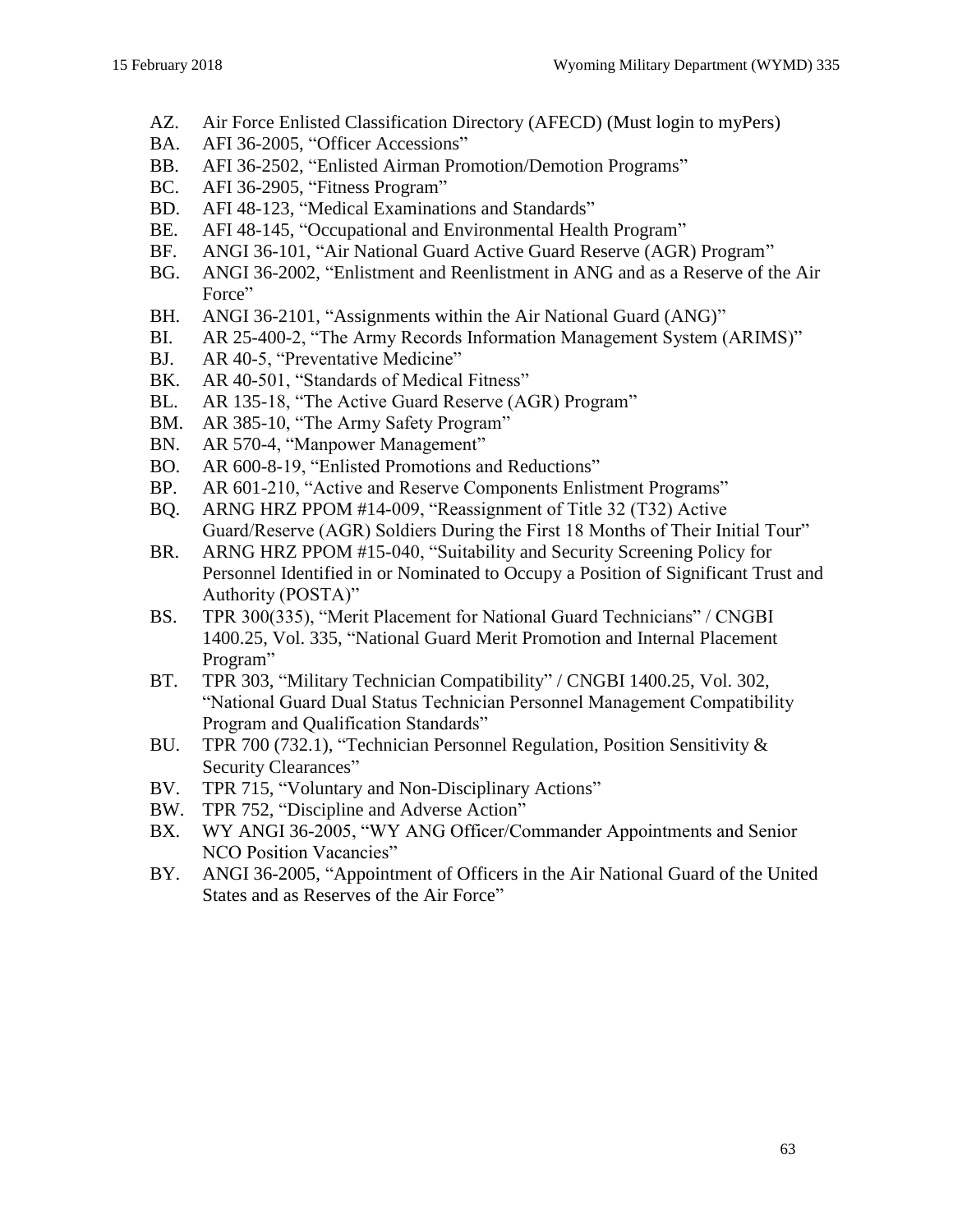- AZ. [Air Force Enlisted Classification Directory \(AFECD\)](https://gum-crm.csd.disa.mil/app/answers/detail/a_id/7504) (Must login to myPers)
- BA. [AFI 36-2005, "Officer Accessions"](http://static.e-publishing.af.mil/production/1/af_a1/publication/afi36-2005/afi36-2005.pdf)
- <span id="page-62-8"></span>BB. [AFI 36-2502, "Enlisted Airman Promotion/Demotion Programs"](http://www.e-publishing.af.mil/Product-Index/#/?view=pubs&orgID=10141&catID=1&series=19&modID=449&tabID=131)
- BC. [AFI 36-2905, "Fitness Program"](http://www.e-publishing.af.mil/Product-Index/#/?view=pubs&orgID=10141&catID=1&series=19&modID=449&tabID=131)
- <span id="page-62-6"></span>BD. [AFI 48-123, "Medical Examinations and Standards"](http://www.e-publishing.af.mil/Product-Index/#/?view=pubs&orgID=10141&catID=1&series=27&modID=449&tabID=131)
- <span id="page-62-5"></span>BE. [AFI 48-145, "Occupational and Environmental Health Program"](http://www.e-publishing.af.mil/Product-Index/#/?view=pubs&orgID=10141&catID=1&series=27&modID=449&tabID=131)
- <span id="page-62-7"></span>BF. [ANGI 36-101, "Air National Guard Active Guard Reserve \(AGR\) Program"](http://www.e-publishing.af.mil/Product-Index/#/?view=pubs&orgID=44&catID=16&series=19&modID=449&tabID=71)
- BG. [ANGI 36-2002, "Enlistment and Reenlistment in ANG and as a Reserve of the Air](http://www.e-publishing.af.mil/Product-Index/#/?view=pubs&orgID=44&catID=16&series=19&modID=449&tabID=71)  [Force"](http://www.e-publishing.af.mil/Product-Index/#/?view=pubs&orgID=44&catID=16&series=19&modID=449&tabID=71)
- BH. [ANGI 36-2101, "Assignments within the Air National Guard \(ANG\)"](http://www.e-publishing.af.mil/Product-Index/#/?view=pubs&orgID=44&catID=16&series=19&modID=449&tabID=71)
- BI. [AR 25-400-2, "The Army Records Information Management System \(ARIMS\)"](https://armypubs.army.mil/ProductMaps/PubForm/AR.aspx)
- <span id="page-62-3"></span>BJ. [AR 40-5, "Preventative Medicine"](https://armypubs.army.mil/ProductMaps/PubForm/AR.aspx)
- <span id="page-62-11"></span>BK. [AR 40-501, "Standards of Medical Fitness"](https://armypubs.army.mil/ProductMaps/PubForm/AR.aspx)
- <span id="page-62-10"></span>BL. [AR 135-18, "The Active Guard Reserve \(AGR\) Program"](https://armypubs.army.mil/ProductMaps/PubForm/AR.aspx)
- <span id="page-62-4"></span>BM. [AR 385-10, "The Army Safety Program"](https://armypubs.army.mil/ProductMaps/PubForm/AR.aspx)
- BN. [AR 570-4, "Manpower Management"](https://armypubs.army.mil/ProductMaps/PubForm/AR.aspx)
- <span id="page-62-9"></span>BO. [AR 600-8-19, "Enlisted Promotions and Reductions"](https://armypubs.army.mil/ProductMaps/PubForm/AR.aspx)
- BP. [AR 601-210, "Active and Reserve Components Enlistment Programs"](https://armypubs.army.mil/ProductMaps/PubForm/AR.aspx)
- <span id="page-62-12"></span>BQ. [ARNG HRZ PPOM #14-009, "Reassignment of Title 32 \(T32\) Active](https://g1arng.army.pentagon.mil/DisplayPDF/DisplayPPOM.aspx?param1=18202)  [Guard/Reserve \(AGR\) Soldiers During the First 18 Months of Their Initial Tour"](https://g1arng.army.pentagon.mil/DisplayPDF/DisplayPPOM.aspx?param1=18202)
- BR. [ARNG HRZ PPOM #15-040, "Suitability and Security Screening Policy for](https://g1arng.army.pentagon.mil/DisplayPDF/DisplayPPOM.aspx?param1=20962)  [Personnel Identified in or Nominated to Occupy a Position of Significant Trust and](https://g1arng.army.pentagon.mil/DisplayPDF/DisplayPPOM.aspx?param1=20962)  [Authority \(POSTA\)"](https://g1arng.army.pentagon.mil/DisplayPDF/DisplayPPOM.aspx?param1=20962)
- BS. [TPR 300\(335\), "Merit Placement for National Guard Technicians" / CNGBI](http://www.ngbpdc.ngb.army.mil/pubs/TPR/tpr300.pdf)  [1400.25, Vol. 335, "National Guard Merit Promotion and Internal Placement](http://www.ngbpdc.ngb.army.mil/pubs/TPR/tpr300.pdf)  [Program"](http://www.ngbpdc.ngb.army.mil/pubs/TPR/tpr300.pdf)
- <span id="page-62-2"></span>BT. [TPR 303, "Military Technician Compatibility"](http://www.ngbpdc.ngb.army.mil/pubs/TPR/tpr303.pdf) / CNGBI 1400.25, Vol. 302, ["National Guard Dual Status Technician Personnel Management Compatibility](http://www.ngbpdc.ngb.army.mil/pubs/TPR/tpr303.pdf)  [Program and Qualification Standards"](http://www.ngbpdc.ngb.army.mil/pubs/TPR/tpr303.pdf)
- <span id="page-62-0"></span>BU. [TPR 700 \(732.1\), "Technician Personnel Regulation, Position Sensitivity &](http://www.ngbpdc.ngb.army.mil/pubs/TPR/tpr700.pdf)  [Security Clearances"](http://www.ngbpdc.ngb.army.mil/pubs/TPR/tpr700.pdf)
- <span id="page-62-1"></span>BV. [TPR 715, "Voluntary and Non-Disciplinary Actions"](http://www.ngbpdc.ngb.army.mil/pubs/TPR/tpr715.pdf)
- BW. [TPR 752, "Discipline and Adverse Action"](http://www.ngbpdc.ngb.army.mil/pubs/TPR/tpr752_2010.pdf)
- BX. WY ANGI 36-2005, "WY ANG Officer/Commander Appointments and Senior NCO Position Vacancies"
- BY. ANGI 36-2005, "Appointment of Officers in the Air National Guard of the United States and as Reserves of the Air Force"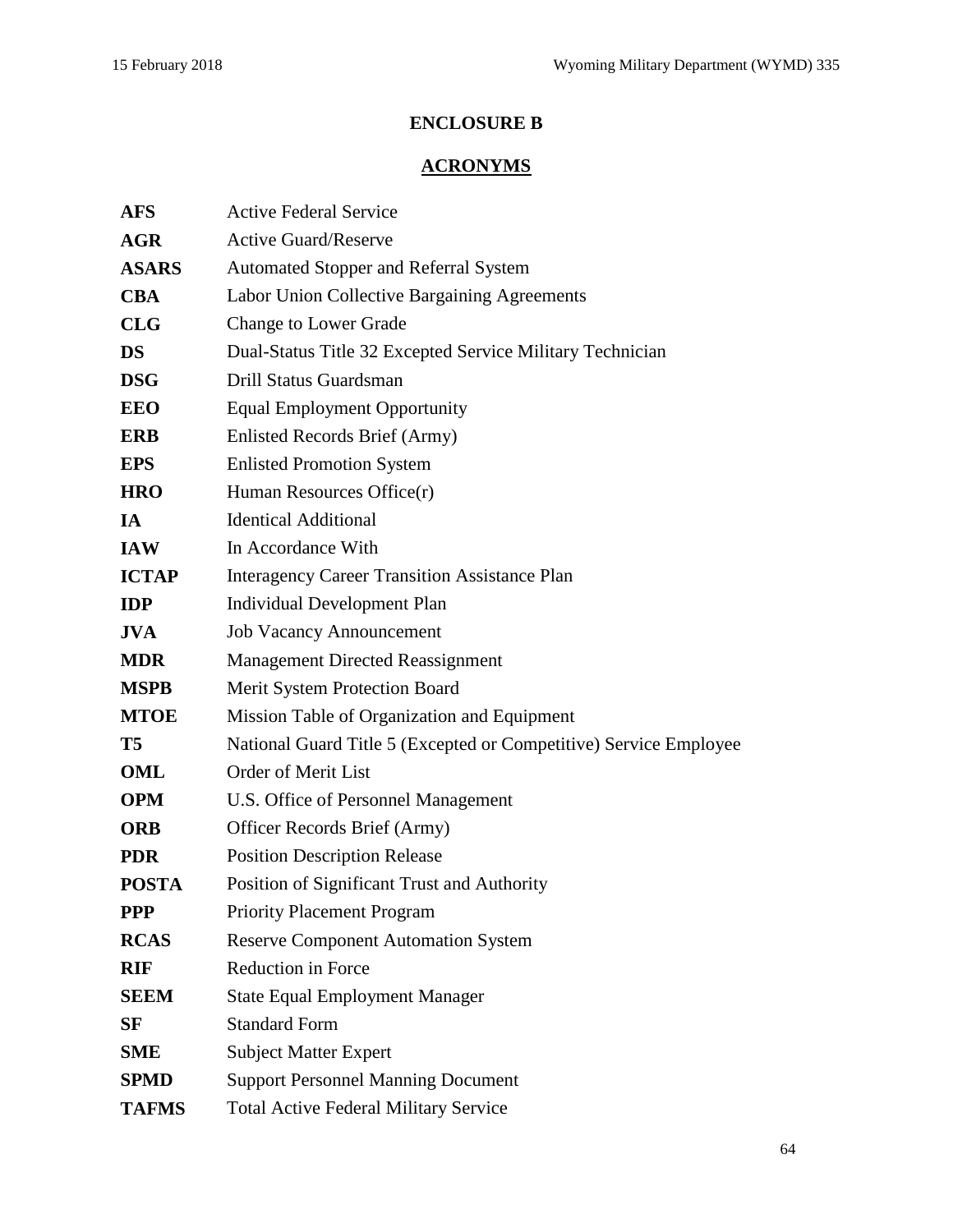# **ENCLOSURE B**

# **ACRONYMS**

| <b>AFS</b>   | <b>Active Federal Service</b>                                     |  |  |  |  |  |  |
|--------------|-------------------------------------------------------------------|--|--|--|--|--|--|
| <b>AGR</b>   | <b>Active Guard/Reserve</b>                                       |  |  |  |  |  |  |
| <b>ASARS</b> | Automated Stopper and Referral System                             |  |  |  |  |  |  |
| <b>CBA</b>   | Labor Union Collective Bargaining Agreements                      |  |  |  |  |  |  |
| <b>CLG</b>   | <b>Change to Lower Grade</b>                                      |  |  |  |  |  |  |
| <b>DS</b>    | Dual-Status Title 32 Excepted Service Military Technician         |  |  |  |  |  |  |
| <b>DSG</b>   | Drill Status Guardsman                                            |  |  |  |  |  |  |
| <b>EEO</b>   | <b>Equal Employment Opportunity</b>                               |  |  |  |  |  |  |
| <b>ERB</b>   | Enlisted Records Brief (Army)                                     |  |  |  |  |  |  |
| <b>EPS</b>   | <b>Enlisted Promotion System</b>                                  |  |  |  |  |  |  |
| <b>HRO</b>   | Human Resources Office(r)                                         |  |  |  |  |  |  |
| IA           | <b>Identical Additional</b>                                       |  |  |  |  |  |  |
| <b>IAW</b>   | In Accordance With                                                |  |  |  |  |  |  |
| <b>ICTAP</b> | <b>Interagency Career Transition Assistance Plan</b>              |  |  |  |  |  |  |
| <b>IDP</b>   | <b>Individual Development Plan</b>                                |  |  |  |  |  |  |
| <b>JVA</b>   | <b>Job Vacancy Announcement</b>                                   |  |  |  |  |  |  |
| <b>MDR</b>   | <b>Management Directed Reassignment</b>                           |  |  |  |  |  |  |
| <b>MSPB</b>  | Merit System Protection Board                                     |  |  |  |  |  |  |
| <b>MTOE</b>  | Mission Table of Organization and Equipment                       |  |  |  |  |  |  |
| <b>T5</b>    | National Guard Title 5 (Excepted or Competitive) Service Employee |  |  |  |  |  |  |
| <b>OML</b>   | <b>Order of Merit List</b>                                        |  |  |  |  |  |  |
| <b>OPM</b>   | U.S. Office of Personnel Management                               |  |  |  |  |  |  |
| <b>ORB</b>   | Officer Records Brief (Army)                                      |  |  |  |  |  |  |
| <b>PDR</b>   | <b>Position Description Release</b>                               |  |  |  |  |  |  |
| <b>POSTA</b> | Position of Significant Trust and Authority                       |  |  |  |  |  |  |
| <b>PPP</b>   | <b>Priority Placement Program</b>                                 |  |  |  |  |  |  |
| <b>RCAS</b>  | <b>Reserve Component Automation System</b>                        |  |  |  |  |  |  |
| <b>RIF</b>   | Reduction in Force                                                |  |  |  |  |  |  |
| <b>SEEM</b>  | <b>State Equal Employment Manager</b>                             |  |  |  |  |  |  |
| SF           | <b>Standard Form</b>                                              |  |  |  |  |  |  |
| <b>SME</b>   | <b>Subject Matter Expert</b>                                      |  |  |  |  |  |  |
| <b>SPMD</b>  | <b>Support Personnel Manning Document</b>                         |  |  |  |  |  |  |
| <b>TAFMS</b> | <b>Total Active Federal Military Service</b>                      |  |  |  |  |  |  |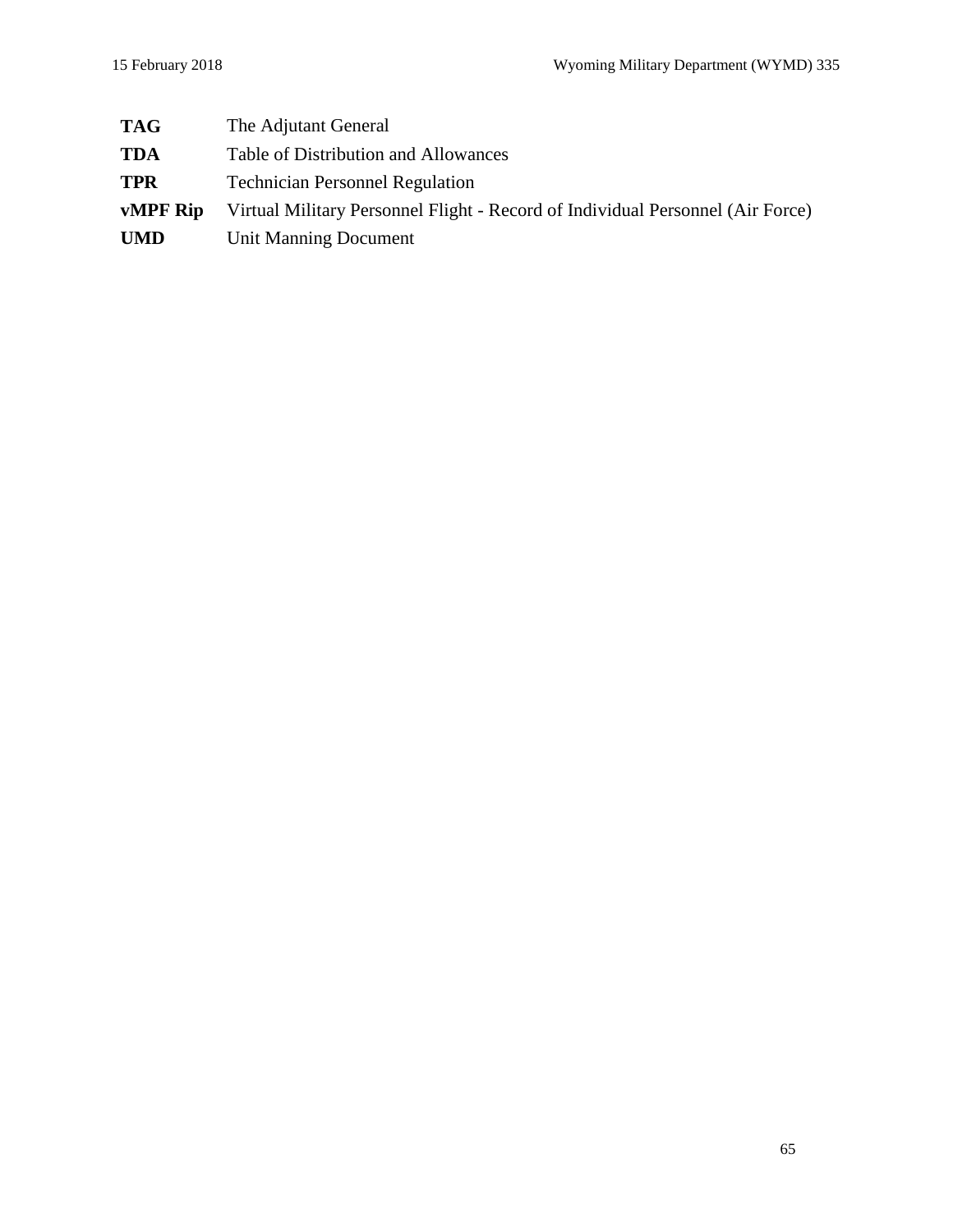| <b>TAG</b> | The Adjutant General                                                           |
|------------|--------------------------------------------------------------------------------|
| <b>TDA</b> | Table of Distribution and Allowances                                           |
| <b>TPR</b> | <b>Technician Personnel Regulation</b>                                         |
| vMPF Rip   | Virtual Military Personnel Flight - Record of Individual Personnel (Air Force) |
| <b>UMD</b> | Unit Manning Document                                                          |
|            |                                                                                |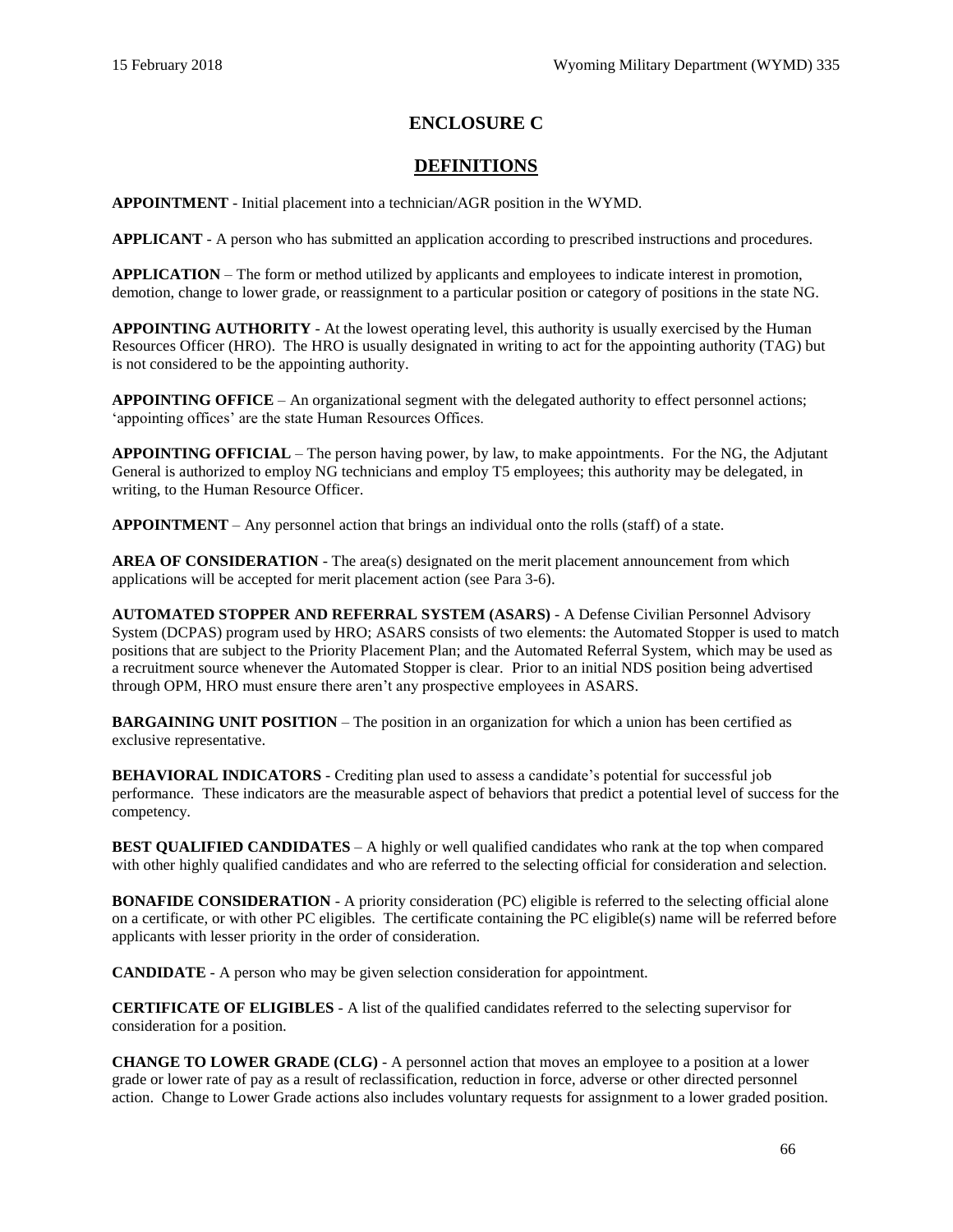## **ENCLOSURE C**

## **DEFINITIONS**

**APPOINTMENT** - Initial placement into a technician/AGR position in the WYMD.

**APPLICANT** - A person who has submitted an application according to prescribed instructions and procedures.

**APPLICATION** – The form or method utilized by applicants and employees to indicate interest in promotion, demotion, change to lower grade, or reassignment to a particular position or category of positions in the state NG.

**APPOINTING AUTHORITY** - At the lowest operating level, this authority is usually exercised by the Human Resources Officer (HRO). The HRO is usually designated in writing to act for the appointing authority (TAG) but is not considered to be the appointing authority.

**APPOINTING OFFICE** – An organizational segment with the delegated authority to effect personnel actions; 'appointing offices' are the state Human Resources Offices.

**APPOINTING OFFICIAL** – The person having power, by law, to make appointments. For the NG, the Adjutant General is authorized to employ NG technicians and employ T5 employees; this authority may be delegated, in writing, to the Human Resource Officer.

**APPOINTMENT** – Any personnel action that brings an individual onto the rolls (staff) of a state.

**AREA OF CONSIDERATION** - The area(s) designated on the merit placement announcement from which applications will be accepted for merit placement action [\(see Para](#page-22-0) 3-6).

**[AUTOMATED STOPPER AND REFERRAL SYSTEM \(ASARS\)](https://hrnetapps.cpms.osd.mil/)** - A Defense Civilian Personnel Advisory System (DCPAS) program used by HRO; ASARS consists of two elements: the Automated Stopper is used to match positions that are subject to the Priority Placement Plan; and the Automated Referral System, which may be used as a recruitment source whenever the Automated Stopper is clear. Prior to an initial NDS position being advertised through OPM, HRO must ensure there aren't any prospective employees in ASARS.

**BARGAINING UNIT POSITION** – The position in an organization for which a union has been certified as exclusive representative.

**BEHAVIORAL INDICATORS** - Crediting plan used to assess a candidate's potential for successful job performance. These indicators are the measurable aspect of behaviors that predict a potential level of success for the competency.

**BEST QUALIFIED CANDIDATES** – A highly or well qualified candidates who rank at the top when compared with other highly qualified candidates and who are referred to the selecting official for consideration and selection.

**BONAFIDE CONSIDERATION** - A priority consideration (PC) eligible is referred to the selecting official alone on a certificate, or with other PC eligibles. The certificate containing the PC eligible(s) name will be referred before applicants with lesser priority in the order of consideration.

**CANDIDATE** - A person who may be given selection consideration for appointment.

**CERTIFICATE OF ELIGIBLES** - A list of the qualified candidates referred to the selecting supervisor for consideration for a position.

**CHANGE TO LOWER GRADE (CLG)** - A personnel action that moves an employee to a position at a lower grade or lower rate of pay as a result of reclassification, reduction in force, adverse or other directed personnel action. Change to Lower Grade actions also includes voluntary requests for assignment to a lower graded position.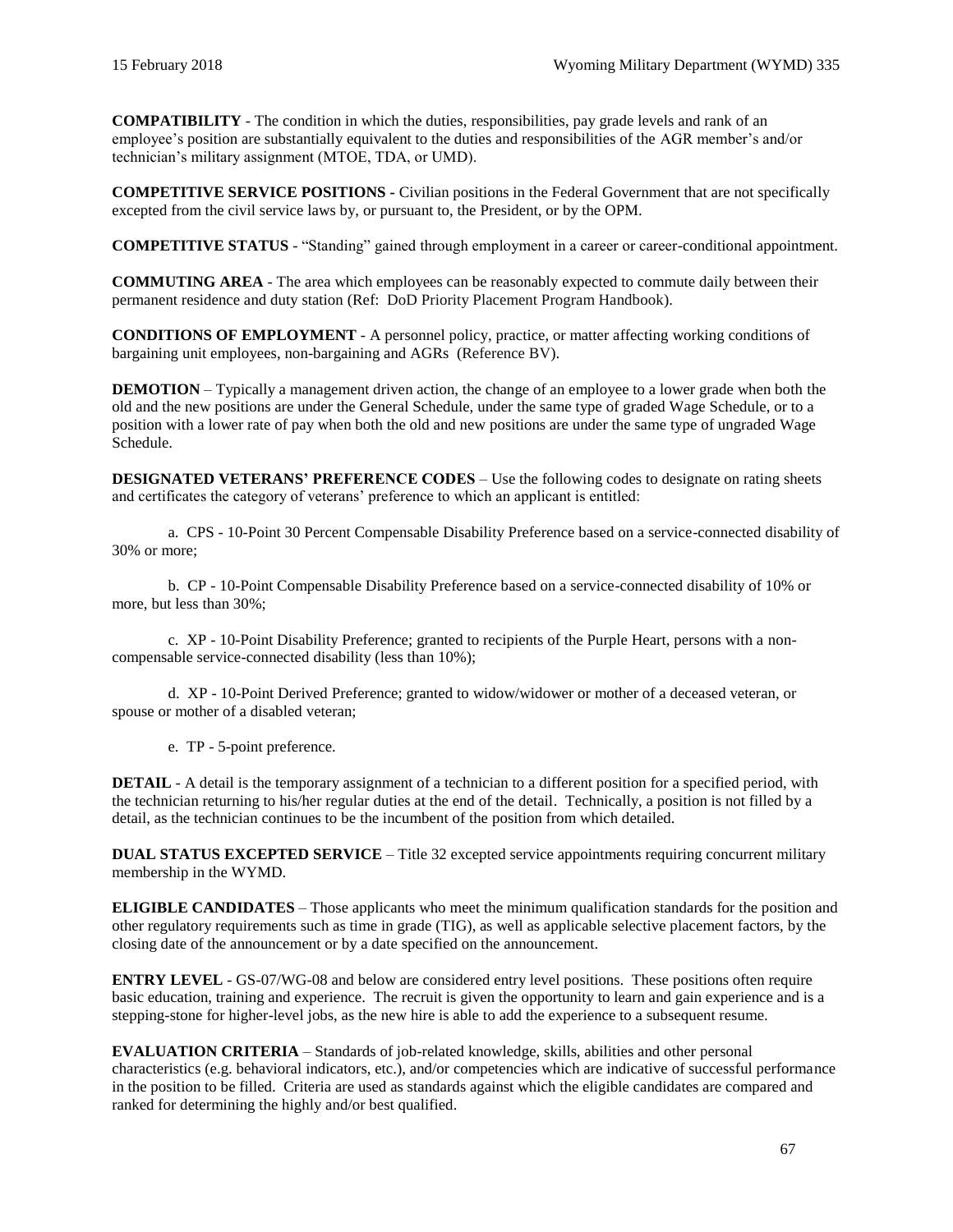**COMPATIBILITY** - The condition in which the duties, responsibilities, pay grade levels and rank of an employee's position are substantially equivalent to the duties and responsibilities of the AGR member's and/or technician's military assignment (MTOE, TDA, or UMD).

**COMPETITIVE SERVICE POSITIONS -** Civilian positions in the Federal Government that are not specifically excepted from the civil service laws by, or pursuant to, the President, or by the OPM.

**COMPETITIVE STATUS** - "Standing" gained through employment in a career or career-conditional appointment.

**COMMUTING AREA** - The area which employees can be reasonably expected to commute daily between their permanent residence and duty station (Ref: [DoD Priority Placement Program Handbook\)](http://www.cpms.osd.mil/Content/Documents/PPPHandbookAug2012(2).pdf).

**CONDITIONS OF EMPLOYMENT** - A personnel policy, practice, or matter affecting working conditions of bargaining unit employees, non-bargaining and AGRs [\(Reference BV\)](#page-62-1).

**DEMOTION** – Typically a management driven action, the change of an employee to a lower grade when both the old and the new positions are under the General Schedule, under the same type of graded Wage Schedule, or to a position with a lower rate of pay when both the old and new positions are under the same type of ungraded Wage Schedule.

**DESIGNATED VETERANS' PREFERENCE CODES** – Use the following codes to designate on rating sheets and certificates the category of veterans' preference to which an applicant is entitled:

a. CPS - 10-Point 30 Percent Compensable Disability Preference based on a service-connected disability of 30% or more;

b. CP - 10-Point Compensable Disability Preference based on a service-connected disability of 10% or more, but less than 30%;

c. XP - 10-Point Disability Preference; granted to recipients of the Purple Heart, persons with a noncompensable service-connected disability (less than 10%);

d. XP - 10-Point Derived Preference; granted to widow/widower or mother of a deceased veteran, or spouse or mother of a disabled veteran;

e. TP - 5-point preference.

**DETAIL** - A detail is the temporary assignment of a technician to a different position for a specified period, with the technician returning to his/her regular duties at the end of the detail. Technically, a position is not filled by a detail, as the technician continues to be the incumbent of the position from which detailed.

**DUAL STATUS EXCEPTED SERVICE** – Title 32 excepted service appointments requiring concurrent military membership in the WYMD.

**ELIGIBLE CANDIDATES** – Those applicants who meet the minimum qualification standards for the position and other regulatory requirements such as time in grade (TIG), as well as applicable selective placement factors, by the closing date of the announcement or by a date specified on the announcement.

**ENTRY LEVEL** - GS-07/WG-08 and below are considered entry level positions. These positions often require basic education, training and experience. The recruit is given the opportunity to learn and gain experience and is a stepping-stone for higher-level jobs, as the new hire is able to add the experience to a subsequent resume.

**EVALUATION CRITERIA** – Standards of job-related knowledge, skills, abilities and other personal characteristics (e.g. behavioral indicators, etc.), and/or competencies which are indicative of successful performance in the position to be filled. Criteria are used as standards against which the eligible candidates are compared and ranked for determining the highly and/or best qualified.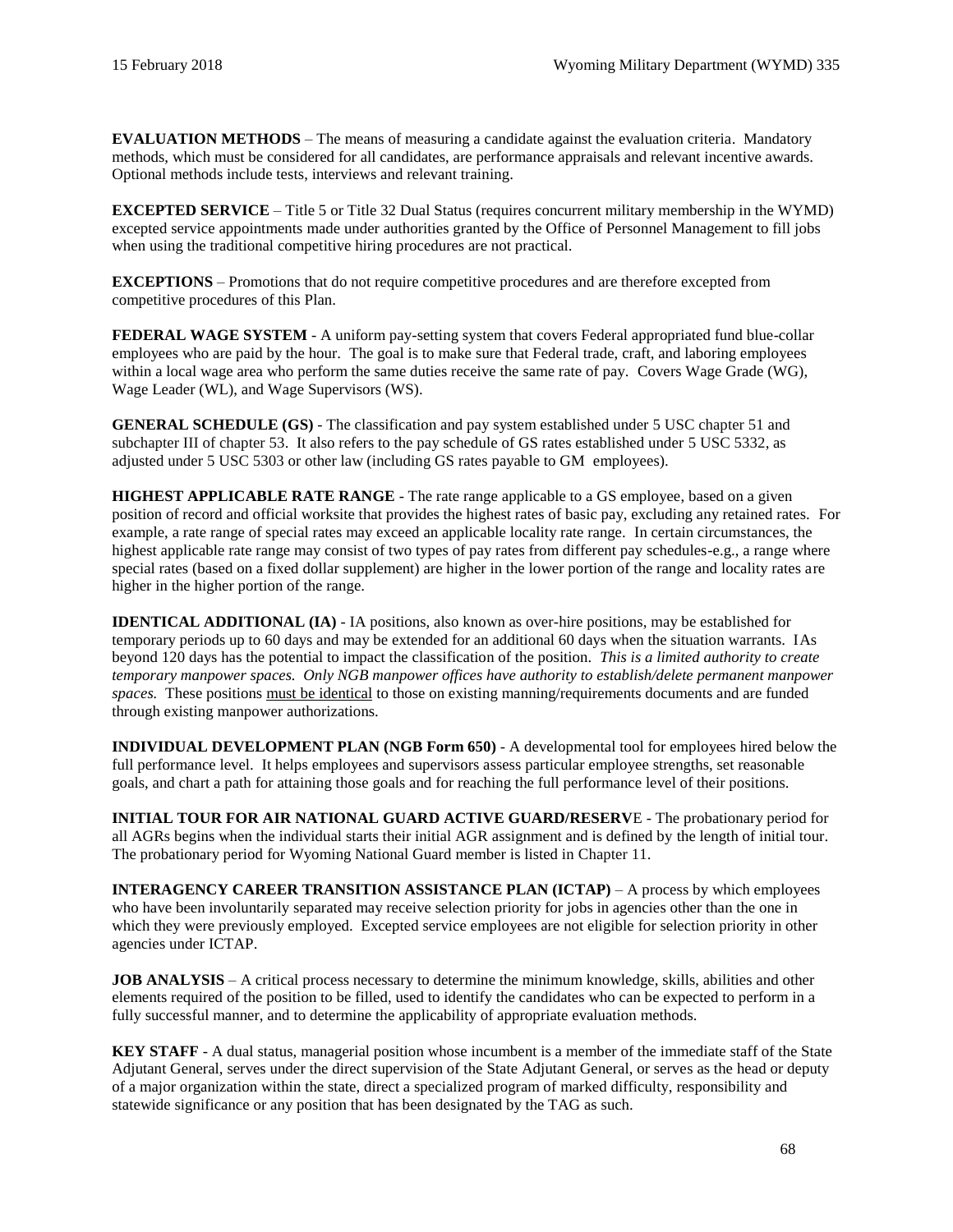**EVALUATION METHODS** – The means of measuring a candidate against the evaluation criteria. Mandatory methods, which must be considered for all candidates, are performance appraisals and relevant incentive awards. Optional methods include tests, interviews and relevant training.

**EXCEPTED SERVICE** – Title 5 or Title 32 Dual Status (requires concurrent military membership in the WYMD) excepted service appointments made under authorities granted by the Office of Personnel Management to fill jobs when using the traditional competitive hiring procedures are not practical.

**EXCEPTIONS** – Promotions that do not require competitive procedures and are therefore excepted from competitive procedures of this Plan.

**FEDERAL WAGE SYSTEM** - A uniform pay-setting system that covers Federal appropriated fund blue-collar employees who are paid by the hour. The goal is to make sure that Federal trade, craft, and laboring employees within a local wage area who perform the same duties receive the same rate of pay. Covers Wage Grade (WG), Wage Leader (WL), and Wage Supervisors (WS).

**GENERAL SCHEDULE (GS)** - The classification and pay system established under [5 USC chapter 51](https://www.gpo.gov/fdsys/pkg/USCODE-2015-title5/pdf/USCODE-2015-title5-partIII-subpartD-chap51.pdf) and [subchapter III of chapter 53.](https://www.gpo.gov/fdsys/pkg/USCODE-2015-title5/pdf/USCODE-2015-title5-partIII-subpartD-chap53-subchapIII.pdf) It also refers to the pay schedule of GS rates established under [5 USC 5332,](https://www.gpo.gov/fdsys/pkg/USCODE-2015-title5/pdf/USCODE-2015-title5-partIII-subpartD-chap53-subchapIII-sec5332.pdf) as adjusted under [5 USC 5303](https://www.gpo.gov/fdsys/pkg/USCODE-2015-title5/pdf/USCODE-2015-title5-partIII-subpartD-chap53-subchapI-sec5303.pdf) or other law (including GS rates payable to GM employees).

**HIGHEST APPLICABLE RATE RANGE** - The rate range applicable to a GS employee, based on a given position of record and official worksite that provides the highest rates of basic pay, excluding any retained rates. For example, a rate range of special rates may exceed an applicable locality rate range. In certain circumstances, the highest applicable rate range may consist of two types of pay rates from different pay schedules-e.g., a range where special rates (based on a fixed dollar supplement) are higher in the lower portion of the range and locality rates are higher in the higher portion of the range.

**IDENTICAL ADDITIONAL (IA)** - IA positions, also known as over-hire positions, may be established for temporary periods up to 60 days and may be extended for an additional 60 days when the situation warrants. IAs beyond 120 days has the potential to impact the classification of the position. *This is a limited authority to create temporary manpower spaces. Only NGB manpower offices have authority to establish/delete permanent manpower spaces.* These positions must be identical to those on existing manning/requirements documents and are funded through existing manpower authorizations.

**INDIVIDUAL DEVELOPMENT PLAN [\(NGB Form 650\)](https://gkoportal2.ngb.army.mil/states/WYKO/staff/hro/HRO%20Forms/NGB%20Form%20650,%20Individual%20Development%20Plan.pdf)** - A developmental tool for employees hired below the full performance level. It helps employees and supervisors assess particular employee strengths, set reasonable goals, and chart a path for attaining those goals and for reaching the full performance level of their positions.

**INITIAL TOUR FOR AIR NATIONAL GUARD ACTIVE GUARD/RESERV**E - The probationary period for all AGRs begins when the individual starts their initial AGR assignment and is defined by the length of initial tour. The probationary period for Wyoming National Guard member is listed in [Chapter 11.](#page-52-0)

**INTERAGENCY CAREER TRANSITION ASSISTANCE PLAN (ICTAP)** – A process by which employees who have been involuntarily separated may receive selection priority for jobs in agencies other than the one in which they were previously employed. Excepted service employees are not eligible for selection priority in other agencies under ICTAP.

**JOB ANALYSIS** – A critical process necessary to determine the minimum knowledge, skills, abilities and other elements required of the position to be filled, used to identify the candidates who can be expected to perform in a fully successful manner, and to determine the applicability of appropriate evaluation methods.

**KEY STAFF** - A dual status, managerial position whose incumbent is a member of the immediate staff of the State Adjutant General, serves under the direct supervision of the State Adjutant General, or serves as the head or deputy of a major organization within the state, direct a specialized program of marked difficulty, responsibility and statewide significance or any position that has been designated by the TAG as such.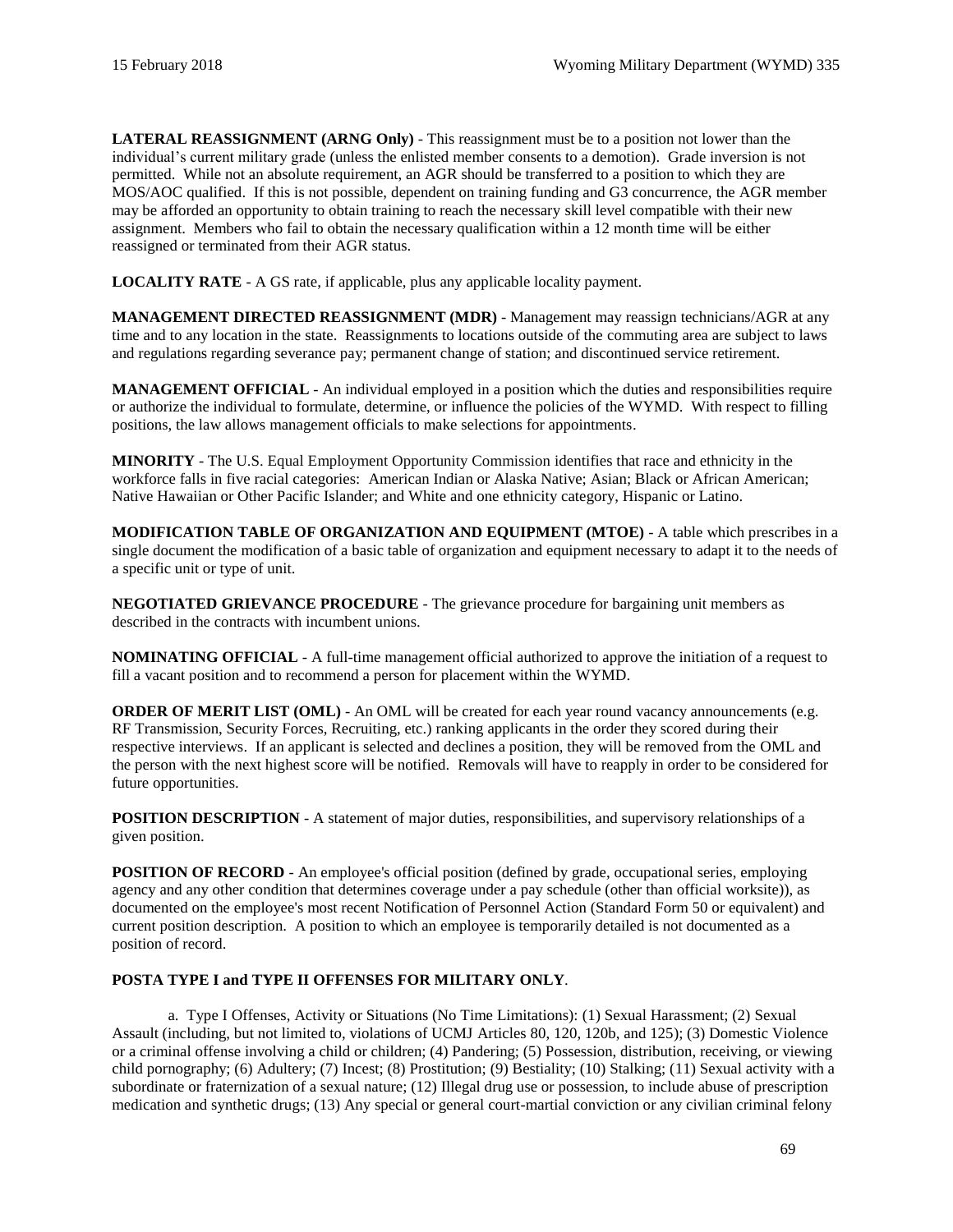**LATERAL REASSIGNMENT (ARNG Only)** - This reassignment must be to a position not lower than the individual's current military grade (unless the enlisted member consents to a demotion). Grade inversion is not permitted. While not an absolute requirement, an AGR should be transferred to a position to which they are MOS/AOC qualified. If this is not possible, dependent on training funding and G3 concurrence, the AGR member may be afforded an opportunity to obtain training to reach the necessary skill level compatible with their new assignment. Members who fail to obtain the necessary qualification within a 12 month time will be either reassigned or terminated from their AGR status.

**LOCALITY RATE** - A GS rate, if applicable, plus any applicable locality payment.

**MANAGEMENT DIRECTED REASSIGNMENT (MDR)** - Management may reassign technicians/AGR at any time and to any location in the state. Reassignments to locations outside of the commuting area are subject to laws and regulations regarding severance pay; permanent change of station; and discontinued service retirement.

**MANAGEMENT OFFICIAL** - An individual employed in a position which the duties and responsibilities require or authorize the individual to formulate, determine, or influence the policies of the WYMD. With respect to filling positions, the law allows management officials to make selections for appointments.

**MINORITY** - Th[e U.S. Equal Employment Opportunity Commission](http://www.eeoc.gov/policy/docs/qanda_race_color.html) identifies that race and ethnicity in the workforce falls in five racial categories: American Indian or Alaska Native; Asian; Black or African American; Native Hawaiian or Other Pacific Islander; and White and one ethnicity category, Hispanic or Latino.

**MODIFICATION TABLE OF ORGANIZATION AND EQUIPMENT (MTOE)** - A table which prescribes in a single document the modification of a basic table of organization and equipment necessary to adapt it to the needs of a specific unit or type of unit.

**NEGOTIATED GRIEVANCE PROCEDURE** - The grievance procedure for bargaining unit members as described in the contracts with incumbent unions.

**NOMINATING OFFICIAL** - A full-time management official authorized to approve the initiation of a request to fill a vacant position and to recommend a person for placement within the WYMD.

**ORDER OF MERIT LIST (OML)** - An OML will be created for each year round vacancy announcements (e.g. RF Transmission, Security Forces, Recruiting, etc.) ranking applicants in the order they scored during their respective interviews. If an applicant is selected and declines a position, they will be removed from the OML and the person with the next highest score will be notified. Removals will have to reapply in order to be considered for future opportunities.

**POSITION DESCRIPTION** - A statement of major duties, responsibilities, and supervisory relationships of a given position.

**POSITION OF RECORD** - An employee's official position (defined by grade, occupational series, employing agency and any other condition that determines coverage under a pay schedule (other than official worksite)), as documented on the employee's most recent Notification of Personnel Action (Standard Form 50 or equivalent) and current position description. A position to which an employee is temporarily detailed is not documented as a position of record.

## **POSTA TYPE I and TYPE II OFFENSES FOR MILITARY ONLY**.

a. Type I Offenses, Activity or Situations (No Time Limitations): (1) Sexual Harassment; (2) Sexual Assault (including, but not limited to, violations of UCMJ Articles 80, 120, 120b, and 125); (3) Domestic Violence or a criminal offense involving a child or children; (4) Pandering; (5) Possession, distribution, receiving, or viewing child pornography; (6) Adultery; (7) Incest; (8) Prostitution; (9) Bestiality; (10) Stalking; (11) Sexual activity with a subordinate or fraternization of a sexual nature; (12) Illegal drug use or possession, to include abuse of prescription medication and synthetic drugs; (13) Any special or general court-martial conviction or any civilian criminal felony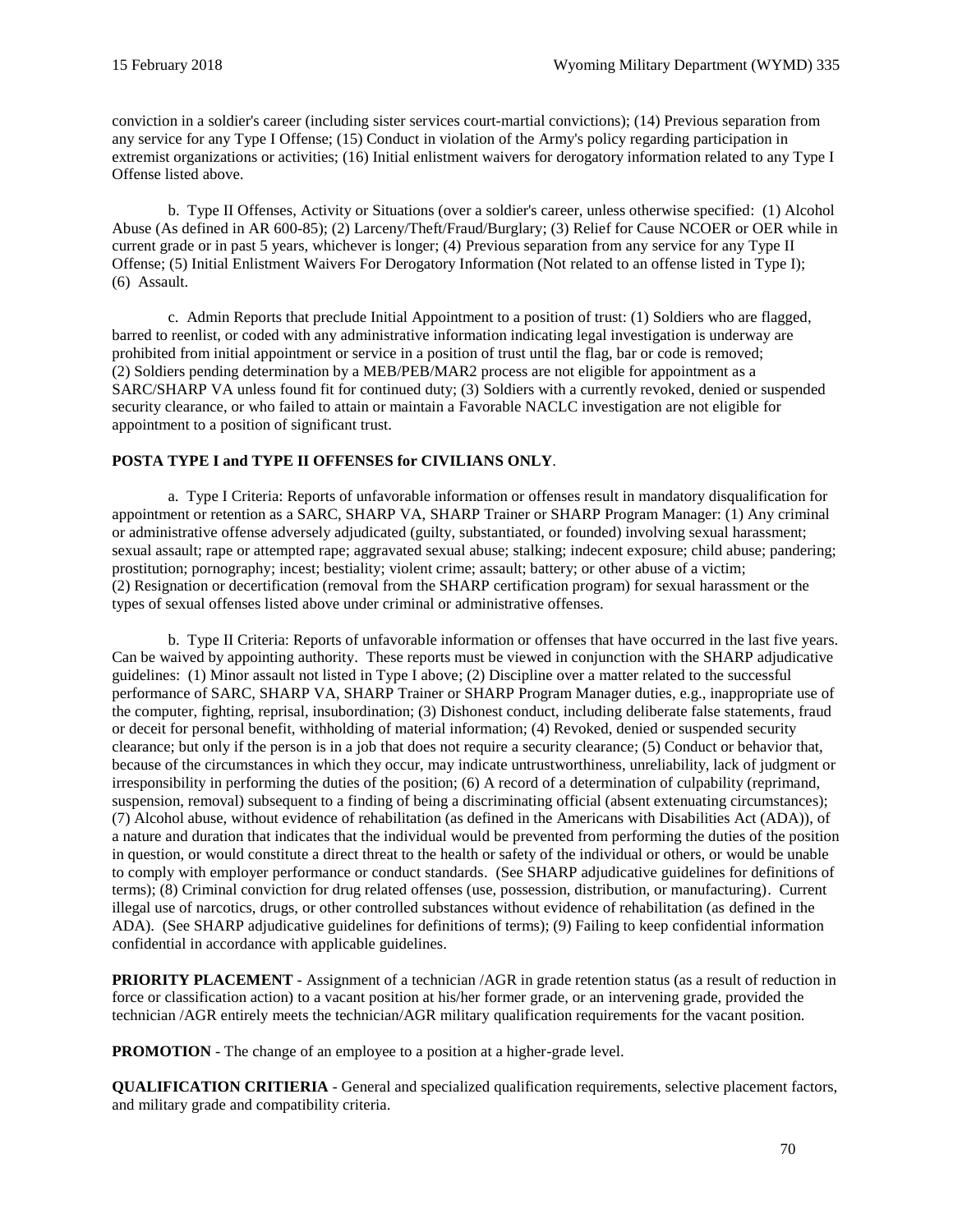conviction in a soldier's career (including sister services court-martial convictions); (14) Previous separation from any service for any Type I Offense; (15) Conduct in violation of the Army's policy regarding participation in extremist organizations or activities; (16) Initial enlistment waivers for derogatory information related to any Type I Offense listed above.

b. Type II Offenses, Activity or Situations (over a soldier's career, unless otherwise specified: (1) Alcohol Abuse (As defined in AR 600-85); (2) Larceny/Theft/Fraud/Burglary; (3) Relief for Cause NCOER or OER while in current grade or in past 5 years, whichever is longer; (4) Previous separation from any service for any Type II Offense; (5) Initial Enlistment Waivers For Derogatory Information (Not related to an offense listed in Type I); (6) Assault.

c. Admin Reports that preclude Initial Appointment to a position of trust: (1) Soldiers who are flagged, barred to reenlist, or coded with any administrative information indicating legal investigation is underway are prohibited from initial appointment or service in a position of trust until the flag, bar or code is removed; (2) Soldiers pending determination by a MEB/PEB/MAR2 process are not eligible for appointment as a SARC/SHARP VA unless found fit for continued duty; (3) Soldiers with a currently revoked, denied or suspended security clearance, or who failed to attain or maintain a Favorable NACLC investigation are not eligible for appointment to a position of significant trust.

## **POSTA TYPE I and TYPE II OFFENSES for CIVILIANS ONLY**.

a. Type I Criteria: Reports of unfavorable information or offenses result in mandatory disqualification for appointment or retention as a SARC, SHARP VA, SHARP Trainer or SHARP Program Manager: (1) Any criminal or administrative offense adversely adjudicated (guilty, substantiated, or founded) involving sexual harassment; sexual assault; rape or attempted rape; aggravated sexual abuse; stalking; indecent exposure; child abuse; pandering; prostitution; pornography; incest; bestiality; violent crime; assault; battery; or other abuse of a victim; (2) Resignation or decertification (removal from the SHARP certification program) for sexual harassment or the types of sexual offenses listed above under criminal or administrative offenses.

b. Type II Criteria: Reports of unfavorable information or offenses that have occurred in the last five years. Can be waived by appointing authority. These reports must be viewed in conjunction with the SHARP adjudicative guidelines: (1) Minor assault not listed in Type I above; (2) Discipline over a matter related to the successful performance of SARC, SHARP VA, SHARP Trainer or SHARP Program Manager duties, e.g., inappropriate use of the computer, fighting, reprisal, insubordination; (3) Dishonest conduct, including deliberate false statements, fraud or deceit for personal benefit, withholding of material information; (4) Revoked, denied or suspended security clearance; but only if the person is in a job that does not require a security clearance; (5) Conduct or behavior that, because of the circumstances in which they occur, may indicate untrustworthiness, unreliability, lack of judgment or irresponsibility in performing the duties of the position; (6) A record of a determination of culpability (reprimand, suspension, removal) subsequent to a finding of being a discriminating official (absent extenuating circumstances); (7) Alcohol abuse, without evidence of rehabilitation (as defined in the Americans with Disabilities Act (ADA)), of a nature and duration that indicates that the individual would be prevented from performing the duties of the position in question, or would constitute a direct threat to the health or safety of the individual or others, or would be unable to comply with employer performance or conduct standards. (See SHARP adjudicative guidelines for definitions of terms); (8) Criminal conviction for drug related offenses (use, possession, distribution, or manufacturing). Current illegal use of narcotics, drugs, or other controlled substances without evidence of rehabilitation (as defined in the ADA). (See SHARP adjudicative guidelines for definitions of terms); (9) Failing to keep confidential information confidential in accordance with applicable guidelines.

**PRIORITY PLACEMENT** - Assignment of a technician /AGR in grade retention status (as a result of reduction in force or classification action) to a vacant position at his/her former grade, or an intervening grade, provided the technician /AGR entirely meets the technician/AGR military qualification requirements for the vacant position.

**PROMOTION** - The change of an employee to a position at a higher-grade level.

**QUALIFICATION CRITIERIA** - General and specialized qualification requirements, selective placement factors, and military grade and compatibility criteria.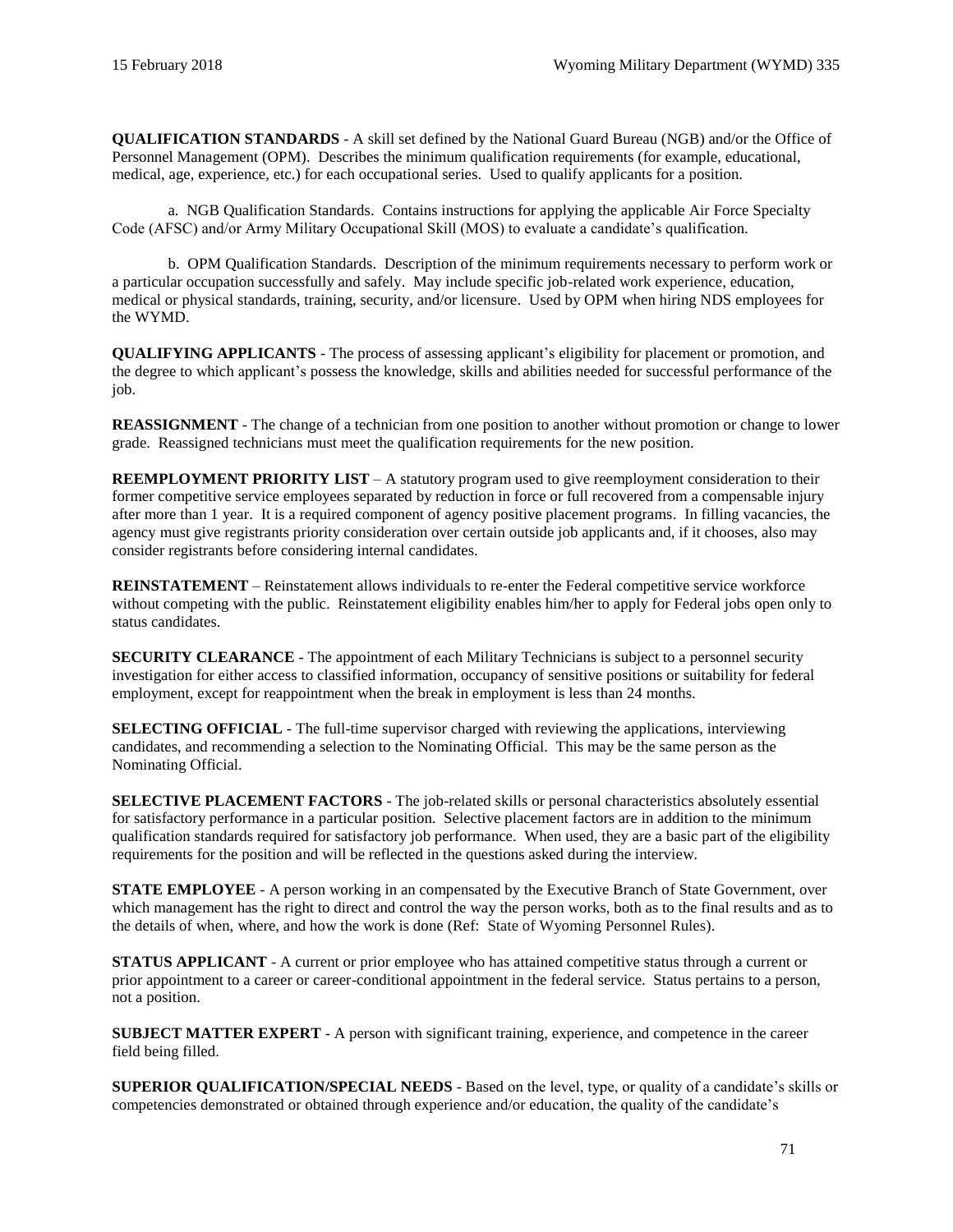**QUALIFICATION STANDARDS** - A skill set defined by the National Guard Bureau (NGB) and/or the Office of Personnel Management (OPM). Describes the minimum qualification requirements (for example, educational, medical, age, experience, etc.) for each occupational series. Used to qualify applicants for a position.

a. NGB Qualification Standards. Contains instructions for applying the applicable Air Force Specialty Code (AFSC) and/or Army Military Occupational Skill (MOS) to evaluate a candidate's qualification.

b. OPM Qualification Standards. Description of the minimum requirements necessary to perform work or a particular occupation successfully and safely. May include specific job-related work experience, education, medical or physical standards, training, security, and/or licensure. Used by OPM when hiring NDS employees for the WYMD.

**QUALIFYING APPLICANTS** - The process of assessing applicant's eligibility for placement or promotion, and the degree to which applicant's possess the knowledge, skills and abilities needed for successful performance of the job.

**REASSIGNMENT** - The change of a technician from one position to another without promotion or change to lower grade. Reassigned technicians must meet the qualification requirements for the new position.

**REEMPLOYMENT PRIORITY LIST** – A statutory program used to give reemployment consideration to their former competitive service employees separated by reduction in force or full recovered from a compensable injury after more than 1 year. It is a required component of agency positive placement programs. In filling vacancies, the agency must give registrants priority consideration over certain outside job applicants and, if it chooses, also may consider registrants before considering internal candidates.

**REINSTATEMENT** – Reinstatement allows individuals to re-enter the Federal competitive service workforce without competing with the public. Reinstatement eligibility enables him/her to apply for Federal jobs open only to status candidates.

**SECURITY CLEARANCE** - The appointment of each Military Technicians is subject to a personnel security investigation for either access to classified information, occupancy of sensitive positions or suitability for federal employment, except for reappointment when the break in employment is less than 24 months.

**SELECTING OFFICIAL** - The full-time supervisor charged with reviewing the applications, interviewing candidates, and recommending a selection to the Nominating Official. This may be the same person as the Nominating Official.

**SELECTIVE PLACEMENT FACTORS** - The job-related skills or personal characteristics absolutely essential for satisfactory performance in a particular position. Selective placement factors are in addition to the minimum qualification standards required for satisfactory job performance. When used, they are a basic part of the eligibility requirements for the position and will be reflected in the questions asked during the interview.

**STATE EMPLOYEE** - A person working in an compensated by the Executive Branch of State Government, over which management has the right to direct and control the way the person works, both as to the final results and as to the details of when, where, and how the work is done (Ref: [State of Wyoming Personnel Rules\)](http://www.wyoming.gov/loc/06012011_1/employees/Pages/PersonnelProcedures.aspx).

**STATUS APPLICANT** - A current or prior employee who has attained competitive status through a current or prior appointment to a career or career-conditional appointment in the federal service. Status pertains to a person, not a position.

**SUBJECT MATTER EXPERT** - A person with significant training, experience, and competence in the career field being filled.

**SUPERIOR QUALIFICATION/SPECIAL NEEDS** - Based on the level, type, or quality of a candidate's skills or competencies demonstrated or obtained through experience and/or education, the quality of the candidate's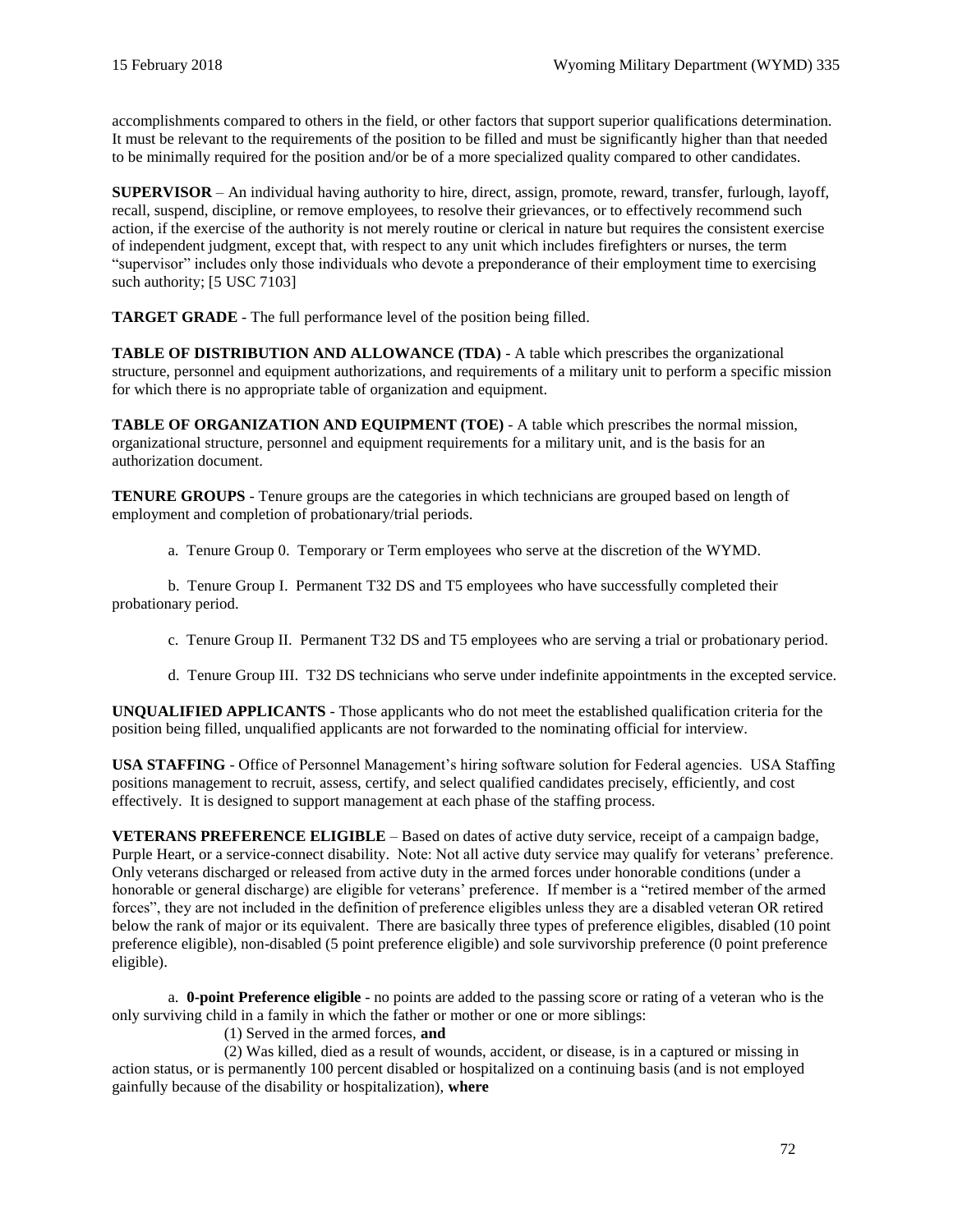accomplishments compared to others in the field, or other factors that support superior qualifications determination. It must be relevant to the requirements of the position to be filled and must be significantly higher than that needed to be minimally required for the position and/or be of a more specialized quality compared to other candidates.

**SUPERVISOR** – An individual having authority to hire, direct, assign, promote, reward, transfer, furlough, layoff, recall, suspend, discipline, or remove employees, to resolve their grievances, or to effectively recommend such action, if the exercise of the authority is not merely routine or clerical in nature but requires the consistent exercise of independent judgment, except that, with respect to any unit which includes firefighters or nurses, the term "supervisor" includes only those individuals who devote a preponderance of their employment time to exercising such authority; [\[5 USC 7103\]](https://www.gpo.gov/fdsys/pkg/USCODE-2016-title5/html/USCODE-2016-title5-partIII-subpartF-chap71-subchapI-sec7103.htm)

**TARGET GRADE** - The full performance level of the position being filled.

**TABLE OF DISTRIBUTION AND ALLOWANCE (TDA)** - A table which prescribes the organizational structure, personnel and equipment authorizations, and requirements of a military unit to perform a specific mission for which there is no appropriate table of organization and equipment.

**TABLE OF ORGANIZATION AND EQUIPMENT (TOE)** - A table which prescribes the normal mission, organizational structure, personnel and equipment requirements for a military unit, and is the basis for an authorization document.

**TENURE GROUPS** - Tenure groups are the categories in which technicians are grouped based on length of employment and completion of probationary/trial periods.

a. Tenure Group 0. Temporary or Term employees who serve at the discretion of the WYMD.

b. Tenure Group I. Permanent T32 DS and T5 employees who have successfully completed their probationary period.

c. Tenure Group II. Permanent T32 DS and T5 employees who are serving a trial or probationary period.

d. Tenure Group III. T32 DS technicians who serve under indefinite appointments in the excepted service.

**UNQUALIFIED APPLICANTS** - Those applicants who do not meet the established qualification criteria for the position being filled, unqualified applicants are not forwarded to the nominating official for interview.

**USA STAFFING** - Office of Personnel Management's hiring software solution for Federal agencies. USA Staffing positions management to recruit, assess, certify, and select qualified candidates precisely, efficiently, and cost effectively. It is designed to support management at each phase of the staffing process.

**[VETERANS PREFERENCE ELIGIBLE](https://fedshirevets.gov/job/vetpref/index.aspx)** – Based on dates of active duty service, receipt of a campaign badge, Purple Heart, or a service-connect disability. Note: Not all active duty service may qualify for veterans' preference. Only veterans discharged or released from active duty in the armed forces under honorable conditions (under a honorable or general discharge) are eligible for veterans' preference. If member is a "retired member of the armed forces", they are not included in the definition of preference eligibles unless they are a disabled veteran OR retired below the rank of major or its equivalent. There are basically three types of preference eligibles, disabled (10 point preference eligible), non-disabled (5 point preference eligible) and sole survivorship preference (0 point preference eligible).

a. **0-point Preference eligible** - no points are added to the passing score or rating of a veteran who is the only surviving child in a family in which the father or mother or one or more siblings:

(1) Served in the armed forces, **and**

(2) Was killed, died as a result of wounds, accident, or disease, is in a captured or missing in action status, or is permanently 100 percent disabled or hospitalized on a continuing basis (and is not employed gainfully because of the disability or hospitalization), **where**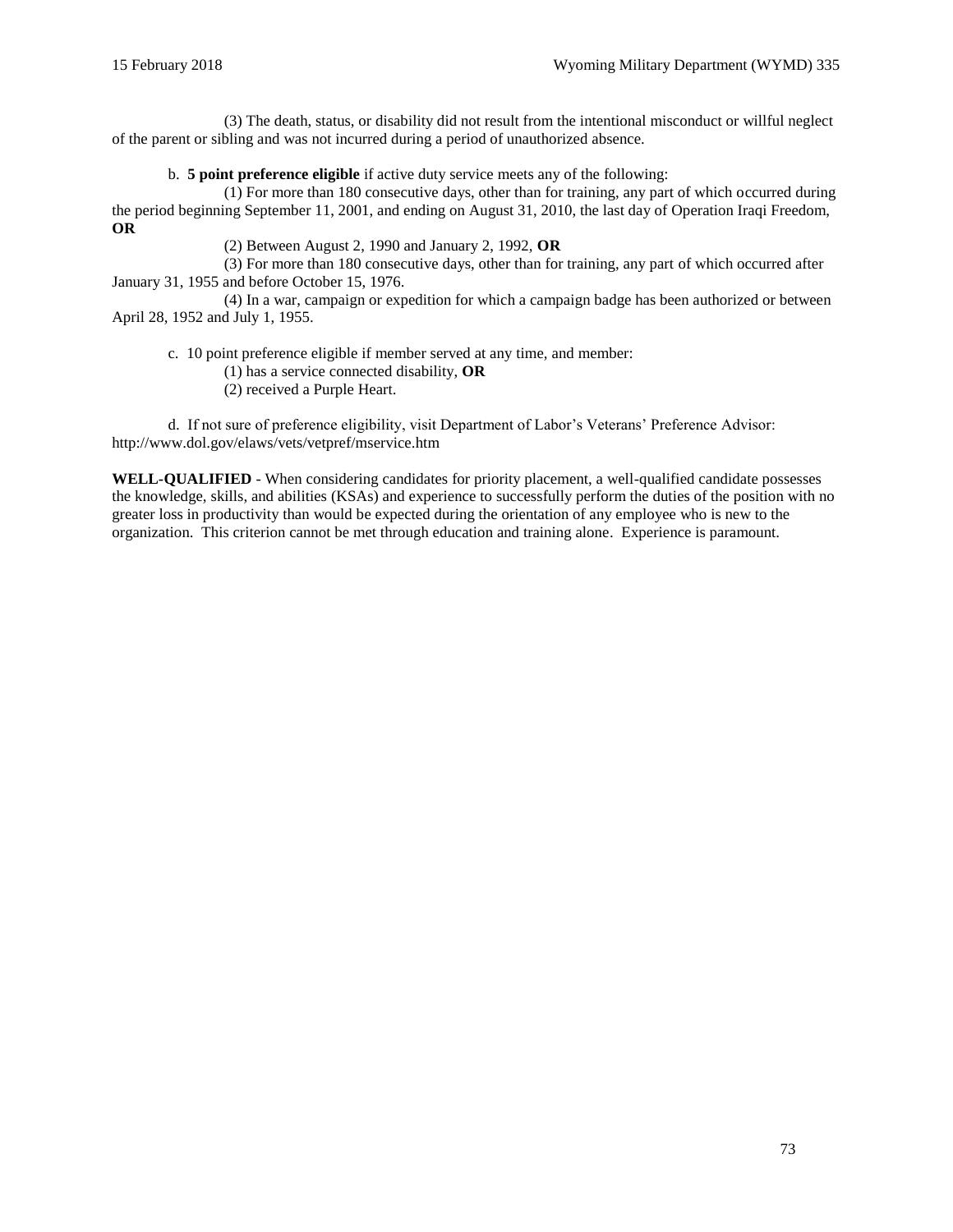(3) The death, status, or disability did not result from the intentional misconduct or willful neglect of the parent or sibling and was not incurred during a period of unauthorized absence.

b. **5 point preference eligible** if active duty service meets any of the following:

(1) For more than 180 consecutive days, other than for training, any part of which occurred during the period beginning September 11, 2001, and ending on August 31, 2010, the last day of Operation Iraqi Freedom, **OR**

(2) Between August 2, 1990 and January 2, 1992, **OR**

(3) For more than 180 consecutive days, other than for training, any part of which occurred after January 31, 1955 and before October 15, 1976.

(4) In a war, campaign or expedition for which a campaign badge has been authorized or between April 28, 1952 and July 1, 1955.

c. 10 point preference eligible if member served at any time, and member:

(1) has a service connected disability, **OR**

(2) received a Purple Heart.

d. If not sure of preference eligibility, visit Department of Labor's Veterans' Preference Advisor: http://www.dol.gov/elaws/vets/vetpref/mservice.htm

**WELL-QUALIFIED** - When considering candidates for priority placement, a well-qualified candidate possesses the knowledge, skills, and abilities (KSAs) and experience to successfully perform the duties of the position with no greater loss in productivity than would be expected during the orientation of any employee who is new to the organization. This criterion cannot be met through education and training alone. Experience is paramount.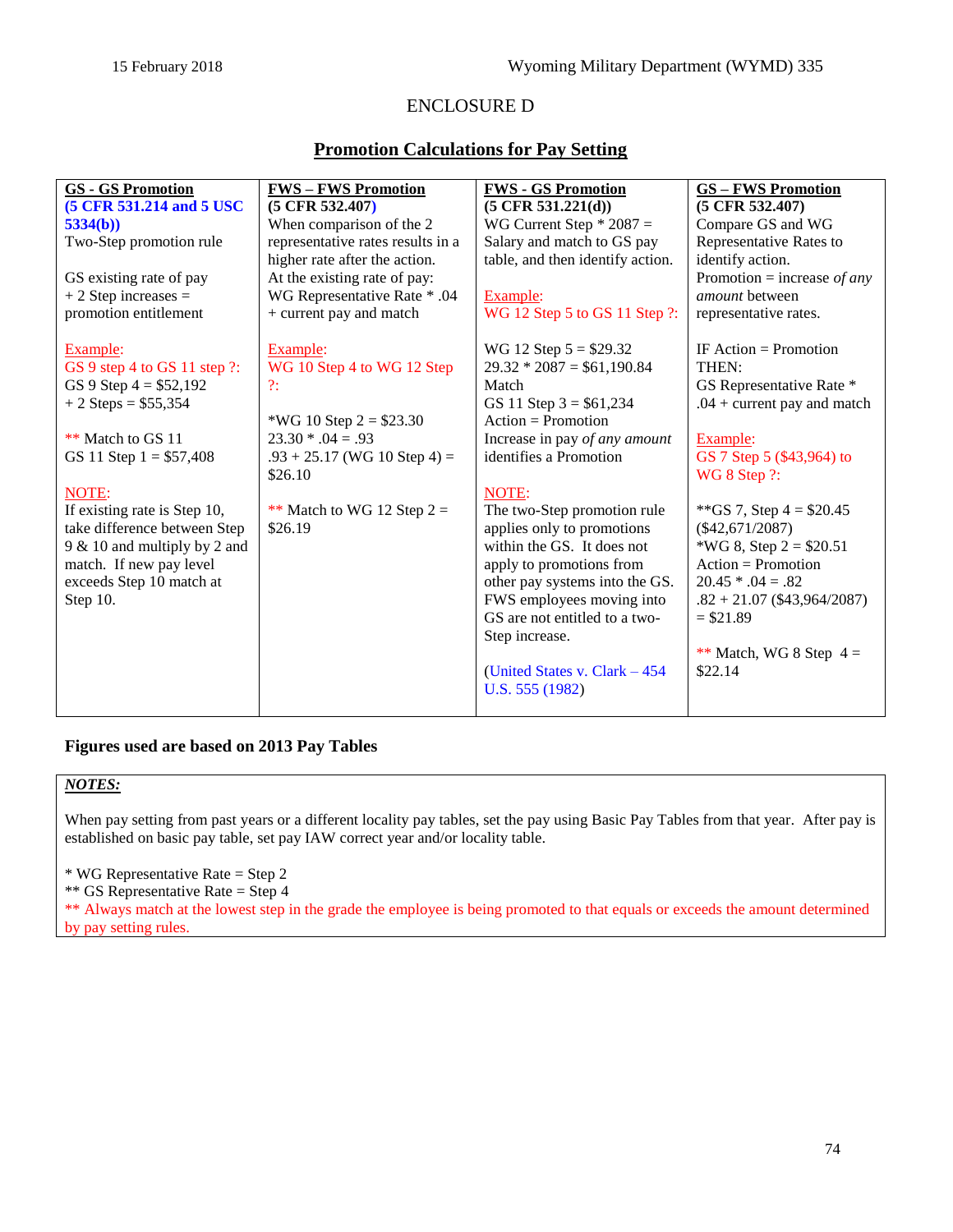# ENCLOSURE D

# **Promotion Calculations for Pay Setting**

| <b>GS - GS Promotion</b><br><b>FWS-FWS Promotion</b><br><b>FWS - GS Promotion</b><br><b>GS-FWS Promotion</b><br>(5 CFR 531.214 and 5 USC<br>$(5 \text{ CFR } 532.407)$<br>$(5 \text{ CFR } 531.221(d))$<br>$(5 \text{ CFR } 532.407)$<br>When comparison of the 2<br>WG Current Step $*$ 2087 =<br>Compare GS and WG<br>5334(b)<br>Two-Step promotion rule<br>representative rates results in a<br>Salary and match to GS pay<br>Representative Rates to<br>table, and then identify action.<br>higher rate after the action.<br>identify action. |                         |                              |                               |
|---------------------------------------------------------------------------------------------------------------------------------------------------------------------------------------------------------------------------------------------------------------------------------------------------------------------------------------------------------------------------------------------------------------------------------------------------------------------------------------------------------------------------------------------------|-------------------------|------------------------------|-------------------------------|
|                                                                                                                                                                                                                                                                                                                                                                                                                                                                                                                                                   |                         |                              |                               |
|                                                                                                                                                                                                                                                                                                                                                                                                                                                                                                                                                   |                         |                              |                               |
|                                                                                                                                                                                                                                                                                                                                                                                                                                                                                                                                                   |                         |                              |                               |
|                                                                                                                                                                                                                                                                                                                                                                                                                                                                                                                                                   |                         |                              |                               |
|                                                                                                                                                                                                                                                                                                                                                                                                                                                                                                                                                   | GS existing rate of pay | At the existing rate of pay: | Promotion = increase of any   |
| WG Representative Rate * .04<br>$+2$ Step increases =<br><i>amount</i> between<br>Example:                                                                                                                                                                                                                                                                                                                                                                                                                                                        |                         |                              |                               |
| WG 12 Step 5 to GS 11 Step ?:<br>promotion entitlement<br>+ current pay and match<br>representative rates.                                                                                                                                                                                                                                                                                                                                                                                                                                        |                         |                              |                               |
| IF Action = Promotion<br>Example:<br>Example:<br>WG 12 Step $5 = $29.32$                                                                                                                                                                                                                                                                                                                                                                                                                                                                          |                         |                              |                               |
| WG 10 Step 4 to WG 12 Step<br>$29.32 * 2087 = $61,190.84$<br>THEN:<br>GS 9 step 4 to GS 11 step ?:                                                                                                                                                                                                                                                                                                                                                                                                                                                |                         |                              |                               |
| GS 9 Step $4 = $52,192$<br>Match<br>2:                                                                                                                                                                                                                                                                                                                                                                                                                                                                                                            |                         |                              | GS Representative Rate *      |
| $+2$ Steps = \$55,354<br>GS 11 Step $3 = $61,234$                                                                                                                                                                                                                                                                                                                                                                                                                                                                                                 |                         |                              | $.04 +$ current pay and match |
| $Action = Promotion$<br>*WG 10 Step $2 = $23.30$                                                                                                                                                                                                                                                                                                                                                                                                                                                                                                  |                         |                              |                               |
| $23.30 * .04 = .93$<br>** Match to GS 11<br>Increase in pay of any amount<br>Example:                                                                                                                                                                                                                                                                                                                                                                                                                                                             |                         |                              |                               |
| identifies a Promotion<br>GS 7 Step 5 (\$43,964) to<br>$.93 + 25.17$ (WG 10 Step 4) =<br>GS 11 Step $1 = $57,408$                                                                                                                                                                                                                                                                                                                                                                                                                                 |                         |                              |                               |
| \$26.10<br>WG 8 Step ?:                                                                                                                                                                                                                                                                                                                                                                                                                                                                                                                           |                         |                              |                               |
| NOTE:<br>NOTE:                                                                                                                                                                                                                                                                                                                                                                                                                                                                                                                                    |                         |                              |                               |
| If existing rate is Step 10,<br>The two-Step promotion rule<br>**GS 7, Step $4 = $20.45$<br>** Match to WG 12 Step $2 =$                                                                                                                                                                                                                                                                                                                                                                                                                          |                         |                              |                               |
| take difference between Step<br>\$26.19<br>applies only to promotions<br>$(\$42,671/2087)$                                                                                                                                                                                                                                                                                                                                                                                                                                                        |                         |                              |                               |
| within the GS. It does not<br>*WG 8, Step $2 = $20.51$<br>9 & 10 and multiply by 2 and                                                                                                                                                                                                                                                                                                                                                                                                                                                            |                         |                              |                               |
| match. If new pay level<br>$Action = Promotion$<br>apply to promotions from                                                                                                                                                                                                                                                                                                                                                                                                                                                                       |                         |                              |                               |
| exceeds Step 10 match at<br>other pay systems into the GS.<br>$20.45 * .04 = .82$                                                                                                                                                                                                                                                                                                                                                                                                                                                                 |                         |                              |                               |
| FWS employees moving into<br>Step 10.                                                                                                                                                                                                                                                                                                                                                                                                                                                                                                             |                         |                              | $.82 + 21.07$ (\$43,964/2087) |
| GS are not entitled to a two-<br>$= $21.89$                                                                                                                                                                                                                                                                                                                                                                                                                                                                                                       |                         |                              |                               |
| Step increase.                                                                                                                                                                                                                                                                                                                                                                                                                                                                                                                                    |                         |                              |                               |
| \$22.14                                                                                                                                                                                                                                                                                                                                                                                                                                                                                                                                           |                         |                              | ** Match, WG 8 Step $4 =$     |
| (United States v. Clark $-454$ )<br>U.S. 555 (1982)                                                                                                                                                                                                                                                                                                                                                                                                                                                                                               |                         |                              |                               |
|                                                                                                                                                                                                                                                                                                                                                                                                                                                                                                                                                   |                         |                              |                               |

## **Figures used are based on 2013 Pay Tables**

#### *NOTES:*

When pay setting from past years or a different locality pay tables, set the pay using Basic Pay Tables from that year. After pay is established on basic pay table, set pay IAW correct year and/or locality table.

\* WG Representative Rate = Step 2

\*\* GS Representative Rate = Step 4

\*\* Always match at the lowest step in the grade the employee is being promoted to that equals or exceeds the amount determined by pay setting rules.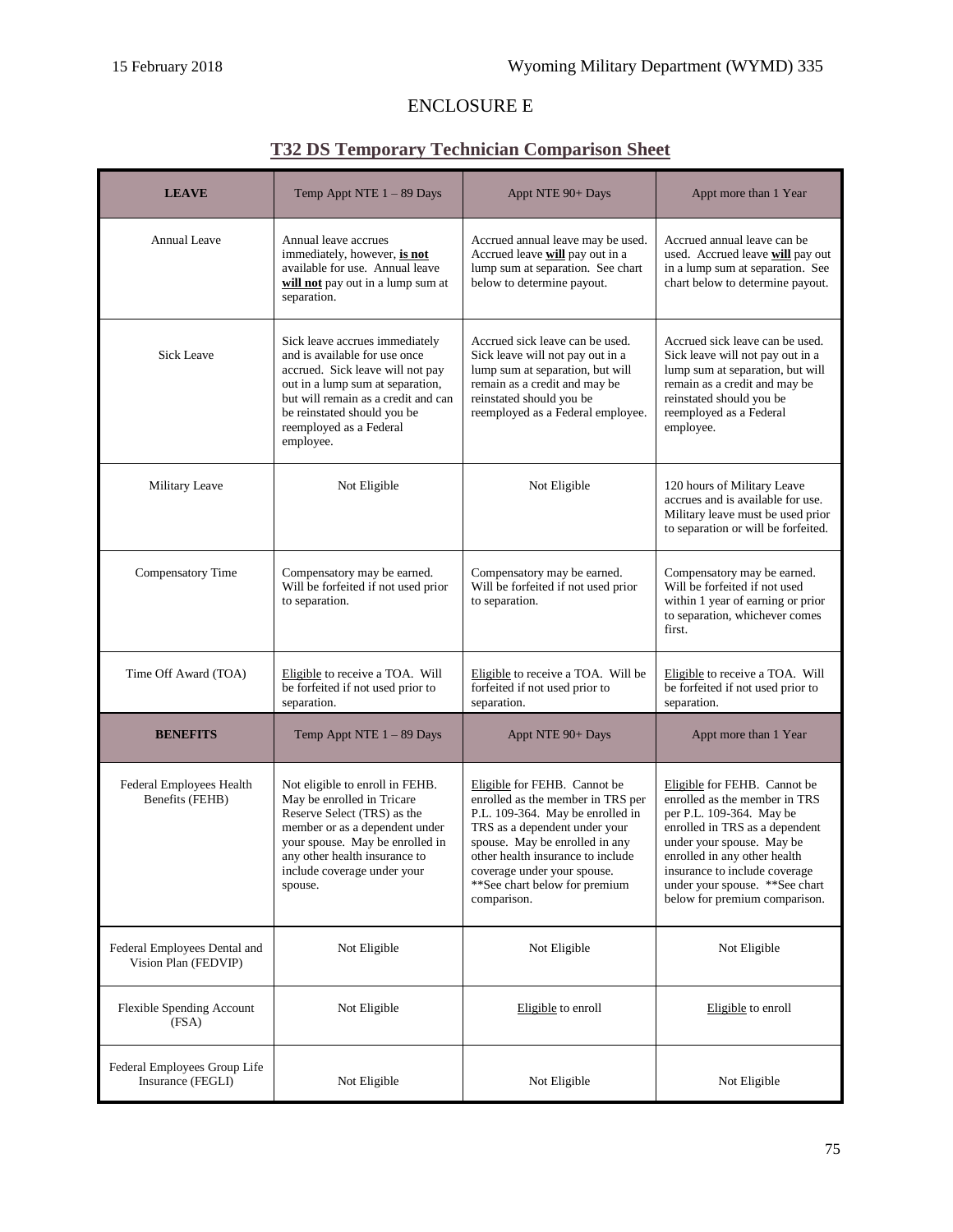# ENCLOSURE E

# **T32 DS Temporary Technician Comparison Sheet**

| <b>LEAVE</b>                                         | Temp Appt NTE $1 - 89$ Days                                                                                                                                                                                                                           | Appt NTE 90+ Days                                                                                                                                                                                                                                                                            | Appt more than 1 Year                                                                                                                                                                                                                                                                         |
|------------------------------------------------------|-------------------------------------------------------------------------------------------------------------------------------------------------------------------------------------------------------------------------------------------------------|----------------------------------------------------------------------------------------------------------------------------------------------------------------------------------------------------------------------------------------------------------------------------------------------|-----------------------------------------------------------------------------------------------------------------------------------------------------------------------------------------------------------------------------------------------------------------------------------------------|
| <b>Annual Leave</b>                                  | Annual leave accrues<br>immediately, however, is not<br>available for use. Annual leave<br>will not pay out in a lump sum at<br>separation.                                                                                                           | Accrued annual leave may be used.<br>Accrued leave will pay out in a<br>lump sum at separation. See chart<br>below to determine payout.                                                                                                                                                      | Accrued annual leave can be<br>used. Accrued leave will pay out<br>in a lump sum at separation. See<br>chart below to determine payout.                                                                                                                                                       |
| <b>Sick Leave</b>                                    | Sick leave accrues immediately<br>and is available for use once<br>accrued. Sick leave will not pay<br>out in a lump sum at separation,<br>but will remain as a credit and can<br>be reinstated should you be<br>reemployed as a Federal<br>employee. | Accrued sick leave can be used.<br>Sick leave will not pay out in a<br>lump sum at separation, but will<br>remain as a credit and may be<br>reinstated should you be<br>reemployed as a Federal employee.                                                                                    | Accrued sick leave can be used.<br>Sick leave will not pay out in a<br>lump sum at separation, but will<br>remain as a credit and may be<br>reinstated should you be<br>reemployed as a Federal<br>employee.                                                                                  |
| Military Leave                                       | Not Eligible                                                                                                                                                                                                                                          | Not Eligible                                                                                                                                                                                                                                                                                 | 120 hours of Military Leave<br>accrues and is available for use.<br>Military leave must be used prior<br>to separation or will be forfeited.                                                                                                                                                  |
| Compensatory Time                                    | Compensatory may be earned.<br>Will be forfeited if not used prior<br>to separation.                                                                                                                                                                  | Compensatory may be earned.<br>Will be forfeited if not used prior<br>to separation.                                                                                                                                                                                                         | Compensatory may be earned.<br>Will be forfeited if not used<br>within 1 year of earning or prior<br>to separation, whichever comes<br>first.                                                                                                                                                 |
| Time Off Award (TOA)                                 | Eligible to receive a TOA. Will<br>be forfeited if not used prior to<br>separation.                                                                                                                                                                   | Eligible to receive a TOA. Will be<br>forfeited if not used prior to<br>separation.                                                                                                                                                                                                          | Eligible to receive a TOA. Will<br>be forfeited if not used prior to<br>separation.                                                                                                                                                                                                           |
| <b>BENEFITS</b>                                      | Temp Appt NTE $1 - 89$ Days                                                                                                                                                                                                                           | Appt NTE 90+ Days                                                                                                                                                                                                                                                                            | Appt more than 1 Year                                                                                                                                                                                                                                                                         |
| Federal Employees Health<br>Benefits (FEHB)          | Not eligible to enroll in FEHB.<br>May be enrolled in Tricare<br>Reserve Select (TRS) as the<br>member or as a dependent under<br>your spouse. May be enrolled in<br>any other health insurance to<br>include coverage under your<br>spouse.          | Eligible for FEHB. Cannot be<br>enrolled as the member in TRS per<br>P.L. 109-364. May be enrolled in<br>TRS as a dependent under your<br>spouse. May be enrolled in any<br>other health insurance to include<br>coverage under your spouse.<br>**See chart below for premium<br>comparison. | Eligible for FEHB. Cannot be<br>enrolled as the member in TRS<br>per P.L. 109-364. May be<br>enrolled in TRS as a dependent<br>under your spouse. May be<br>enrolled in any other health<br>insurance to include coverage<br>under your spouse. ** See chart<br>below for premium comparison. |
| Federal Employees Dental and<br>Vision Plan (FEDVIP) | Not Eligible                                                                                                                                                                                                                                          | Not Eligible                                                                                                                                                                                                                                                                                 | Not Eligible                                                                                                                                                                                                                                                                                  |
| <b>Flexible Spending Account</b><br>(FSA)            | Not Eligible                                                                                                                                                                                                                                          | Eligible to enroll                                                                                                                                                                                                                                                                           | Eligible to enroll                                                                                                                                                                                                                                                                            |
| Federal Employees Group Life<br>Insurance (FEGLI)    | Not Eligible                                                                                                                                                                                                                                          | Not Eligible                                                                                                                                                                                                                                                                                 | Not Eligible                                                                                                                                                                                                                                                                                  |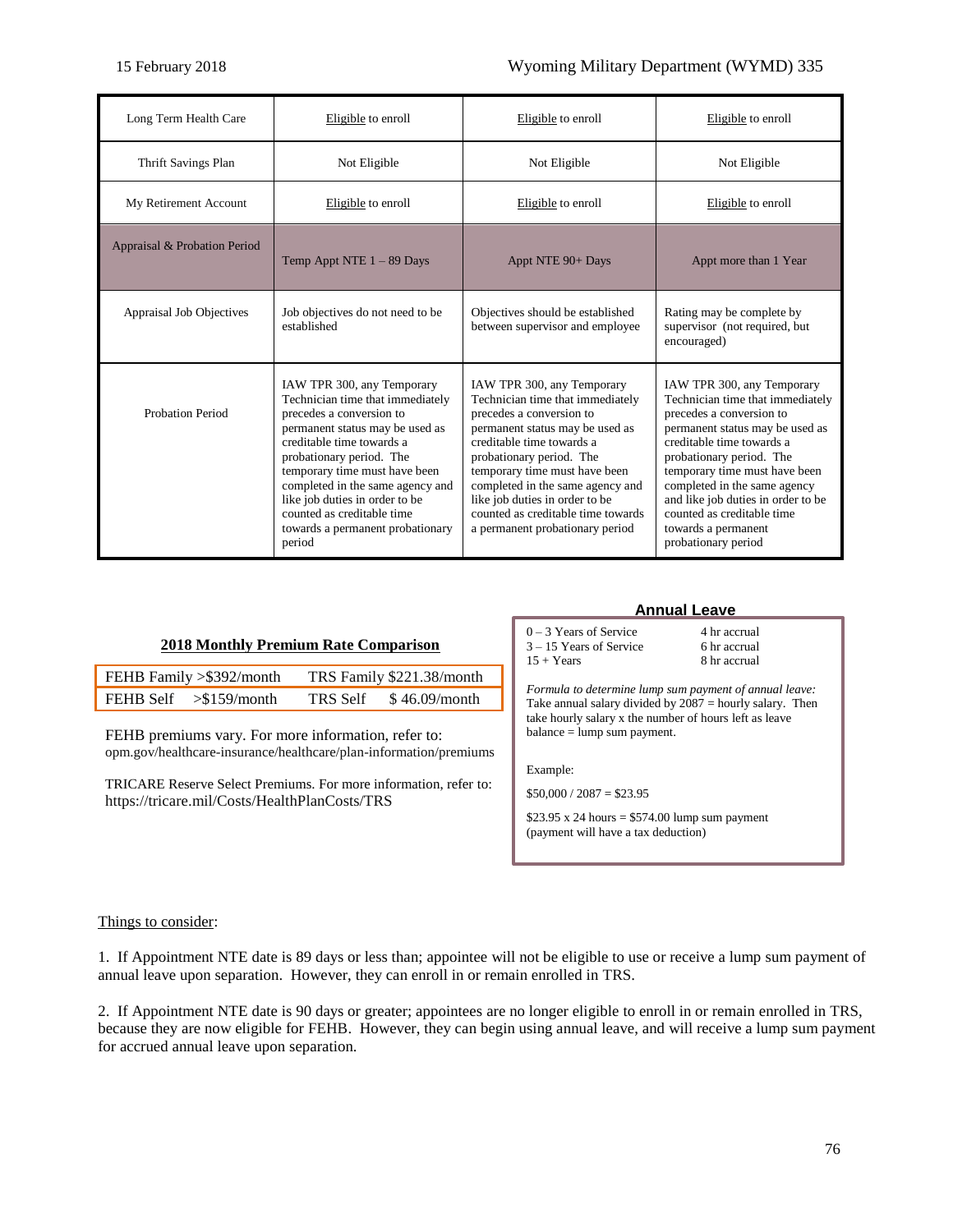| Long Term Health Care           | Eligible to enroll                                                                                                                                                                                                                                                                                                                                                        | Eligible to enroll                                                                                                                                                                                                                                                                                                                                                     | Eligible to enroll                                                                                                                                                                                                                                                                                                                                                        |
|---------------------------------|---------------------------------------------------------------------------------------------------------------------------------------------------------------------------------------------------------------------------------------------------------------------------------------------------------------------------------------------------------------------------|------------------------------------------------------------------------------------------------------------------------------------------------------------------------------------------------------------------------------------------------------------------------------------------------------------------------------------------------------------------------|---------------------------------------------------------------------------------------------------------------------------------------------------------------------------------------------------------------------------------------------------------------------------------------------------------------------------------------------------------------------------|
| Thrift Savings Plan             | Not Eligible                                                                                                                                                                                                                                                                                                                                                              | Not Eligible                                                                                                                                                                                                                                                                                                                                                           | Not Eligible                                                                                                                                                                                                                                                                                                                                                              |
| My Retirement Account           | Eligible to enroll                                                                                                                                                                                                                                                                                                                                                        | Eligible to enroll                                                                                                                                                                                                                                                                                                                                                     | Eligible to enroll                                                                                                                                                                                                                                                                                                                                                        |
| Appraisal & Probation Period    | Temp Appt NTE $1 - 89$ Days                                                                                                                                                                                                                                                                                                                                               | Appt NTE 90+ Days                                                                                                                                                                                                                                                                                                                                                      | Appt more than 1 Year                                                                                                                                                                                                                                                                                                                                                     |
| <b>Appraisal Job Objectives</b> | Job objectives do not need to be<br>established                                                                                                                                                                                                                                                                                                                           | Objectives should be established<br>between supervisor and employee                                                                                                                                                                                                                                                                                                    | Rating may be complete by<br>supervisor (not required, but<br>encouraged)                                                                                                                                                                                                                                                                                                 |
| Probation Period                | IAW TPR 300, any Temporary<br>Technician time that immediately<br>precedes a conversion to<br>permanent status may be used as<br>creditable time towards a<br>probationary period. The<br>temporary time must have been<br>completed in the same agency and<br>like job duties in order to be<br>counted as creditable time<br>towards a permanent probationary<br>period | IAW TPR 300, any Temporary<br>Technician time that immediately<br>precedes a conversion to<br>permanent status may be used as<br>creditable time towards a<br>probationary period. The<br>temporary time must have been<br>completed in the same agency and<br>like job duties in order to be<br>counted as creditable time towards<br>a permanent probationary period | IAW TPR 300, any Temporary<br>Technician time that immediately<br>precedes a conversion to<br>permanent status may be used as<br>creditable time towards a<br>probationary period. The<br>temporary time must have been<br>completed in the same agency<br>and like job duties in order to be<br>counted as creditable time<br>towards a permanent<br>probationary period |

#### **2018 Monthly Premium Rate Comparison**

| FEHB Family > \$392/month | TRS Family \$221.38/month |
|---------------------------|---------------------------|
| FEHB Self $> $159$ /month | TRS Self \$46.09/month    |

FEHB premiums vary. For more information, refer to: [opm.gov/healthcare-insurance/healthcare/plan-information/premiums](https://www.opm.gov/healthcare-insurance/healthcare/plan-information/premiums/)

TRICARE Reserve Select Premiums. For more information, refer to: <https://tricare.mil/Costs/HealthPlanCosts/TRS>

#### **Annual Leave**

 $0 - 3$  Years of Service 4 hr accrual  $3 - 15$  Years of Service 6 hr accrual  $15 + Years$  8 hr accrual

*Formula to determine lump sum payment of annual leave:*  Take annual salary divided by  $2087$  = hourly salary. Then take hourly salary x the number of hours left as leave balance = lump sum payment.

Example:

 $$50,000 / 2087 = $23.95$ 

 $$23.95 \times 24 \text{ hours} = $574.00 \text{ lump sum payment}$ (payment will have a tax deduction)

#### Things to consider:

1. If Appointment NTE date is 89 days or less than; appointee will not be eligible to use or receive a lump sum payment of annual leave upon separation. However, they can enroll in or remain enrolled in [TRS.](http://tricare.mil/Plans/HealthPlans/TRS.aspx?sc_database=web)

2. If Appointment NTE date is 90 days or greater; appointees are no longer eligible to enroll in or remain enrolled in [TRS,](http://tricare.mil/Plans/HealthPlans/TRS.aspx?sc_database=web) because they are now eligible for [FEHB.](https://www.opm.gov/healthcare-insurance/healthcare/) However, they can begin using annual leave, and will receive a lump sum payment for accrued annual leave upon separation.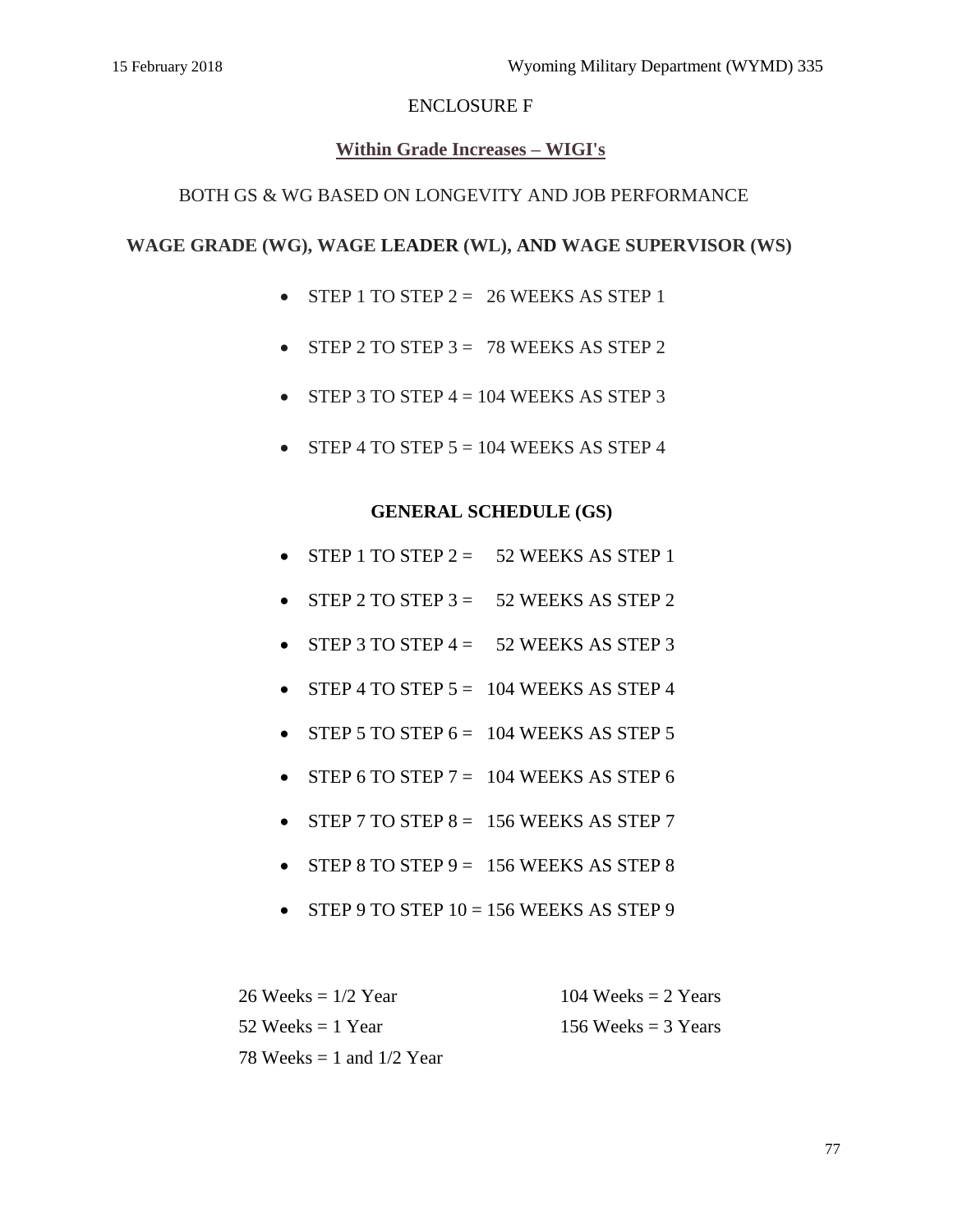# ENCLOSURE F

# **Within Grade Increases – WIGI's**

## BOTH GS & WG BASED ON LONGEVITY AND JOB PERFORMANCE

## **WAGE GRADE (WG), WAGE LEADER (WL), AND WAGE SUPERVISOR (WS)**

- $\bullet$  STEP 1 TO STEP 2 = 26 WEEKS AS STEP 1
- $\bullet$  STEP 2 TO STEP 3 = 78 WEEKS AS STEP 2
- $\bullet$  STEP 3 TO STEP  $4 = 104$  WEEKS AS STEP 3
- $\bullet$  STEP 4 TO STEP  $5 = 104$  WEEKS AS STEP 4

## **GENERAL SCHEDULE (GS)**

- $\bullet$  STEP 1 TO STEP 2 = 52 WEEKS AS STEP 1
- $S$  STEP 2 TO STEP 3 = 52 WEEKS AS STEP 2
- $\bullet$  STEP 3 TO STEP 4 = 52 WEEKS AS STEP 3
- $\bullet$  STEP 4 TO STEP  $5 = 104$  WEEKS AS STEP 4
- $\bullet$  STEP 5 TO STEP  $6 = 104$  WEEKS AS STEP 5
- STEP 6 TO STEP  $7 = 104$  WEEKS AS STEP 6
- $\bullet$  STEP 7 TO STEP 8 = 156 WEEKS AS STEP 7
- $\bullet$  STEP 8 TO STEP 9 = 156 WEEKS AS STEP 8
- $\bullet$  STEP 9 TO STEP 10 = 156 WEEKS AS STEP 9

 $26 \text{ weeks} = 1/2 \text{ Year}$  104 Weeks = 2 Years  $52 \text{ Weeks} = 1 \text{ Year}$  156 Weeks = 3 Years 78 Weeks  $= 1$  and  $1/2$  Year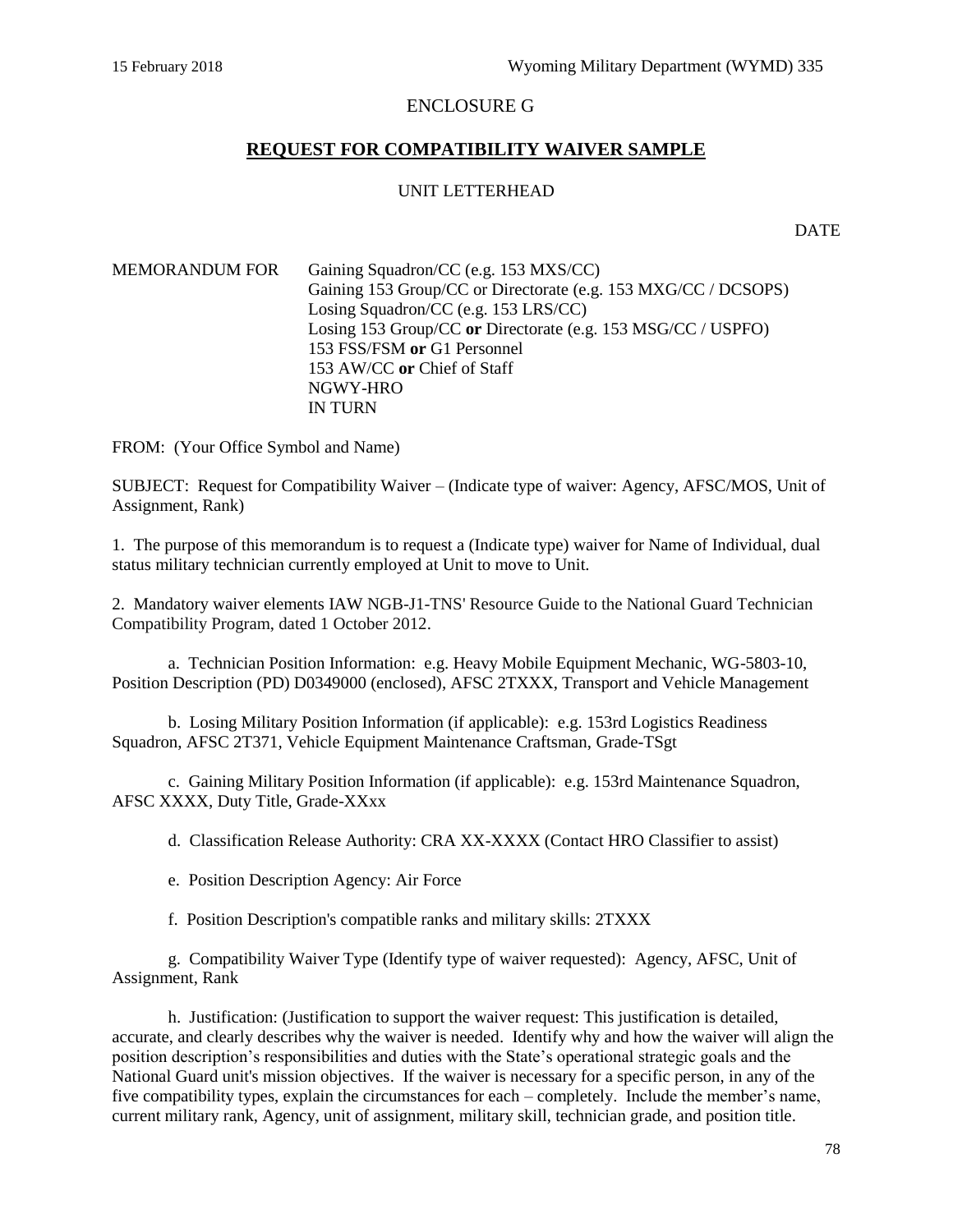# ENCLOSURE G

# **REQUEST FOR COMPATIBILITY WAIVER SAMPLE**

#### UNIT LETTERHEAD

DATE

| <b>MEMORANDUM FOR</b> | Gaining Squadron/CC (e.g. 153 MXS/CC)<br>Gaining 153 Group/CC or Directorate (e.g. 153 MXG/CC / DCSOPS)<br>Losing Squadron/CC (e.g. 153 LRS/CC) |
|-----------------------|-------------------------------------------------------------------------------------------------------------------------------------------------|
|                       | Losing 153 Group/CC or Directorate (e.g. 153 MSG/CC / USPFO)                                                                                    |
|                       | 153 FSS/FSM or G1 Personnel                                                                                                                     |
|                       | 153 AW/CC or Chief of Staff                                                                                                                     |
|                       | NGWY-HRO                                                                                                                                        |
|                       | <b>IN TURN</b>                                                                                                                                  |

FROM: (Your Office Symbol and Name)

SUBJECT: Request for Compatibility Waiver – (Indicate type of waiver: Agency, AFSC/MOS, Unit of Assignment, Rank)

1. The purpose of this memorandum is to request a (Indicate type) waiver for Name of Individual, dual status military technician currently employed at Unit to move to Unit.

2. Mandatory waiver elements IAW [NGB-J1-TNS' Resource Guide to the National Guard Technician](https://gkoportal.ng.mil/joint/J1/D06/B03/Compatibility/Compatibility%20Guide_1%20October%202012.pdf)  [Compatibility Program, dated 1 October 2012.](https://gkoportal.ng.mil/joint/J1/D06/B03/Compatibility/Compatibility%20Guide_1%20October%202012.pdf)

a. Technician Position Information: e.g. Heavy Mobile Equipment Mechanic, WG-5803-10, Position Description (PD) D0349000 (enclosed), AFSC 2TXXX, Transport and Vehicle Management

b. Losing Military Position Information (if applicable): e.g. 153rd Logistics Readiness Squadron, AFSC 2T371, Vehicle Equipment Maintenance Craftsman, Grade-TSgt

c. Gaining Military Position Information (if applicable): e.g. 153rd Maintenance Squadron, AFSC XXXX, Duty Title, Grade-XXxx

d. Classification Release Authority: CRA XX-XXXX (Contact HRO Classifier to assist)

e. Position Description Agency: Air Force

f. Position Description's compatible ranks and military skills: 2TXXX

g. Compatibility Waiver Type (Identify type of waiver requested): Agency, AFSC, Unit of Assignment, Rank

h. Justification: (Justification to support the waiver request: This justification is detailed, accurate, and clearly describes why the waiver is needed. Identify why and how the waiver will align the position description's responsibilities and duties with the State's operational strategic goals and the National Guard unit's mission objectives. If the waiver is necessary for a specific person, in any of the five compatibility types, explain the circumstances for each – completely. Include the member's name, current military rank, Agency, unit of assignment, military skill, technician grade, and position title.